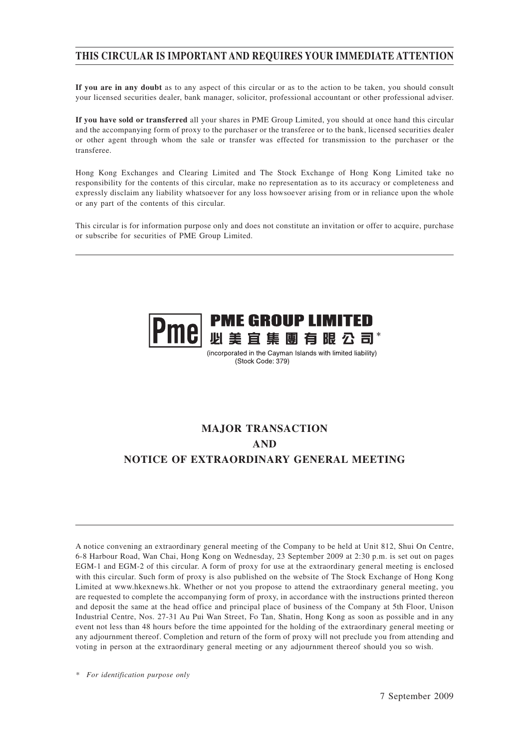# **THIS CIRCULAR IS IMPORTANT AND REQUIRES YOUR IMMEDIATE ATTENTION**

**If you are in any doubt** as to any aspect of this circular or as to the action to be taken, you should consult your licensed securities dealer, bank manager, solicitor, professional accountant or other professional adviser.

**If you have sold or transferred** all your shares in PME Group Limited, you should at once hand this circular and the accompanying form of proxy to the purchaser or the transferee or to the bank, licensed securities dealer or other agent through whom the sale or transfer was effected for transmission to the purchaser or the transferee.

Hong Kong Exchanges and Clearing Limited and The Stock Exchange of Hong Kong Limited take no responsibility for the contents of this circular, make no representation as to its accuracy or completeness and expressly disclaim any liability whatsoever for any loss howsoever arising from or in reliance upon the whole or any part of the contents of this circular.

This circular is for information purpose only and does not constitute an invitation or offer to acquire, purchase or subscribe for securities of PME Group Limited.



(incorporated in the Cayman Islands with limited liability) (Stock Code: 379)

# **MAJOR TRANSACTION AND NOTICE OF EXTRAORDINARY GENERAL MEETING**

A notice convening an extraordinary general meeting of the Company to be held at Unit 812, Shui On Centre, 6-8 Harbour Road, Wan Chai, Hong Kong on Wednesday, 23 September 2009 at 2:30 p.m. is set out on pages EGM-1 and EGM-2 of this circular. A form of proxy for use at the extraordinary general meeting is enclosed with this circular. Such form of proxy is also published on the website of The Stock Exchange of Hong Kong Limited at www.hkexnews.hk. Whether or not you propose to attend the extraordinary general meeting, you are requested to complete the accompanying form of proxy, in accordance with the instructions printed thereon and deposit the same at the head office and principal place of business of the Company at 5th Floor, Unison Industrial Centre, Nos. 27-31 Au Pui Wan Street, Fo Tan, Shatin, Hong Kong as soon as possible and in any event not less than 48 hours before the time appointed for the holding of the extraordinary general meeting or any adjournment thereof. Completion and return of the form of proxy will not preclude you from attending and voting in person at the extraordinary general meeting or any adjournment thereof should you so wish.

*\* For identification purpose only*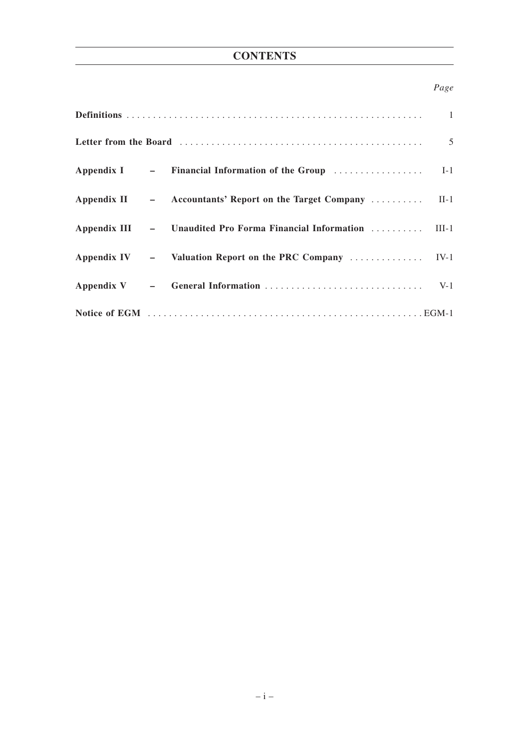# **CONTENTS**

# *Page*

|  | Letter from the Board (and the second contact the second contact of the second second second second second second second second second second second second second second second second second second second second second sec |  |
|--|--------------------------------------------------------------------------------------------------------------------------------------------------------------------------------------------------------------------------------|--|
|  |                                                                                                                                                                                                                                |  |
|  | Appendix II – Accountants' Report on the Target Company  II-1                                                                                                                                                                  |  |
|  | Appendix III - Unaudited Pro Forma Financial Information  III-1                                                                                                                                                                |  |
|  |                                                                                                                                                                                                                                |  |
|  |                                                                                                                                                                                                                                |  |
|  |                                                                                                                                                                                                                                |  |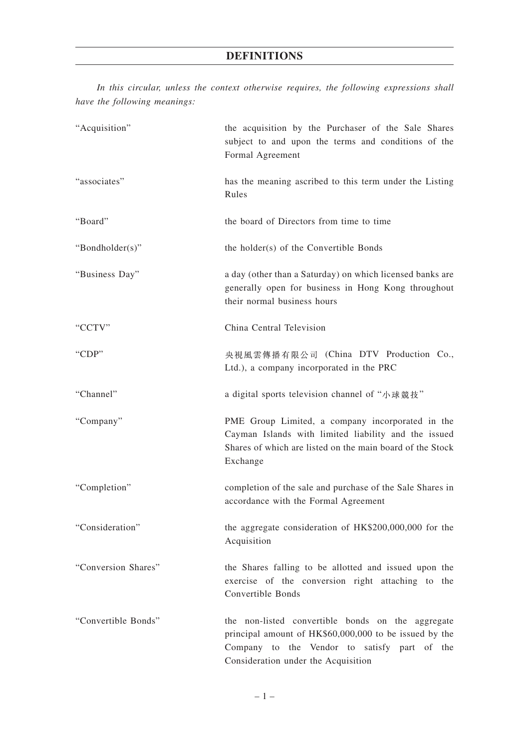*In this circular, unless the context otherwise requires, the following expressions shall have the following meanings:*

| "Acquisition"       | the acquisition by the Purchaser of the Sale Shares<br>subject to and upon the terms and conditions of the<br>Formal Agreement                                                                     |
|---------------------|----------------------------------------------------------------------------------------------------------------------------------------------------------------------------------------------------|
| "associates"        | has the meaning ascribed to this term under the Listing<br>Rules                                                                                                                                   |
| "Board"             | the board of Directors from time to time                                                                                                                                                           |
| "Bondholder(s)"     | the holder(s) of the Convertible Bonds                                                                                                                                                             |
| "Business Day"      | a day (other than a Saturday) on which licensed banks are<br>generally open for business in Hong Kong throughout<br>their normal business hours                                                    |
| "CCTV"              | China Central Television                                                                                                                                                                           |
| "CDP"               | 央視風雲傳播有限公司 (China DTV Production Co.,<br>Ltd.), a company incorporated in the PRC                                                                                                                  |
| "Channel"           | a digital sports television channel of "小球競技"                                                                                                                                                      |
| "Company"           | PME Group Limited, a company incorporated in the<br>Cayman Islands with limited liability and the issued<br>Shares of which are listed on the main board of the Stock<br>Exchange                  |
| "Completion"        | completion of the sale and purchase of the Sale Shares in<br>accordance with the Formal Agreement                                                                                                  |
| "Consideration"     | the aggregate consideration of HK\$200,000,000 for the<br>Acquisition                                                                                                                              |
| "Conversion Shares" | the Shares falling to be allotted and issued upon the<br>exercise of the conversion right attaching to the<br>Convertible Bonds                                                                    |
| "Convertible Bonds" | the non-listed convertible bonds on the aggregate<br>principal amount of HK\$60,000,000 to be issued by the<br>Company to the Vendor to satisfy part of the<br>Consideration under the Acquisition |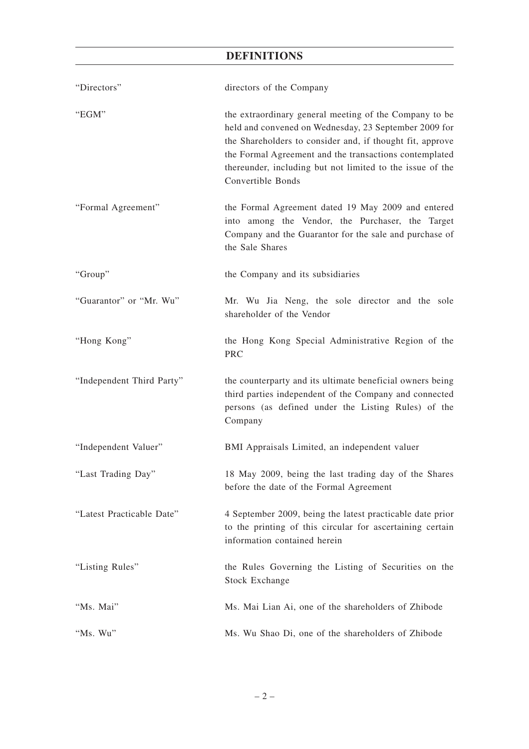# **DEFINITIONS**

| "Directors"               | directors of the Company                                                                                                                                                                                                                                                                                                 |
|---------------------------|--------------------------------------------------------------------------------------------------------------------------------------------------------------------------------------------------------------------------------------------------------------------------------------------------------------------------|
| "EGM"                     | the extraordinary general meeting of the Company to be<br>held and convened on Wednesday, 23 September 2009 for<br>the Shareholders to consider and, if thought fit, approve<br>the Formal Agreement and the transactions contemplated<br>thereunder, including but not limited to the issue of the<br>Convertible Bonds |
| "Formal Agreement"        | the Formal Agreement dated 19 May 2009 and entered<br>into among the Vendor, the Purchaser, the Target<br>Company and the Guarantor for the sale and purchase of<br>the Sale Shares                                                                                                                                      |
| "Group"                   | the Company and its subsidiaries                                                                                                                                                                                                                                                                                         |
| "Guarantor" or "Mr. Wu"   | Mr. Wu Jia Neng, the sole director and the sole<br>shareholder of the Vendor                                                                                                                                                                                                                                             |
| "Hong Kong"               | the Hong Kong Special Administrative Region of the<br><b>PRC</b>                                                                                                                                                                                                                                                         |
| "Independent Third Party" | the counterparty and its ultimate beneficial owners being<br>third parties independent of the Company and connected<br>persons (as defined under the Listing Rules) of the<br>Company                                                                                                                                    |
| "Independent Valuer"      | BMI Appraisals Limited, an independent valuer                                                                                                                                                                                                                                                                            |
| "Last Trading Day"        | 18 May 2009, being the last trading day of the Shares<br>before the date of the Formal Agreement                                                                                                                                                                                                                         |
| "Latest Practicable Date" | 4 September 2009, being the latest practicable date prior<br>to the printing of this circular for ascertaining certain<br>information contained herein                                                                                                                                                                   |
| "Listing Rules"           | the Rules Governing the Listing of Securities on the<br><b>Stock Exchange</b>                                                                                                                                                                                                                                            |
| "Ms. Mai"                 | Ms. Mai Lian Ai, one of the shareholders of Zhibode                                                                                                                                                                                                                                                                      |
| "Ms. Wu"                  | Ms. Wu Shao Di, one of the shareholders of Zhibode                                                                                                                                                                                                                                                                       |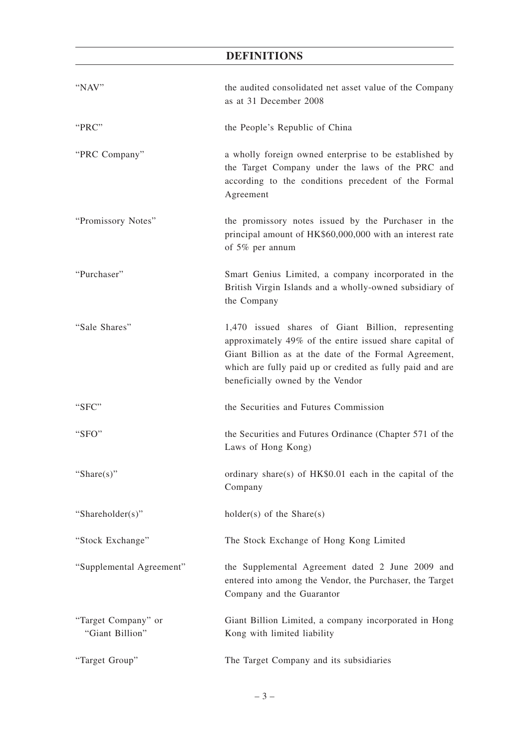# **DEFINITIONS**

| "NAV"                                  | the audited consolidated net asset value of the Company<br>as at 31 December 2008                                                                                                                                                                                       |
|----------------------------------------|-------------------------------------------------------------------------------------------------------------------------------------------------------------------------------------------------------------------------------------------------------------------------|
| "PRC"                                  | the People's Republic of China                                                                                                                                                                                                                                          |
| "PRC Company"                          | a wholly foreign owned enterprise to be established by<br>the Target Company under the laws of the PRC and<br>according to the conditions precedent of the Formal<br>Agreement                                                                                          |
| "Promissory Notes"                     | the promissory notes issued by the Purchaser in the<br>principal amount of HK\$60,000,000 with an interest rate<br>of 5% per annum                                                                                                                                      |
| "Purchaser"                            | Smart Genius Limited, a company incorporated in the<br>British Virgin Islands and a wholly-owned subsidiary of<br>the Company                                                                                                                                           |
| "Sale Shares"                          | 1,470 issued shares of Giant Billion, representing<br>approximately 49% of the entire issued share capital of<br>Giant Billion as at the date of the Formal Agreement,<br>which are fully paid up or credited as fully paid and are<br>beneficially owned by the Vendor |
| "SFC"                                  | the Securities and Futures Commission                                                                                                                                                                                                                                   |
| "SFO"                                  | the Securities and Futures Ordinance (Chapter 571 of the<br>Laws of Hong Kong)                                                                                                                                                                                          |
| "Share(s)"                             | ordinary share(s) of HK\$0.01 each in the capital of the<br>Company                                                                                                                                                                                                     |
| "Shareholder(s)"                       | $holder(s)$ of the Share(s)                                                                                                                                                                                                                                             |
| "Stock Exchange"                       | The Stock Exchange of Hong Kong Limited                                                                                                                                                                                                                                 |
| "Supplemental Agreement"               | the Supplemental Agreement dated 2 June 2009 and<br>entered into among the Vendor, the Purchaser, the Target<br>Company and the Guarantor                                                                                                                               |
| "Target Company" or<br>"Giant Billion" | Giant Billion Limited, a company incorporated in Hong<br>Kong with limited liability                                                                                                                                                                                    |
| "Target Group"                         | The Target Company and its subsidiaries                                                                                                                                                                                                                                 |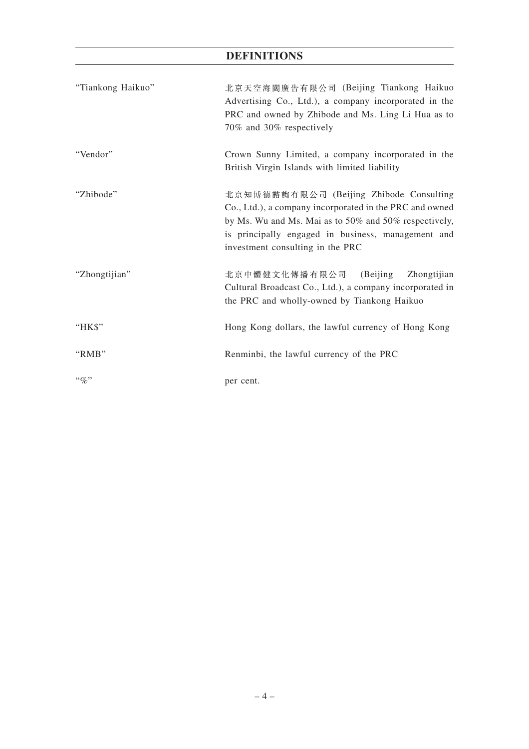# **DEFINITIONS**

| "Tiankong Haikuo" | 北京天空海闊廣告有限公司 (Beijing Tiankong Haikuo<br>Advertising Co., Ltd.), a company incorporated in the<br>PRC and owned by Zhibode and Ms. Ling Li Hua as to<br>70% and 30% respectively                                                                      |  |  |
|-------------------|-------------------------------------------------------------------------------------------------------------------------------------------------------------------------------------------------------------------------------------------------------|--|--|
| "Vendor"          | Crown Sunny Limited, a company incorporated in the<br>British Virgin Islands with limited liability                                                                                                                                                   |  |  |
| "Zhibode"         | 北京知博德諮詢有限公司 (Beijing Zhibode Consulting<br>Co., Ltd.), a company incorporated in the PRC and owned<br>by Ms. Wu and Ms. Mai as to 50% and 50% respectively,<br>is principally engaged in business, management and<br>investment consulting in the PRC |  |  |
| "Zhongtijian"     | 北京中體健文化傳播有限公司 (Beijing<br>Zhongtijian<br>Cultural Broadcast Co., Ltd.), a company incorporated in<br>the PRC and wholly-owned by Tiankong Haikuo                                                                                                      |  |  |
| HKS               | Hong Kong dollars, the lawful currency of Hong Kong                                                                                                                                                                                                   |  |  |
| "RMB"             | Renminbi, the lawful currency of the PRC                                                                                                                                                                                                              |  |  |
| $\lq\lq q_0$ "    | per cent.                                                                                                                                                                                                                                             |  |  |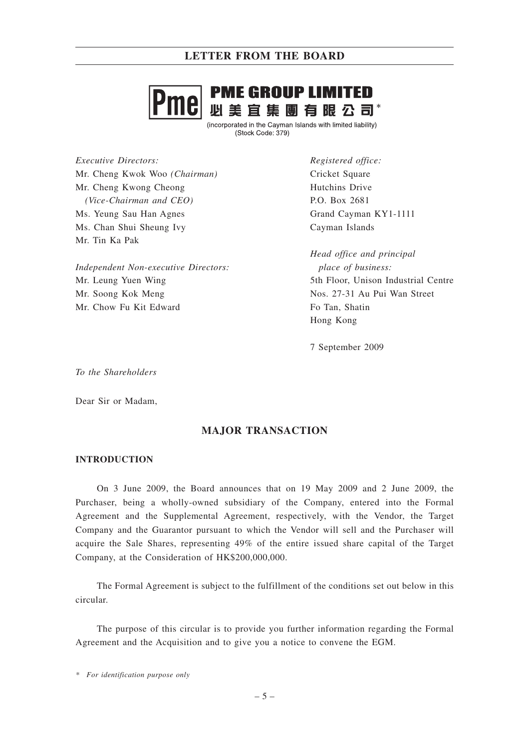

(incorporated in the Cayman Islands with limited liability) (Stock Code: 379)

*Executive Directors:* Mr. Cheng Kwok Woo *(Chairman)* Mr. Cheng Kwong Cheong *(Vice-Chairman and CEO)* Ms. Yeung Sau Han Agnes Ms. Chan Shui Sheung Ivy Mr. Tin Ka Pak

*Independent Non-executive Directors:* Mr. Leung Yuen Wing Mr. Soong Kok Meng Mr. Chow Fu Kit Edward

*Registered office:* Cricket Square Hutchins Drive P.O. Box 2681 Grand Cayman KY1-1111 Cayman Islands

*Head office and principal place of business:* 5th Floor, Unison Industrial Centre Nos. 27-31 Au Pui Wan Street Fo Tan, Shatin Hong Kong

7 September 2009

*To the Shareholders*

Dear Sir or Madam,

# **MAJOR TRANSACTION**

### **INTRODUCTION**

On 3 June 2009, the Board announces that on 19 May 2009 and 2 June 2009, the Purchaser, being a wholly-owned subsidiary of the Company, entered into the Formal Agreement and the Supplemental Agreement, respectively, with the Vendor, the Target Company and the Guarantor pursuant to which the Vendor will sell and the Purchaser will acquire the Sale Shares, representing 49% of the entire issued share capital of the Target Company, at the Consideration of HK\$200,000,000.

The Formal Agreement is subject to the fulfillment of the conditions set out below in this circular.

The purpose of this circular is to provide you further information regarding the Formal Agreement and the Acquisition and to give you a notice to convene the EGM.

*\* For identification purpose only*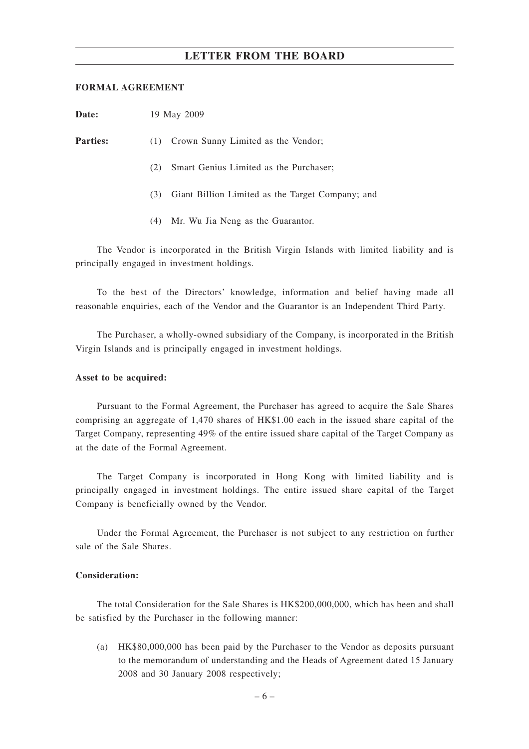### **FORMAL AGREEMENT**

| Date:           | 19 May 2009                                             |  |  |  |  |
|-----------------|---------------------------------------------------------|--|--|--|--|
| <b>Parties:</b> | Crown Sunny Limited as the Vendor;<br>(1)               |  |  |  |  |
|                 | Smart Genius Limited as the Purchaser;<br>(2)           |  |  |  |  |
|                 | Giant Billion Limited as the Target Company; and<br>(3) |  |  |  |  |
|                 | Mr. Wu Jia Neng as the Guarantor.<br>(4)                |  |  |  |  |

The Vendor is incorporated in the British Virgin Islands with limited liability and is principally engaged in investment holdings.

To the best of the Directors' knowledge, information and belief having made all reasonable enquiries, each of the Vendor and the Guarantor is an Independent Third Party.

The Purchaser, a wholly-owned subsidiary of the Company, is incorporated in the British Virgin Islands and is principally engaged in investment holdings.

### **Asset to be acquired:**

Pursuant to the Formal Agreement, the Purchaser has agreed to acquire the Sale Shares comprising an aggregate of 1,470 shares of HK\$1.00 each in the issued share capital of the Target Company, representing 49% of the entire issued share capital of the Target Company as at the date of the Formal Agreement.

The Target Company is incorporated in Hong Kong with limited liability and is principally engaged in investment holdings. The entire issued share capital of the Target Company is beneficially owned by the Vendor.

Under the Formal Agreement, the Purchaser is not subject to any restriction on further sale of the Sale Shares.

### **Consideration:**

The total Consideration for the Sale Shares is HK\$200,000,000, which has been and shall be satisfied by the Purchaser in the following manner:

(a) HK\$80,000,000 has been paid by the Purchaser to the Vendor as deposits pursuant to the memorandum of understanding and the Heads of Agreement dated 15 January 2008 and 30 January 2008 respectively;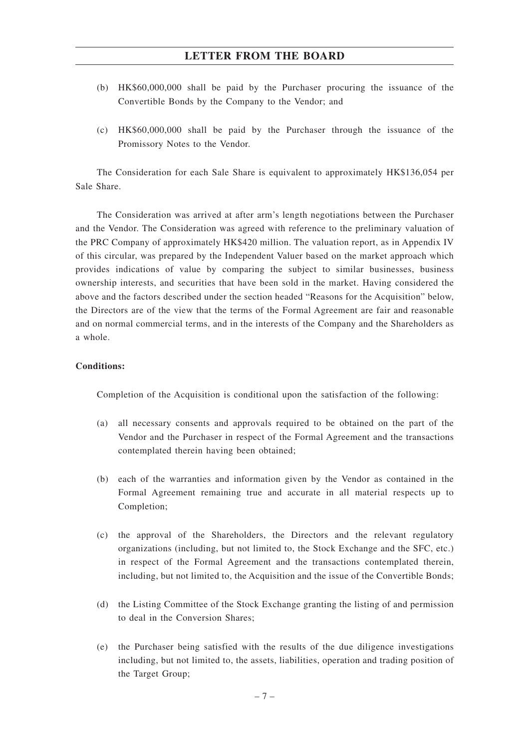- (b) HK\$60,000,000 shall be paid by the Purchaser procuring the issuance of the Convertible Bonds by the Company to the Vendor; and
- (c) HK\$60,000,000 shall be paid by the Purchaser through the issuance of the Promissory Notes to the Vendor.

The Consideration for each Sale Share is equivalent to approximately HK\$136,054 per Sale Share.

The Consideration was arrived at after arm's length negotiations between the Purchaser and the Vendor. The Consideration was agreed with reference to the preliminary valuation of the PRC Company of approximately HK\$420 million. The valuation report, as in Appendix IV of this circular, was prepared by the Independent Valuer based on the market approach which provides indications of value by comparing the subject to similar businesses, business ownership interests, and securities that have been sold in the market. Having considered the above and the factors described under the section headed "Reasons for the Acquisition" below, the Directors are of the view that the terms of the Formal Agreement are fair and reasonable and on normal commercial terms, and in the interests of the Company and the Shareholders as a whole.

### **Conditions:**

Completion of the Acquisition is conditional upon the satisfaction of the following:

- (a) all necessary consents and approvals required to be obtained on the part of the Vendor and the Purchaser in respect of the Formal Agreement and the transactions contemplated therein having been obtained;
- (b) each of the warranties and information given by the Vendor as contained in the Formal Agreement remaining true and accurate in all material respects up to Completion;
- (c) the approval of the Shareholders, the Directors and the relevant regulatory organizations (including, but not limited to, the Stock Exchange and the SFC, etc.) in respect of the Formal Agreement and the transactions contemplated therein, including, but not limited to, the Acquisition and the issue of the Convertible Bonds;
- (d) the Listing Committee of the Stock Exchange granting the listing of and permission to deal in the Conversion Shares;
- (e) the Purchaser being satisfied with the results of the due diligence investigations including, but not limited to, the assets, liabilities, operation and trading position of the Target Group;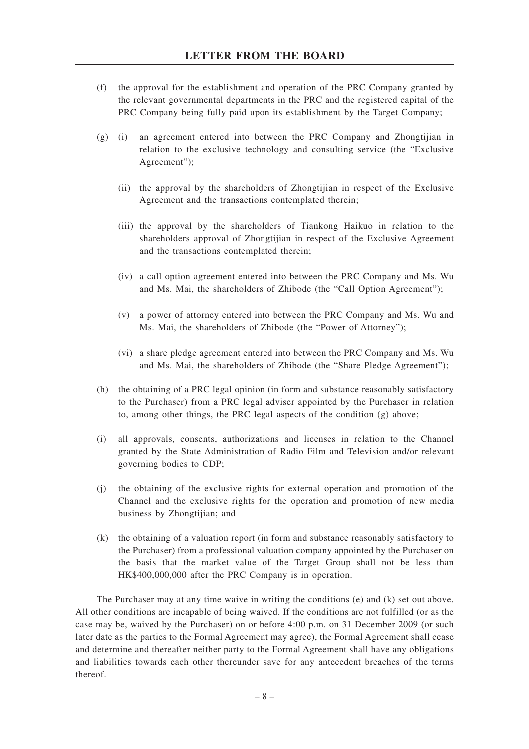- (f) the approval for the establishment and operation of the PRC Company granted by the relevant governmental departments in the PRC and the registered capital of the PRC Company being fully paid upon its establishment by the Target Company;
- (g) (i) an agreement entered into between the PRC Company and Zhongtijian in relation to the exclusive technology and consulting service (the "Exclusive Agreement");
	- (ii) the approval by the shareholders of Zhongtijian in respect of the Exclusive Agreement and the transactions contemplated therein;
	- (iii) the approval by the shareholders of Tiankong Haikuo in relation to the shareholders approval of Zhongtijian in respect of the Exclusive Agreement and the transactions contemplated therein;
	- (iv) a call option agreement entered into between the PRC Company and Ms. Wu and Ms. Mai, the shareholders of Zhibode (the "Call Option Agreement");
	- (v) a power of attorney entered into between the PRC Company and Ms. Wu and Ms. Mai, the shareholders of Zhibode (the "Power of Attorney");
	- (vi) a share pledge agreement entered into between the PRC Company and Ms. Wu and Ms. Mai, the shareholders of Zhibode (the "Share Pledge Agreement");
- (h) the obtaining of a PRC legal opinion (in form and substance reasonably satisfactory to the Purchaser) from a PRC legal adviser appointed by the Purchaser in relation to, among other things, the PRC legal aspects of the condition (g) above;
- (i) all approvals, consents, authorizations and licenses in relation to the Channel granted by the State Administration of Radio Film and Television and/or relevant governing bodies to CDP;
- (j) the obtaining of the exclusive rights for external operation and promotion of the Channel and the exclusive rights for the operation and promotion of new media business by Zhongtijian; and
- (k) the obtaining of a valuation report (in form and substance reasonably satisfactory to the Purchaser) from a professional valuation company appointed by the Purchaser on the basis that the market value of the Target Group shall not be less than HK\$400,000,000 after the PRC Company is in operation.

The Purchaser may at any time waive in writing the conditions (e) and (k) set out above. All other conditions are incapable of being waived. If the conditions are not fulfilled (or as the case may be, waived by the Purchaser) on or before 4:00 p.m. on 31 December 2009 (or such later date as the parties to the Formal Agreement may agree), the Formal Agreement shall cease and determine and thereafter neither party to the Formal Agreement shall have any obligations and liabilities towards each other thereunder save for any antecedent breaches of the terms thereof.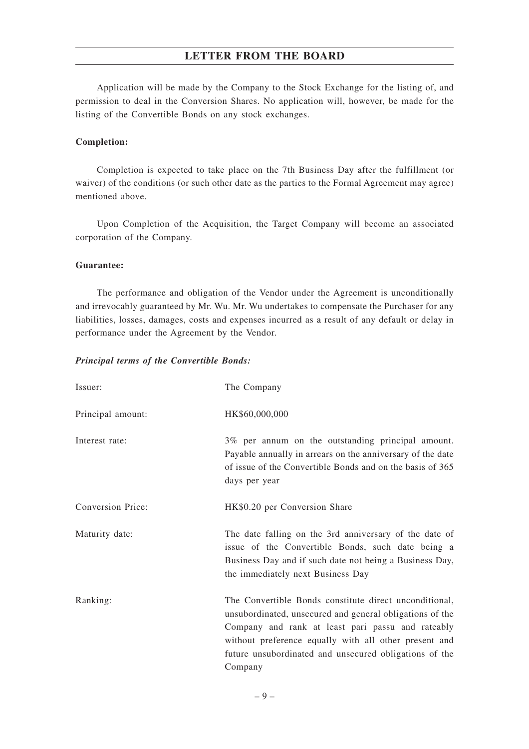Application will be made by the Company to the Stock Exchange for the listing of, and permission to deal in the Conversion Shares. No application will, however, be made for the listing of the Convertible Bonds on any stock exchanges.

#### **Completion:**

Completion is expected to take place on the 7th Business Day after the fulfillment (or waiver) of the conditions (or such other date as the parties to the Formal Agreement may agree) mentioned above.

Upon Completion of the Acquisition, the Target Company will become an associated corporation of the Company.

#### **Guarantee:**

The performance and obligation of the Vendor under the Agreement is unconditionally and irrevocably guaranteed by Mr. Wu. Mr. Wu undertakes to compensate the Purchaser for any liabilities, losses, damages, costs and expenses incurred as a result of any default or delay in performance under the Agreement by the Vendor.

#### *Principal terms of the Convertible Bonds:*

| Issuer:           | The Company                                                                                                                                                                                                                                                                                           |
|-------------------|-------------------------------------------------------------------------------------------------------------------------------------------------------------------------------------------------------------------------------------------------------------------------------------------------------|
| Principal amount: | HK\$60,000,000                                                                                                                                                                                                                                                                                        |
| Interest rate:    | 3% per annum on the outstanding principal amount.<br>Payable annually in arrears on the anniversary of the date<br>of issue of the Convertible Bonds and on the basis of 365<br>days per year                                                                                                         |
| Conversion Price: | HK\$0.20 per Conversion Share                                                                                                                                                                                                                                                                         |
| Maturity date:    | The date falling on the 3rd anniversary of the date of<br>issue of the Convertible Bonds, such date being a<br>Business Day and if such date not being a Business Day,<br>the immediately next Business Day                                                                                           |
| Ranking:          | The Convertible Bonds constitute direct unconditional,<br>unsubordinated, unsecured and general obligations of the<br>Company and rank at least pari passu and rateably<br>without preference equally with all other present and<br>future unsubordinated and unsecured obligations of the<br>Company |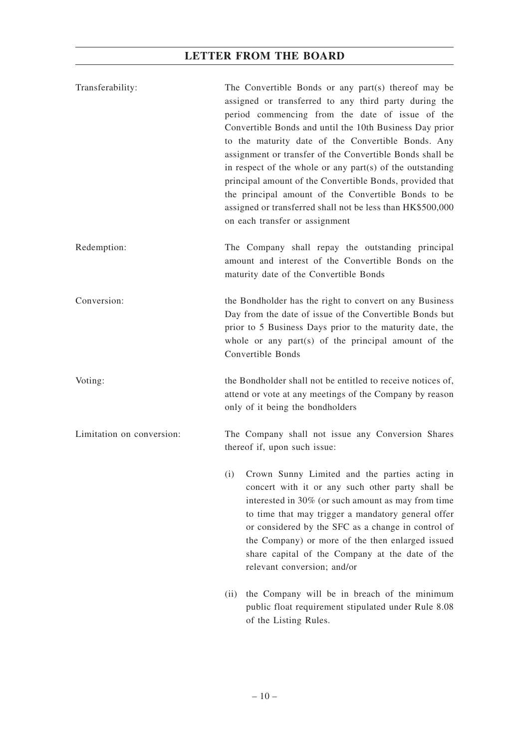| Transferability: | The Convertible Bonds or any part(s) thereof may be<br>assigned or transferred to any third party during the<br>period commencing from the date of issue of the<br>Convertible Bonds and until the 10th Business Day prior<br>to the maturity date of the Convertible Bonds. Any<br>assignment or transfer of the Convertible Bonds shall be<br>in respect of the whole or any part $(s)$ of the outstanding<br>principal amount of the Convertible Bonds, provided that<br>the principal amount of the Convertible Bonds to be<br>assigned or transferred shall not be less than HK\$500,000 |  |
|------------------|-----------------------------------------------------------------------------------------------------------------------------------------------------------------------------------------------------------------------------------------------------------------------------------------------------------------------------------------------------------------------------------------------------------------------------------------------------------------------------------------------------------------------------------------------------------------------------------------------|--|
|                  | on each transfer or assignment                                                                                                                                                                                                                                                                                                                                                                                                                                                                                                                                                                |  |
| Redemption:      | The Company shall repay the outstanding principal<br>amount and interest of the Convertible Bonds on the<br>maturity date of the Convertible Bonds                                                                                                                                                                                                                                                                                                                                                                                                                                            |  |
| Conversion:      | the Bondholder has the right to convert on any Business<br>Day from the date of issue of the Convertible Bonds but<br>prior to 5 Business Days prior to the maturity date, the<br>whole or any part(s) of the principal amount of the                                                                                                                                                                                                                                                                                                                                                         |  |

Convertible Bonds

Voting: the Bondholder shall not be entitled to receive notices of,

Limitation on conversion: The Company shall not issue any Conversion Shares

thereof if, upon such issue:

only of it being the bondholders

(i) Crown Sunny Limited and the parties acting in concert with it or any such other party shall be interested in 30% (or such amount as may from time to time that may trigger a mandatory general offer or considered by the SFC as a change in control of the Company) or more of the then enlarged issued share capital of the Company at the date of the relevant conversion; and/or

attend or vote at any meetings of the Company by reason

(ii) the Company will be in breach of the minimum public float requirement stipulated under Rule 8.08 of the Listing Rules.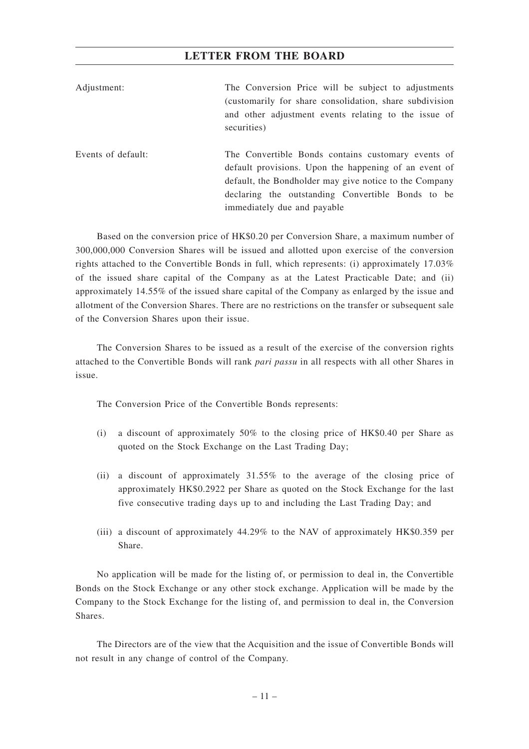| Adjustment:        | The Conversion Price will be subject to adjustments<br>(customarily for share consolidation, share subdivision<br>and other adjustment events relating to the issue of<br>securities)                                                                     |  |  |
|--------------------|-----------------------------------------------------------------------------------------------------------------------------------------------------------------------------------------------------------------------------------------------------------|--|--|
| Events of default: | The Convertible Bonds contains customary events of<br>default provisions. Upon the happening of an event of<br>default, the Bondholder may give notice to the Company<br>declaring the outstanding Convertible Bonds to be<br>immediately due and payable |  |  |

Based on the conversion price of HK\$0.20 per Conversion Share, a maximum number of 300,000,000 Conversion Shares will be issued and allotted upon exercise of the conversion rights attached to the Convertible Bonds in full, which represents: (i) approximately 17.03% of the issued share capital of the Company as at the Latest Practicable Date; and (ii) approximately 14.55% of the issued share capital of the Company as enlarged by the issue and allotment of the Conversion Shares. There are no restrictions on the transfer or subsequent sale of the Conversion Shares upon their issue.

The Conversion Shares to be issued as a result of the exercise of the conversion rights attached to the Convertible Bonds will rank *pari passu* in all respects with all other Shares in issue.

The Conversion Price of the Convertible Bonds represents:

- (i) a discount of approximately 50% to the closing price of HK\$0.40 per Share as quoted on the Stock Exchange on the Last Trading Day;
- (ii) a discount of approximately 31.55% to the average of the closing price of approximately HK\$0.2922 per Share as quoted on the Stock Exchange for the last five consecutive trading days up to and including the Last Trading Day; and
- (iii) a discount of approximately 44.29% to the NAV of approximately HK\$0.359 per Share.

No application will be made for the listing of, or permission to deal in, the Convertible Bonds on the Stock Exchange or any other stock exchange. Application will be made by the Company to the Stock Exchange for the listing of, and permission to deal in, the Conversion Shares.

The Directors are of the view that the Acquisition and the issue of Convertible Bonds will not result in any change of control of the Company.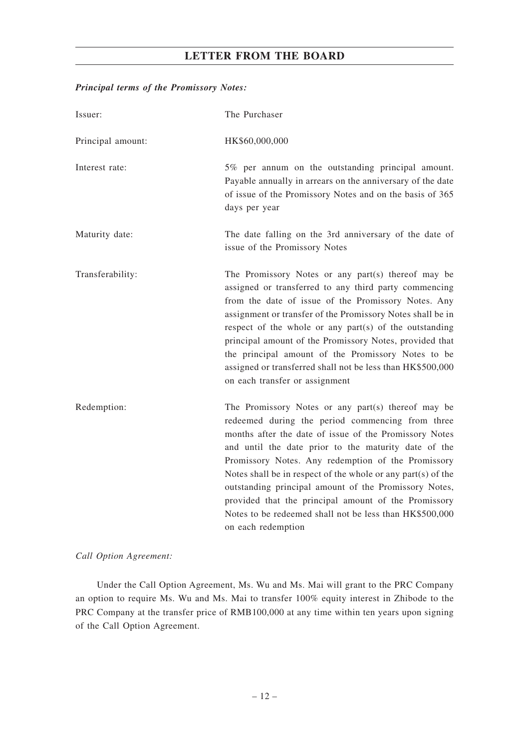## *Principal terms of the Promissory Notes:*

| Issuer:           | The Purchaser                                                                                                                                                                                                                                                                                                                                                                                                                                                                                                                                    |
|-------------------|--------------------------------------------------------------------------------------------------------------------------------------------------------------------------------------------------------------------------------------------------------------------------------------------------------------------------------------------------------------------------------------------------------------------------------------------------------------------------------------------------------------------------------------------------|
| Principal amount: | HK\$60,000,000                                                                                                                                                                                                                                                                                                                                                                                                                                                                                                                                   |
| Interest rate:    | 5% per annum on the outstanding principal amount.<br>Payable annually in arrears on the anniversary of the date<br>of issue of the Promissory Notes and on the basis of 365<br>days per year                                                                                                                                                                                                                                                                                                                                                     |
| Maturity date:    | The date falling on the 3rd anniversary of the date of<br>issue of the Promissory Notes                                                                                                                                                                                                                                                                                                                                                                                                                                                          |
| Transferability:  | The Promissory Notes or any part(s) thereof may be<br>assigned or transferred to any third party commencing<br>from the date of issue of the Promissory Notes. Any<br>assignment or transfer of the Promissory Notes shall be in<br>respect of the whole or any part(s) of the outstanding<br>principal amount of the Promissory Notes, provided that<br>the principal amount of the Promissory Notes to be<br>assigned or transferred shall not be less than HK\$500,000<br>on each transfer or assignment                                      |
| Redemption:       | The Promissory Notes or any part(s) thereof may be<br>redeemed during the period commencing from three<br>months after the date of issue of the Promissory Notes<br>and until the date prior to the maturity date of the<br>Promissory Notes. Any redemption of the Promissory<br>Notes shall be in respect of the whole or any part(s) of the<br>outstanding principal amount of the Promissory Notes,<br>provided that the principal amount of the Promissory<br>Notes to be redeemed shall not be less than HK\$500,000<br>on each redemption |

*Call Option Agreement:*

Under the Call Option Agreement, Ms. Wu and Ms. Mai will grant to the PRC Company an option to require Ms. Wu and Ms. Mai to transfer 100% equity interest in Zhibode to the PRC Company at the transfer price of RMB100,000 at any time within ten years upon signing of the Call Option Agreement.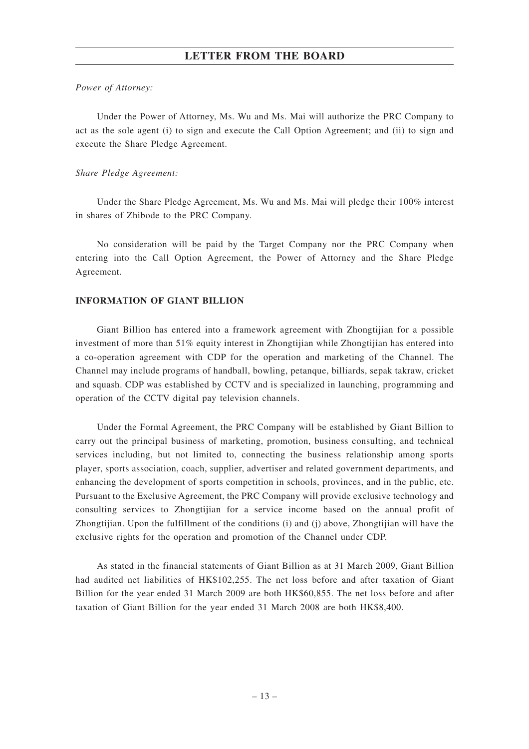#### *Power of Attorney:*

Under the Power of Attorney, Ms. Wu and Ms. Mai will authorize the PRC Company to act as the sole agent (i) to sign and execute the Call Option Agreement; and (ii) to sign and execute the Share Pledge Agreement.

### *Share Pledge Agreement:*

Under the Share Pledge Agreement, Ms. Wu and Ms. Mai will pledge their 100% interest in shares of Zhibode to the PRC Company.

No consideration will be paid by the Target Company nor the PRC Company when entering into the Call Option Agreement, the Power of Attorney and the Share Pledge Agreement.

### **INFORMATION OF GIANT BILLION**

Giant Billion has entered into a framework agreement with Zhongtijian for a possible investment of more than 51% equity interest in Zhongtijian while Zhongtijian has entered into a co-operation agreement with CDP for the operation and marketing of the Channel. The Channel may include programs of handball, bowling, petanque, billiards, sepak takraw, cricket and squash. CDP was established by CCTV and is specialized in launching, programming and operation of the CCTV digital pay television channels.

Under the Formal Agreement, the PRC Company will be established by Giant Billion to carry out the principal business of marketing, promotion, business consulting, and technical services including, but not limited to, connecting the business relationship among sports player, sports association, coach, supplier, advertiser and related government departments, and enhancing the development of sports competition in schools, provinces, and in the public, etc. Pursuant to the Exclusive Agreement, the PRC Company will provide exclusive technology and consulting services to Zhongtijian for a service income based on the annual profit of Zhongtijian. Upon the fulfillment of the conditions (i) and (j) above, Zhongtijian will have the exclusive rights for the operation and promotion of the Channel under CDP.

As stated in the financial statements of Giant Billion as at 31 March 2009, Giant Billion had audited net liabilities of HK\$102,255. The net loss before and after taxation of Giant Billion for the year ended 31 March 2009 are both HK\$60,855. The net loss before and after taxation of Giant Billion for the year ended 31 March 2008 are both HK\$8,400.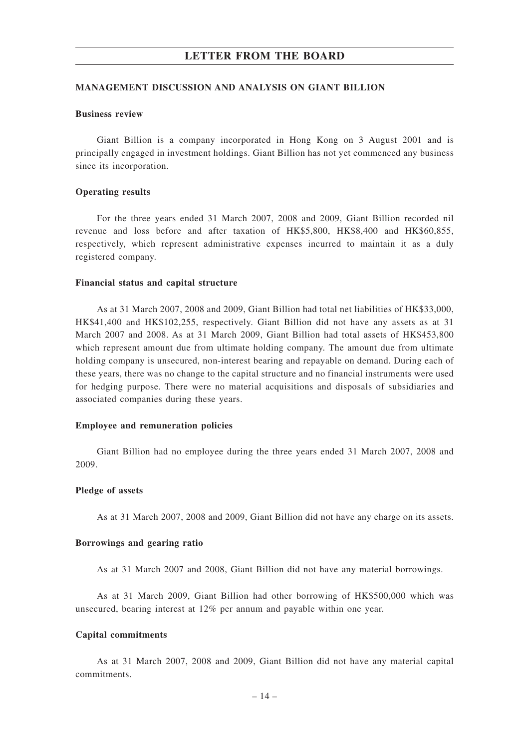#### **MANAGEMENT DISCUSSION AND ANALYSIS ON GIANT BILLION**

#### **Business review**

Giant Billion is a company incorporated in Hong Kong on 3 August 2001 and is principally engaged in investment holdings. Giant Billion has not yet commenced any business since its incorporation.

#### **Operating results**

For the three years ended 31 March 2007, 2008 and 2009, Giant Billion recorded nil revenue and loss before and after taxation of HK\$5,800, HK\$8,400 and HK\$60,855, respectively, which represent administrative expenses incurred to maintain it as a duly registered company.

#### **Financial status and capital structure**

As at 31 March 2007, 2008 and 2009, Giant Billion had total net liabilities of HK\$33,000, HK\$41,400 and HK\$102,255, respectively. Giant Billion did not have any assets as at 31 March 2007 and 2008. As at 31 March 2009, Giant Billion had total assets of HK\$453,800 which represent amount due from ultimate holding company. The amount due from ultimate holding company is unsecured, non-interest bearing and repayable on demand. During each of these years, there was no change to the capital structure and no financial instruments were used for hedging purpose. There were no material acquisitions and disposals of subsidiaries and associated companies during these years.

### **Employee and remuneration policies**

Giant Billion had no employee during the three years ended 31 March 2007, 2008 and 2009.

#### **Pledge of assets**

As at 31 March 2007, 2008 and 2009, Giant Billion did not have any charge on its assets.

### **Borrowings and gearing ratio**

As at 31 March 2007 and 2008, Giant Billion did not have any material borrowings.

As at 31 March 2009, Giant Billion had other borrowing of HK\$500,000 which was unsecured, bearing interest at 12% per annum and payable within one year.

#### **Capital commitments**

As at 31 March 2007, 2008 and 2009, Giant Billion did not have any material capital commitments.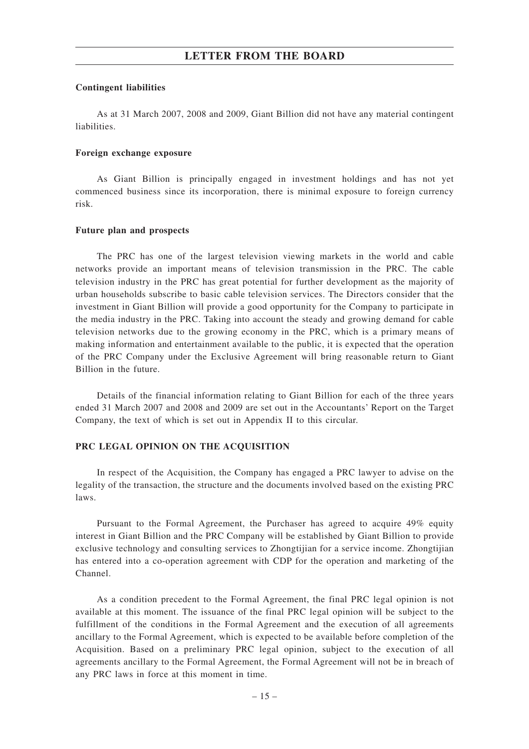### **Contingent liabilities**

As at 31 March 2007, 2008 and 2009, Giant Billion did not have any material contingent liabilities.

#### **Foreign exchange exposure**

As Giant Billion is principally engaged in investment holdings and has not yet commenced business since its incorporation, there is minimal exposure to foreign currency risk.

### **Future plan and prospects**

The PRC has one of the largest television viewing markets in the world and cable networks provide an important means of television transmission in the PRC. The cable television industry in the PRC has great potential for further development as the majority of urban households subscribe to basic cable television services. The Directors consider that the investment in Giant Billion will provide a good opportunity for the Company to participate in the media industry in the PRC. Taking into account the steady and growing demand for cable television networks due to the growing economy in the PRC, which is a primary means of making information and entertainment available to the public, it is expected that the operation of the PRC Company under the Exclusive Agreement will bring reasonable return to Giant Billion in the future.

Details of the financial information relating to Giant Billion for each of the three years ended 31 March 2007 and 2008 and 2009 are set out in the Accountants' Report on the Target Company, the text of which is set out in Appendix II to this circular.

### **PRC LEGAL OPINION ON THE ACQUISITION**

In respect of the Acquisition, the Company has engaged a PRC lawyer to advise on the legality of the transaction, the structure and the documents involved based on the existing PRC laws.

Pursuant to the Formal Agreement, the Purchaser has agreed to acquire 49% equity interest in Giant Billion and the PRC Company will be established by Giant Billion to provide exclusive technology and consulting services to Zhongtijian for a service income. Zhongtijian has entered into a co-operation agreement with CDP for the operation and marketing of the Channel.

As a condition precedent to the Formal Agreement, the final PRC legal opinion is not available at this moment. The issuance of the final PRC legal opinion will be subject to the fulfillment of the conditions in the Formal Agreement and the execution of all agreements ancillary to the Formal Agreement, which is expected to be available before completion of the Acquisition. Based on a preliminary PRC legal opinion, subject to the execution of all agreements ancillary to the Formal Agreement, the Formal Agreement will not be in breach of any PRC laws in force at this moment in time.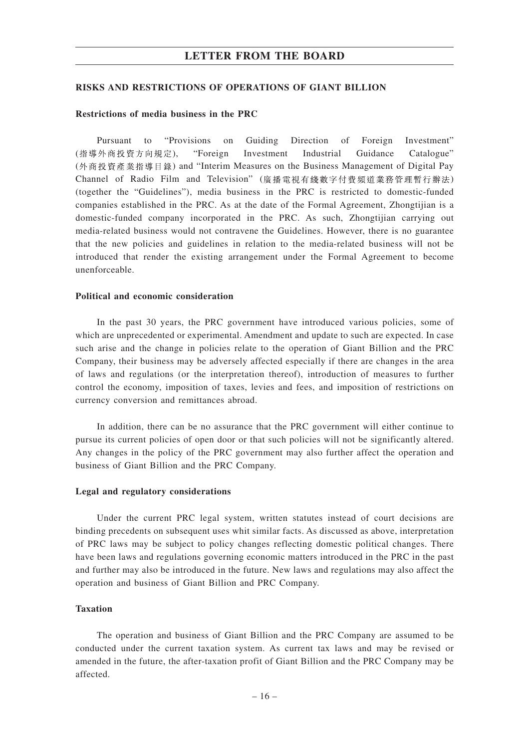#### **RISKS AND RESTRICTIONS OF OPERATIONS OF GIANT BILLION**

#### **Restrictions of media business in the PRC**

Pursuant to "Provisions on Guiding Direction of Foreign Investment" (指導外商投資方向規定), "Foreign Investment Industrial Guidance Catalogue" (外商投資產業指導目錄) and "Interim Measures on the Business Management of Digital Pay Channel of Radio Film and Television" (廣播電視有綫數字付費頻道業務管理暫行辦法) (together the "Guidelines"), media business in the PRC is restricted to domestic-funded companies established in the PRC. As at the date of the Formal Agreement, Zhongtijian is a domestic-funded company incorporated in the PRC. As such, Zhongtijian carrying out media-related business would not contravene the Guidelines. However, there is no guarantee that the new policies and guidelines in relation to the media-related business will not be introduced that render the existing arrangement under the Formal Agreement to become unenforceable.

#### **Political and economic consideration**

In the past 30 years, the PRC government have introduced various policies, some of which are unprecedented or experimental. Amendment and update to such are expected. In case such arise and the change in policies relate to the operation of Giant Billion and the PRC Company, their business may be adversely affected especially if there are changes in the area of laws and regulations (or the interpretation thereof), introduction of measures to further control the economy, imposition of taxes, levies and fees, and imposition of restrictions on currency conversion and remittances abroad.

In addition, there can be no assurance that the PRC government will either continue to pursue its current policies of open door or that such policies will not be significantly altered. Any changes in the policy of the PRC government may also further affect the operation and business of Giant Billion and the PRC Company.

#### **Legal and regulatory considerations**

Under the current PRC legal system, written statutes instead of court decisions are binding precedents on subsequent uses whit similar facts. As discussed as above, interpretation of PRC laws may be subject to policy changes reflecting domestic political changes. There have been laws and regulations governing economic matters introduced in the PRC in the past and further may also be introduced in the future. New laws and regulations may also affect the operation and business of Giant Billion and PRC Company.

## **Taxation**

The operation and business of Giant Billion and the PRC Company are assumed to be conducted under the current taxation system. As current tax laws and may be revised or amended in the future, the after-taxation profit of Giant Billion and the PRC Company may be affected.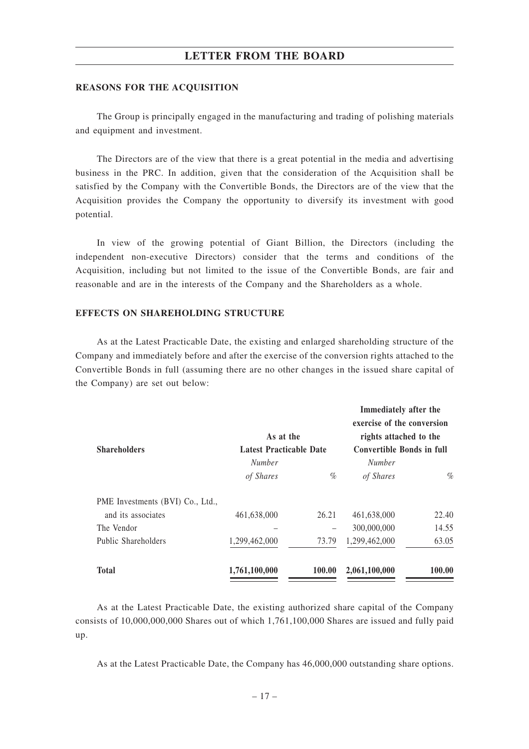#### **REASONS FOR THE ACQUISITION**

The Group is principally engaged in the manufacturing and trading of polishing materials and equipment and investment.

The Directors are of the view that there is a great potential in the media and advertising business in the PRC. In addition, given that the consideration of the Acquisition shall be satisfied by the Company with the Convertible Bonds, the Directors are of the view that the Acquisition provides the Company the opportunity to diversify its investment with good potential.

In view of the growing potential of Giant Billion, the Directors (including the independent non-executive Directors) consider that the terms and conditions of the Acquisition, including but not limited to the issue of the Convertible Bonds, are fair and reasonable and are in the interests of the Company and the Shareholders as a whole.

## **EFFECTS ON SHAREHOLDING STRUCTURE**

As at the Latest Practicable Date, the existing and enlarged shareholding structure of the Company and immediately before and after the exercise of the conversion rights attached to the Convertible Bonds in full (assuming there are no other changes in the issued share capital of the Company) are set out below:

| <b>Shareholders</b>              | As at the<br><b>Latest Practicable Date</b> |        | Immediately after the<br>exercise of the conversion<br>rights attached to the<br><b>Convertible Bonds in full</b> |        |
|----------------------------------|---------------------------------------------|--------|-------------------------------------------------------------------------------------------------------------------|--------|
|                                  | <i>Number</i>                               |        | <b>Number</b>                                                                                                     |        |
|                                  | of Shares                                   | $\%$   | of Shares                                                                                                         | $\%$   |
| PME Investments (BVI) Co., Ltd., |                                             |        |                                                                                                                   |        |
| and its associates               | 461,638,000                                 | 26.21  | 461,638,000                                                                                                       | 22.40  |
| The Vendor                       |                                             |        | 300,000,000                                                                                                       | 14.55  |
| Public Shareholders              | 1,299,462,000                               | 73.79  | 1,299,462,000                                                                                                     | 63.05  |
| <b>Total</b>                     | 1,761,100,000                               | 100.00 | 2,061,100,000                                                                                                     | 100.00 |

As at the Latest Practicable Date, the existing authorized share capital of the Company consists of 10,000,000,000 Shares out of which 1,761,100,000 Shares are issued and fully paid up.

As at the Latest Practicable Date, the Company has 46,000,000 outstanding share options.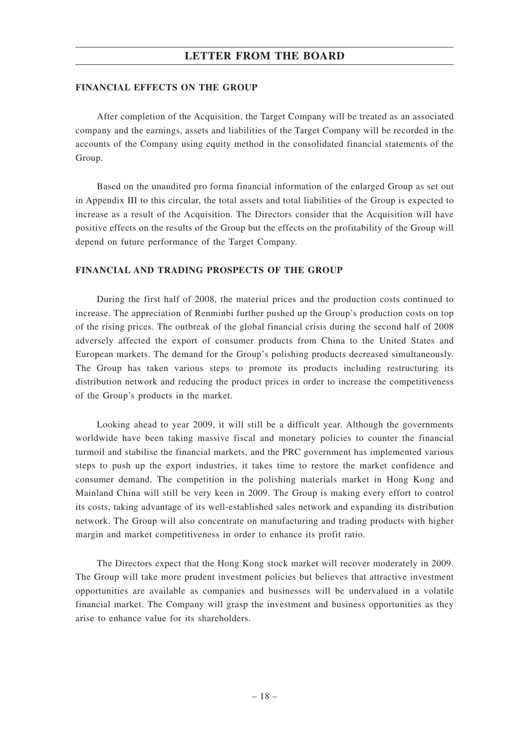#### **FINANCIAL EFFECTS ON THE GROUP**

After completion of the Acquisition, the Target Company will be treated as an associated company and the earnings, assets and liabilities of the Target Company will be recorded in the accounts of the Company using equity method in the consolidated financial statements of the Group.

Based on the unaudited pro forma financial information of the enlarged Group as set out in Appendix III to this circular, the total assets and total liabilities of the Group is expected to increase as a result of the Acquisition. The Directors consider that the Acquisition will have positive effects on the results of the Group but the effects on the profitability of the Group will depend on future performance of the Target Company.

#### **FINANCIAL AND TRADING PROSPECTS OF THE GROUP**

During the first half of 2008, the material prices and the production costs continued to increase. The appreciation of Renminbi further pushed up the Group's production costs on top of the rising prices. The outbreak of the global financial crisis during the second half of 2008 adversely affected the export of consumer products from China to the United States and European markets. The demand for the Group's polishing products decreased simultaneously. The Group has taken various steps to promote its products including restructuring its distribution network and reducing the product prices in order to increase the competitiveness of the Group's products in the market.

Looking ahead to year 2009, it will still be a difficult year. Although the governments worldwide have been taking massive fiscal and monetary policies to counter the financial turmoil and stabilise the financial markets, and the PRC government has implemented various steps to push up the export industries, it takes time to restore the market confidence and consumer demand. The competition in the polishing materials market in Hong Kong and Mainland China will still be very keen in 2009. The Group is making every effort to control its costs, taking advantage of its well-established sales network and expanding its distribution network. The Group will also concentrate on manufacturing and trading products with higher margin and market competitiveness in order to enhance its profit ratio.

The Directors expect that the Hong Kong stock market will recover moderately in 2009. The Group will take more prudent investment policies but believes that attractive investment opportunities are available as companies and businesses will be undervalued in a volatile financial market. The Company will grasp the investment and business opportunities as they arise to enhance value for its shareholders.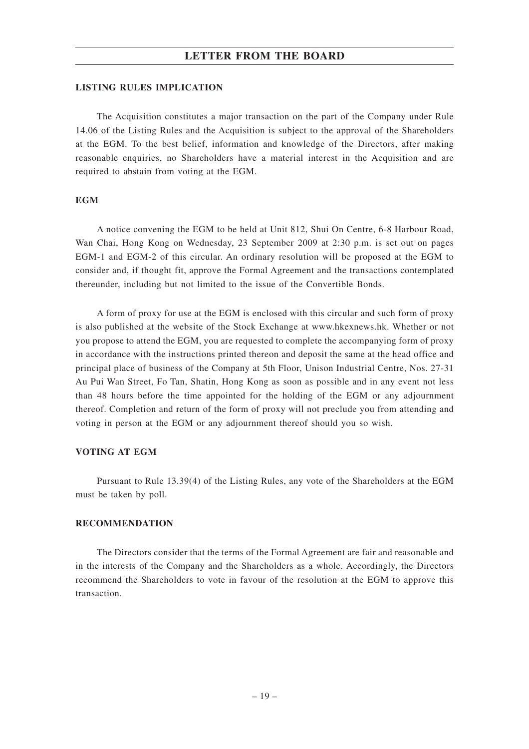#### **LISTING RULES IMPLICATION**

The Acquisition constitutes a major transaction on the part of the Company under Rule 14.06 of the Listing Rules and the Acquisition is subject to the approval of the Shareholders at the EGM. To the best belief, information and knowledge of the Directors, after making reasonable enquiries, no Shareholders have a material interest in the Acquisition and are required to abstain from voting at the EGM.

### **EGM**

A notice convening the EGM to be held at Unit 812, Shui On Centre, 6-8 Harbour Road, Wan Chai, Hong Kong on Wednesday, 23 September 2009 at 2:30 p.m. is set out on pages EGM-1 and EGM-2 of this circular. An ordinary resolution will be proposed at the EGM to consider and, if thought fit, approve the Formal Agreement and the transactions contemplated thereunder, including but not limited to the issue of the Convertible Bonds.

A form of proxy for use at the EGM is enclosed with this circular and such form of proxy is also published at the website of the Stock Exchange at www.hkexnews.hk. Whether or not you propose to attend the EGM, you are requested to complete the accompanying form of proxy in accordance with the instructions printed thereon and deposit the same at the head office and principal place of business of the Company at 5th Floor, Unison Industrial Centre, Nos. 27-31 Au Pui Wan Street, Fo Tan, Shatin, Hong Kong as soon as possible and in any event not less than 48 hours before the time appointed for the holding of the EGM or any adjournment thereof. Completion and return of the form of proxy will not preclude you from attending and voting in person at the EGM or any adjournment thereof should you so wish.

## **VOTING AT EGM**

Pursuant to Rule 13.39(4) of the Listing Rules, any vote of the Shareholders at the EGM must be taken by poll.

#### **RECOMMENDATION**

The Directors consider that the terms of the Formal Agreement are fair and reasonable and in the interests of the Company and the Shareholders as a whole. Accordingly, the Directors recommend the Shareholders to vote in favour of the resolution at the EGM to approve this transaction.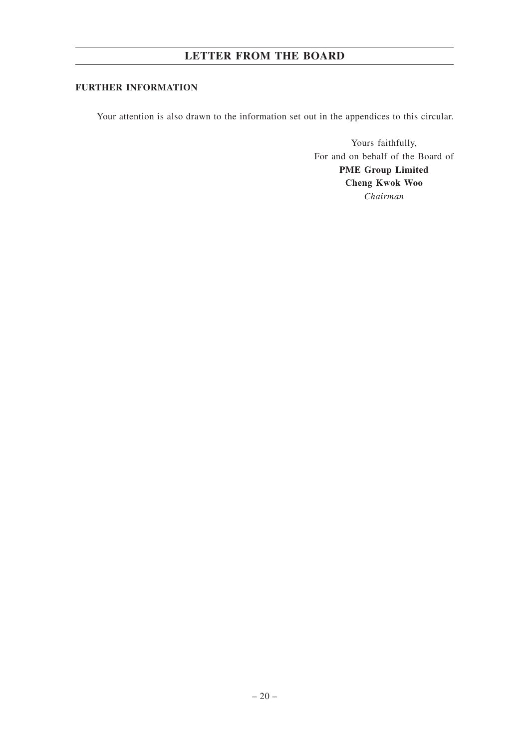# **FURTHER INFORMATION**

Your attention is also drawn to the information set out in the appendices to this circular.

Yours faithfully, For and on behalf of the Board of **PME Group Limited Cheng Kwok Woo** *Chairman*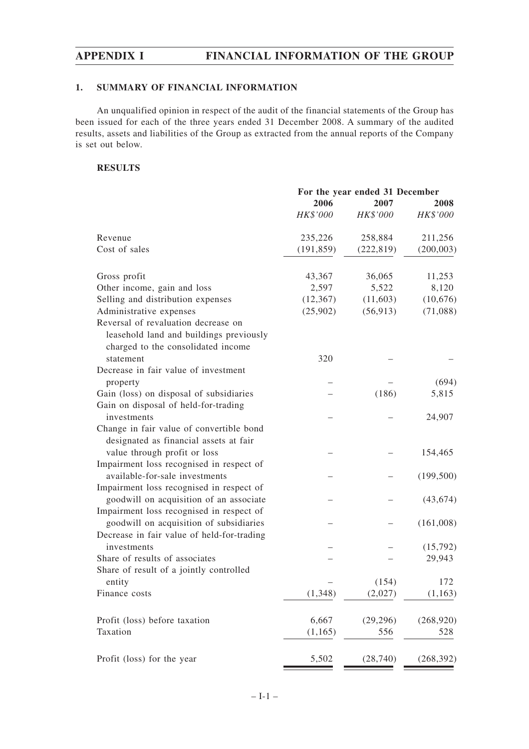# **1. SUMMARY OF FINANCIAL INFORMATION**

An unqualified opinion in respect of the audit of the financial statements of the Group has been issued for each of the three years ended 31 December 2008. A summary of the audited results, assets and liabilities of the Group as extracted from the annual reports of the Company is set out below.

# **RESULTS**

|                                            | For the year ended 31 December |            |            |
|--------------------------------------------|--------------------------------|------------|------------|
|                                            | 2006<br>2007                   |            | 2008       |
|                                            | HK\$'000                       | HK\$'000   | HK\$'000   |
| Revenue                                    | 235,226                        | 258,884    | 211,256    |
| Cost of sales                              | (191, 859)                     | (222, 819) | (200, 003) |
| Gross profit                               | 43,367                         | 36,065     | 11,253     |
| Other income, gain and loss                | 2,597                          | 5,522      | 8,120      |
| Selling and distribution expenses          | (12, 367)                      | (11,603)   | (10,676)   |
| Administrative expenses                    | (25,902)                       | (56, 913)  | (71,088)   |
| Reversal of revaluation decrease on        |                                |            |            |
| leasehold land and buildings previously    |                                |            |            |
| charged to the consolidated income         |                                |            |            |
| statement                                  | 320                            |            |            |
| Decrease in fair value of investment       |                                |            |            |
| property                                   |                                |            | (694)      |
| Gain (loss) on disposal of subsidiaries    |                                | (186)      | 5,815      |
| Gain on disposal of held-for-trading       |                                |            |            |
| investments                                |                                |            | 24,907     |
| Change in fair value of convertible bond   |                                |            |            |
| designated as financial assets at fair     |                                |            |            |
| value through profit or loss               |                                |            | 154,465    |
| Impairment loss recognised in respect of   |                                |            |            |
| available-for-sale investments             |                                |            | (199, 500) |
| Impairment loss recognised in respect of   |                                |            |            |
| goodwill on acquisition of an associate    |                                |            | (43, 674)  |
| Impairment loss recognised in respect of   |                                |            |            |
| goodwill on acquisition of subsidiaries    |                                |            | (161,008)  |
| Decrease in fair value of held-for-trading |                                |            |            |
| investments                                |                                |            |            |
| Share of results of associates             |                                |            | (15,792)   |
| Share of result of a jointly controlled    |                                |            | 29,943     |
|                                            |                                | (154)      | 172        |
| entity<br>Finance costs                    |                                | (2,027)    |            |
|                                            | (1,348)                        |            | (1, 163)   |
| Profit (loss) before taxation              | 6,667                          | (29, 296)  | (268, 920) |
| Taxation                                   | (1,165)                        | 556        | 528        |
| Profit (loss) for the year                 | 5,502                          |            | (268, 392) |
|                                            |                                | (28, 740)  |            |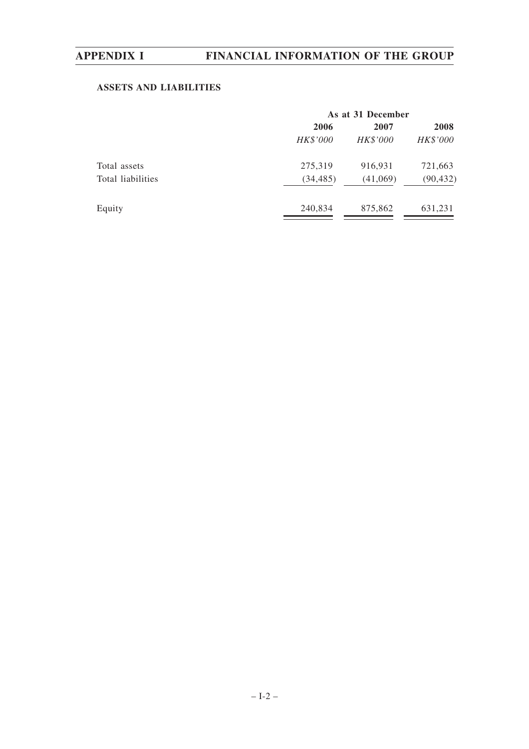# **ASSETS AND LIABILITIES**

|                   | As at 31 December |          |           |  |  |
|-------------------|-------------------|----------|-----------|--|--|
|                   | 2006              | 2007     | 2008      |  |  |
|                   | HK\$'000          | HK\$'000 | HK\$'000  |  |  |
| Total assets      | 275,319           | 916,931  | 721,663   |  |  |
| Total liabilities | (34, 485)         | (41,069) | (90, 432) |  |  |
| Equity            | 240,834           | 875,862  | 631,231   |  |  |
|                   |                   |          |           |  |  |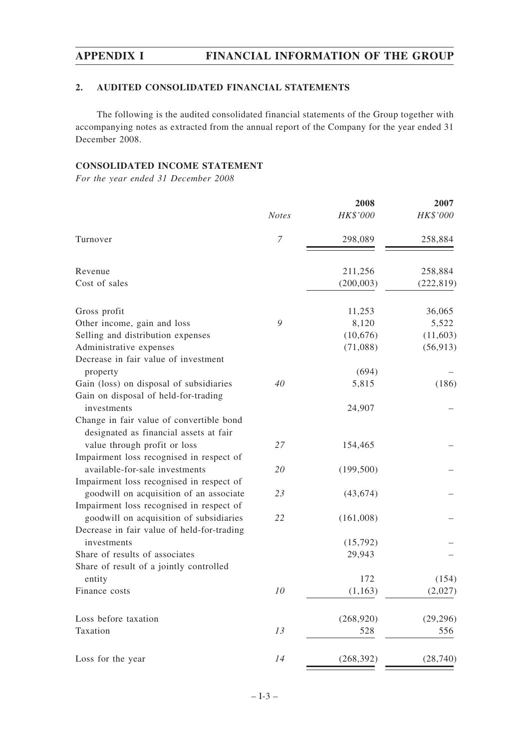# **2. AUDITED CONSOLIDATED FINANCIAL STATEMENTS**

The following is the audited consolidated financial statements of the Group together with accompanying notes as extracted from the annual report of the Company for the year ended 31 December 2008.

## **CONSOLIDATED INCOME STATEMENT**

*For the year ended 31 December 2008*

|                                            | <b>Notes</b> | 2008<br>HK\$'000 | 2007<br>HK\$'000 |
|--------------------------------------------|--------------|------------------|------------------|
| Turnover                                   | 7            | 298,089          | 258,884          |
| Revenue                                    |              | 211,256          | 258,884          |
| Cost of sales                              |              | (200, 003)       | (222, 819)       |
| Gross profit                               |              | 11,253           | 36,065           |
| Other income, gain and loss                | 9            | 8,120            | 5,522            |
| Selling and distribution expenses          |              | (10,676)         | (11,603)         |
| Administrative expenses                    |              | (71,088)         | (56, 913)        |
| Decrease in fair value of investment       |              |                  |                  |
| property                                   |              | (694)            |                  |
| Gain (loss) on disposal of subsidiaries    | 40           | 5,815            | (186)            |
| Gain on disposal of held-for-trading       |              |                  |                  |
| investments                                |              | 24,907           |                  |
| Change in fair value of convertible bond   |              |                  |                  |
| designated as financial assets at fair     |              |                  |                  |
| value through profit or loss               | 27           | 154,465          |                  |
| Impairment loss recognised in respect of   |              |                  |                  |
| available-for-sale investments             | 20           | (199, 500)       |                  |
| Impairment loss recognised in respect of   |              |                  |                  |
| goodwill on acquisition of an associate    | 23           | (43, 674)        |                  |
| Impairment loss recognised in respect of   |              |                  |                  |
| goodwill on acquisition of subsidiaries    | 22           | (161,008)        |                  |
| Decrease in fair value of held-for-trading |              |                  |                  |
| investments                                |              | (15,792)         |                  |
| Share of results of associates             |              | 29,943           |                  |
| Share of result of a jointly controlled    |              |                  |                  |
| entity                                     |              | 172              | (154)            |
| Finance costs                              | 10           | (1,163)          | (2,027)          |
| Loss before taxation                       |              | (268, 920)       | (29, 296)        |
| Taxation                                   | 13           | 528              | 556              |
| Loss for the year                          | 14           | (268, 392)       | (28, 740)        |
|                                            |              |                  |                  |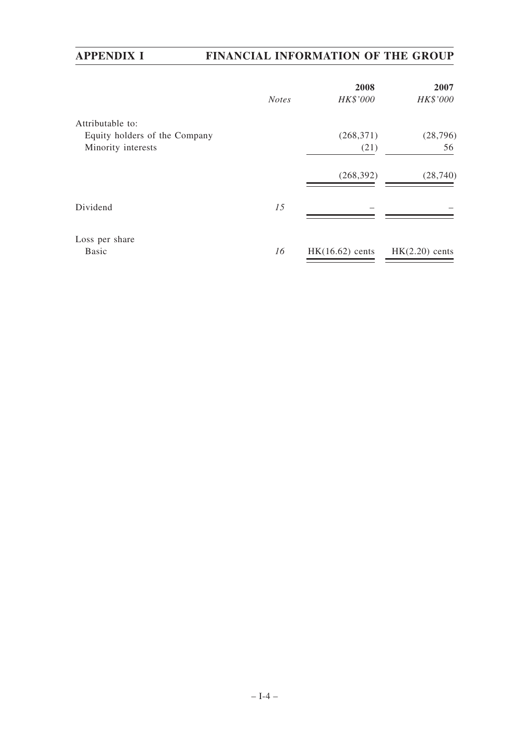|                               | <b>Notes</b> | 2008<br>HK\$'000  | 2007<br>HK\$'000 |
|-------------------------------|--------------|-------------------|------------------|
| Attributable to:              |              |                   |                  |
| Equity holders of the Company |              | (268, 371)        | (28, 796)        |
| Minority interests            |              | (21)              | 56               |
|                               |              | (268, 392)        | (28,740)         |
| Dividend                      | 15           |                   |                  |
| Loss per share                |              |                   |                  |
| <b>Basic</b>                  | 16           | $HK(16.62)$ cents | $HK(2.20)$ cents |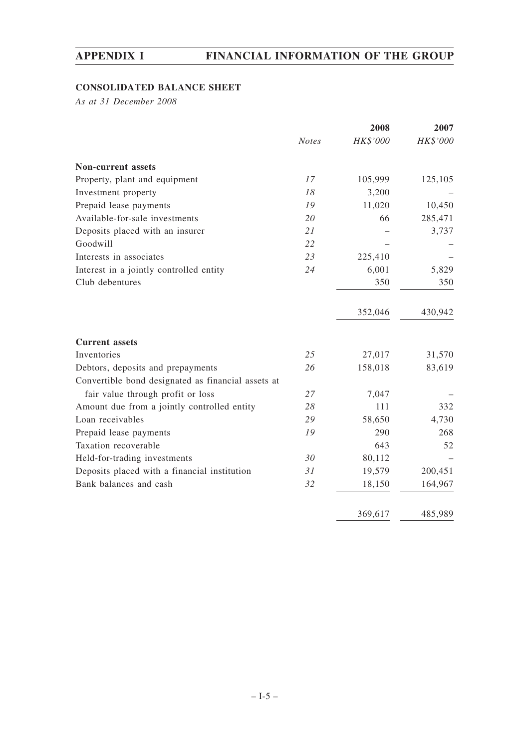# **CONSOLIDATED BALANCE SHEET**

*As at 31 December 2008*

|                                                    |              | 2008     | 2007     |
|----------------------------------------------------|--------------|----------|----------|
|                                                    | <b>Notes</b> | HK\$'000 | HK\$'000 |
| <b>Non-current assets</b>                          |              |          |          |
| Property, plant and equipment                      | 17           | 105,999  | 125,105  |
| Investment property                                | 18           | 3,200    |          |
| Prepaid lease payments                             | 19           | 11,020   | 10,450   |
| Available-for-sale investments                     | 20           | 66       | 285,471  |
| Deposits placed with an insurer                    | 21           |          | 3,737    |
| Goodwill                                           | 22           |          |          |
| Interests in associates                            | 23           | 225,410  |          |
| Interest in a jointly controlled entity            | 24           | 6,001    | 5,829    |
| Club debentures                                    |              | 350      | 350      |
|                                                    |              | 352,046  | 430,942  |
| <b>Current assets</b>                              |              |          |          |
| Inventories                                        | 25           | 27,017   | 31,570   |
| Debtors, deposits and prepayments                  | 26           | 158,018  | 83,619   |
| Convertible bond designated as financial assets at |              |          |          |
| fair value through profit or loss                  | 27           | 7,047    |          |
| Amount due from a jointly controlled entity        | 28           | 111      | 332      |
| Loan receivables                                   | 29           | 58,650   | 4,730    |
| Prepaid lease payments                             | 19           | 290      | 268      |
| Taxation recoverable                               |              | 643      | 52       |
| Held-for-trading investments                       | 30           | 80,112   |          |
| Deposits placed with a financial institution       | 31           | 19,579   | 200,451  |
| Bank balances and cash                             | 32           | 18,150   | 164,967  |
|                                                    |              | 369,617  | 485,989  |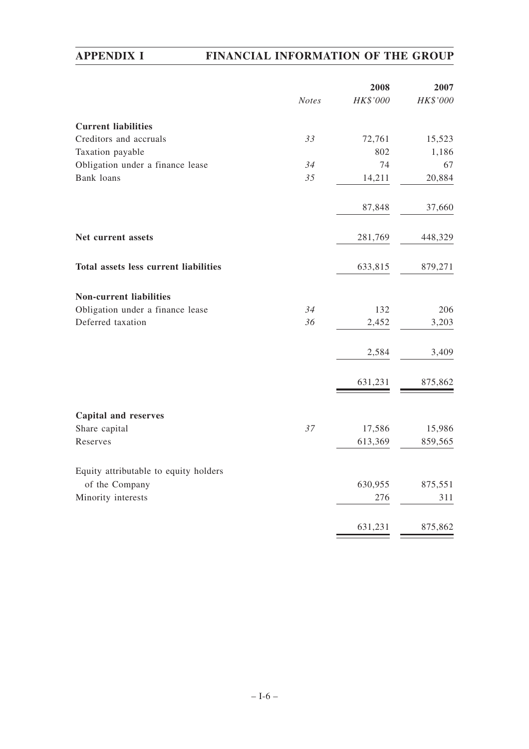|                                              |              | 2008     | 2007     |
|----------------------------------------------|--------------|----------|----------|
|                                              | <b>Notes</b> | HK\$'000 | HK\$'000 |
| <b>Current liabilities</b>                   |              |          |          |
| Creditors and accruals                       | 33           | 72,761   | 15,523   |
| Taxation payable                             |              | 802      | 1,186    |
| Obligation under a finance lease             | 34           | 74       | 67       |
| <b>Bank</b> loans                            | 35           | 14,211   | 20,884   |
|                                              |              | 87,848   | 37,660   |
| Net current assets                           |              | 281,769  | 448,329  |
| <b>Total assets less current liabilities</b> |              | 633,815  | 879,271  |
| <b>Non-current liabilities</b>               |              |          |          |
| Obligation under a finance lease             | 34           | 132      | 206      |
| Deferred taxation                            | 36           | 2,452    | 3,203    |
|                                              |              | 2,584    | 3,409    |
|                                              |              | 631,231  | 875,862  |
| <b>Capital and reserves</b>                  |              |          |          |
| Share capital                                | 37           | 17,586   | 15,986   |
| Reserves                                     |              | 613,369  | 859,565  |
| Equity attributable to equity holders        |              |          |          |
| of the Company                               |              | 630,955  | 875,551  |
| Minority interests                           |              | 276      | 311      |
|                                              |              | 631,231  | 875,862  |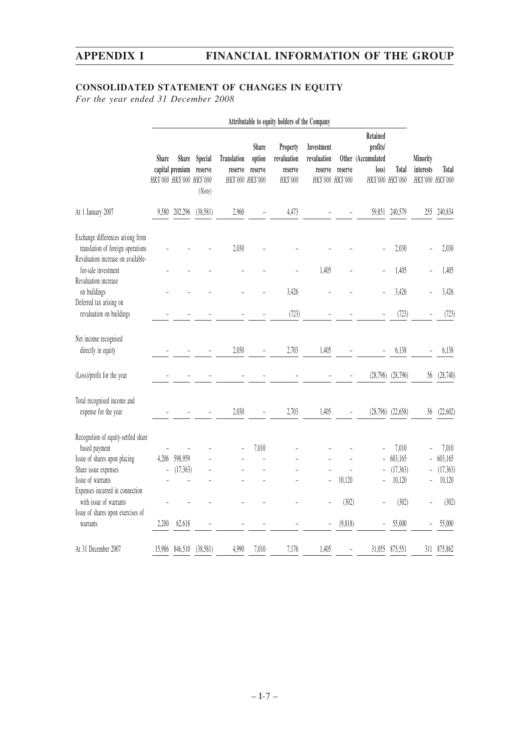# **CONSOLIDATED STATEMENT OF CHANGES IN EQUITY**

*For the year ended 31 December 2008*

|                                                                                                                                                                      | Attributable to equity holders of the Company |                                                               |                              |                               |                                                 |                                                |                                                           |         |                                                                          |                                         |                                            |                                         |
|----------------------------------------------------------------------------------------------------------------------------------------------------------------------|-----------------------------------------------|---------------------------------------------------------------|------------------------------|-------------------------------|-------------------------------------------------|------------------------------------------------|-----------------------------------------------------------|---------|--------------------------------------------------------------------------|-----------------------------------------|--------------------------------------------|-----------------------------------------|
|                                                                                                                                                                      | Share                                         | <b>Share</b><br>capital premium<br>HK\$'000 HK\$'000 HK\$'000 | Special<br>reserve<br>(Note) | <b>Translation</b><br>reserve | Share<br>option<br>reserve<br>HK\$'000 HK\$'000 | Property<br>revaluation<br>reserve<br>HK\$'000 | Investment<br>revaluation<br>reserve<br>HK\$'000 HK\$'000 | reserve | Retained<br>profits/<br>Other (Accumulated<br>loss)<br>HK\$'000 HK\$'000 | Total                                   | Minority<br>interests<br>HK\$'000 HK\$'000 | Total                                   |
| At 1 January 2007                                                                                                                                                    | 9,580                                         | 202,296                                                       | (38,581)                     | 2,960                         |                                                 | 4,473                                          |                                                           |         | 59,851                                                                   | 240,579                                 | 255                                        | 240,834                                 |
| Exchange differences arising from<br>translation of foreign operations<br>Revaluation increase on available-                                                         |                                               |                                                               |                              | 2,030                         |                                                 |                                                |                                                           |         |                                                                          | 2,030                                   |                                            | 2,030                                   |
| for-sale investment<br>Revaluation increase                                                                                                                          |                                               |                                                               |                              |                               |                                                 |                                                | 1,405                                                     |         | $\overline{a}$                                                           | 1,405                                   |                                            | 1,405                                   |
| on buildings                                                                                                                                                         |                                               |                                                               |                              |                               |                                                 | 3,426                                          |                                                           |         |                                                                          | 3,426                                   |                                            | 3,426                                   |
| Deferred tax arising on<br>revaluation on buildings                                                                                                                  |                                               |                                                               |                              |                               |                                                 | (723)                                          |                                                           |         |                                                                          | (723)                                   |                                            | (723)                                   |
| Net income recognised<br>directly in equity                                                                                                                          |                                               |                                                               |                              | 2,030                         |                                                 | 2,703                                          | 1,405                                                     |         |                                                                          | 6,138                                   |                                            | 6,138                                   |
| (Loss)/profit for the year                                                                                                                                           |                                               |                                                               |                              |                               |                                                 |                                                |                                                           |         | (28,796)                                                                 | (28, 796)                               | 56                                         | (28,740)                                |
| Total recognised income and<br>expense for the year                                                                                                                  |                                               |                                                               |                              | 2,030                         |                                                 | 2,703                                          | 1,405                                                     |         |                                                                          | $(28,796)$ $(22,658)$                   | 56                                         | (22,602)                                |
| Recognition of equity-settled share<br>based payment<br>Issue of shares upon placing<br>Share issue expenses<br>Issue of warrants<br>Expenses incurred in connection | 4.206                                         | 598,959<br>(17,363)                                           |                              |                               | 7,010                                           |                                                |                                                           | 10,120  | $\overline{a}$<br>÷                                                      | 7,010<br>603,165<br>(17, 363)<br>10,120 |                                            | 7,010<br>603,165<br>(17, 363)<br>10,120 |
| with issue of warrants<br>Issue of shares upon exercises of                                                                                                          |                                               |                                                               |                              |                               |                                                 |                                                |                                                           | (302)   |                                                                          | (302)                                   |                                            | (302)                                   |
| warrants                                                                                                                                                             | 2,200                                         | 62,618                                                        |                              |                               |                                                 |                                                |                                                           | (9,818) |                                                                          | 55,000                                  |                                            | 55,000                                  |
| At 31 December 2007                                                                                                                                                  | 15,986                                        | 846,510                                                       | (38,581)                     | 4,990                         | 7,010                                           | 7,176                                          | 1,405                                                     | L,      | 31,055                                                                   | 875,551                                 | 311                                        | 875,862                                 |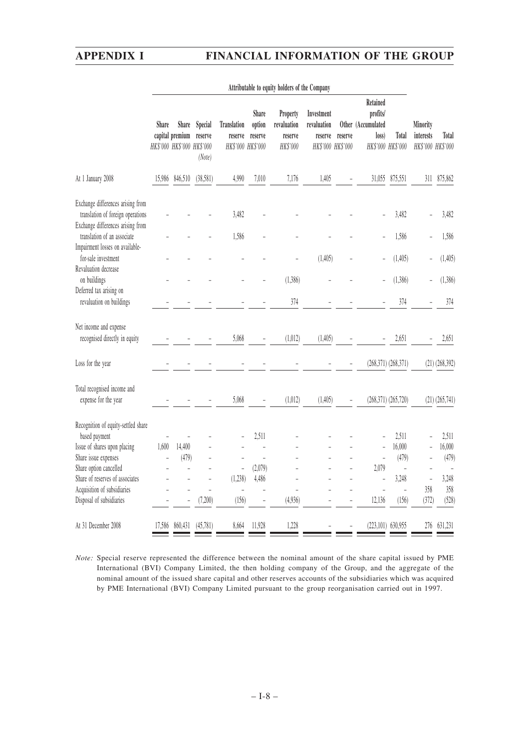|                                                                                                             | Attributable to equity holders of the Company |                                                               |                              |                                                    |                            |                                                |                                                           |         |                                                     |                            |                                            |                    |
|-------------------------------------------------------------------------------------------------------------|-----------------------------------------------|---------------------------------------------------------------|------------------------------|----------------------------------------------------|----------------------------|------------------------------------------------|-----------------------------------------------------------|---------|-----------------------------------------------------|----------------------------|--------------------------------------------|--------------------|
|                                                                                                             | Share                                         | <b>Share</b><br>capital premium<br>HK\$'000 HK\$'000 HK\$'000 | Special<br>reserve<br>(Note) | <b>Translation</b><br>reserve<br>HK\$'000 HK\$'000 | Share<br>option<br>reserve | Property<br>revaluation<br>reserve<br>HK\$'000 | Investment<br>revaluation<br>reserve<br>HK\$'000 HK\$'000 | reserve | Retained<br>profits/<br>Other (Accumulated<br>loss) | Total<br>HK\$'000 HK\$'000 | Minority<br>interests<br>HK\$'000 HK\$'000 | Total              |
| At 1 January 2008                                                                                           |                                               | 15,986 846,510                                                | (38,581)                     | 4,990                                              | 7,010                      | 7,176                                          | 1,405                                                     |         | 31,055                                              | 875,551                    |                                            | 311 875,862        |
| Exchange differences arising from<br>translation of foreign operations<br>Exchange differences arising from |                                               |                                                               |                              | 3,482                                              |                            |                                                |                                                           |         |                                                     | 3,482                      |                                            | 3,482              |
| translation of an associate<br>Impairment losses on available-                                              |                                               |                                                               |                              | 1,586                                              |                            |                                                |                                                           |         |                                                     | 1,586                      |                                            | 1,586              |
| for-sale investment<br>Revaluation decrease                                                                 |                                               |                                                               |                              |                                                    |                            |                                                | (1, 405)                                                  |         | Ē,                                                  | (1, 405)                   |                                            | (1,405)            |
| on buildings<br>Deferred tax arising on                                                                     |                                               |                                                               |                              |                                                    |                            | (1,386)                                        |                                                           |         |                                                     | (1,386)                    |                                            | (1,386)            |
| revaluation on buildings                                                                                    |                                               |                                                               |                              |                                                    |                            | 374                                            |                                                           |         |                                                     | 374                        |                                            | 374                |
| Net income and expense<br>recognised directly in equity                                                     |                                               |                                                               |                              | 5,068                                              |                            | (1,012)                                        | (1, 405)                                                  |         |                                                     | 2,651                      |                                            | 2,651              |
| Loss for the year                                                                                           |                                               | $\overline{\phantom{0}}$                                      |                              |                                                    |                            |                                                |                                                           |         |                                                     | (268,371) (268,371)        |                                            | $(21)$ $(268,392)$ |
| Total recognised income and<br>expense for the year                                                         |                                               |                                                               |                              | 5,068                                              |                            | (1,012)                                        | (1, 405)                                                  |         |                                                     | $(268,371)$ $(265,720)$    |                                            | $(21)$ $(265,741)$ |
| Recognition of equity-settled share<br>based payment                                                        |                                               |                                                               |                              |                                                    | 2,511                      |                                                |                                                           |         | ÷,                                                  | 2,511                      |                                            | 2,511              |
| Issue of shares upon placing                                                                                | 1,600                                         | 14,400                                                        |                              |                                                    |                            |                                                |                                                           |         | $\overline{a}$                                      | 16,000                     |                                            | 16,000             |
| Share issue expenses                                                                                        | $\overline{a}$                                | (479)                                                         | $\overline{a}$               | L.                                                 | $\overline{a}$             |                                                |                                                           |         | $\overline{a}$                                      | (479)                      |                                            | (479)              |
| Share option cancelled                                                                                      |                                               | $\overline{a}$                                                |                              | $\frac{1}{2}$                                      | (2,079)                    |                                                |                                                           |         | 2,079                                               | $\frac{1}{2}$              |                                            |                    |
| Share of reserves of associates                                                                             |                                               |                                                               |                              | (1,238)                                            | 4,486                      |                                                |                                                           |         | $\overline{a}$                                      | 3,248                      | $\frac{1}{2}$<br>358                       | 3,248<br>358       |
| Acquisition of subsidiaries<br>Disposal of subsidiaries                                                     |                                               |                                                               | (7,200)                      | L,<br>(156)                                        |                            | (4,936)                                        |                                                           |         | $\overline{a}$<br>12,136                            | $\overline{a}$<br>(156)    | (372)                                      | (528)              |
| At 31 December 2008                                                                                         | 17,586                                        | 860,431                                                       | (45,781)                     | 8,664                                              | 11,928                     | 1,228                                          |                                                           |         |                                                     | $(223, 101)$ 630,955       | 276                                        | 631,231            |

| <i>Note:</i> Special reserve represented the difference between the nominal amount of the share capital issued by PME |
|-----------------------------------------------------------------------------------------------------------------------|
| International (BVI) Company Limited, the then holding company of the Group, and the aggregate of the                  |
| nominal amount of the issued share capital and other reserves accounts of the subsidiaries which was acquired         |
| by PME International (BVI) Company Limited pursuant to the group reorganisation carried out in 1997.                  |
|                                                                                                                       |

 $- I - 8 -$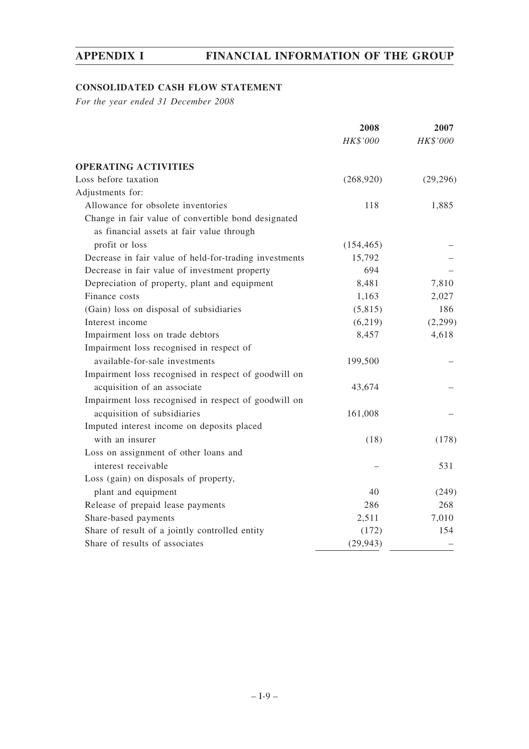# **CONSOLIDATED CASH FLOW STATEMENT**

*For the year ended 31 December 2008*

|                                                        | 2008       | 2007      |  |
|--------------------------------------------------------|------------|-----------|--|
|                                                        | HK\$'000   | HK\$'000  |  |
| <b>OPERATING ACTIVITIES</b>                            |            |           |  |
| Loss before taxation                                   | (268,920)  | (29, 296) |  |
| Adjustments for:                                       |            |           |  |
| Allowance for obsolete inventories                     | 118        | 1,885     |  |
| Change in fair value of convertible bond designated    |            |           |  |
| as financial assets at fair value through              |            |           |  |
| profit or loss                                         | (154, 465) |           |  |
| Decrease in fair value of held-for-trading investments | 15,792     |           |  |
| Decrease in fair value of investment property          | 694        |           |  |
| Depreciation of property, plant and equipment          | 8,481      | 7,810     |  |
| Finance costs                                          | 1,163      | 2,027     |  |
| (Gain) loss on disposal of subsidiaries                | (5,815)    | 186       |  |
| Interest income                                        | (6,219)    | (2,299)   |  |
| Impairment loss on trade debtors                       | 8,457      | 4,618     |  |
| Impairment loss recognised in respect of               |            |           |  |
| available-for-sale investments                         | 199,500    |           |  |
| Impairment loss recognised in respect of goodwill on   |            |           |  |
| acquisition of an associate                            | 43,674     |           |  |
| Impairment loss recognised in respect of goodwill on   |            |           |  |
| acquisition of subsidiaries                            | 161,008    |           |  |
| Imputed interest income on deposits placed             |            |           |  |
| with an insurer                                        | (18)       | (178)     |  |
| Loss on assignment of other loans and                  |            |           |  |
| interest receivable                                    |            | 531       |  |
| Loss (gain) on disposals of property,                  |            |           |  |
| plant and equipment                                    | 40         | (249)     |  |
| Release of prepaid lease payments                      | 286        | 268       |  |
| Share-based payments                                   | 2,511      | 7,010     |  |
| Share of result of a jointly controlled entity         | (172)      | 154       |  |
| Share of results of associates                         | (29, 943)  |           |  |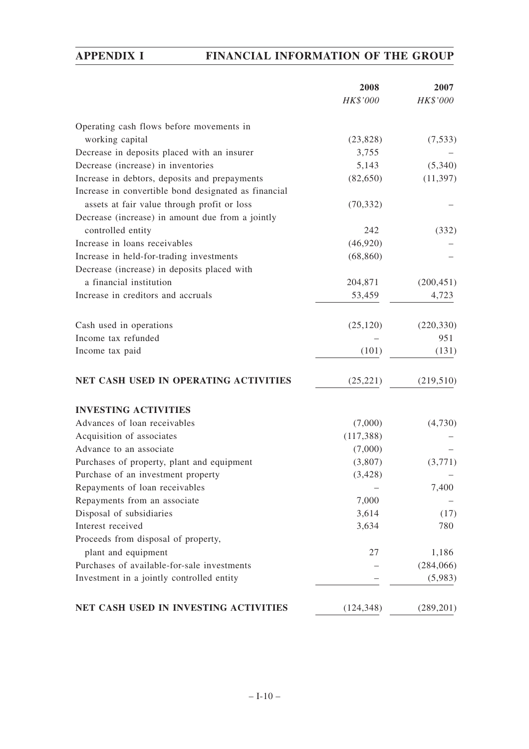|                                                      | 2008       | 2007       |
|------------------------------------------------------|------------|------------|
|                                                      | HK\$'000   | HK\$'000   |
| Operating cash flows before movements in             |            |            |
| working capital                                      | (23, 828)  | (7,533)    |
| Decrease in deposits placed with an insurer          | 3,755      |            |
| Decrease (increase) in inventories                   | 5,143      | (5,340)    |
| Increase in debtors, deposits and prepayments        | (82,650)   | (11, 397)  |
| Increase in convertible bond designated as financial |            |            |
| assets at fair value through profit or loss          | (70, 332)  |            |
| Decrease (increase) in amount due from a jointly     |            |            |
| controlled entity                                    | 242        | (332)      |
| Increase in loans receivables                        | (46,920)   |            |
| Increase in held-for-trading investments             | (68, 860)  |            |
| Decrease (increase) in deposits placed with          |            |            |
| a financial institution                              | 204,871    | (200, 451) |
| Increase in creditors and accruals                   | 53,459     | 4,723      |
|                                                      |            |            |
| Cash used in operations                              | (25, 120)  | (220, 330) |
| Income tax refunded                                  |            | 951        |
| Income tax paid                                      | (101)      | (131)      |
| NET CASH USED IN OPERATING ACTIVITIES                | (25, 221)  | (219, 510) |
| <b>INVESTING ACTIVITIES</b>                          |            |            |
| Advances of loan receivables                         | (7,000)    | (4,730)    |
| Acquisition of associates                            | (117, 388) |            |
| Advance to an associate                              | (7,000)    |            |
| Purchases of property, plant and equipment           | (3,807)    | (3,771)    |
| Purchase of an investment property                   | (3, 428)   |            |
| Repayments of loan receivables                       |            | 7,400      |
| Repayments from an associate                         | 7,000      |            |
| Disposal of subsidiaries                             | 3,614      | (17)       |
| Interest received                                    | 3,634      | 780        |
| Proceeds from disposal of property,                  |            |            |
| plant and equipment                                  | 27         | 1,186      |
| Purchases of available-for-sale investments          |            | (284,066)  |
| Investment in a jointly controlled entity            |            | (5,983)    |
| NET CASH USED IN INVESTING ACTIVITIES                | (124, 348) | (289, 201) |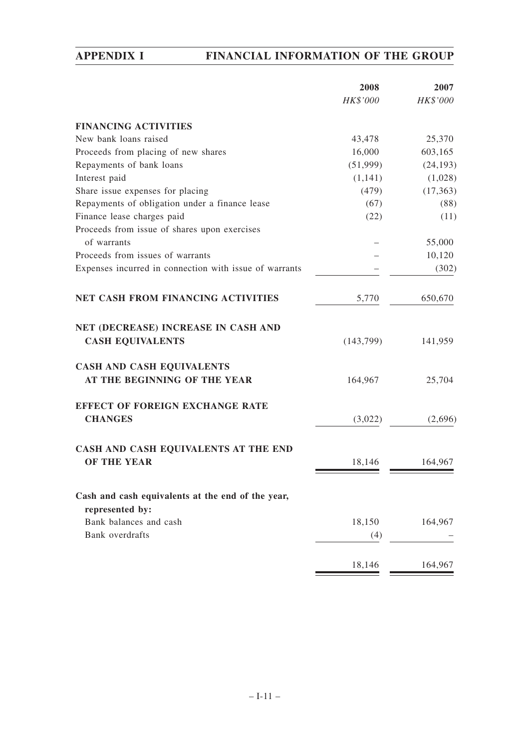| <b>FINANCING ACTIVITIES</b><br>New bank loans raised<br>43,478<br>Proceeds from placing of new shares<br>16,000<br>603,165<br>Repayments of bank loans<br>(51,999)<br>Interest paid<br>(1,141)<br>Share issue expenses for placing<br>(479)<br>Repayments of obligation under a finance lease<br>(67)<br>Finance lease charges paid<br>(22)<br>Proceeds from issue of shares upon exercises<br>of warrants<br>55,000<br>Proceeds from issues of warrants<br>Expenses incurred in connection with issue of warrants<br>NET CASH FROM FINANCING ACTIVITIES<br>650,670<br>5,770<br>NET (DECREASE) INCREASE IN CASH AND<br><b>CASH EQUIVALENTS</b><br>141,959<br>(143,799)<br><b>CASH AND CASH EQUIVALENTS</b><br>AT THE BEGINNING OF THE YEAR<br>164,967<br>25,704<br><b>EFFECT OF FOREIGN EXCHANGE RATE</b><br><b>CHANGES</b><br>(3,022)<br>CASH AND CASH EQUIVALENTS AT THE END<br><b>OF THE YEAR</b><br>18,146<br>164,967<br>Cash and cash equivalents at the end of the year,<br>represented by:<br>Bank balances and cash<br>18,150<br>164,967<br>Bank overdrafts<br>(4)<br>164,967<br>18,146 | 2008<br>HK\$'000 | 2007<br>HK\$'000 |
|-------------------------------------------------------------------------------------------------------------------------------------------------------------------------------------------------------------------------------------------------------------------------------------------------------------------------------------------------------------------------------------------------------------------------------------------------------------------------------------------------------------------------------------------------------------------------------------------------------------------------------------------------------------------------------------------------------------------------------------------------------------------------------------------------------------------------------------------------------------------------------------------------------------------------------------------------------------------------------------------------------------------------------------------------------------------------------------------------|------------------|------------------|
|                                                                                                                                                                                                                                                                                                                                                                                                                                                                                                                                                                                                                                                                                                                                                                                                                                                                                                                                                                                                                                                                                                 |                  |                  |
|                                                                                                                                                                                                                                                                                                                                                                                                                                                                                                                                                                                                                                                                                                                                                                                                                                                                                                                                                                                                                                                                                                 |                  | 25,370           |
|                                                                                                                                                                                                                                                                                                                                                                                                                                                                                                                                                                                                                                                                                                                                                                                                                                                                                                                                                                                                                                                                                                 |                  |                  |
|                                                                                                                                                                                                                                                                                                                                                                                                                                                                                                                                                                                                                                                                                                                                                                                                                                                                                                                                                                                                                                                                                                 |                  | (24, 193)        |
|                                                                                                                                                                                                                                                                                                                                                                                                                                                                                                                                                                                                                                                                                                                                                                                                                                                                                                                                                                                                                                                                                                 |                  | (1,028)          |
|                                                                                                                                                                                                                                                                                                                                                                                                                                                                                                                                                                                                                                                                                                                                                                                                                                                                                                                                                                                                                                                                                                 |                  | (17, 363)        |
|                                                                                                                                                                                                                                                                                                                                                                                                                                                                                                                                                                                                                                                                                                                                                                                                                                                                                                                                                                                                                                                                                                 |                  | (88)             |
|                                                                                                                                                                                                                                                                                                                                                                                                                                                                                                                                                                                                                                                                                                                                                                                                                                                                                                                                                                                                                                                                                                 |                  | (11)             |
|                                                                                                                                                                                                                                                                                                                                                                                                                                                                                                                                                                                                                                                                                                                                                                                                                                                                                                                                                                                                                                                                                                 |                  |                  |
|                                                                                                                                                                                                                                                                                                                                                                                                                                                                                                                                                                                                                                                                                                                                                                                                                                                                                                                                                                                                                                                                                                 |                  |                  |
|                                                                                                                                                                                                                                                                                                                                                                                                                                                                                                                                                                                                                                                                                                                                                                                                                                                                                                                                                                                                                                                                                                 |                  | 10,120           |
|                                                                                                                                                                                                                                                                                                                                                                                                                                                                                                                                                                                                                                                                                                                                                                                                                                                                                                                                                                                                                                                                                                 |                  | (302)            |
|                                                                                                                                                                                                                                                                                                                                                                                                                                                                                                                                                                                                                                                                                                                                                                                                                                                                                                                                                                                                                                                                                                 |                  |                  |
|                                                                                                                                                                                                                                                                                                                                                                                                                                                                                                                                                                                                                                                                                                                                                                                                                                                                                                                                                                                                                                                                                                 |                  |                  |
|                                                                                                                                                                                                                                                                                                                                                                                                                                                                                                                                                                                                                                                                                                                                                                                                                                                                                                                                                                                                                                                                                                 |                  |                  |
|                                                                                                                                                                                                                                                                                                                                                                                                                                                                                                                                                                                                                                                                                                                                                                                                                                                                                                                                                                                                                                                                                                 |                  |                  |
|                                                                                                                                                                                                                                                                                                                                                                                                                                                                                                                                                                                                                                                                                                                                                                                                                                                                                                                                                                                                                                                                                                 |                  |                  |
|                                                                                                                                                                                                                                                                                                                                                                                                                                                                                                                                                                                                                                                                                                                                                                                                                                                                                                                                                                                                                                                                                                 |                  | (2,696)          |
|                                                                                                                                                                                                                                                                                                                                                                                                                                                                                                                                                                                                                                                                                                                                                                                                                                                                                                                                                                                                                                                                                                 |                  |                  |
|                                                                                                                                                                                                                                                                                                                                                                                                                                                                                                                                                                                                                                                                                                                                                                                                                                                                                                                                                                                                                                                                                                 |                  |                  |
|                                                                                                                                                                                                                                                                                                                                                                                                                                                                                                                                                                                                                                                                                                                                                                                                                                                                                                                                                                                                                                                                                                 |                  |                  |
|                                                                                                                                                                                                                                                                                                                                                                                                                                                                                                                                                                                                                                                                                                                                                                                                                                                                                                                                                                                                                                                                                                 |                  |                  |
|                                                                                                                                                                                                                                                                                                                                                                                                                                                                                                                                                                                                                                                                                                                                                                                                                                                                                                                                                                                                                                                                                                 |                  |                  |
|                                                                                                                                                                                                                                                                                                                                                                                                                                                                                                                                                                                                                                                                                                                                                                                                                                                                                                                                                                                                                                                                                                 |                  |                  |
|                                                                                                                                                                                                                                                                                                                                                                                                                                                                                                                                                                                                                                                                                                                                                                                                                                                                                                                                                                                                                                                                                                 |                  |                  |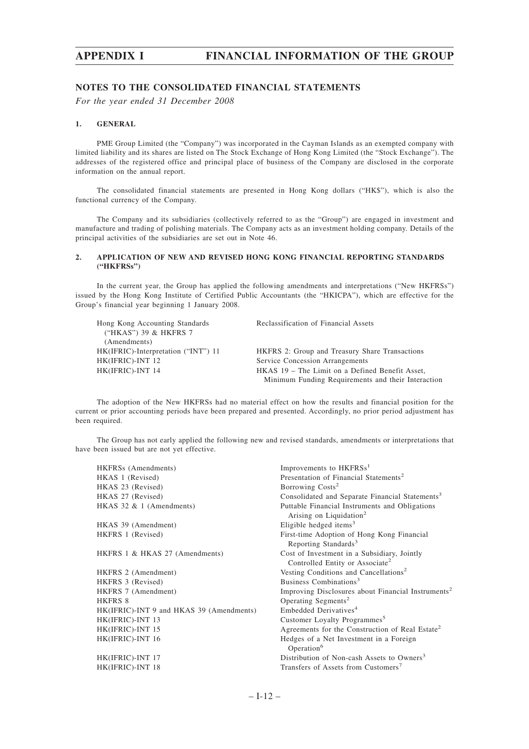#### **NOTES TO THE CONSOLIDATED FINANCIAL STATEMENTS**

*For the year ended 31 December 2008*

#### **1. GENERAL**

PME Group Limited (the "Company") was incorporated in the Cayman Islands as an exempted company with limited liability and its shares are listed on The Stock Exchange of Hong Kong Limited (the "Stock Exchange"). The addresses of the registered office and principal place of business of the Company are disclosed in the corporate information on the annual report.

The consolidated financial statements are presented in Hong Kong dollars ("HK\$"), which is also the functional currency of the Company.

The Company and its subsidiaries (collectively referred to as the "Group") are engaged in investment and manufacture and trading of polishing materials. The Company acts as an investment holding company. Details of the principal activities of the subsidiaries are set out in Note 46.

#### **2. APPLICATION OF NEW AND REVISED HONG KONG FINANCIAL REPORTING STANDARDS ("HKFRSs")**

In the current year, the Group has applied the following amendments and interpretations ("New HKFRSs") issued by the Hong Kong Institute of Certified Public Accountants (the "HKICPA"), which are effective for the Group's financial year beginning 1 January 2008.

| Hong Kong Accounting Standards      | Reclassification of Financial Assets                  |
|-------------------------------------|-------------------------------------------------------|
| ("HKAS") 39 & HKFRS 7               |                                                       |
| (Amendments)                        |                                                       |
| HK(IFRIC)-Interpretation ("INT") 11 | <b>HKFRS</b> 2: Group and Treasury Share Transactions |
| HK(IFRIC)-INT 12                    | Service Concession Arrangements                       |
| HK(IFRIC)-INT 14                    | HKAS 19 – The Limit on a Defined Benefit Asset,       |
|                                     | Minimum Funding Requirements and their Interaction    |

The adoption of the New HKFRSs had no material effect on how the results and financial position for the current or prior accounting periods have been prepared and presented. Accordingly, no prior period adjustment has been required.

The Group has not early applied the following new and revised standards, amendments or interpretations that have been issued but are not yet effective.

| HKFRSs (Amendments)                      | Improvements to HKFRSs <sup>1</sup>                                                        |
|------------------------------------------|--------------------------------------------------------------------------------------------|
| HKAS 1 (Revised)                         | Presentation of Financial Statements <sup>2</sup>                                          |
| HKAS 23 (Revised)                        | Borrowing Costs <sup>2</sup>                                                               |
| HKAS 27 (Revised)                        | Consolidated and Separate Financial Statements <sup>3</sup>                                |
| HKAS $32 \& 1$ (Amendments)              | Puttable Financial Instruments and Obligations<br>Arising on Liquidation <sup>2</sup>      |
| HKAS 39 (Amendment)                      | Eligible hedged items <sup>3</sup>                                                         |
| HKFRS 1 (Revised)                        | First-time Adoption of Hong Kong Financial<br>Reporting Standards <sup>3</sup>             |
| HKFRS 1 & HKAS 27 (Amendments)           | Cost of Investment in a Subsidiary, Jointly<br>Controlled Entity or Associate <sup>2</sup> |
| HKFRS 2 (Amendment)                      | Vesting Conditions and Cancellations <sup>2</sup>                                          |
| HKFRS 3 (Revised)                        | Business Combinations <sup>3</sup>                                                         |
| HKFRS 7 (Amendment)                      | Improving Disclosures about Financial Instruments <sup>2</sup>                             |
| HKFRS 8                                  | Operating Segments <sup>2</sup>                                                            |
| HK(IFRIC)-INT 9 and HKAS 39 (Amendments) | Embedded Derivatives <sup>4</sup>                                                          |
| HK(IFRIC)-INT 13                         | Customer Loyalty Programmes <sup>5</sup>                                                   |
| HK(IFRIC)-INT 15                         | Agreements for the Construction of Real Estate <sup>2</sup>                                |
| HK(IFRIC)-INT 16                         | Hedges of a Net Investment in a Foreign<br>Operation <sup>6</sup>                          |
| HK(IFRIC)-INT 17                         | Distribution of Non-cash Assets to Owners <sup>3</sup>                                     |
| HK(IFRIC)-INT 18                         | Transfers of Assets from Customers <sup>7</sup>                                            |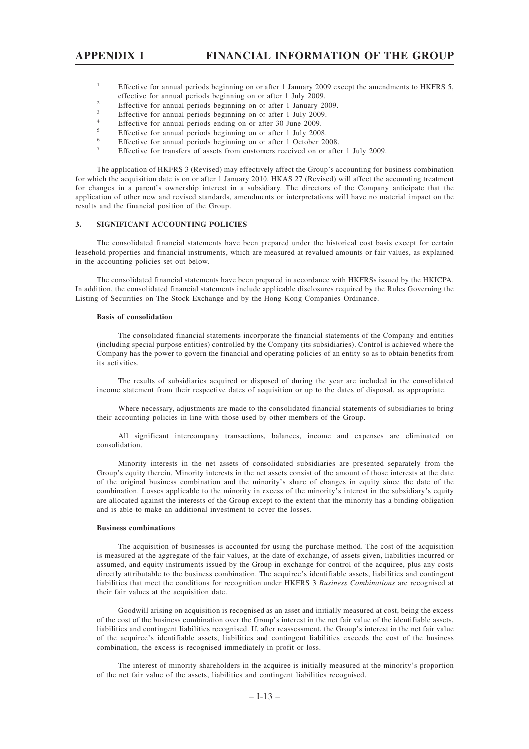- <sup>1</sup> Effective for annual periods beginning on or after 1 January 2009 except the amendments to HKFRS 5, effective for annual periods beginning on or after 1 July 2009.
- <sup>2</sup> Effective for annual periods beginning on or after 1 January 2009.
- $\frac{3}{4}$  Effective for annual periods beginning on or after 1 July 2009.
- <sup>4</sup> Effective for annual periods ending on or after 30 June 2009.
- $\frac{5}{6}$  Effective for annual periods beginning on or after 1 July 2008.
- <sup>6</sup><br>Effective for annual periods beginning on or after 1 October 2008.
- <sup>7</sup> Effective for transfers of assets from customers received on or after 1 July 2009.

The application of HKFRS 3 (Revised) may effectively affect the Group's accounting for business combination for which the acquisition date is on or after 1 January 2010. HKAS 27 (Revised) will affect the accounting treatment for changes in a parent's ownership interest in a subsidiary. The directors of the Company anticipate that the application of other new and revised standards, amendments or interpretations will have no material impact on the results and the financial position of the Group.

#### **3. SIGNIFICANT ACCOUNTING POLICIES**

The consolidated financial statements have been prepared under the historical cost basis except for certain leasehold properties and financial instruments, which are measured at revalued amounts or fair values, as explained in the accounting policies set out below.

The consolidated financial statements have been prepared in accordance with HKFRSs issued by the HKICPA. In addition, the consolidated financial statements include applicable disclosures required by the Rules Governing the Listing of Securities on The Stock Exchange and by the Hong Kong Companies Ordinance.

#### **Basis of consolidation**

The consolidated financial statements incorporate the financial statements of the Company and entities (including special purpose entities) controlled by the Company (its subsidiaries). Control is achieved where the Company has the power to govern the financial and operating policies of an entity so as to obtain benefits from its activities.

The results of subsidiaries acquired or disposed of during the year are included in the consolidated income statement from their respective dates of acquisition or up to the dates of disposal, as appropriate.

Where necessary, adjustments are made to the consolidated financial statements of subsidiaries to bring their accounting policies in line with those used by other members of the Group.

All significant intercompany transactions, balances, income and expenses are eliminated on consolidation.

Minority interests in the net assets of consolidated subsidiaries are presented separately from the Group's equity therein. Minority interests in the net assets consist of the amount of those interests at the date of the original business combination and the minority's share of changes in equity since the date of the combination. Losses applicable to the minority in excess of the minority's interest in the subsidiary's equity are allocated against the interests of the Group except to the extent that the minority has a binding obligation and is able to make an additional investment to cover the losses.

#### **Business combinations**

The acquisition of businesses is accounted for using the purchase method. The cost of the acquisition is measured at the aggregate of the fair values, at the date of exchange, of assets given, liabilities incurred or assumed, and equity instruments issued by the Group in exchange for control of the acquiree, plus any costs directly attributable to the business combination. The acquiree's identifiable assets, liabilities and contingent liabilities that meet the conditions for recognition under HKFRS 3 *Business Combinations* are recognised at their fair values at the acquisition date.

Goodwill arising on acquisition is recognised as an asset and initially measured at cost, being the excess of the cost of the business combination over the Group's interest in the net fair value of the identifiable assets, liabilities and contingent liabilities recognised. If, after reassessment, the Group's interest in the net fair value of the acquiree's identifiable assets, liabilities and contingent liabilities exceeds the cost of the business combination, the excess is recognised immediately in profit or loss.

The interest of minority shareholders in the acquiree is initially measured at the minority's proportion of the net fair value of the assets, liabilities and contingent liabilities recognised.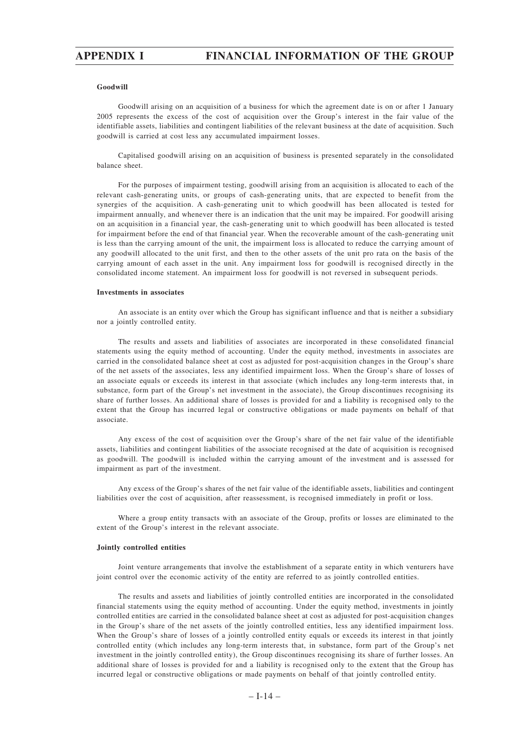#### **Goodwill**

Goodwill arising on an acquisition of a business for which the agreement date is on or after 1 January 2005 represents the excess of the cost of acquisition over the Group's interest in the fair value of the identifiable assets, liabilities and contingent liabilities of the relevant business at the date of acquisition. Such goodwill is carried at cost less any accumulated impairment losses.

Capitalised goodwill arising on an acquisition of business is presented separately in the consolidated balance sheet.

For the purposes of impairment testing, goodwill arising from an acquisition is allocated to each of the relevant cash-generating units, or groups of cash-generating units, that are expected to benefit from the synergies of the acquisition. A cash-generating unit to which goodwill has been allocated is tested for impairment annually, and whenever there is an indication that the unit may be impaired. For goodwill arising on an acquisition in a financial year, the cash-generating unit to which goodwill has been allocated is tested for impairment before the end of that financial year. When the recoverable amount of the cash-generating unit is less than the carrying amount of the unit, the impairment loss is allocated to reduce the carrying amount of any goodwill allocated to the unit first, and then to the other assets of the unit pro rata on the basis of the carrying amount of each asset in the unit. Any impairment loss for goodwill is recognised directly in the consolidated income statement. An impairment loss for goodwill is not reversed in subsequent periods.

#### **Investments in associates**

An associate is an entity over which the Group has significant influence and that is neither a subsidiary nor a jointly controlled entity.

The results and assets and liabilities of associates are incorporated in these consolidated financial statements using the equity method of accounting. Under the equity method, investments in associates are carried in the consolidated balance sheet at cost as adjusted for post-acquisition changes in the Group's share of the net assets of the associates, less any identified impairment loss. When the Group's share of losses of an associate equals or exceeds its interest in that associate (which includes any long-term interests that, in substance, form part of the Group's net investment in the associate), the Group discontinues recognising its share of further losses. An additional share of losses is provided for and a liability is recognised only to the extent that the Group has incurred legal or constructive obligations or made payments on behalf of that associate.

Any excess of the cost of acquisition over the Group's share of the net fair value of the identifiable assets, liabilities and contingent liabilities of the associate recognised at the date of acquisition is recognised as goodwill. The goodwill is included within the carrying amount of the investment and is assessed for impairment as part of the investment.

Any excess of the Group's shares of the net fair value of the identifiable assets, liabilities and contingent liabilities over the cost of acquisition, after reassessment, is recognised immediately in profit or loss.

Where a group entity transacts with an associate of the Group, profits or losses are eliminated to the extent of the Group's interest in the relevant associate.

#### **Jointly controlled entities**

Joint venture arrangements that involve the establishment of a separate entity in which venturers have joint control over the economic activity of the entity are referred to as jointly controlled entities.

The results and assets and liabilities of jointly controlled entities are incorporated in the consolidated financial statements using the equity method of accounting. Under the equity method, investments in jointly controlled entities are carried in the consolidated balance sheet at cost as adjusted for post-acquisition changes in the Group's share of the net assets of the jointly controlled entities, less any identified impairment loss. When the Group's share of losses of a jointly controlled entity equals or exceeds its interest in that jointly controlled entity (which includes any long-term interests that, in substance, form part of the Group's net investment in the jointly controlled entity), the Group discontinues recognising its share of further losses. An additional share of losses is provided for and a liability is recognised only to the extent that the Group has incurred legal or constructive obligations or made payments on behalf of that jointly controlled entity.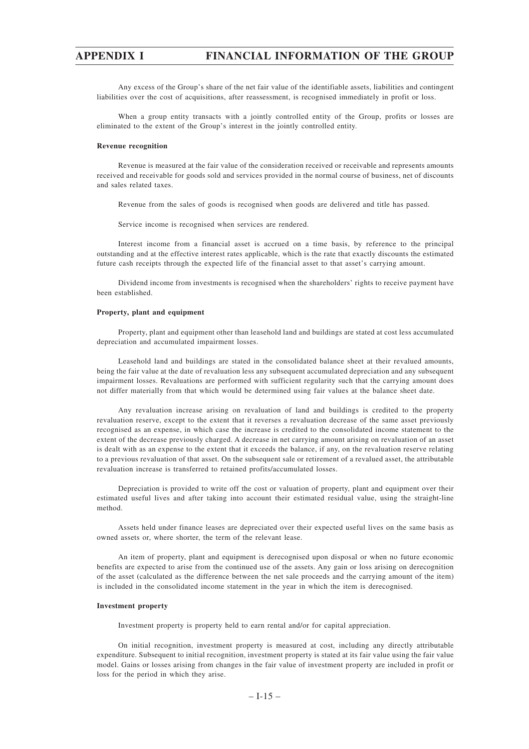Any excess of the Group's share of the net fair value of the identifiable assets, liabilities and contingent liabilities over the cost of acquisitions, after reassessment, is recognised immediately in profit or loss.

When a group entity transacts with a jointly controlled entity of the Group, profits or losses are eliminated to the extent of the Group's interest in the jointly controlled entity.

## **Revenue recognition**

Revenue is measured at the fair value of the consideration received or receivable and represents amounts received and receivable for goods sold and services provided in the normal course of business, net of discounts and sales related taxes.

Revenue from the sales of goods is recognised when goods are delivered and title has passed.

Service income is recognised when services are rendered.

Interest income from a financial asset is accrued on a time basis, by reference to the principal outstanding and at the effective interest rates applicable, which is the rate that exactly discounts the estimated future cash receipts through the expected life of the financial asset to that asset's carrying amount.

Dividend income from investments is recognised when the shareholders' rights to receive payment have been established.

#### **Property, plant and equipment**

Property, plant and equipment other than leasehold land and buildings are stated at cost less accumulated depreciation and accumulated impairment losses.

Leasehold land and buildings are stated in the consolidated balance sheet at their revalued amounts, being the fair value at the date of revaluation less any subsequent accumulated depreciation and any subsequent impairment losses. Revaluations are performed with sufficient regularity such that the carrying amount does not differ materially from that which would be determined using fair values at the balance sheet date.

Any revaluation increase arising on revaluation of land and buildings is credited to the property revaluation reserve, except to the extent that it reverses a revaluation decrease of the same asset previously recognised as an expense, in which case the increase is credited to the consolidated income statement to the extent of the decrease previously charged. A decrease in net carrying amount arising on revaluation of an asset is dealt with as an expense to the extent that it exceeds the balance, if any, on the revaluation reserve relating to a previous revaluation of that asset. On the subsequent sale or retirement of a revalued asset, the attributable revaluation increase is transferred to retained profits/accumulated losses.

Depreciation is provided to write off the cost or valuation of property, plant and equipment over their estimated useful lives and after taking into account their estimated residual value, using the straight-line method.

Assets held under finance leases are depreciated over their expected useful lives on the same basis as owned assets or, where shorter, the term of the relevant lease.

An item of property, plant and equipment is derecognised upon disposal or when no future economic benefits are expected to arise from the continued use of the assets. Any gain or loss arising on derecognition of the asset (calculated as the difference between the net sale proceeds and the carrying amount of the item) is included in the consolidated income statement in the year in which the item is derecognised.

#### **Investment property**

Investment property is property held to earn rental and/or for capital appreciation.

On initial recognition, investment property is measured at cost, including any directly attributable expenditure. Subsequent to initial recognition, investment property is stated at its fair value using the fair value model. Gains or losses arising from changes in the fair value of investment property are included in profit or loss for the period in which they arise.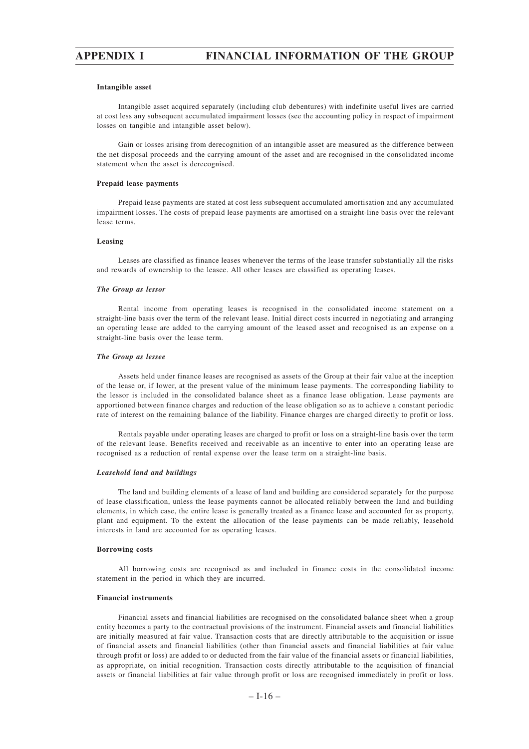### **Intangible asset**

Intangible asset acquired separately (including club debentures) with indefinite useful lives are carried at cost less any subsequent accumulated impairment losses (see the accounting policy in respect of impairment losses on tangible and intangible asset below).

Gain or losses arising from derecognition of an intangible asset are measured as the difference between the net disposal proceeds and the carrying amount of the asset and are recognised in the consolidated income statement when the asset is derecognised.

#### **Prepaid lease payments**

Prepaid lease payments are stated at cost less subsequent accumulated amortisation and any accumulated impairment losses. The costs of prepaid lease payments are amortised on a straight-line basis over the relevant lease terms.

# **Leasing**

Leases are classified as finance leases whenever the terms of the lease transfer substantially all the risks and rewards of ownership to the leasee. All other leases are classified as operating leases.

#### *The Group as lessor*

Rental income from operating leases is recognised in the consolidated income statement on a straight-line basis over the term of the relevant lease. Initial direct costs incurred in negotiating and arranging an operating lease are added to the carrying amount of the leased asset and recognised as an expense on a straight-line basis over the lease term.

#### *The Group as lessee*

Assets held under finance leases are recognised as assets of the Group at their fair value at the inception of the lease or, if lower, at the present value of the minimum lease payments. The corresponding liability to the lessor is included in the consolidated balance sheet as a finance lease obligation. Lease payments are apportioned between finance charges and reduction of the lease obligation so as to achieve a constant periodic rate of interest on the remaining balance of the liability. Finance charges are charged directly to profit or loss.

Rentals payable under operating leases are charged to profit or loss on a straight-line basis over the term of the relevant lease. Benefits received and receivable as an incentive to enter into an operating lease are recognised as a reduction of rental expense over the lease term on a straight-line basis.

#### *Leasehold land and buildings*

The land and building elements of a lease of land and building are considered separately for the purpose of lease classification, unless the lease payments cannot be allocated reliably between the land and building elements, in which case, the entire lease is generally treated as a finance lease and accounted for as property, plant and equipment. To the extent the allocation of the lease payments can be made reliably, leasehold interests in land are accounted for as operating leases.

#### **Borrowing costs**

All borrowing costs are recognised as and included in finance costs in the consolidated income statement in the period in which they are incurred.

## **Financial instruments**

Financial assets and financial liabilities are recognised on the consolidated balance sheet when a group entity becomes a party to the contractual provisions of the instrument. Financial assets and financial liabilities are initially measured at fair value. Transaction costs that are directly attributable to the acquisition or issue of financial assets and financial liabilities (other than financial assets and financial liabilities at fair value through profit or loss) are added to or deducted from the fair value of the financial assets or financial liabilities, as appropriate, on initial recognition. Transaction costs directly attributable to the acquisition of financial assets or financial liabilities at fair value through profit or loss are recognised immediately in profit or loss.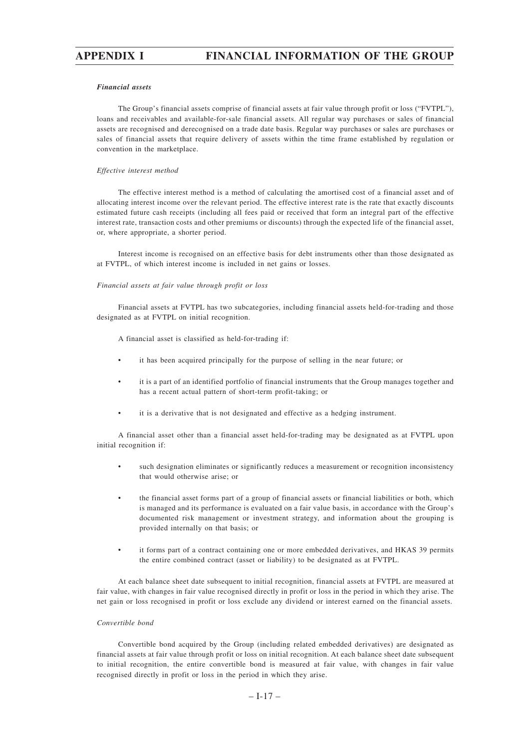## *Financial assets*

The Group's financial assets comprise of financial assets at fair value through profit or loss ("FVTPL"), loans and receivables and available-for-sale financial assets. All regular way purchases or sales of financial assets are recognised and derecognised on a trade date basis. Regular way purchases or sales are purchases or sales of financial assets that require delivery of assets within the time frame established by regulation or convention in the marketplace.

#### *Effective interest method*

The effective interest method is a method of calculating the amortised cost of a financial asset and of allocating interest income over the relevant period. The effective interest rate is the rate that exactly discounts estimated future cash receipts (including all fees paid or received that form an integral part of the effective interest rate, transaction costs and other premiums or discounts) through the expected life of the financial asset, or, where appropriate, a shorter period.

Interest income is recognised on an effective basis for debt instruments other than those designated as at FVTPL, of which interest income is included in net gains or losses.

## *Financial assets at fair value through profit or loss*

Financial assets at FVTPL has two subcategories, including financial assets held-for-trading and those designated as at FVTPL on initial recognition.

A financial asset is classified as held-for-trading if:

- it has been acquired principally for the purpose of selling in the near future; or
- it is a part of an identified portfolio of financial instruments that the Group manages together and has a recent actual pattern of short-term profit-taking; or
- it is a derivative that is not designated and effective as a hedging instrument.

A financial asset other than a financial asset held-for-trading may be designated as at FVTPL upon initial recognition if:

- such designation eliminates or significantly reduces a measurement or recognition inconsistency that would otherwise arise; or
- the financial asset forms part of a group of financial assets or financial liabilities or both, which is managed and its performance is evaluated on a fair value basis, in accordance with the Group's documented risk management or investment strategy, and information about the grouping is provided internally on that basis; or
- it forms part of a contract containing one or more embedded derivatives, and HKAS 39 permits the entire combined contract (asset or liability) to be designated as at FVTPL.

At each balance sheet date subsequent to initial recognition, financial assets at FVTPL are measured at fair value, with changes in fair value recognised directly in profit or loss in the period in which they arise. The net gain or loss recognised in profit or loss exclude any dividend or interest earned on the financial assets.

#### *Convertible bond*

Convertible bond acquired by the Group (including related embedded derivatives) are designated as financial assets at fair value through profit or loss on initial recognition. At each balance sheet date subsequent to initial recognition, the entire convertible bond is measured at fair value, with changes in fair value recognised directly in profit or loss in the period in which they arise.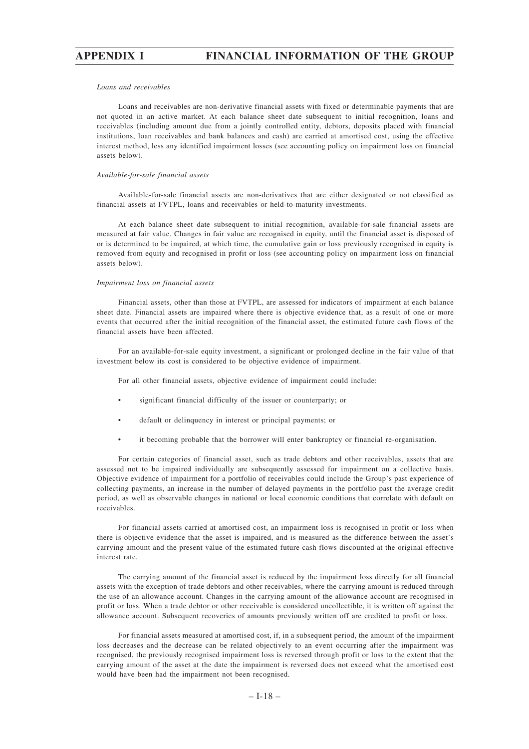## *Loans and receivables*

Loans and receivables are non-derivative financial assets with fixed or determinable payments that are not quoted in an active market. At each balance sheet date subsequent to initial recognition, loans and receivables (including amount due from a jointly controlled entity, debtors, deposits placed with financial institutions, loan receivables and bank balances and cash) are carried at amortised cost, using the effective interest method, less any identified impairment losses (see accounting policy on impairment loss on financial assets below).

## *Available-for-sale financial assets*

Available-for-sale financial assets are non-derivatives that are either designated or not classified as financial assets at FVTPL, loans and receivables or held-to-maturity investments.

At each balance sheet date subsequent to initial recognition, available-for-sale financial assets are measured at fair value. Changes in fair value are recognised in equity, until the financial asset is disposed of or is determined to be impaired, at which time, the cumulative gain or loss previously recognised in equity is removed from equity and recognised in profit or loss (see accounting policy on impairment loss on financial assets below).

### *Impairment loss on financial assets*

Financial assets, other than those at FVTPL, are assessed for indicators of impairment at each balance sheet date. Financial assets are impaired where there is objective evidence that, as a result of one or more events that occurred after the initial recognition of the financial asset, the estimated future cash flows of the financial assets have been affected.

For an available-for-sale equity investment, a significant or prolonged decline in the fair value of that investment below its cost is considered to be objective evidence of impairment.

For all other financial assets, objective evidence of impairment could include:

- significant financial difficulty of the issuer or counterparty; or
- default or delinquency in interest or principal payments; or
- it becoming probable that the borrower will enter bankruptcy or financial re-organisation.

For certain categories of financial asset, such as trade debtors and other receivables, assets that are assessed not to be impaired individually are subsequently assessed for impairment on a collective basis. Objective evidence of impairment for a portfolio of receivables could include the Group's past experience of collecting payments, an increase in the number of delayed payments in the portfolio past the average credit period, as well as observable changes in national or local economic conditions that correlate with default on receivables.

For financial assets carried at amortised cost, an impairment loss is recognised in profit or loss when there is objective evidence that the asset is impaired, and is measured as the difference between the asset's carrying amount and the present value of the estimated future cash flows discounted at the original effective interest rate.

The carrying amount of the financial asset is reduced by the impairment loss directly for all financial assets with the exception of trade debtors and other receivables, where the carrying amount is reduced through the use of an allowance account. Changes in the carrying amount of the allowance account are recognised in profit or loss. When a trade debtor or other receivable is considered uncollectible, it is written off against the allowance account. Subsequent recoveries of amounts previously written off are credited to profit or loss.

For financial assets measured at amortised cost, if, in a subsequent period, the amount of the impairment loss decreases and the decrease can be related objectively to an event occurring after the impairment was recognised, the previously recognised impairment loss is reversed through profit or loss to the extent that the carrying amount of the asset at the date the impairment is reversed does not exceed what the amortised cost would have been had the impairment not been recognised.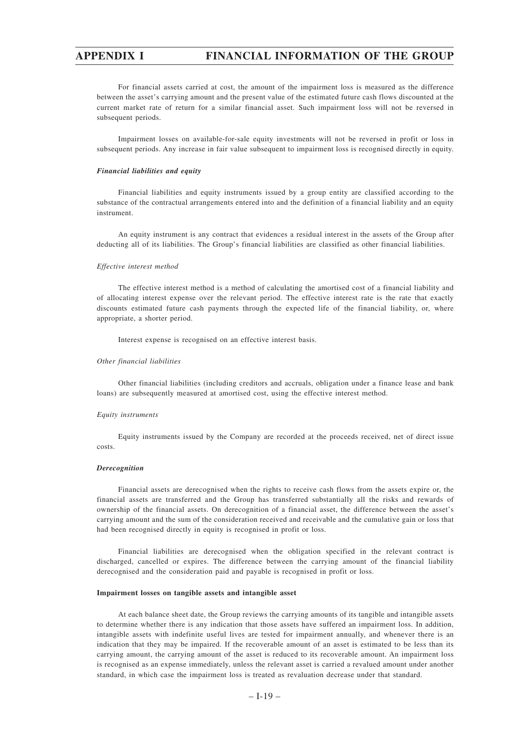For financial assets carried at cost, the amount of the impairment loss is measured as the difference between the asset's carrying amount and the present value of the estimated future cash flows discounted at the current market rate of return for a similar financial asset. Such impairment loss will not be reversed in subsequent periods.

Impairment losses on available-for-sale equity investments will not be reversed in profit or loss in subsequent periods. Any increase in fair value subsequent to impairment loss is recognised directly in equity.

#### *Financial liabilities and equity*

Financial liabilities and equity instruments issued by a group entity are classified according to the substance of the contractual arrangements entered into and the definition of a financial liability and an equity instrument.

An equity instrument is any contract that evidences a residual interest in the assets of the Group after deducting all of its liabilities. The Group's financial liabilities are classified as other financial liabilities.

### *Effective interest method*

The effective interest method is a method of calculating the amortised cost of a financial liability and of allocating interest expense over the relevant period. The effective interest rate is the rate that exactly discounts estimated future cash payments through the expected life of the financial liability, or, where appropriate, a shorter period.

Interest expense is recognised on an effective interest basis.

#### *Other financial liabilities*

Other financial liabilities (including creditors and accruals, obligation under a finance lease and bank loans) are subsequently measured at amortised cost, using the effective interest method.

## *Equity instruments*

Equity instruments issued by the Company are recorded at the proceeds received, net of direct issue costs.

#### *Derecognition*

Financial assets are derecognised when the rights to receive cash flows from the assets expire or, the financial assets are transferred and the Group has transferred substantially all the risks and rewards of ownership of the financial assets. On derecognition of a financial asset, the difference between the asset's carrying amount and the sum of the consideration received and receivable and the cumulative gain or loss that had been recognised directly in equity is recognised in profit or loss.

Financial liabilities are derecognised when the obligation specified in the relevant contract is discharged, cancelled or expires. The difference between the carrying amount of the financial liability derecognised and the consideration paid and payable is recognised in profit or loss.

## **Impairment losses on tangible assets and intangible asset**

At each balance sheet date, the Group reviews the carrying amounts of its tangible and intangible assets to determine whether there is any indication that those assets have suffered an impairment loss. In addition, intangible assets with indefinite useful lives are tested for impairment annually, and whenever there is an indication that they may be impaired. If the recoverable amount of an asset is estimated to be less than its carrying amount, the carrying amount of the asset is reduced to its recoverable amount. An impairment loss is recognised as an expense immediately, unless the relevant asset is carried a revalued amount under another standard, in which case the impairment loss is treated as revaluation decrease under that standard.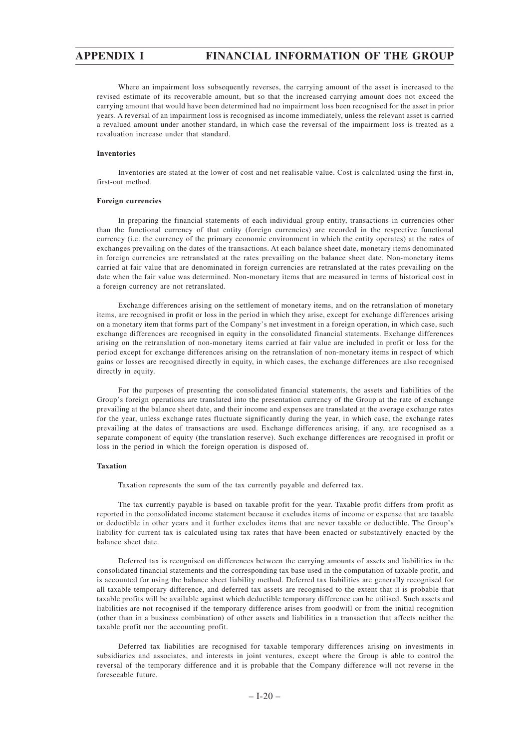Where an impairment loss subsequently reverses, the carrying amount of the asset is increased to the revised estimate of its recoverable amount, but so that the increased carrying amount does not exceed the carrying amount that would have been determined had no impairment loss been recognised for the asset in prior years. A reversal of an impairment loss is recognised as income immediately, unless the relevant asset is carried a revalued amount under another standard, in which case the reversal of the impairment loss is treated as a revaluation increase under that standard.

## **Inventories**

Inventories are stated at the lower of cost and net realisable value. Cost is calculated using the first-in, first-out method.

## **Foreign currencies**

In preparing the financial statements of each individual group entity, transactions in currencies other than the functional currency of that entity (foreign currencies) are recorded in the respective functional currency (i.e. the currency of the primary economic environment in which the entity operates) at the rates of exchanges prevailing on the dates of the transactions. At each balance sheet date, monetary items denominated in foreign currencies are retranslated at the rates prevailing on the balance sheet date. Non-monetary items carried at fair value that are denominated in foreign currencies are retranslated at the rates prevailing on the date when the fair value was determined. Non-monetary items that are measured in terms of historical cost in a foreign currency are not retranslated.

Exchange differences arising on the settlement of monetary items, and on the retranslation of monetary items, are recognised in profit or loss in the period in which they arise, except for exchange differences arising on a monetary item that forms part of the Company's net investment in a foreign operation, in which case, such exchange differences are recognised in equity in the consolidated financial statements. Exchange differences arising on the retranslation of non-monetary items carried at fair value are included in profit or loss for the period except for exchange differences arising on the retranslation of non-monetary items in respect of which gains or losses are recognised directly in equity, in which cases, the exchange differences are also recognised directly in equity.

For the purposes of presenting the consolidated financial statements, the assets and liabilities of the Group's foreign operations are translated into the presentation currency of the Group at the rate of exchange prevailing at the balance sheet date, and their income and expenses are translated at the average exchange rates for the year, unless exchange rates fluctuate significantly during the year, in which case, the exchange rates prevailing at the dates of transactions are used. Exchange differences arising, if any, are recognised as a separate component of equity (the translation reserve). Such exchange differences are recognised in profit or loss in the period in which the foreign operation is disposed of.

#### **Taxation**

Taxation represents the sum of the tax currently payable and deferred tax.

The tax currently payable is based on taxable profit for the year. Taxable profit differs from profit as reported in the consolidated income statement because it excludes items of income or expense that are taxable or deductible in other years and it further excludes items that are never taxable or deductible. The Group's liability for current tax is calculated using tax rates that have been enacted or substantively enacted by the balance sheet date.

Deferred tax is recognised on differences between the carrying amounts of assets and liabilities in the consolidated financial statements and the corresponding tax base used in the computation of taxable profit, and is accounted for using the balance sheet liability method. Deferred tax liabilities are generally recognised for all taxable temporary difference, and deferred tax assets are recognised to the extent that it is probable that taxable profits will be available against which deductible temporary difference can be utilised. Such assets and liabilities are not recognised if the temporary difference arises from goodwill or from the initial recognition (other than in a business combination) of other assets and liabilities in a transaction that affects neither the taxable profit nor the accounting profit.

Deferred tax liabilities are recognised for taxable temporary differences arising on investments in subsidiaries and associates, and interests in joint ventures, except where the Group is able to control the reversal of the temporary difference and it is probable that the Company difference will not reverse in the foreseeable future.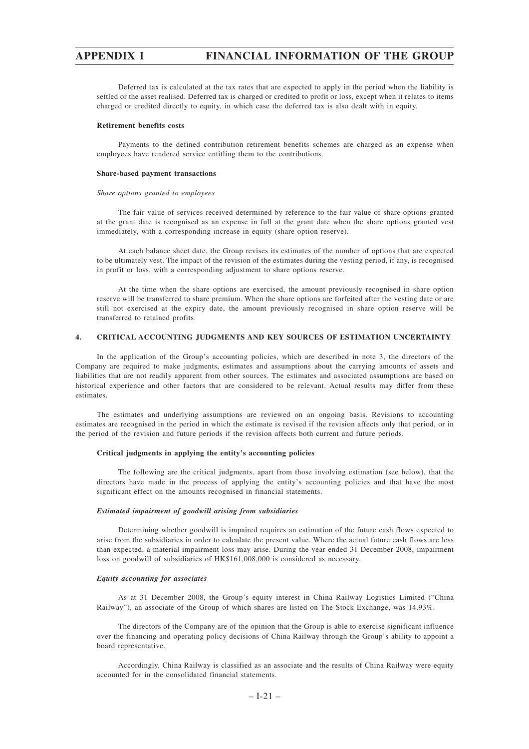Deferred tax is calculated at the tax rates that are expected to apply in the period when the liability is settled or the asset realised. Deferred tax is charged or credited to profit or loss, except when it relates to items charged or credited directly to equity, in which case the deferred tax is also dealt with in equity.

## **Retirement benefits costs**

Payments to the defined contribution retirement benefits schemes are charged as an expense when employees have rendered service entitling them to the contributions.

#### **Share-based payment transactions**

#### *Share options granted to employees*

The fair value of services received determined by reference to the fair value of share options granted at the grant date is recognised as an expense in full at the grant date when the share options granted vest immediately, with a corresponding increase in equity (share option reserve).

At each balance sheet date, the Group revises its estimates of the number of options that are expected to be ultimately vest. The impact of the revision of the estimates during the vesting period, if any, is recognised in profit or loss, with a corresponding adjustment to share options reserve.

At the time when the share options are exercised, the amount previously recognised in share option reserve will be transferred to share premium. When the share options are forfeited after the vesting date or are still not exercised at the expiry date, the amount previously recognised in share option reserve will be transferred to retained profits.

# **4. CRITICAL ACCOUNTING JUDGMENTS AND KEY SOURCES OF ESTIMATION UNCERTAINTY**

In the application of the Group's accounting policies, which are described in note 3, the directors of the Company are required to make judgments, estimates and assumptions about the carrying amounts of assets and liabilities that are not readily apparent from other sources. The estimates and associated assumptions are based on historical experience and other factors that are considered to be relevant. Actual results may differ from these estimates.

The estimates and underlying assumptions are reviewed on an ongoing basis. Revisions to accounting estimates are recognised in the period in which the estimate is revised if the revision affects only that period, or in the period of the revision and future periods if the revision affects both current and future periods.

#### **Critical judgments in applying the entity's accounting policies**

The following are the critical judgments, apart from those involving estimation (see below), that the directors have made in the process of applying the entity's accounting policies and that have the most significant effect on the amounts recognised in financial statements.

## *Estimated impairment of goodwill arising from subsidiaries*

Determining whether goodwill is impaired requires an estimation of the future cash flows expected to arise from the subsidiaries in order to calculate the present value. Where the actual future cash flows are less than expected, a material impairment loss may arise. During the year ended 31 December 2008, impairment loss on goodwill of subsidiaries of HK\$161,008,000 is considered as necessary.

#### *Equity accounting for associates*

As at 31 December 2008, the Group's equity interest in China Railway Logistics Limited ("China Railway"), an associate of the Group of which shares are listed on The Stock Exchange, was 14.93%.

The directors of the Company are of the opinion that the Group is able to exercise significant influence over the financing and operating policy decisions of China Railway through the Group's ability to appoint a board representative.

Accordingly, China Railway is classified as an associate and the results of China Railway were equity accounted for in the consolidated financial statements.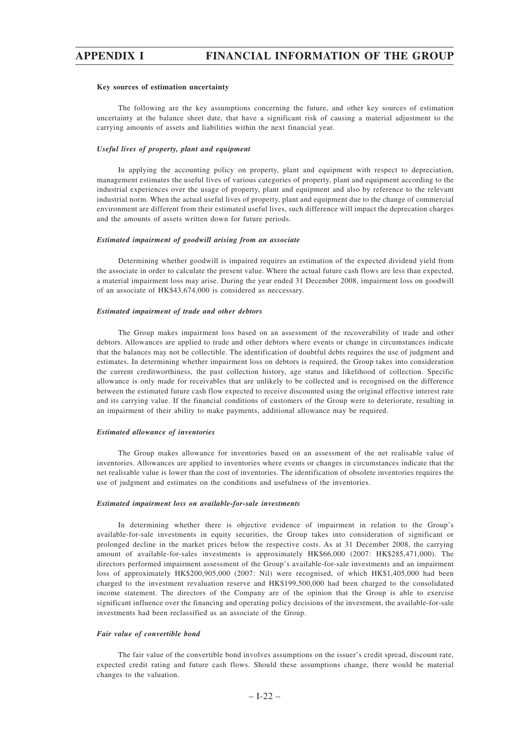#### **Key sources of estimation uncertainty**

The following are the key assumptions concerning the future, and other key sources of estimation uncertainty at the balance sheet date, that have a significant risk of causing a material adjustment to the carrying amounts of assets and liabilities within the next financial year.

#### *Useful lives of property, plant and equipment*

In applying the accounting policy on property, plant and equipment with respect to depreciation, management estimates the useful lives of various categories of property, plant and equipment according to the industrial experiences over the usage of property, plant and equipment and also by reference to the relevant industrial norm. When the actual useful lives of property, plant and equipment due to the change of commercial environment are different from their estimated useful lives, such difference will impact the deprecation charges and the amounts of assets written down for future periods.

#### *Estimated impairment of goodwill arising from an associate*

Determining whether goodwill is impaired requires an estimation of the expected dividend yield from the associate in order to calculate the present value. Where the actual future cash flows are less than expected, a material impairment loss may arise. During the year ended 31 December 2008, impairment loss on goodwill of an associate of HK\$43,674,000 is considered as neccessary.

#### *Estimated impairment of trade and other debtors*

The Group makes impairment loss based on an assessment of the recoverability of trade and other debtors. Allowances are applied to trade and other debtors where events or change in circumstances indicate that the balances may not be collectible. The identification of doubtful debts requires the use of judgment and estimates. In determining whether impairment loss on debtors is required, the Group takes into consideration the current creditworthiness, the past collection history, age status and likelihood of collection. Specific allowance is only made for receivables that are unlikely to be collected and is recognised on the difference between the estimated future cash flow expected to receive discounted using the original effective interest rate and its carrying value. If the financial conditions of customers of the Group were to deteriorate, resulting in an impairment of their ability to make payments, additional allowance may be required.

#### *Estimated allowance of inventories*

The Group makes allowance for inventories based on an assessment of the net realisable value of inventories. Allowances are applied to inventories where events or changes in circumstances indicate that the net realisable value is lower than the cost of inventories. The identification of obsolete inventories requires the use of judgment and estimates on the conditions and usefulness of the inventories.

#### *Estimated impairment loss on available-for-sale investments*

In determining whether there is objective evidence of impairment in relation to the Group's available-for-sale investments in equity securities, the Group takes into consideration of significant or prolonged decline in the market prices below the respective costs. As at 31 December 2008, the carrying amount of available-for-sales investments is approximately HK\$66,000 (2007: HK\$285,471,000). The directors performed impairment assessment of the Group's available-for-sale investments and an impairment loss of approximately HK\$200,905,000 (2007: Nil) were recognised, of which HK\$1,405,000 had been charged to the investment revaluation reserve and HK\$199,500,000 had been charged to the consolidated income statement. The directors of the Company are of the opinion that the Group is able to exercise significant influence over the financing and operating policy decisions of the investment, the available-for-sale investments had been reclassified as an associate of the Group.

## *Fair value of convertible bond*

The fair value of the convertible bond involves assumptions on the issuer's credit spread, discount rate, expected credit rating and future cash flows. Should these assumptions change, there would be material changes to the valuation.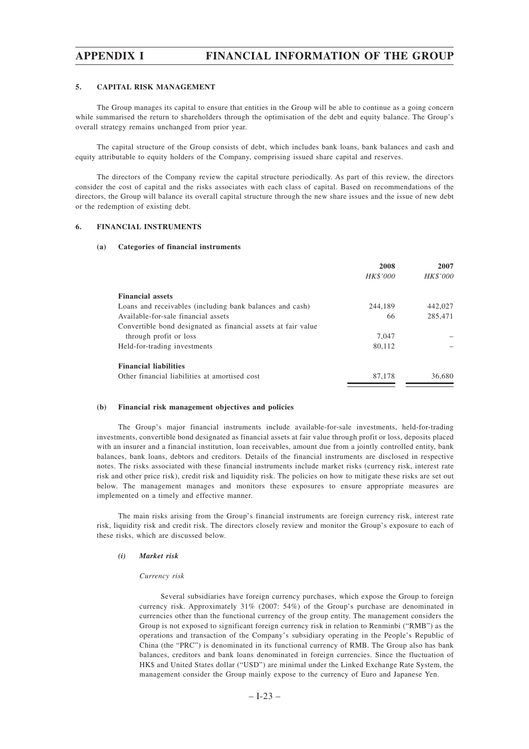## **5. CAPITAL RISK MANAGEMENT**

The Group manages its capital to ensure that entities in the Group will be able to continue as a going concern while summarised the return to shareholders through the optimisation of the debt and equity balance. The Group's overall strategy remains unchanged from prior year.

The capital structure of the Group consists of debt, which includes bank loans, bank balances and cash and equity attributable to equity holders of the Company, comprising issued share capital and reserves.

The directors of the Company review the capital structure periodically. As part of this review, the directors consider the cost of capital and the risks associates with each class of capital. Based on recommendations of the directors, the Group will balance its overall capital structure through the new share issues and the issue of new debt or the redemption of existing debt.

## **6. FINANCIAL INSTRUMENTS**

### **(a) Categories of financial instruments**

|                                                               | 2008     | 2007     |
|---------------------------------------------------------------|----------|----------|
|                                                               | HK\$'000 | HK\$'000 |
| <b>Financial assets</b>                                       |          |          |
| Loans and receivables (including bank balances and cash)      | 244.189  | 442,027  |
| Available-for-sale financial assets                           | 66       | 285,471  |
| Convertible bond designated as financial assets at fair value |          |          |
| through profit or loss                                        | 7.047    |          |
| Held-for-trading investments                                  | 80.112   |          |
| <b>Financial liabilities</b>                                  |          |          |
| Other financial liabilities at amortised cost                 | 87,178   | 36,680   |

#### **(b) Financial risk management objectives and policies**

The Group's major financial instruments include available-for-sale investments, held-for-trading investments, convertible bond designated as financial assets at fair value through profit or loss, deposits placed with an insurer and a financial institution, loan receivables, amount due from a jointly controlled entity, bank balances, bank loans, debtors and creditors. Details of the financial instruments are disclosed in respective notes. The risks associated with these financial instruments include market risks (currency risk, interest rate risk and other price risk), credit risk and liquidity risk. The policies on how to mitigate these risks are set out below. The management manages and monitors these exposures to ensure appropriate measures are implemented on a timely and effective manner.

The main risks arising from the Group's financial instruments are foreign currency risk, interest rate risk, liquidity risk and credit risk. The directors closely review and monitor the Group's exposure to each of these risks, which are discussed below.

## *(i) Market risk*

#### *Currency risk*

Several subsidiaries have foreign currency purchases, which expose the Group to foreign currency risk. Approximately 31% (2007: 54%) of the Group's purchase are denominated in currencies other than the functional currency of the group entity. The management considers the Group is not exposed to significant foreign currency risk in relation to Renminbi ("RMB") as the operations and transaction of the Company's subsidiary operating in the People's Republic of China (the "PRC") is denominated in its functional currency of RMB. The Group also has bank balances, creditors and bank loans denominated in foreign currencies. Since the fluctuation of HK\$ and United States dollar ("USD") are minimal under the Linked Exchange Rate System, the management consider the Group mainly expose to the currency of Euro and Japanese Yen.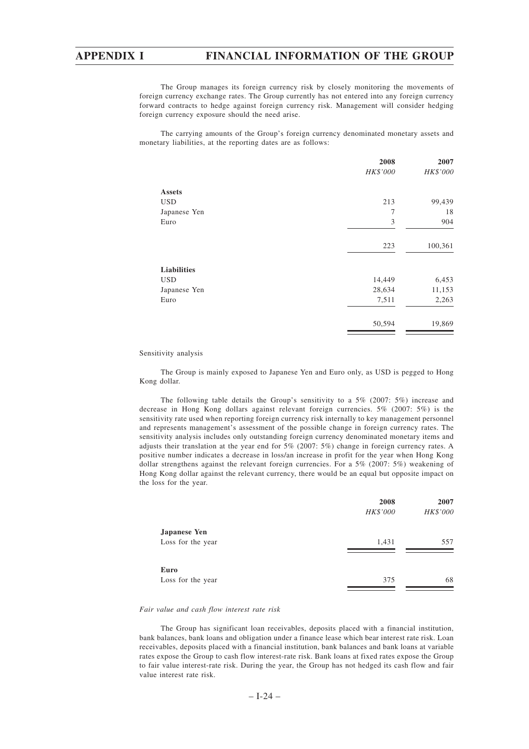The Group manages its foreign currency risk by closely monitoring the movements of foreign currency exchange rates. The Group currently has not entered into any foreign currency forward contracts to hedge against foreign currency risk. Management will consider hedging foreign currency exposure should the need arise.

The carrying amounts of the Group's foreign currency denominated monetary assets and monetary liabilities, at the reporting dates are as follows:

| 2007     |
|----------|
| HK\$'000 |
|          |
| 99,439   |
| 18       |
| 904      |
| 100,361  |
|          |
| 6,453    |
| 11,153   |
| 2,263    |
| 19,869   |
|          |

Sensitivity analysis

The Group is mainly exposed to Japanese Yen and Euro only, as USD is pegged to Hong Kong dollar.

The following table details the Group's sensitivity to a 5% (2007: 5%) increase and decrease in Hong Kong dollars against relevant foreign currencies. 5% (2007: 5%) is the sensitivity rate used when reporting foreign currency risk internally to key management personnel and represents management's assessment of the possible change in foreign currency rates. The sensitivity analysis includes only outstanding foreign currency denominated monetary items and adjusts their translation at the year end for 5% (2007: 5%) change in foreign currency rates. A positive number indicates a decrease in loss/an increase in profit for the year when Hong Kong dollar strengthens against the relevant foreign currencies. For a 5% (2007: 5%) weakening of Hong Kong dollar against the relevant currency, there would be an equal but opposite impact on the loss for the year.

|                     | 2008            | 2007     |
|---------------------|-----------------|----------|
|                     | <b>HK\$'000</b> | HK\$'000 |
| <b>Japanese Yen</b> |                 |          |
| Loss for the year   | 1,431           | 557      |
|                     |                 |          |
| Euro                |                 |          |
| Loss for the year   | 375             | 68       |
|                     |                 |          |

## *Fair value and cash flow interest rate risk*

The Group has significant loan receivables, deposits placed with a financial institution, bank balances, bank loans and obligation under a finance lease which bear interest rate risk. Loan receivables, deposits placed with a financial institution, bank balances and bank loans at variable rates expose the Group to cash flow interest-rate risk. Bank loans at fixed rates expose the Group to fair value interest-rate risk. During the year, the Group has not hedged its cash flow and fair value interest rate risk.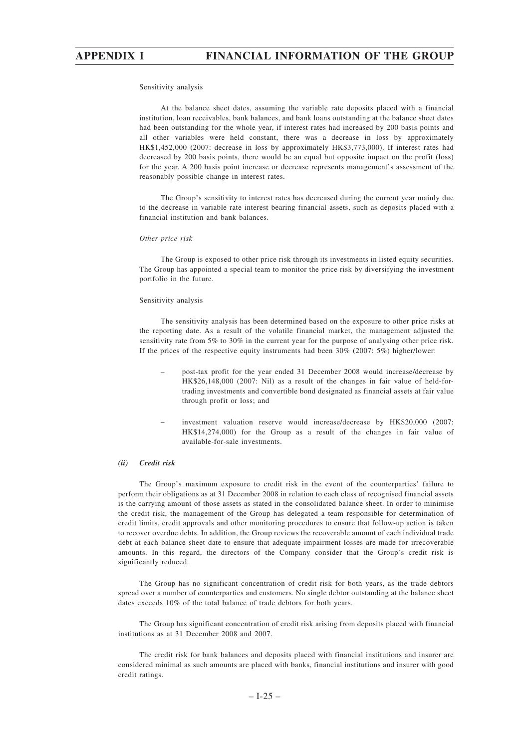### Sensitivity analysis

At the balance sheet dates, assuming the variable rate deposits placed with a financial institution, loan receivables, bank balances, and bank loans outstanding at the balance sheet dates had been outstanding for the whole year, if interest rates had increased by 200 basis points and all other variables were held constant, there was a decrease in loss by approximately HK\$1,452,000 (2007: decrease in loss by approximately HK\$3,773,000). If interest rates had decreased by 200 basis points, there would be an equal but opposite impact on the profit (loss) for the year. A 200 basis point increase or decrease represents management's assessment of the reasonably possible change in interest rates.

The Group's sensitivity to interest rates has decreased during the current year mainly due to the decrease in variable rate interest bearing financial assets, such as deposits placed with a financial institution and bank balances.

## *Other price risk*

The Group is exposed to other price risk through its investments in listed equity securities. The Group has appointed a special team to monitor the price risk by diversifying the investment portfolio in the future.

## Sensitivity analysis

The sensitivity analysis has been determined based on the exposure to other price risks at the reporting date. As a result of the volatile financial market, the management adjusted the sensitivity rate from 5% to 30% in the current year for the purpose of analysing other price risk. If the prices of the respective equity instruments had been 30% (2007: 5%) higher/lower:

- post-tax profit for the year ended 31 December 2008 would increase/decrease by HK\$26,148,000 (2007: Nil) as a result of the changes in fair value of held-fortrading investments and convertible bond designated as financial assets at fair value through profit or loss; and
- investment valuation reserve would increase/decrease by HK\$20,000 (2007: HK\$14,274,000) for the Group as a result of the changes in fair value of available-for-sale investments.

## *(ii) Credit risk*

The Group's maximum exposure to credit risk in the event of the counterparties' failure to perform their obligations as at 31 December 2008 in relation to each class of recognised financial assets is the carrying amount of those assets as stated in the consolidated balance sheet. In order to minimise the credit risk, the management of the Group has delegated a team responsible for determination of credit limits, credit approvals and other monitoring procedures to ensure that follow-up action is taken to recover overdue debts. In addition, the Group reviews the recoverable amount of each individual trade debt at each balance sheet date to ensure that adequate impairment losses are made for irrecoverable amounts. In this regard, the directors of the Company consider that the Group's credit risk is significantly reduced.

The Group has no significant concentration of credit risk for both years, as the trade debtors spread over a number of counterparties and customers. No single debtor outstanding at the balance sheet dates exceeds 10% of the total balance of trade debtors for both years.

The Group has significant concentration of credit risk arising from deposits placed with financial institutions as at 31 December 2008 and 2007.

The credit risk for bank balances and deposits placed with financial institutions and insurer are considered minimal as such amounts are placed with banks, financial institutions and insurer with good credit ratings.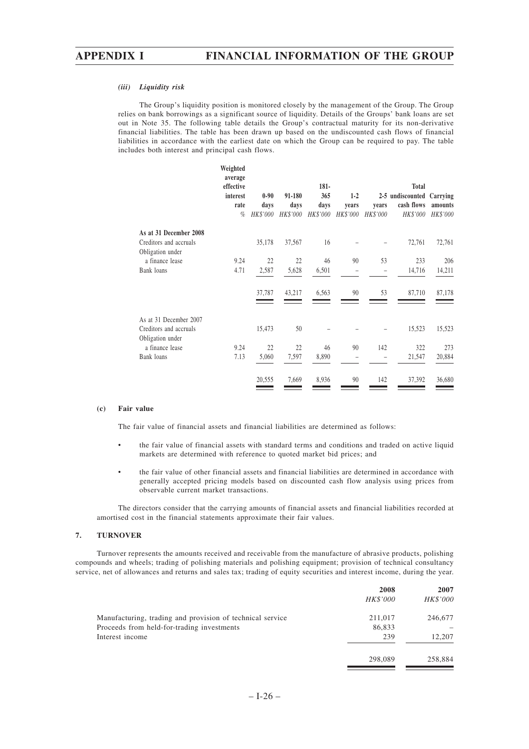#### *(iii) Liquidity risk*

The Group's liquidity position is monitored closely by the management of the Group. The Group relies on bank borrowings as a significant source of liquidity. Details of the Groups' bank loans are set out in Note 35. The following table details the Group's contractual maturity for its non-derivative financial liabilities. The table has been drawn up based on the undiscounted cash flows of financial liabilities in accordance with the earliest date on which the Group can be required to pay. The table includes both interest and principal cash flows.

|                                            | Weighted<br>average<br>effective<br>interest<br>rate<br>% | $0 - 90$<br>days<br>HK\$'000 | 91-180<br>days<br>HK\$'000 | $181 -$<br>365<br>days<br>HK\$'000 | $1-2$<br>vears<br>HK\$'000 | years<br>HK\$'000 | <b>Total</b><br>2-5 undiscounted<br>cash flows<br>HK\$'000 | Carrying<br>amounts<br>HK\$'000 |
|--------------------------------------------|-----------------------------------------------------------|------------------------------|----------------------------|------------------------------------|----------------------------|-------------------|------------------------------------------------------------|---------------------------------|
| As at 31 December 2008                     |                                                           |                              |                            |                                    |                            |                   |                                                            |                                 |
| Creditors and accruals<br>Obligation under |                                                           | 35,178                       | 37,567                     | 16                                 |                            |                   | 72,761                                                     | 72,761                          |
| a finance lease                            | 9.24                                                      | 22                           | 22                         | 46                                 | 90                         | 53                | 233                                                        | 206                             |
| Bank loans                                 | 4.71                                                      | 2,587                        | 5,628                      | 6,501                              |                            |                   | 14,716                                                     | 14,211                          |
|                                            |                                                           | 37,787                       | 43,217                     | 6,563                              | 90                         | 53                | 87,710                                                     | 87,178                          |
| As at 31 December 2007                     |                                                           |                              |                            |                                    |                            |                   |                                                            |                                 |
| Creditors and accruals<br>Obligation under |                                                           | 15,473                       | 50                         |                                    |                            |                   | 15,523                                                     | 15,523                          |
| a finance lease                            | 9.24                                                      | 22                           | 22                         | 46                                 | 90                         | 142               | 322                                                        | 273                             |
| Bank loans                                 | 7.13                                                      | 5,060                        | 7,597                      | 8,890                              | -                          |                   | 21,547                                                     | 20,884                          |
|                                            |                                                           | 20,555                       | 7,669                      | 8,936                              | 90                         | 142               | 37,392                                                     | 36,680                          |

### **(c) Fair value**

The fair value of financial assets and financial liabilities are determined as follows:

- the fair value of financial assets with standard terms and conditions and traded on active liquid markets are determined with reference to quoted market bid prices; and
- the fair value of other financial assets and financial liabilities are determined in accordance with generally accepted pricing models based on discounted cash flow analysis using prices from observable current market transactions.

The directors consider that the carrying amounts of financial assets and financial liabilities recorded at amortised cost in the financial statements approximate their fair values.

# **7. TURNOVER**

Turnover represents the amounts received and receivable from the manufacture of abrasive products, polishing compounds and wheels; trading of polishing materials and polishing equipment; provision of technical consultancy service, net of allowances and returns and sales tax; trading of equity securities and interest income, during the year.

|                                                           | 2008            | 2007            |
|-----------------------------------------------------------|-----------------|-----------------|
|                                                           | <i>HK\$'000</i> | <b>HK\$'000</b> |
| Manufacturing, trading and provision of technical service | 211,017         | 246,677         |
| Proceeds from held-for-trading investments                | 86,833          |                 |
| Interest income                                           | 239             | 12,207          |
|                                                           | 298,089         | 258,884         |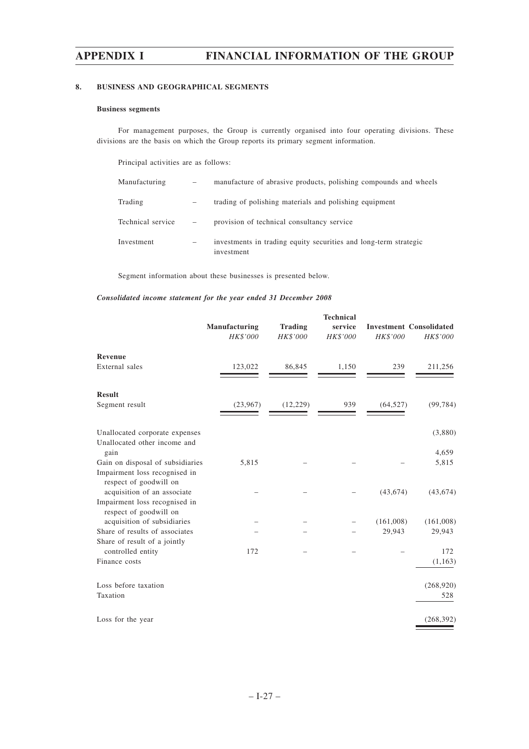# **8. BUSINESS AND GEOGRAPHICAL SEGMENTS**

# **Business segments**

For management purposes, the Group is currently organised into four operating divisions. These divisions are the basis on which the Group reports its primary segment information.

Principal activities are as follows:

| Manufacturing     | $\overline{\phantom{a}}$     | manufacture of abrasive products, polishing compounds and wheels               |
|-------------------|------------------------------|--------------------------------------------------------------------------------|
| Trading           |                              | trading of polishing materials and polishing equipment                         |
| Technical service | $\qquad \qquad$              | provision of technical consultancy service                                     |
| Investment        | $\qquad \qquad \blacksquare$ | investments in trading equity securities and long-term strategic<br>investment |

Segment information about these businesses is presented below.

# *Consolidated income statement for the year ended 31 December 2008*

|                                                         | Manufacturing<br><b>HK\$'000</b> | <b>Trading</b><br>HK\$'000 | <b>Technical</b><br>service<br>HK\$'000 | <b>HK\$'000</b> | <b>Investment Consolidated</b><br>HK\$'000 |
|---------------------------------------------------------|----------------------------------|----------------------------|-----------------------------------------|-----------------|--------------------------------------------|
| <b>Revenue</b>                                          |                                  |                            |                                         |                 |                                            |
| External sales                                          | 123,022                          | 86,845                     | 1,150                                   | 239             | 211,256                                    |
| <b>Result</b>                                           |                                  |                            |                                         |                 |                                            |
| Segment result                                          | (23,967)                         | (12, 229)                  | 939                                     | (64, 527)       | (99, 784)                                  |
| Unallocated corporate expenses                          |                                  |                            |                                         |                 | (3,880)                                    |
| Unallocated other income and<br>gain                    |                                  |                            |                                         |                 | 4,659                                      |
| Gain on disposal of subsidiaries                        | 5,815                            |                            |                                         |                 | 5,815                                      |
| Impairment loss recognised in<br>respect of goodwill on |                                  |                            |                                         |                 |                                            |
| acquisition of an associate                             |                                  |                            |                                         | (43, 674)       | (43, 674)                                  |
| Impairment loss recognised in<br>respect of goodwill on |                                  |                            |                                         |                 |                                            |
| acquisition of subsidiaries                             |                                  |                            |                                         | (161,008)       | (161,008)                                  |
| Share of results of associates                          |                                  |                            |                                         | 29,943          | 29,943                                     |
| Share of result of a jointly<br>controlled entity       | 172                              |                            |                                         |                 | 172                                        |
| Finance costs                                           |                                  |                            |                                         |                 | (1, 163)                                   |
| Loss before taxation                                    |                                  |                            |                                         |                 | (268,920)                                  |
| Taxation                                                |                                  |                            |                                         |                 | 528                                        |
| Loss for the year                                       |                                  |                            |                                         |                 | (268, 392)                                 |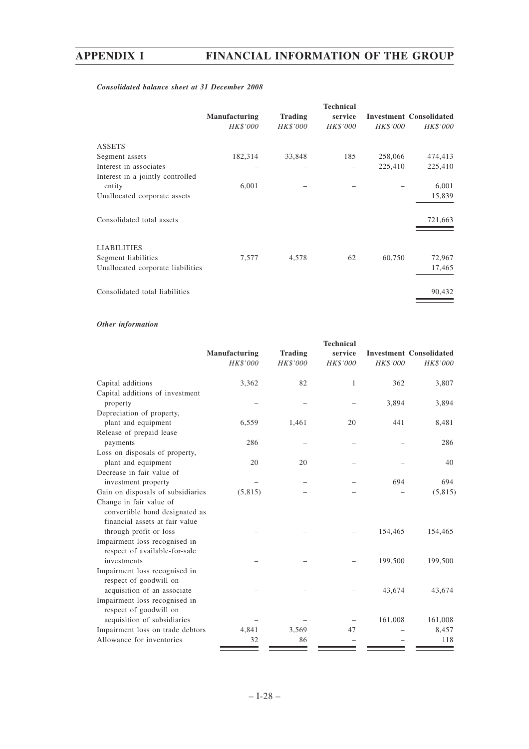# *Consolidated balance sheet at 31 December 2008*

|                                   | <b>Manufacturing</b><br>HK\$'000 | <b>Trading</b><br>HK\$'000 | <b>Technical</b><br>service<br>HK\$'000 | HK\$'000 | <b>Investment Consolidated</b><br>HK\$'000 |
|-----------------------------------|----------------------------------|----------------------------|-----------------------------------------|----------|--------------------------------------------|
| <b>ASSETS</b>                     |                                  |                            |                                         |          |                                            |
| Segment assets                    | 182,314                          | 33,848                     | 185                                     | 258,066  | 474,413                                    |
| Interest in associates            |                                  |                            |                                         | 225,410  | 225,410                                    |
| Interest in a jointly controlled  |                                  |                            |                                         |          |                                            |
| entity                            | 6,001                            |                            |                                         |          | 6,001                                      |
| Unallocated corporate assets      |                                  |                            |                                         |          | 15,839                                     |
| Consolidated total assets         |                                  |                            |                                         |          | 721,663                                    |
| <b>LIABILITIES</b>                |                                  |                            |                                         |          |                                            |
| Segment liabilities               | 7,577                            | 4,578                      | 62                                      | 60,750   | 72,967                                     |
| Unallocated corporate liabilities |                                  |                            |                                         |          | 17,465                                     |
| Consolidated total liabilities    |                                  |                            |                                         |          | 90,432                                     |

# *Other information*

|                                   | Manufacturing<br><b>HK\$'000</b> | <b>Trading</b><br>HK\$'000 | <b>Technical</b><br>service<br>HK\$'000 | HK\$'000 | <b>Investment Consolidated</b><br>HK\$'000 |
|-----------------------------------|----------------------------------|----------------------------|-----------------------------------------|----------|--------------------------------------------|
| Capital additions                 | 3,362                            | 82                         | 1                                       | 362      | 3,807                                      |
| Capital additions of investment   |                                  |                            |                                         |          |                                            |
| property                          |                                  |                            |                                         | 3,894    | 3,894                                      |
| Depreciation of property,         |                                  |                            |                                         |          |                                            |
| plant and equipment               | 6,559                            | 1,461                      | 20                                      | 441      | 8,481                                      |
| Release of prepaid lease          |                                  |                            |                                         |          |                                            |
| payments                          | 286                              |                            |                                         |          | 286                                        |
| Loss on disposals of property,    |                                  |                            |                                         |          |                                            |
| plant and equipment               | 20                               | 20                         |                                         |          | 40                                         |
| Decrease in fair value of         |                                  |                            |                                         |          |                                            |
| investment property               |                                  |                            |                                         | 694      | 694                                        |
| Gain on disposals of subsidiaries | (5,815)                          |                            |                                         |          | (5,815)                                    |
| Change in fair value of           |                                  |                            |                                         |          |                                            |
| convertible bond designated as    |                                  |                            |                                         |          |                                            |
| financial assets at fair value    |                                  |                            |                                         |          |                                            |
| through profit or loss            |                                  |                            |                                         | 154,465  | 154,465                                    |
| Impairment loss recognised in     |                                  |                            |                                         |          |                                            |
| respect of available-for-sale     |                                  |                            |                                         |          |                                            |
| investments                       |                                  |                            |                                         | 199,500  | 199,500                                    |
| Impairment loss recognised in     |                                  |                            |                                         |          |                                            |
| respect of goodwill on            |                                  |                            |                                         |          |                                            |
| acquisition of an associate       |                                  |                            |                                         | 43,674   | 43,674                                     |
| Impairment loss recognised in     |                                  |                            |                                         |          |                                            |
| respect of goodwill on            |                                  |                            |                                         |          |                                            |
| acquisition of subsidiaries       |                                  |                            |                                         | 161,008  | 161,008                                    |
| Impairment loss on trade debtors  | 4,841                            | 3,569                      | 47                                      |          | 8,457                                      |
| Allowance for inventories         | 32                               | 86                         |                                         |          | 118                                        |
|                                   |                                  |                            |                                         |          |                                            |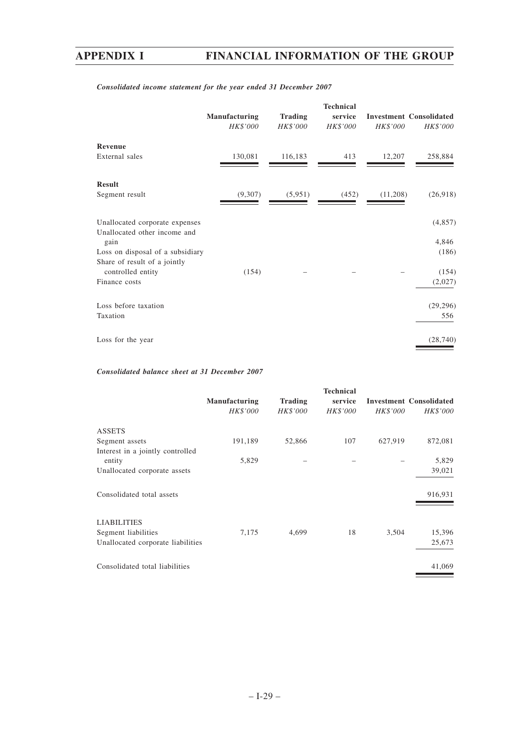# **Technical Manufacturing Trading service Investment Consolidated** *HK\$'000 HK\$'000 HK\$'000 HK\$'000 HK\$'000* **Revenue** External sales 130,081 116,183 413 12,207 258,884 ۰ **Result** Segment result (9,307) (5,951) (452) (11,208) (26,918) Unallocated corporate expenses (4,857) Unallocated other income and gain and the set of the set of the set of the set of the set of the set of the set of the set of the set of the set of the set of the set of the set of the set of the set of the set of the set of the set of the set of the Loss on disposal of a subsidiary (186) (186) Share of result of a jointly controlled entity  $(154)$  – – – (154) Finance costs (2,027) Loss before taxation (29,296) Taxation 556 Loss for the year (28,740)

# *Consolidated income statement for the year ended 31 December 2007*

# *Consolidated balance sheet at 31 December 2007*

|                                   | Manufacturing<br>HK\$'000 | <b>Trading</b><br>HK\$'000 | <b>Technical</b><br>service<br>HK\$'000 | HK\$'000 | <b>Investment Consolidated</b><br>HK\$'000 |
|-----------------------------------|---------------------------|----------------------------|-----------------------------------------|----------|--------------------------------------------|
| <b>ASSETS</b>                     |                           |                            |                                         |          |                                            |
| Segment assets                    | 191,189                   | 52,866                     | 107                                     | 627,919  | 872,081                                    |
| Interest in a jointly controlled  |                           |                            |                                         |          |                                            |
| entity                            | 5,829                     |                            |                                         |          | 5,829                                      |
| Unallocated corporate assets      |                           |                            |                                         |          | 39,021                                     |
| Consolidated total assets         |                           |                            |                                         |          | 916,931                                    |
| <b>LIABILITIES</b>                |                           |                            |                                         |          |                                            |
| Segment liabilities               | 7,175                     | 4,699                      | 18                                      | 3,504    | 15,396                                     |
| Unallocated corporate liabilities |                           |                            |                                         |          | 25,673                                     |
| Consolidated total liabilities    |                           |                            |                                         |          | 41,069                                     |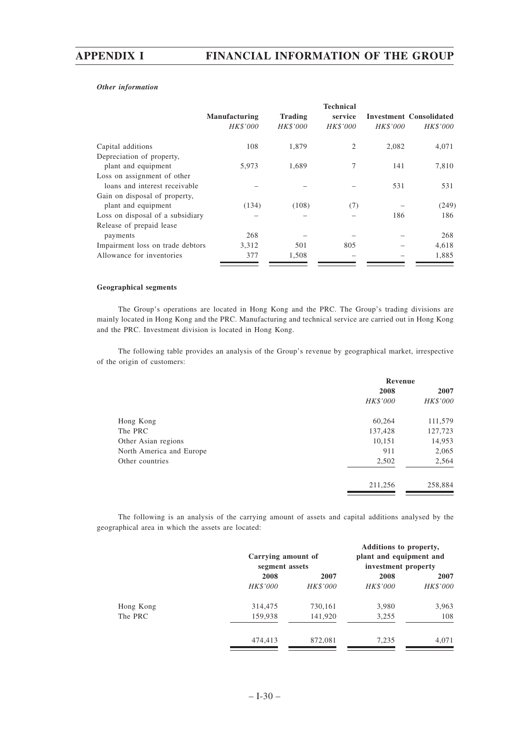# *Other information*

|                                  |                 |                | <b>Technical</b> |                 |                                |
|----------------------------------|-----------------|----------------|------------------|-----------------|--------------------------------|
|                                  | Manufacturing   | <b>Trading</b> | service          |                 | <b>Investment Consolidated</b> |
|                                  | <b>HK\$'000</b> | HK\$'000       | <b>HK\$'000</b>  | <b>HK\$'000</b> | <i>HK\$'000</i>                |
| Capital additions                | 108             | 1,879          | $\overline{c}$   | 2.082           | 4,071                          |
| Depreciation of property,        |                 |                |                  |                 |                                |
| plant and equipment              | 5,973           | 1.689          | 7                | 141             | 7,810                          |
| Loss on assignment of other      |                 |                |                  |                 |                                |
| loans and interest receivable    |                 |                |                  | 531             | 531                            |
| Gain on disposal of property,    |                 |                |                  |                 |                                |
| plant and equipment              | (134)           | (108)          | (7)              |                 | (249)                          |
| Loss on disposal of a subsidiary |                 |                |                  | 186             | 186                            |
| Release of prepaid lease         |                 |                |                  |                 |                                |
| payments                         | 268             |                |                  |                 | 268                            |
| Impairment loss on trade debtors | 3,312           | 501            | 805              |                 | 4,618                          |
| Allowance for inventories        | 377             | 1,508          |                  |                 | 1,885                          |

## **Geographical segments**

The Group's operations are located in Hong Kong and the PRC. The Group's trading divisions are mainly located in Hong Kong and the PRC. Manufacturing and technical service are carried out in Hong Kong and the PRC. Investment division is located in Hong Kong.

The following table provides an analysis of the Group's revenue by geographical market, irrespective of the origin of customers:

|                          | Revenue  |          |  |
|--------------------------|----------|----------|--|
|                          | 2008     | 2007     |  |
|                          | HK\$'000 | HK\$'000 |  |
| Hong Kong                | 60,264   | 111,579  |  |
| The PRC                  | 137,428  | 127,723  |  |
| Other Asian regions      | 10,151   | 14,953   |  |
| North America and Europe | 911      | 2,065    |  |
| Other countries          | 2,502    | 2,564    |  |
|                          | 211,256  | 258,884  |  |

The following is an analysis of the carrying amount of assets and capital additions analysed by the geographical area in which the assets are located:

|           |          | Carrying amount of<br>segment assets |          | Additions to property,<br>plant and equipment and<br>investment property |
|-----------|----------|--------------------------------------|----------|--------------------------------------------------------------------------|
|           | 2008     | 2007                                 | 2008     | 2007                                                                     |
|           | HK\$'000 | <i>HK\$'000</i>                      | HK\$'000 | HK\$'000                                                                 |
| Hong Kong | 314,475  | 730,161                              | 3,980    | 3,963                                                                    |
| The PRC   | 159,938  | 141,920                              | 3,255    | 108                                                                      |
|           | 474,413  | 872,081                              | 7,235    | 4,071                                                                    |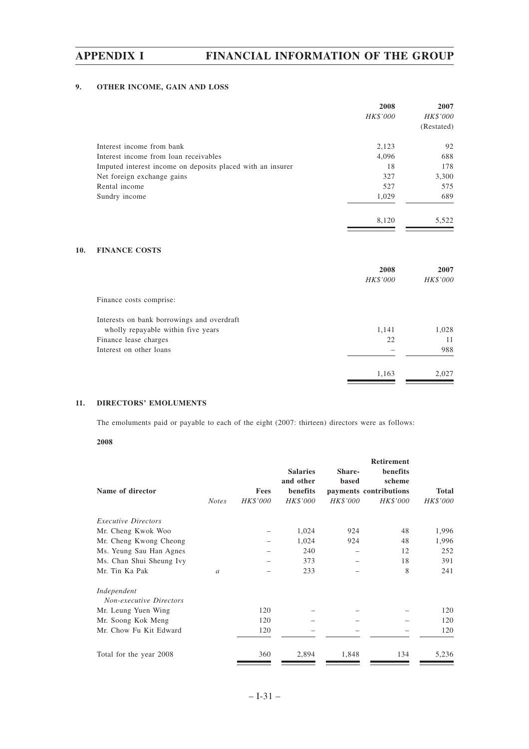# **9. OTHER INCOME, GAIN AND LOSS**

|                                                            | 2008<br>HK\$'000 | 2007<br>HK\$'000<br>(Restated) |
|------------------------------------------------------------|------------------|--------------------------------|
| Interest income from bank                                  | 2,123            | 92                             |
| Interest income from loan receivables                      | 4,096            | 688                            |
| Imputed interest income on deposits placed with an insurer | 18               | 178                            |
| Net foreign exchange gains                                 | 327              | 3,300                          |
| Rental income                                              | 527              | 575                            |
| Sundry income                                              | 1,029            | 689                            |
|                                                            | 8,120            | 5,522                          |

# **10. FINANCE COSTS**

|                                            | 2008<br>HK\$'000 | 2007<br>HK\$'000 |
|--------------------------------------------|------------------|------------------|
| Finance costs comprise:                    |                  |                  |
| Interests on bank borrowings and overdraft |                  |                  |
| wholly repayable within five years         | 1,141            | 1,028            |
| Finance lease charges                      | 22               | 11               |
| Interest on other loans                    |                  | 988              |
|                                            | 1,163            | 2,027            |

# **11. DIRECTORS' EMOLUMENTS**

The emoluments paid or payable to each of the eight (2007: thirteen) directors were as follows:

# **2008**

| Name of director                              | <b>Notes</b>  | Fees<br>HK\$'000 | <b>Salaries</b><br>and other<br>benefits<br>HK\$'000 | Share-<br><b>based</b><br>HK\$'000 | <b>Retirement</b><br>benefits<br>scheme<br>payments contributions<br>HK\$'000 | <b>Total</b><br>HK\$'000 |
|-----------------------------------------------|---------------|------------------|------------------------------------------------------|------------------------------------|-------------------------------------------------------------------------------|--------------------------|
| <i>Executive Directors</i>                    |               |                  |                                                      |                                    |                                                                               |                          |
| Mr. Cheng Kwok Woo                            |               |                  | 1,024                                                | 924                                | 48                                                                            | 1,996                    |
| Mr. Cheng Kwong Cheong                        |               |                  | 1,024                                                | 924                                | 48                                                                            | 1,996                    |
| Ms. Yeung Sau Han Agnes                       |               |                  | 240                                                  |                                    | 12                                                                            | 252                      |
| Ms. Chan Shui Sheung Ivy                      |               |                  | 373                                                  |                                    | 18                                                                            | 391                      |
| Mr. Tin Ka Pak                                | $\mathfrak a$ |                  | 233                                                  |                                    | 8                                                                             | 241                      |
| Independent<br><b>Non-executive Directors</b> |               |                  |                                                      |                                    |                                                                               |                          |
| Mr. Leung Yuen Wing                           |               | 120              |                                                      |                                    |                                                                               | 120                      |
| Mr. Soong Kok Meng                            |               | 120              |                                                      |                                    |                                                                               | 120                      |
| Mr. Chow Fu Kit Edward                        |               | 120              |                                                      |                                    |                                                                               | 120                      |
| Total for the year 2008                       |               | 360              | 2,894                                                | 1,848                              | 134                                                                           | 5,236                    |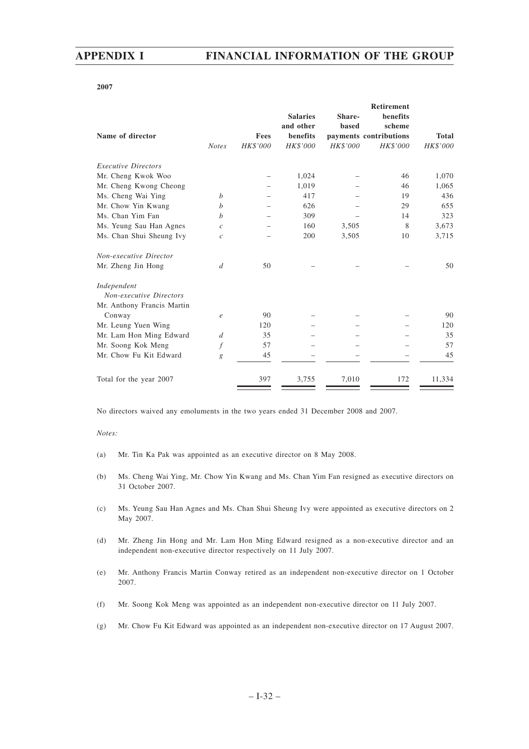## **2007**

|                   |          |                              |                 | <b>Retirement</b>  |                        |
|-------------------|----------|------------------------------|-----------------|--------------------|------------------------|
|                   |          | <b>Salaries</b><br>and other | Share-<br>based | benefits<br>scheme |                        |
|                   | Fees     | benefits                     |                 |                    | <b>Total</b>           |
| <b>Notes</b>      | HK\$'000 | HK\$'000                     | HK\$'000        | <b>HK\$'000</b>    | <b>HK\$'000</b>        |
|                   |          |                              |                 |                    |                        |
|                   |          | 1,024                        |                 | 46                 | 1,070                  |
|                   |          | 1,019                        |                 | 46                 | 1,065                  |
| $\boldsymbol{b}$  |          | 417                          |                 | 19                 | 436                    |
| h                 |          | 626                          |                 | 29                 | 655                    |
| b                 |          | 309                          |                 | 14                 | 323                    |
| $\mathcal{C}_{0}$ |          | 160                          | 3,505           | 8                  | 3,673                  |
| $\mathcal{C}_{0}$ |          | 200                          | 3,505           | 10                 | 3,715                  |
|                   |          |                              |                 |                    |                        |
| d                 | 50       |                              |                 |                    | 50                     |
|                   |          |                              |                 |                    |                        |
|                   |          |                              |                 |                    |                        |
|                   |          |                              |                 |                    |                        |
| $\epsilon$        | 90       |                              |                 |                    | 90                     |
|                   | 120      |                              |                 |                    | 120                    |
| $\boldsymbol{d}$  | 35       |                              |                 |                    | 35                     |
| f                 | 57       |                              |                 |                    | 57                     |
| g                 | 45       |                              |                 |                    | 45                     |
|                   | 397      | 3,755                        | 7,010           | 172                | 11,334                 |
|                   |          |                              |                 |                    | payments contributions |

No directors waived any emoluments in the two years ended 31 December 2008 and 2007.

### *Notes:*

- (a) Mr. Tin Ka Pak was appointed as an executive director on 8 May 2008.
- (b) Ms. Cheng Wai Ying, Mr. Chow Yin Kwang and Ms. Chan Yim Fan resigned as executive directors on 31 October 2007.
- (c) Ms. Yeung Sau Han Agnes and Ms. Chan Shui Sheung Ivy were appointed as executive directors on 2 May 2007.
- (d) Mr. Zheng Jin Hong and Mr. Lam Hon Ming Edward resigned as a non-executive director and an independent non-executive director respectively on 11 July 2007.
- (e) Mr. Anthony Francis Martin Conway retired as an independent non-executive director on 1 October 2007.
- (f) Mr. Soong Kok Meng was appointed as an independent non-executive director on 11 July 2007.
- (g) Mr. Chow Fu Kit Edward was appointed as an independent non-executive director on 17 August 2007.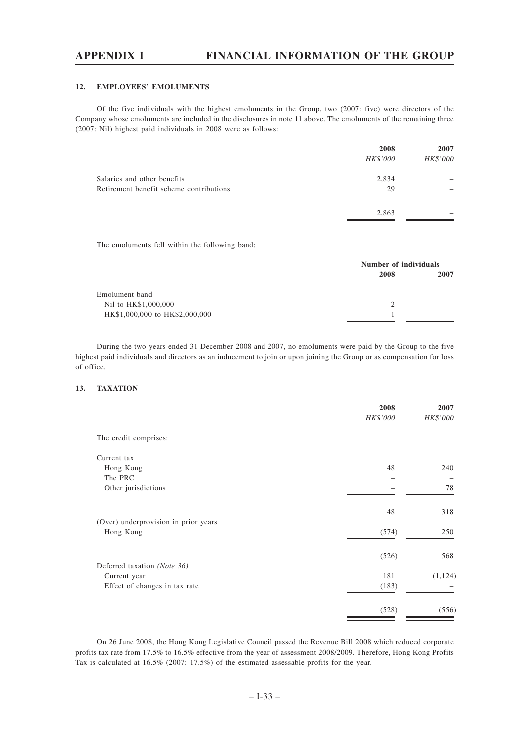## **12. EMPLOYEES' EMOLUMENTS**

Of the five individuals with the highest emoluments in the Group, two (2007: five) were directors of the Company whose emoluments are included in the disclosures in note 11 above. The emoluments of the remaining three (2007: Nil) highest paid individuals in 2008 were as follows:

|                                         | 2008            | 2007     |
|-----------------------------------------|-----------------|----------|
|                                         | <b>HK\$'000</b> | HK\$'000 |
| Salaries and other benefits             | 2,834           |          |
| Retirement benefit scheme contributions | 29              |          |
|                                         | 2,863           |          |
|                                         |                 |          |

The emoluments fell within the following band:

|                                |               | Number of individuals    |  |  |
|--------------------------------|---------------|--------------------------|--|--|
|                                | 2008          | 2007                     |  |  |
| Emolument band                 |               |                          |  |  |
| Nil to HK\$1,000,000           | $\mathcal{L}$ |                          |  |  |
| HK\$1,000,000 to HK\$2,000,000 |               | $\overline{\phantom{a}}$ |  |  |
|                                |               |                          |  |  |

During the two years ended 31 December 2008 and 2007, no emoluments were paid by the Group to the five highest paid individuals and directors as an inducement to join or upon joining the Group or as compensation for loss of office.

# **13. TAXATION**

|                                      | 2008<br>HK\$'000 | 2007<br>HK\$'000 |
|--------------------------------------|------------------|------------------|
| The credit comprises:                |                  |                  |
| Current tax                          |                  |                  |
| Hong Kong                            | 48               | 240              |
| The PRC                              |                  |                  |
| Other jurisdictions                  |                  | 78               |
|                                      | 48               | 318              |
| (Over) underprovision in prior years |                  |                  |
| Hong Kong                            | (574)            | 250              |
|                                      | (526)            | 568              |
| Deferred taxation (Note 36)          |                  |                  |
| Current year                         | 181              | (1, 124)         |
| Effect of changes in tax rate        | (183)            |                  |
|                                      | (528)            | (556)            |

On 26 June 2008, the Hong Kong Legislative Council passed the Revenue Bill 2008 which reduced corporate profits tax rate from 17.5% to 16.5% effective from the year of assessment 2008/2009. Therefore, Hong Kong Profits Tax is calculated at 16.5% (2007: 17.5%) of the estimated assessable profits for the year.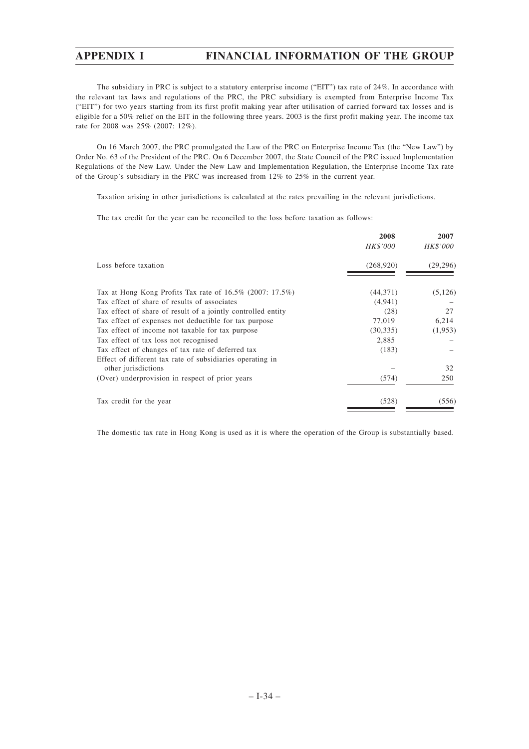The subsidiary in PRC is subject to a statutory enterprise income ("EIT") tax rate of 24%. In accordance with the relevant tax laws and regulations of the PRC, the PRC subsidiary is exempted from Enterprise Income Tax ("EIT") for two years starting from its first profit making year after utilisation of carried forward tax losses and is eligible for a 50% relief on the EIT in the following three years. 2003 is the first profit making year. The income tax rate for 2008 was 25% (2007: 12%).

On 16 March 2007, the PRC promulgated the Law of the PRC on Enterprise Income Tax (the "New Law") by Order No. 63 of the President of the PRC. On 6 December 2007, the State Council of the PRC issued Implementation Regulations of the New Law. Under the New Law and Implementation Regulation, the Enterprise Income Tax rate of the Group's subsidiary in the PRC was increased from 12% to 25% in the current year.

Taxation arising in other jurisdictions is calculated at the rates prevailing in the relevant jurisdictions.

The tax credit for the year can be reconciled to the loss before taxation as follows:

|                                                                        | 2008<br>HK\$'000 | 2007<br>HK\$'000 |
|------------------------------------------------------------------------|------------------|------------------|
| Loss before taxation                                                   | (268,920)        | (29,296)         |
| Tax at Hong Kong Profits Tax rate of $16.5\%$ (2007: 17.5%)            | (44,371)         | (5,126)          |
| Tax effect of share of results of associates                           | (4,941)          |                  |
| Tax effect of share of result of a jointly controlled entity           | (28)             | 27               |
| Tax effect of expenses not deductible for tax purpose                  | 77,019           | 6,214            |
| Tax effect of income not taxable for tax purpose                       | (30, 335)        | (1,953)          |
| Tax effect of tax loss not recognised                                  | 2,885            |                  |
| Tax effect of changes of tax rate of deferred tax                      | (183)            |                  |
| Effect of different tax rate of subsidiaries operating in              |                  | 32               |
| other jurisdictions<br>(Over) underprovision in respect of prior years | (574)            | 250              |
| Tax credit for the year                                                | (528)            | (556)            |

The domestic tax rate in Hong Kong is used as it is where the operation of the Group is substantially based.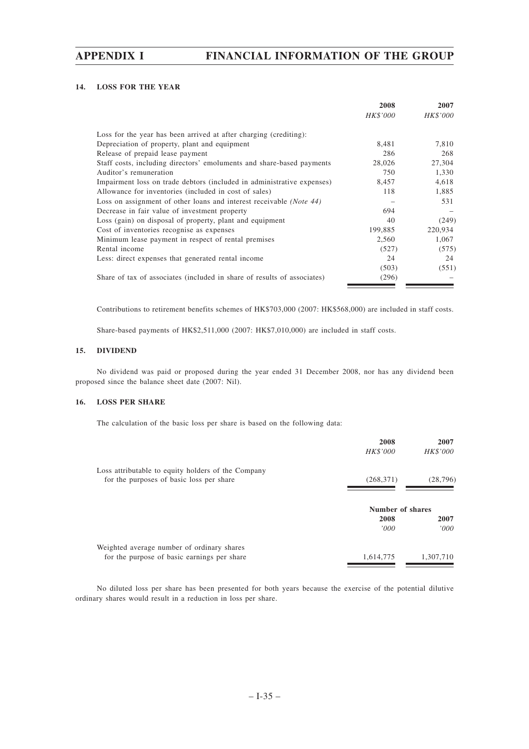# **14. LOSS FOR THE YEAR**

|                                                                         | 2008     | 2007     |
|-------------------------------------------------------------------------|----------|----------|
|                                                                         | HK\$'000 | HK\$'000 |
| Loss for the year has been arrived at after charging (crediting):       |          |          |
| Depreciation of property, plant and equipment                           | 8,481    | 7,810    |
| Release of prepaid lease payment                                        | 286      | 268      |
| Staff costs, including directors' emoluments and share-based payments   | 28,026   | 27,304   |
| Auditor's remuneration                                                  | 750      | 1,330    |
| Impairment loss on trade debtors (included in administrative expenses)  | 8,457    | 4,618    |
| Allowance for inventories (included in cost of sales)                   | 118      | 1,885    |
| Loss on assignment of other loans and interest receivable (Note 44)     |          | 531      |
| Decrease in fair value of investment property                           | 694      |          |
| Loss (gain) on disposal of property, plant and equipment                | 40       | (249)    |
| Cost of inventories recognise as expenses                               | 199,885  | 220,934  |
| Minimum lease payment in respect of rental premises                     | 2,560    | 1,067    |
| Rental income                                                           | (527)    | (575)    |
| Less: direct expenses that generated rental income                      | 24       | 24       |
|                                                                         | (503)    | (551)    |
| Share of tax of associates (included in share of results of associates) | (296)    |          |

Contributions to retirement benefits schemes of HK\$703,000 (2007: HK\$568,000) are included in staff costs.

Share-based payments of HK\$2,511,000 (2007: HK\$7,010,000) are included in staff costs.

## **15. DIVIDEND**

No dividend was paid or proposed during the year ended 31 December 2008, nor has any dividend been proposed since the balance sheet date (2007: Nil).

# **16. LOSS PER SHARE**

The calculation of the basic loss per share is based on the following data:

|                                                                                                | 2008<br><b>HK\$'000</b> | 2007<br>HK\$'000 |
|------------------------------------------------------------------------------------------------|-------------------------|------------------|
| Loss attributable to equity holders of the Company<br>for the purposes of basic loss per share | (268, 371)              | (28, 796)        |
|                                                                                                | Number of shares        |                  |
|                                                                                                |                         |                  |
|                                                                                                | 2008<br>'000'           | 2007<br>'000'    |
| Weighted average number of ordinary shares                                                     |                         |                  |
| for the purpose of basic earnings per share                                                    | 1,614,775               | 1,307,710        |

No diluted loss per share has been presented for both years because the exercise of the potential dilutive ordinary shares would result in a reduction in loss per share.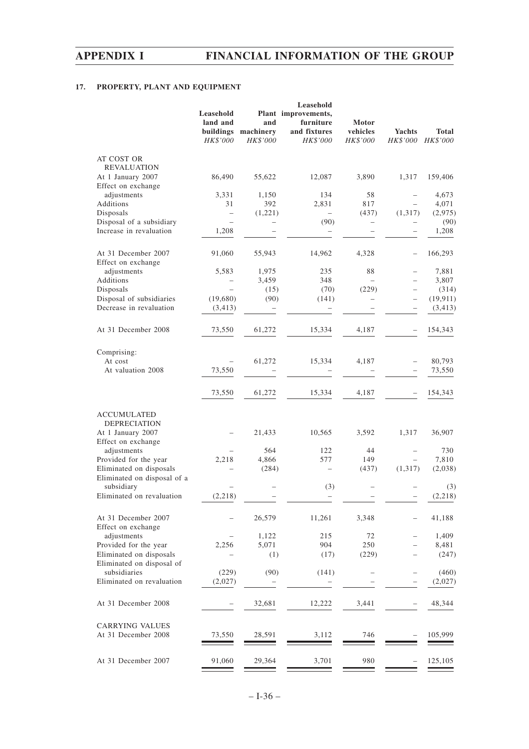# **17. PROPERTY, PLANT AND EQUIPMENT**

|                                                        | Leasehold<br>land and<br>buildings<br>HK\$'000 | and<br>machinery<br>HK\$'000 | Leasehold<br>Plant improvements,<br>furniture<br>and fixtures<br>HK\$'000 | Motor<br>vehicles<br>HK\$'000 | Yachts<br>HK\$'000       | Total<br>HK\$'000     |
|--------------------------------------------------------|------------------------------------------------|------------------------------|---------------------------------------------------------------------------|-------------------------------|--------------------------|-----------------------|
| AT COST OR<br><b>REVALUATION</b>                       |                                                |                              |                                                                           |                               |                          |                       |
| At 1 January 2007<br>Effect on exchange                | 86,490                                         | 55,622                       | 12,087                                                                    | 3,890                         | 1,317                    | 159,406               |
| adjustments                                            | 3,331                                          | 1,150                        | 134                                                                       | 58                            |                          | 4,673                 |
| Additions                                              | 31                                             | 392                          | 2,831                                                                     | 817                           |                          | 4,071                 |
| Disposals                                              | $\overline{\phantom{0}}$                       | (1,221)                      | $\overline{\phantom{0}}$                                                  | (437)                         | (1, 317)                 | (2,975)               |
| Disposal of a subsidiary<br>Increase in revaluation    | 1,208                                          | $\overline{\phantom{0}}$     | (90)                                                                      | $\overline{\phantom{0}}$      | -                        | (90)<br>1,208         |
| At 31 December 2007<br>Effect on exchange              | 91,060                                         | 55,943                       | 14,962                                                                    | 4,328                         | $\qquad \qquad -$        | 166,293               |
| adjustments                                            | 5,583                                          | 1,975                        | 235                                                                       | 88                            |                          | 7,881                 |
| Additions                                              |                                                | 3,459                        | 348                                                                       |                               |                          | 3,807                 |
| Disposals                                              |                                                | (15)                         | (70)                                                                      | (229)                         |                          | (314)                 |
| Disposal of subsidiaries<br>Decrease in revaluation    | (19,680)<br>(3, 413)                           | (90)                         | (141)                                                                     |                               | $\overline{\phantom{0}}$ | (19, 911)<br>(3, 413) |
| At 31 December 2008                                    | 73,550                                         | 61,272                       | 15,334                                                                    | 4,187                         |                          | 154,343               |
| Comprising:                                            |                                                |                              |                                                                           |                               |                          |                       |
| At cost<br>At valuation 2008                           | 73,550                                         | 61,272                       | 15,334                                                                    | 4,187                         | $\overline{\phantom{0}}$ | 80,793<br>73,550      |
|                                                        |                                                |                              |                                                                           |                               |                          |                       |
|                                                        | 73,550                                         | 61,272                       | 15,334                                                                    | 4,187                         |                          | 154,343               |
| <b>ACCUMULATED</b><br><b>DEPRECIATION</b>              |                                                |                              |                                                                           |                               |                          |                       |
| At 1 January 2007<br>Effect on exchange                |                                                | 21,433                       | 10,565                                                                    | 3,592                         | 1,317                    | 36,907                |
| adjustments                                            |                                                | 564                          | 122                                                                       | 44                            |                          | 730                   |
| Provided for the year                                  | 2,218                                          | 4,866                        | 577                                                                       | 149                           |                          | 7,810                 |
| Eliminated on disposals<br>Eliminated on disposal of a |                                                | (284)                        |                                                                           | (437)                         | (1,317)                  | (2,038)               |
| subsidiary<br>Eliminated on revaluation                | (2,218)                                        |                              | (3)<br>$\overline{\phantom{0}}$                                           |                               | $\qquad \qquad -$        | (3)<br>(2,218)        |
| At 31 December 2007                                    |                                                | 26,579                       | 11,261                                                                    | 3,348                         |                          | 41,188                |
| Effect on exchange<br>adjustments                      |                                                | 1,122                        | 215                                                                       | 72                            |                          | 1,409                 |
| Provided for the year                                  | 2,256                                          | 5,071                        | 904                                                                       | 250                           |                          | 8,481                 |
| Eliminated on disposals<br>Eliminated on disposal of   |                                                | (1)                          | (17)                                                                      | (229)                         |                          | (247)                 |
| subsidiaries                                           | (229)                                          | (90)                         | (141)                                                                     |                               |                          | (460)                 |
| Eliminated on revaluation                              | (2,027)                                        |                              |                                                                           |                               |                          | (2,027)               |
| At 31 December 2008                                    |                                                | 32,681                       | 12,222                                                                    | 3,441                         |                          | 48,344                |
| <b>CARRYING VALUES</b><br>At 31 December 2008          | 73,550                                         | 28,591                       | 3,112                                                                     | 746                           |                          | 105,999               |
| At 31 December 2007                                    | 91,060                                         | 29,364                       | 3,701                                                                     | 980                           |                          | 125,105               |
|                                                        |                                                |                              |                                                                           |                               |                          |                       |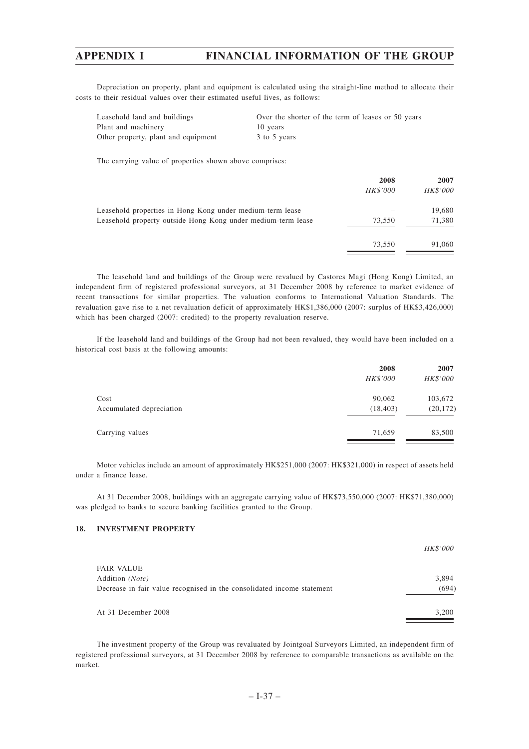Depreciation on property, plant and equipment is calculated using the straight-line method to allocate their costs to their residual values over their estimated useful lives, as follows:

| Leasehold land and buildings        | Over the shorter of the term of leases or 50 years |
|-------------------------------------|----------------------------------------------------|
| Plant and machinery                 | 10 years                                           |
| Other property, plant and equipment | 3 to 5 years                                       |

The carrying value of properties shown above comprises:

| 2008     | 2007     |
|----------|----------|
| HK\$'000 | HK\$'000 |
|          | 19,680   |
| 73.550   | 71,380   |
| 73.550   | 91,060   |
|          |          |

The leasehold land and buildings of the Group were revalued by Castores Magi (Hong Kong) Limited, an independent firm of registered professional surveyors, at 31 December 2008 by reference to market evidence of recent transactions for similar properties. The valuation conforms to International Valuation Standards. The revaluation gave rise to a net revaluation deficit of approximately HK\$1,386,000 (2007: surplus of HK\$3,426,000) which has been charged (2007: credited) to the property revaluation reserve.

If the leasehold land and buildings of the Group had not been revalued, they would have been included on a historical cost basis at the following amounts:

|                          | 2008      | 2007      |
|--------------------------|-----------|-----------|
|                          | HK\$'000  | HK\$'000  |
| Cost                     | 90,062    | 103,672   |
| Accumulated depreciation | (18, 403) | (20, 172) |
| Carrying values          | 71.659    | 83,500    |
|                          |           |           |

Motor vehicles include an amount of approximately HK\$251,000 (2007: HK\$321,000) in respect of assets held under a finance lease.

At 31 December 2008, buildings with an aggregate carrying value of HK\$73,550,000 (2007: HK\$71,380,000) was pledged to banks to secure banking facilities granted to the Group.

# **18. INVESTMENT PROPERTY**

|                                                                        | <i>HK\$'000</i> |
|------------------------------------------------------------------------|-----------------|
| <b>FAIR VALUE</b>                                                      |                 |
| Addition (Note)                                                        | 3,894           |
| Decrease in fair value recognised in the consolidated income statement | (694)           |
| At 31 December 2008                                                    | 3,200           |

The investment property of the Group was revaluated by Jointgoal Surveyors Limited, an independent firm of registered professional surveyors, at 31 December 2008 by reference to comparable transactions as available on the market.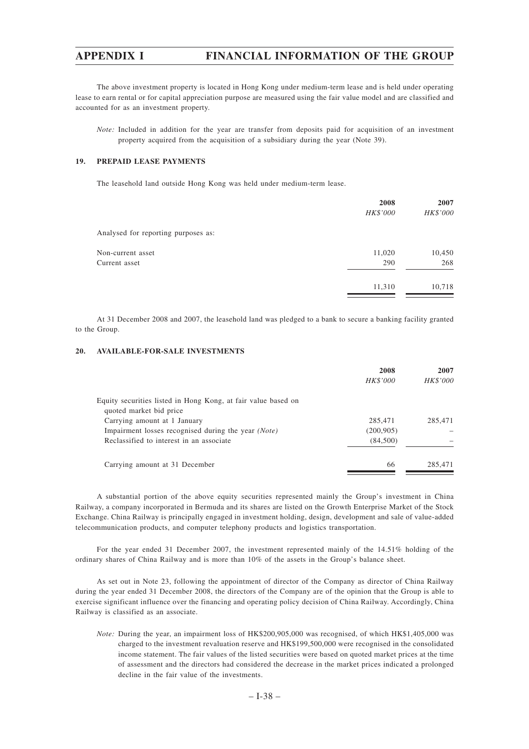The above investment property is located in Hong Kong under medium-term lease and is held under operating lease to earn rental or for capital appreciation purpose are measured using the fair value model and are classified and accounted for as an investment property.

*Note:* Included in addition for the year are transfer from deposits paid for acquisition of an investment property acquired from the acquisition of a subsidiary during the year (Note 39).

# **19. PREPAID LEASE PAYMENTS**

The leasehold land outside Hong Kong was held under medium-term lease.

|                                     | 2008     | 2007     |  |
|-------------------------------------|----------|----------|--|
|                                     | HK\$'000 | HK\$'000 |  |
| Analysed for reporting purposes as: |          |          |  |
| Non-current asset                   | 11,020   | 10,450   |  |
| Current asset                       | 290      | 268      |  |
|                                     | 11,310   | 10,718   |  |

At 31 December 2008 and 2007, the leasehold land was pledged to a bank to secure a banking facility granted to the Group.

## **20. AVAILABLE-FOR-SALE INVESTMENTS**

|                                                                                          | 2008       | 2007     |
|------------------------------------------------------------------------------------------|------------|----------|
|                                                                                          | HK\$'000   | HK\$'000 |
| Equity securities listed in Hong Kong, at fair value based on<br>quoted market bid price |            |          |
| Carrying amount at 1 January                                                             | 285,471    | 285,471  |
| Impairment losses recognised during the year (Note)                                      | (200, 905) |          |
| Reclassified to interest in an associate                                                 | (84,500)   |          |
| Carrying amount at 31 December                                                           | 66         | 285,471  |

A substantial portion of the above equity securities represented mainly the Group's investment in China Railway, a company incorporated in Bermuda and its shares are listed on the Growth Enterprise Market of the Stock Exchange. China Railway is principally engaged in investment holding, design, development and sale of value-added telecommunication products, and computer telephony products and logistics transportation.

For the year ended 31 December 2007, the investment represented mainly of the 14.51% holding of the ordinary shares of China Railway and is more than 10% of the assets in the Group's balance sheet.

As set out in Note 23, following the appointment of director of the Company as director of China Railway during the year ended 31 December 2008, the directors of the Company are of the opinion that the Group is able to exercise significant influence over the financing and operating policy decision of China Railway. Accordingly, China Railway is classified as an associate.

*Note:* During the year, an impairment loss of HK\$200,905,000 was recognised, of which HK\$1,405,000 was charged to the investment revaluation reserve and HK\$199,500,000 were recognised in the consolidated income statement. The fair values of the listed securities were based on quoted market prices at the time of assessment and the directors had considered the decrease in the market prices indicated a prolonged decline in the fair value of the investments.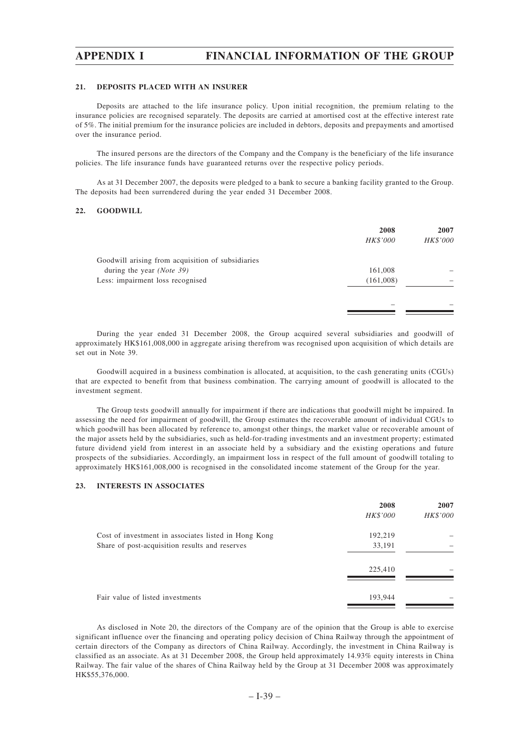#### **21. DEPOSITS PLACED WITH AN INSURER**

Deposits are attached to the life insurance policy. Upon initial recognition, the premium relating to the insurance policies are recognised separately. The deposits are carried at amortised cost at the effective interest rate of 5%. The initial premium for the insurance policies are included in debtors, deposits and prepayments and amortised over the insurance period.

The insured persons are the directors of the Company and the Company is the beneficiary of the life insurance policies. The life insurance funds have guaranteed returns over the respective policy periods.

As at 31 December 2007, the deposits were pledged to a bank to secure a banking facility granted to the Group. The deposits had been surrendered during the year ended 31 December 2008.

# **22. GOODWILL**

|                                                   | 2008<br>HK\$'000 | 2007<br>HK\$'000 |
|---------------------------------------------------|------------------|------------------|
| Goodwill arising from acquisition of subsidiaries |                  |                  |
| during the year ( <i>Note</i> 39)                 | 161,008          |                  |
| Less: impairment loss recognised                  | (161,008)        |                  |
|                                                   |                  |                  |
|                                                   |                  |                  |

During the year ended 31 December 2008, the Group acquired several subsidiaries and goodwill of approximately HK\$161,008,000 in aggregate arising therefrom was recognised upon acquisition of which details are set out in Note 39.

Goodwill acquired in a business combination is allocated, at acquisition, to the cash generating units (CGUs) that are expected to benefit from that business combination. The carrying amount of goodwill is allocated to the investment segment.

The Group tests goodwill annually for impairment if there are indications that goodwill might be impaired. In assessing the need for impairment of goodwill, the Group estimates the recoverable amount of individual CGUs to which goodwill has been allocated by reference to, amongst other things, the market value or recoverable amount of the major assets held by the subsidiaries, such as held-for-trading investments and an investment property; estimated future dividend yield from interest in an associate held by a subsidiary and the existing operations and future prospects of the subsidiaries. Accordingly, an impairment loss in respect of the full amount of goodwill totaling to approximately HK\$161,008,000 is recognised in the consolidated income statement of the Group for the year.

# **23. INTERESTS IN ASSOCIATES**

|                                                      | 2008     | 2007     |
|------------------------------------------------------|----------|----------|
|                                                      | HK\$'000 | HK\$'000 |
| Cost of investment in associates listed in Hong Kong | 192,219  |          |
| Share of post-acquisition results and reserves       | 33,191   |          |
|                                                      | 225,410  |          |
| Fair value of listed investments                     | 193,944  |          |

As disclosed in Note 20, the directors of the Company are of the opinion that the Group is able to exercise significant influence over the financing and operating policy decision of China Railway through the appointment of certain directors of the Company as directors of China Railway. Accordingly, the investment in China Railway is classified as an associate. As at 31 December 2008, the Group held approximately 14.93% equity interests in China Railway. The fair value of the shares of China Railway held by the Group at 31 December 2008 was approximately HK\$55,376,000.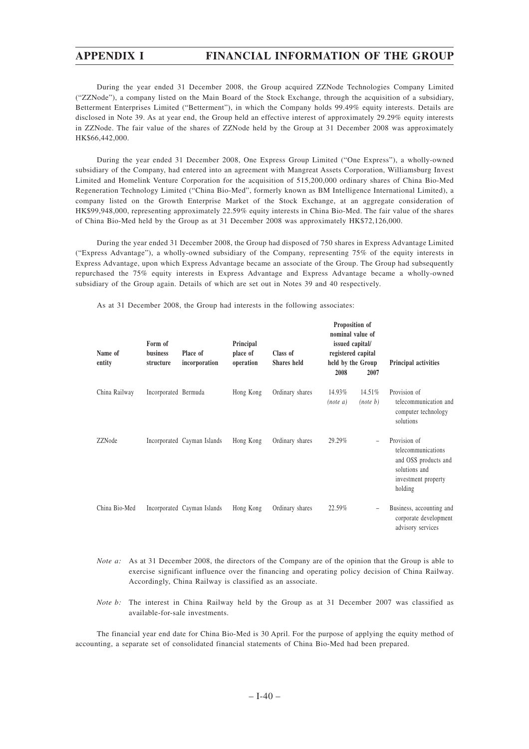During the year ended 31 December 2008, the Group acquired ZZNode Technologies Company Limited ("ZZNode"), a company listed on the Main Board of the Stock Exchange, through the acquisition of a subsidiary, Betterment Enterprises Limited ("Betterment"), in which the Company holds 99.49% equity interests. Details are disclosed in Note 39. As at year end, the Group held an effective interest of approximately 29.29% equity interests in ZZNode. The fair value of the shares of ZZNode held by the Group at 31 December 2008 was approximately HK\$66,442,000.

During the year ended 31 December 2008, One Express Group Limited ("One Express"), a wholly-owned subsidiary of the Company, had entered into an agreement with Mangreat Assets Corporation, Williamsburg Invest Limited and Homelink Venture Corporation for the acquisition of 515,200,000 ordinary shares of China Bio-Med Regeneration Technology Limited ("China Bio-Med", formerly known as BM Intelligence International Limited), a company listed on the Growth Enterprise Market of the Stock Exchange, at an aggregate consideration of HK\$99,948,000, representing approximately 22.59% equity interests in China Bio-Med. The fair value of the shares of China Bio-Med held by the Group as at 31 December 2008 was approximately HK\$72,126,000.

During the year ended 31 December 2008, the Group had disposed of 750 shares in Express Advantage Limited ("Express Advantage"), a wholly-owned subsidiary of the Company, representing 75% of the equity interests in Express Advantage, upon which Express Advantage became an associate of the Group. The Group had subsequently repurchased the 75% equity interests in Express Advantage and Express Advantage became a wholly-owned subsidiary of the Group again. Details of which are set out in Notes 39 and 40 respectively.

As at 31 December 2008, the Group had interests in the following associates:

| Name of<br>entity | Form of<br><b>business</b><br>structure | Place of<br>incorporation   | Principal<br>place of<br>operation | Class of<br>Shares held | Proposition of<br>nominal value of<br>issued capital/<br>registered capital<br>held by the Group |                          | Principal activities                                                                                          |
|-------------------|-----------------------------------------|-----------------------------|------------------------------------|-------------------------|--------------------------------------------------------------------------------------------------|--------------------------|---------------------------------------------------------------------------------------------------------------|
|                   |                                         |                             |                                    |                         | 2008                                                                                             | 2007                     |                                                                                                               |
| China Railway     | Incorporated Bermuda                    |                             | Hong Kong                          | Ordinary shares         | 14.93%<br>(note a)                                                                               | 14.51%<br>(note b)       | Provision of<br>telecommunication and<br>computer technology<br>solutions                                     |
| ZZNode            |                                         | Incorporated Cayman Islands | Hong Kong                          | Ordinary shares         | 29.29%                                                                                           | $\overline{\phantom{a}}$ | Provision of<br>telecommunications<br>and OSS products and<br>solutions and<br>investment property<br>holding |
| China Bio-Med     |                                         | Incorporated Cayman Islands | Hong Kong                          | Ordinary shares         | 22.59%                                                                                           | $\overline{\phantom{m}}$ | Business, accounting and<br>corporate development<br>advisory services                                        |

- *Note a:* As at 31 December 2008, the directors of the Company are of the opinion that the Group is able to exercise significant influence over the financing and operating policy decision of China Railway. Accordingly, China Railway is classified as an associate.
- *Note b:* The interest in China Railway held by the Group as at 31 December 2007 was classified as available-for-sale investments.

The financial year end date for China Bio-Med is 30 April. For the purpose of applying the equity method of accounting, a separate set of consolidated financial statements of China Bio-Med had been prepared.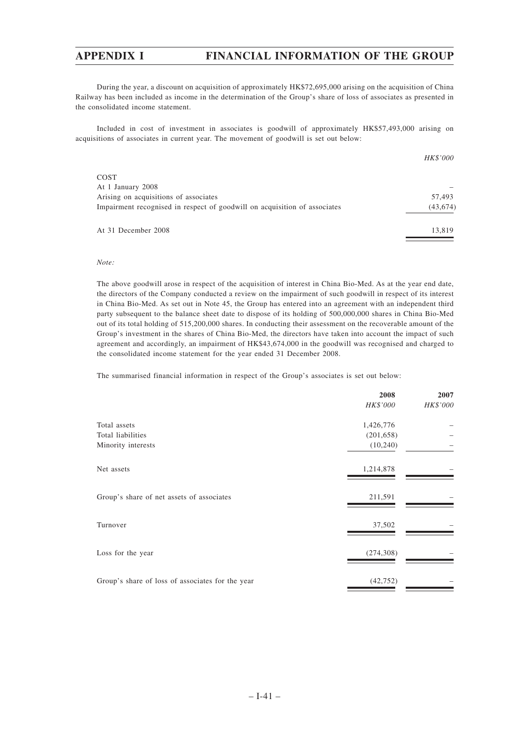During the year, a discount on acquisition of approximately HK\$72,695,000 arising on the acquisition of China Railway has been included as income in the determination of the Group's share of loss of associates as presented in the consolidated income statement.

Included in cost of investment in associates is goodwill of approximately HK\$57,493,000 arising on acquisitions of associates in current year. The movement of goodwill is set out below:

|                                                                           | <i>HK\$'000</i> |
|---------------------------------------------------------------------------|-----------------|
| COST                                                                      |                 |
| At 1 January 2008                                                         |                 |
| Arising on acquisitions of associates                                     | 57,493          |
| Impairment recognised in respect of goodwill on acquisition of associates | (43, 674)       |
| At 31 December 2008                                                       | 13,819          |

# *Note:*

The above goodwill arose in respect of the acquisition of interest in China Bio-Med. As at the year end date, the directors of the Company conducted a review on the impairment of such goodwill in respect of its interest in China Bio-Med. As set out in Note 45, the Group has entered into an agreement with an independent third party subsequent to the balance sheet date to dispose of its holding of 500,000,000 shares in China Bio-Med out of its total holding of 515,200,000 shares. In conducting their assessment on the recoverable amount of the Group's investment in the shares of China Bio-Med, the directors have taken into account the impact of such agreement and accordingly, an impairment of HK\$43,674,000 in the goodwill was recognised and charged to the consolidated income statement for the year ended 31 December 2008.

The summarised financial information in respect of the Group's associates is set out below:

|                                                  | 2008       | 2007     |
|--------------------------------------------------|------------|----------|
|                                                  | HK\$'000   | HK\$'000 |
| Total assets                                     | 1,426,776  |          |
| Total liabilities                                | (201, 658) |          |
| Minority interests                               | (10,240)   |          |
| Net assets                                       | 1,214,878  |          |
| Group's share of net assets of associates        | 211,591    |          |
| Turnover                                         | 37,502     |          |
| Loss for the year                                | (274, 308) |          |
| Group's share of loss of associates for the year | (42, 752)  |          |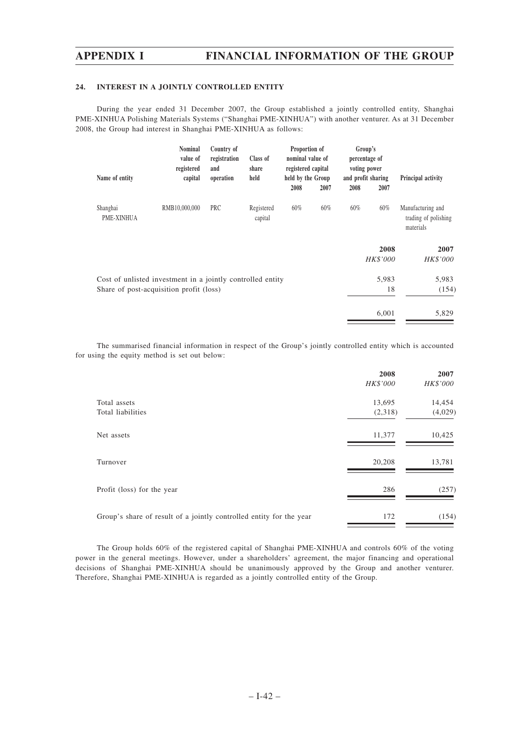# **24. INTEREST IN A JOINTLY CONTROLLED ENTITY**

During the year ended 31 December 2007, the Group established a jointly controlled entity, Shanghai PME-XINHUA Polishing Materials Systems ("Shanghai PME-XINHUA") with another venturer. As at 31 December 2008, the Group had interest in Shanghai PME-XINHUA as follows:

| Name of entity                                                                                        | <b>Nominal</b><br>value of<br>registered<br>capital | Country of<br>registration<br>and<br>operation | Class of<br>share<br>held | Proportion of<br>nominal value of<br>registered capital<br>held by the Group |      |      | Group's<br>percentage of<br>voting power<br>and profit sharing | Principal activity                                     |
|-------------------------------------------------------------------------------------------------------|-----------------------------------------------------|------------------------------------------------|---------------------------|------------------------------------------------------------------------------|------|------|----------------------------------------------------------------|--------------------------------------------------------|
|                                                                                                       |                                                     |                                                |                           | 2008                                                                         | 2007 | 2008 | 2007                                                           |                                                        |
| Shanghai<br>PME-XINHUA                                                                                | RMB10,000,000                                       | PRC                                            | Registered<br>capital     | 60%                                                                          | 60%  | 60%  | 60%                                                            | Manufacturing and<br>trading of polishing<br>materials |
|                                                                                                       |                                                     |                                                |                           |                                                                              |      |      | 2008<br><b>HK\$'000</b>                                        | 2007<br>HK\$'000                                       |
| Cost of unlisted investment in a jointly controlled entity<br>Share of post-acquisition profit (loss) |                                                     |                                                |                           |                                                                              |      |      | 5,983<br>18                                                    | 5,983<br>(154)                                         |
|                                                                                                       |                                                     |                                                |                           |                                                                              |      |      | 6,001                                                          | 5,829                                                  |

The summarised financial information in respect of the Group's jointly controlled entity which is accounted for using the equity method is set out below:

|                                                                     | 2008<br>HK\$'000 | 2007<br>HK\$'000 |
|---------------------------------------------------------------------|------------------|------------------|
| Total assets                                                        | 13,695           | 14,454           |
| Total liabilities                                                   | (2,318)          | (4,029)          |
| Net assets                                                          | 11,377           | 10,425           |
| Turnover                                                            | 20,208           | 13,781           |
| Profit (loss) for the year                                          | 286              | (257)            |
| Group's share of result of a jointly controlled entity for the year | 172              | (154)            |

The Group holds 60% of the registered capital of Shanghai PME-XINHUA and controls 60% of the voting power in the general meetings. However, under a shareholders' agreement, the major financing and operational decisions of Shanghai PME-XINHUA should be unanimously approved by the Group and another venturer. Therefore, Shanghai PME-XINHUA is regarded as a jointly controlled entity of the Group.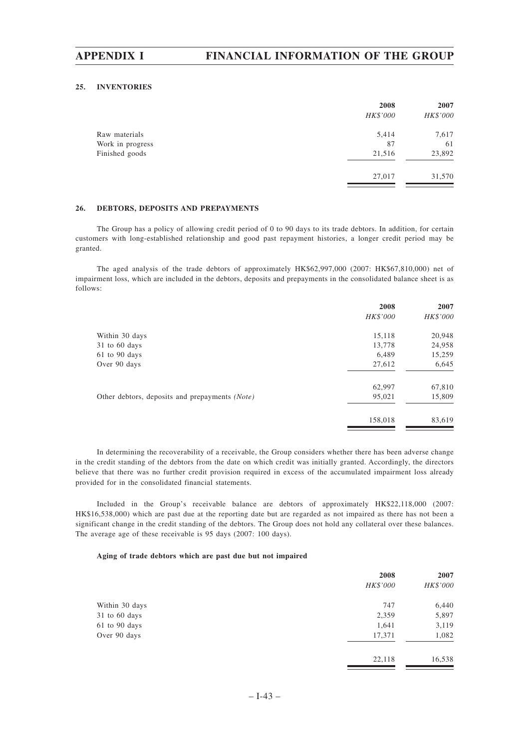## **25. INVENTORIES**

|                  | 2008     | 2007     |
|------------------|----------|----------|
|                  | HK\$'000 | HK\$'000 |
| Raw materials    | 5,414    | 7,617    |
| Work in progress | 87       | 61       |
| Finished goods   | 21,516   | 23,892   |
|                  | 27,017   | 31,570   |
|                  |          |          |

# **26. DEBTORS, DEPOSITS AND PREPAYMENTS**

The Group has a policy of allowing credit period of 0 to 90 days to its trade debtors. In addition, for certain customers with long-established relationship and good past repayment histories, a longer credit period may be granted.

The aged analysis of the trade debtors of approximately HK\$62,997,000 (2007: HK\$67,810,000) net of impairment loss, which are included in the debtors, deposits and prepayments in the consolidated balance sheet is as follows:

|                                                | 2008     | 2007     |
|------------------------------------------------|----------|----------|
|                                                | HK\$'000 | HK\$'000 |
| Within 30 days                                 | 15,118   | 20,948   |
| $31$ to 60 days                                | 13,778   | 24,958   |
| 61 to 90 days                                  | 6,489    | 15,259   |
| Over 90 days                                   | 27,612   | 6,645    |
|                                                | 62,997   | 67,810   |
| Other debtors, deposits and prepayments (Note) | 95,021   | 15,809   |
|                                                | 158,018  | 83,619   |
|                                                |          |          |

In determining the recoverability of a receivable, the Group considers whether there has been adverse change in the credit standing of the debtors from the date on which credit was initially granted. Accordingly, the directors believe that there was no further credit provision required in excess of the accumulated impairment loss already provided for in the consolidated financial statements.

Included in the Group's receivable balance are debtors of approximately HK\$22,118,000 (2007: HK\$16,538,000) which are past due at the reporting date but are regarded as not impaired as there has not been a significant change in the credit standing of the debtors. The Group does not hold any collateral over these balances. The average age of these receivable is 95 days (2007: 100 days).

## **Aging of trade debtors which are past due but not impaired**

|                 | 2008            | 2007     |
|-----------------|-----------------|----------|
|                 | <b>HK\$'000</b> | HK\$'000 |
| Within 30 days  | 747             | 6,440    |
| $31$ to 60 days | 2,359           | 5,897    |
| 61 to 90 days   | 1,641           | 3,119    |
| Over 90 days    | 17,371          | 1,082    |
|                 | 22,118          | 16,538   |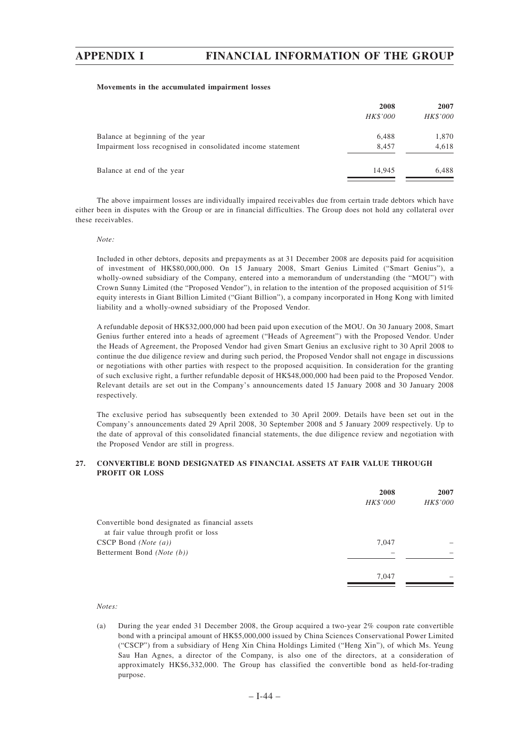## **Movements in the accumulated impairment losses**

|                                                             | 2008<br><i>HK\$'000</i> | 2007<br>HK\$'000 |
|-------------------------------------------------------------|-------------------------|------------------|
| Balance at beginning of the year                            | 6.488                   | 1,870            |
| Impairment loss recognised in consolidated income statement | 8.457                   | 4,618            |
| Balance at end of the year                                  | 14.945                  | 6.488            |

The above impairment losses are individually impaired receivables due from certain trade debtors which have either been in disputes with the Group or are in financial difficulties. The Group does not hold any collateral over these receivables.

### *Note:*

Included in other debtors, deposits and prepayments as at 31 December 2008 are deposits paid for acquisition of investment of HK\$80,000,000. On 15 January 2008, Smart Genius Limited ("Smart Genius"), a wholly-owned subsidiary of the Company, entered into a memorandum of understanding (the "MOU") with Crown Sunny Limited (the "Proposed Vendor"), in relation to the intention of the proposed acquisition of 51% equity interests in Giant Billion Limited ("Giant Billion"), a company incorporated in Hong Kong with limited liability and a wholly-owned subsidiary of the Proposed Vendor.

A refundable deposit of HK\$32,000,000 had been paid upon execution of the MOU. On 30 January 2008, Smart Genius further entered into a heads of agreement ("Heads of Agreement") with the Proposed Vendor. Under the Heads of Agreement, the Proposed Vendor had given Smart Genius an exclusive right to 30 April 2008 to continue the due diligence review and during such period, the Proposed Vendor shall not engage in discussions or negotiations with other parties with respect to the proposed acquisition. In consideration for the granting of such exclusive right, a further refundable deposit of HK\$48,000,000 had been paid to the Proposed Vendor. Relevant details are set out in the Company's announcements dated 15 January 2008 and 30 January 2008 respectively.

The exclusive period has subsequently been extended to 30 April 2009. Details have been set out in the Company's announcements dated 29 April 2008, 30 September 2008 and 5 January 2009 respectively. Up to the date of approval of this consolidated financial statements, the due diligence review and negotiation with the Proposed Vendor are still in progress.

# **27. CONVERTIBLE BOND DESIGNATED AS FINANCIAL ASSETS AT FAIR VALUE THROUGH PROFIT OR LOSS**

|                                                 | 2008     | 2007     |
|-------------------------------------------------|----------|----------|
|                                                 | HK\$'000 | HK\$'000 |
| Convertible bond designated as financial assets |          |          |
| at fair value through profit or loss            |          |          |
| $CSCP$ Bond (Note $(a)$ )                       | 7,047    |          |
| Betterment Bond (Note (b))                      |          |          |
|                                                 |          |          |
|                                                 | 7,047    |          |
|                                                 |          |          |

## *Notes:*

(a) During the year ended 31 December 2008, the Group acquired a two-year 2% coupon rate convertible bond with a principal amount of HK\$5,000,000 issued by China Sciences Conservational Power Limited ("CSCP") from a subsidiary of Heng Xin China Holdings Limited ("Heng Xin"), of which Ms. Yeung Sau Han Agnes, a director of the Company, is also one of the directors, at a consideration of approximately HK\$6,332,000. The Group has classified the convertible bond as held-for-trading purpose.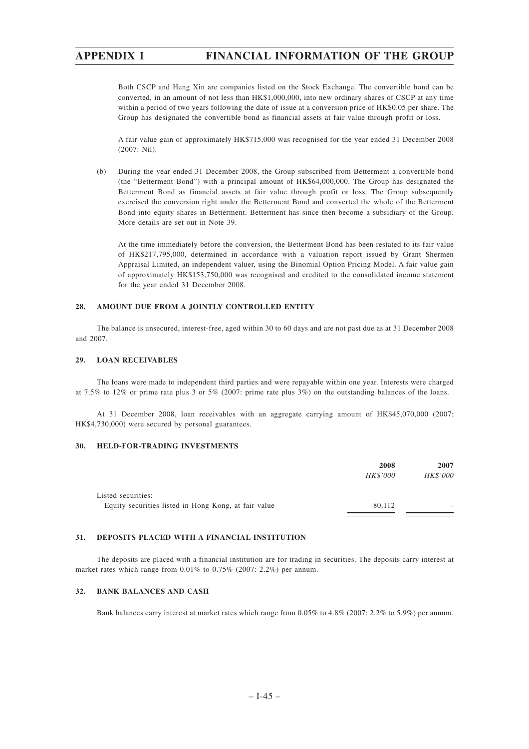Both CSCP and Heng Xin are companies listed on the Stock Exchange. The convertible bond can be converted, in an amount of not less than HK\$1,000,000, into new ordinary shares of CSCP at any time within a period of two years following the date of issue at a conversion price of HK\$0.05 per share. The Group has designated the convertible bond as financial assets at fair value through profit or loss.

A fair value gain of approximately HK\$715,000 was recognised for the year ended 31 December 2008 (2007: Nil).

(b) During the year ended 31 December 2008, the Group subscribed from Betterment a convertible bond (the "Betterment Bond") with a principal amount of HK\$64,000,000. The Group has designated the Betterment Bond as financial assets at fair value through profit or loss. The Group subsequently exercised the conversion right under the Betterment Bond and converted the whole of the Betterment Bond into equity shares in Betterment. Betterment has since then become a subsidiary of the Group. More details are set out in Note 39.

At the time immediately before the conversion, the Betterment Bond has been restated to its fair value of HK\$217,795,000, determined in accordance with a valuation report issued by Grant Shermen Appraisal Limited, an independent valuer, using the Binomial Option Pricing Model. A fair value gain of approximately HK\$153,750,000 was recognised and credited to the consolidated income statement for the year ended 31 December 2008.

# **28. AMOUNT DUE FROM A JOINTLY CONTROLLED ENTITY**

The balance is unsecured, interest-free, aged within 30 to 60 days and are not past due as at 31 December 2008 and 2007.

## **29. LOAN RECEIVABLES**

The loans were made to independent third parties and were repayable within one year. Interests were charged at 7.5% to 12% or prime rate plus 3 or 5% (2007: prime rate plus 3%) on the outstanding balances of the loans.

At 31 December 2008, loan receivables with an aggregate carrying amount of HK\$45,070,000 (2007: HK\$4,730,000) were secured by personal guarantees.

# **30. HELD-FOR-TRADING INVESTMENTS**

|                                                      | 2008            | 2007                     |
|------------------------------------------------------|-----------------|--------------------------|
|                                                      | <i>HK\$'000</i> | HK\$'000                 |
|                                                      |                 |                          |
| Listed securities:                                   |                 |                          |
| Equity securities listed in Hong Kong, at fair value | 80.112          | $\overline{\phantom{a}}$ |
|                                                      |                 |                          |

# **31. DEPOSITS PLACED WITH A FINANCIAL INSTITUTION**

The deposits are placed with a financial institution are for trading in securities. The deposits carry interest at market rates which range from 0.01% to 0.75% (2007: 2.2%) per annum.

# **32. BANK BALANCES AND CASH**

Bank balances carry interest at market rates which range from 0.05% to 4.8% (2007: 2.2% to 5.9%) per annum.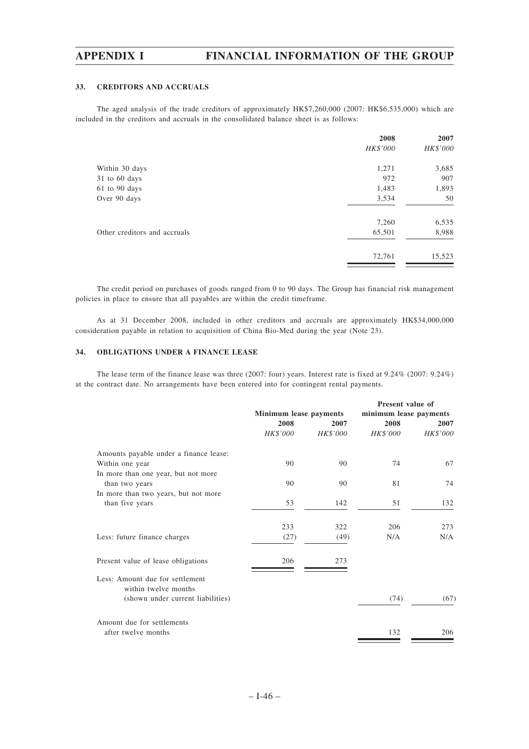## **33. CREDITORS AND ACCRUALS**

The aged analysis of the trade creditors of approximately HK\$7,260,000 (2007: HK\$6,535,000) which are included in the creditors and accruals in the consolidated balance sheet is as follows:

|                              | 2008     | 2007     |
|------------------------------|----------|----------|
|                              | HK\$'000 | HK\$'000 |
| Within 30 days               | 1,271    | 3,685    |
| $31$ to 60 days              | 972      | 907      |
| $61$ to $90$ days            | 1,483    | 1,893    |
| Over 90 days                 | 3,534    | 50       |
|                              | 7,260    | 6,535    |
| Other creditors and accruals | 65,501   | 8,988    |
|                              | 72,761   | 15,523   |

The credit period on purchases of goods ranged from 0 to 90 days. The Group has financial risk management policies in place to ensure that all payables are within the credit timeframe.

As at 31 December 2008, included in other creditors and accruals are approximately HK\$34,000,000 consideration payable in relation to acquisition of China Bio-Med during the year (Note 23).

# **34. OBLIGATIONS UNDER A FINANCE LEASE**

The lease term of the finance lease was three (2007: four) years. Interest rate is fixed at 9.24% (2007: 9.24%) at the contract date. No arrangements have been entered into for contingent rental payments.

|                                                         |                        |          | Present value of       |          |
|---------------------------------------------------------|------------------------|----------|------------------------|----------|
|                                                         | Minimum lease payments |          | minimum lease payments |          |
|                                                         | 2008                   | 2007     | 2008                   | 2007     |
|                                                         | HK\$'000               | HK\$'000 | HK\$'000               | HK\$'000 |
| Amounts payable under a finance lease:                  |                        |          |                        |          |
| Within one year                                         | 90                     | 90       | 74                     | 67       |
| In more than one year, but not more                     |                        |          |                        |          |
| than two years                                          | 90                     | 90       | 81                     | 74       |
| In more than two years, but not more                    |                        |          |                        |          |
| than five years                                         | 53                     | 142      | 51                     | 132      |
|                                                         | 233                    | 322      | 206                    | 273      |
| Less: future finance charges                            | (27)                   | (49)     | N/A                    | N/A      |
| Present value of lease obligations                      | 206                    | 273      |                        |          |
|                                                         |                        |          |                        |          |
| Less: Amount due for settlement<br>within twelve months |                        |          |                        |          |
| (shown under current liabilities)                       |                        |          | (74)                   | (67)     |
| Amount due for settlements                              |                        |          |                        |          |
| after twelve months                                     |                        |          | 132                    | 206      |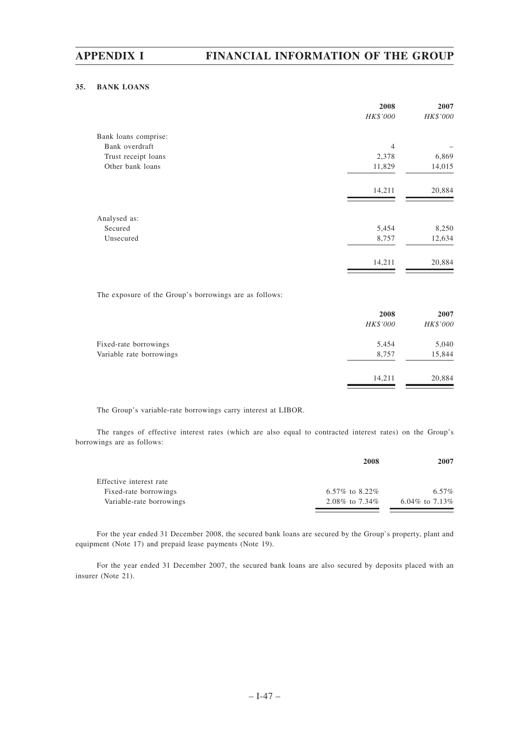# **35. BANK LOANS**

| 2008           | 2007     |
|----------------|----------|
|                | HK\$'000 |
|                |          |
| $\overline{4}$ |          |
| 2,378          | 6,869    |
| 11,829         | 14,015   |
| 14,211         | 20,884   |
|                |          |
| 5,454          | 8,250    |
| 8,757          | 12,634   |
| 14,211         | 20,884   |
|                | HK\$'000 |

The exposure of the Group's borrowings are as follows:

|                          | 2008     | 2007     |
|--------------------------|----------|----------|
|                          | HK\$'000 | HK\$'000 |
| Fixed-rate borrowings    | 5,454    | 5,040    |
| Variable rate borrowings | 8,757    | 15,844   |
|                          | 14,211   | 20,884   |
|                          |          |          |

The Group's variable-rate borrowings carry interest at LIBOR.

The ranges of effective interest rates (which are also equal to contracted interest rates) on the Group's borrowings are as follows:

|                          | 2008             | 2007             |
|--------------------------|------------------|------------------|
| Effective interest rate  |                  |                  |
| Fixed-rate borrowings    | 6.57\% to 8.22\% | 6.57%            |
| Variable-rate borrowings | 2.08\% to 7.34\% | 6.04\% to 7.13\% |

For the year ended 31 December 2008, the secured bank loans are secured by the Group's property, plant and equipment (Note 17) and prepaid lease payments (Note 19).

For the year ended 31 December 2007, the secured bank loans are also secured by deposits placed with an insurer (Note 21).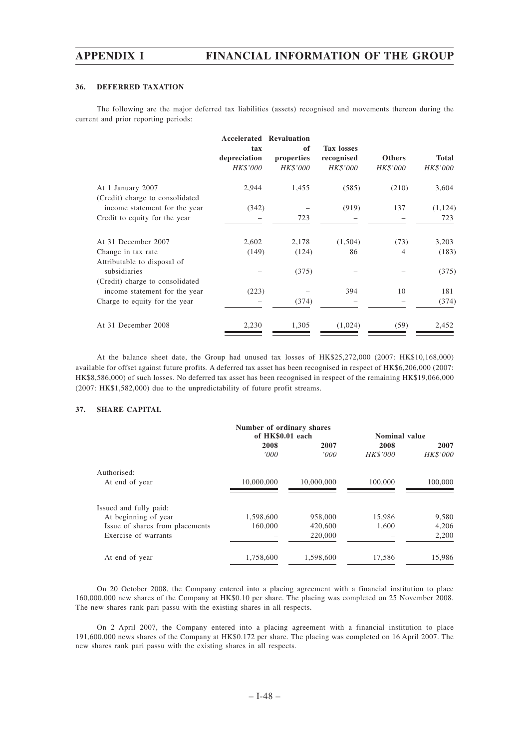# **36. DEFERRED TAXATION**

The following are the major deferred tax liabilities (assets) recognised and movements thereon during the current and prior reporting periods:

|                                                                  | tax<br>depreciation<br>HK\$'000 | <b>Accelerated Revaluation</b><br>of<br>properties<br>HK\$'000 | <b>Tax losses</b><br>recognised<br>HK\$'000 | <b>Others</b><br>HK\$'000 | Total<br>HK\$'000 |
|------------------------------------------------------------------|---------------------------------|----------------------------------------------------------------|---------------------------------------------|---------------------------|-------------------|
| At 1 January 2007<br>(Credit) charge to consolidated             | 2,944                           | 1,455                                                          | (585)                                       | (210)                     | 3,604             |
| income statement for the year                                    | (342)                           |                                                                | (919)                                       | 137                       | (1, 124)          |
| Credit to equity for the year                                    |                                 | 723                                                            |                                             |                           | 723               |
| At 31 December 2007                                              | 2,602                           | 2,178                                                          | (1,504)                                     | (73)                      | 3,203             |
| Change in tax rate<br>Attributable to disposal of                | (149)                           | (124)                                                          | 86                                          | 4                         | (183)             |
| subsidiaries                                                     |                                 | (375)                                                          |                                             |                           | (375)             |
| (Credit) charge to consolidated<br>income statement for the year | (223)                           |                                                                | 394                                         | 10                        | 181               |
| Charge to equity for the year                                    |                                 | (374)                                                          |                                             |                           | (374)             |
| At 31 December 2008                                              | 2,230                           | 1,305                                                          | (1,024)                                     | (59)                      | 2,452             |

At the balance sheet date, the Group had unused tax losses of HK\$25,272,000 (2007: HK\$10,168,000) available for offset against future profits. A deferred tax asset has been recognised in respect of HK\$6,206,000 (2007: HK\$8,586,000) of such losses. No deferred tax asset has been recognised in respect of the remaining HK\$19,066,000 (2007: HK\$1,582,000) due to the unpredictability of future profit streams.

### **37. SHARE CAPITAL**

|                                 | Number of ordinary shares |            |                      |          |  |
|---------------------------------|---------------------------|------------|----------------------|----------|--|
|                                 | of HK\$0.01 each          |            | <b>Nominal value</b> |          |  |
|                                 | 2008                      | 2007       | 2008                 | 2007     |  |
|                                 | '000                      | '000'      | <i>HK\$'000</i>      | HK\$'000 |  |
| Authorised:                     |                           |            |                      |          |  |
| At end of year                  | 10,000,000                | 10,000,000 | 100,000              | 100,000  |  |
| Issued and fully paid:          |                           |            |                      |          |  |
| At beginning of year            | 1,598,600                 | 958,000    | 15,986               | 9,580    |  |
| Issue of shares from placements | 160,000                   | 420,600    | 1.600                | 4,206    |  |
| Exercise of warrants            |                           | 220,000    |                      | 2,200    |  |
| At end of year                  | 1,758,600                 | 1,598,600  | 17,586               | 15,986   |  |
|                                 |                           |            |                      |          |  |

On 20 October 2008, the Company entered into a placing agreement with a financial institution to place 160,000,000 new shares of the Company at HK\$0.10 per share. The placing was completed on 25 November 2008. The new shares rank pari passu with the existing shares in all respects.

On 2 April 2007, the Company entered into a placing agreement with a financial institution to place 191,600,000 news shares of the Company at HK\$0.172 per share. The placing was completed on 16 April 2007. The new shares rank pari passu with the existing shares in all respects.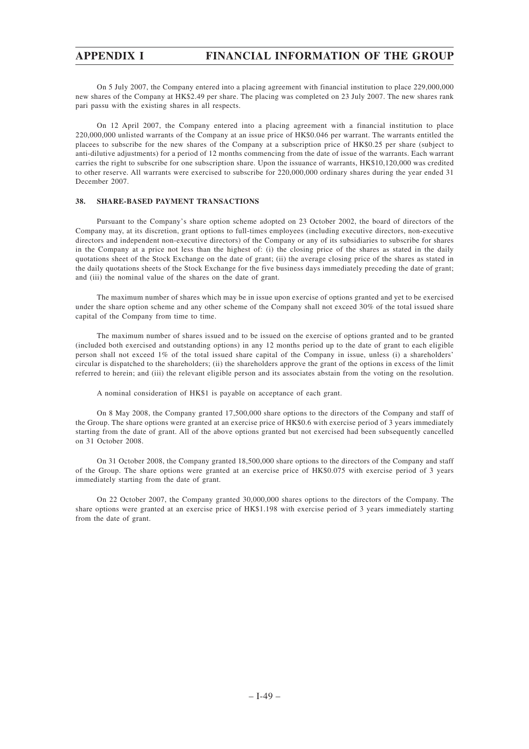On 5 July 2007, the Company entered into a placing agreement with financial institution to place 229,000,000 new shares of the Company at HK\$2.49 per share. The placing was completed on 23 July 2007. The new shares rank pari passu with the existing shares in all respects.

On 12 April 2007, the Company entered into a placing agreement with a financial institution to place 220,000,000 unlisted warrants of the Company at an issue price of HK\$0.046 per warrant. The warrants entitled the placees to subscribe for the new shares of the Company at a subscription price of HK\$0.25 per share (subject to anti-dilutive adjustments) for a period of 12 months commencing from the date of issue of the warrants. Each warrant carries the right to subscribe for one subscription share. Upon the issuance of warrants, HK\$10,120,000 was credited to other reserve. All warrants were exercised to subscribe for 220,000,000 ordinary shares during the year ended 31 December 2007.

# **38. SHARE-BASED PAYMENT TRANSACTIONS**

Pursuant to the Company's share option scheme adopted on 23 October 2002, the board of directors of the Company may, at its discretion, grant options to full-times employees (including executive directors, non-executive directors and independent non-executive directors) of the Company or any of its subsidiaries to subscribe for shares in the Company at a price not less than the highest of: (i) the closing price of the shares as stated in the daily quotations sheet of the Stock Exchange on the date of grant; (ii) the average closing price of the shares as stated in the daily quotations sheets of the Stock Exchange for the five business days immediately preceding the date of grant; and (iii) the nominal value of the shares on the date of grant.

The maximum number of shares which may be in issue upon exercise of options granted and yet to be exercised under the share option scheme and any other scheme of the Company shall not exceed 30% of the total issued share capital of the Company from time to time.

The maximum number of shares issued and to be issued on the exercise of options granted and to be granted (included both exercised and outstanding options) in any 12 months period up to the date of grant to each eligible person shall not exceed 1% of the total issued share capital of the Company in issue, unless (i) a shareholders' circular is dispatched to the shareholders; (ii) the shareholders approve the grant of the options in excess of the limit referred to herein; and (iii) the relevant eligible person and its associates abstain from the voting on the resolution.

A nominal consideration of HK\$1 is payable on acceptance of each grant.

On 8 May 2008, the Company granted 17,500,000 share options to the directors of the Company and staff of the Group. The share options were granted at an exercise price of HK\$0.6 with exercise period of 3 years immediately starting from the date of grant. All of the above options granted but not exercised had been subsequently cancelled on 31 October 2008.

On 31 October 2008, the Company granted 18,500,000 share options to the directors of the Company and staff of the Group. The share options were granted at an exercise price of HK\$0.075 with exercise period of 3 years immediately starting from the date of grant.

On 22 October 2007, the Company granted 30,000,000 shares options to the directors of the Company. The share options were granted at an exercise price of HK\$1.198 with exercise period of 3 years immediately starting from the date of grant.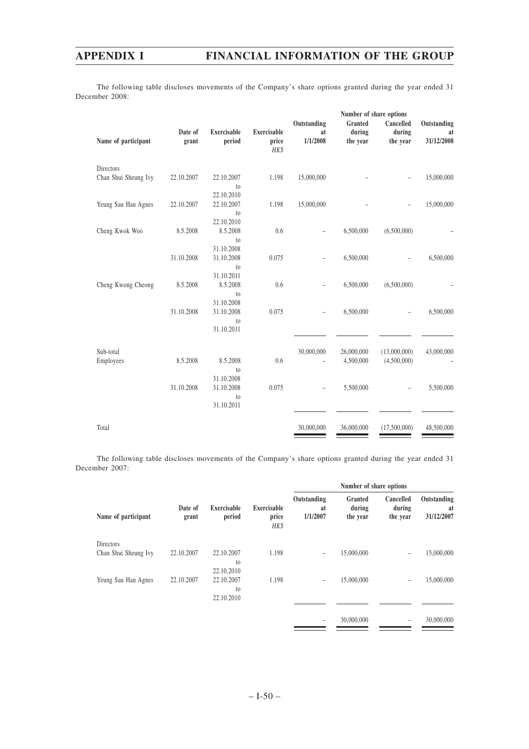The following table discloses movements of the Company's share options granted during the year ended 31 December 2008:

|                      |                  |                              |                                     | Number of share options       |                               |                                 |                                 |
|----------------------|------------------|------------------------------|-------------------------------------|-------------------------------|-------------------------------|---------------------------------|---------------------------------|
| Name of participant  | Date of<br>grant | <b>Exercisable</b><br>period | <b>Exercisable</b><br>price<br>HK\$ | Outstanding<br>at<br>1/1/2008 | Granted<br>during<br>the year | Cancelled<br>during<br>the year | Outstanding<br>at<br>31/12/2008 |
| Directors            |                  |                              |                                     |                               |                               |                                 |                                 |
| Chan Shui Sheung Ivy | 22.10.2007       | 22.10.2007                   | 1.198                               | 15,000,000                    |                               |                                 | 15,000,000                      |
|                      |                  | to                           |                                     |                               |                               |                                 |                                 |
|                      |                  | 22.10.2010                   |                                     |                               |                               |                                 |                                 |
| Yeung Sau Han Agnes  | 22.10.2007       | 22.10.2007                   | 1.198                               | 15,000,000                    |                               |                                 | 15,000,000                      |
|                      |                  | to<br>22.10.2010             |                                     |                               |                               |                                 |                                 |
| Cheng Kwok Woo       | 8.5.2008         | 8.5.2008                     | 0.6                                 |                               | 6,500,000                     | (6,500,000)                     |                                 |
|                      |                  | to                           |                                     |                               |                               |                                 |                                 |
|                      |                  | 31.10.2008                   |                                     |                               |                               |                                 |                                 |
|                      | 31.10.2008       | 31.10.2008                   | 0.075                               |                               | 6,500,000                     |                                 | 6,500,000                       |
|                      |                  | to<br>31.10.2011             |                                     |                               |                               |                                 |                                 |
| Cheng Kwong Cheong   | 8.5.2008         | 8.5.2008                     | 0.6                                 |                               | 6,500,000                     | (6,500,000)                     |                                 |
|                      |                  | to                           |                                     |                               |                               |                                 |                                 |
|                      |                  | 31.10.2008                   |                                     |                               |                               |                                 |                                 |
|                      | 31.10.2008       | 31.10.2008                   | 0.075                               |                               | 6,500,000                     |                                 | 6,500,000                       |
|                      |                  | to<br>31.10.2011             |                                     |                               |                               |                                 |                                 |
|                      |                  |                              |                                     |                               |                               |                                 |                                 |
| Sub-total            |                  |                              |                                     | 30,000,000                    | 26,000,000                    | (13,000,000)                    | 43,000,000                      |
| Employees            | 8.5.2008         | 8.5.2008                     | 0.6                                 |                               | 4,500,000                     | (4,500,000)                     |                                 |
|                      |                  | to                           |                                     |                               |                               |                                 |                                 |
|                      |                  | 31.10.2008                   |                                     |                               |                               |                                 |                                 |
|                      | 31.10.2008       | 31.10.2008                   | 0.075                               |                               | 5,500,000                     |                                 | 5,500,000                       |
|                      |                  | to<br>31.10.2011             |                                     |                               |                               |                                 |                                 |
|                      |                  |                              |                                     |                               |                               |                                 |                                 |
| Total                |                  |                              |                                     | 30,000,000                    | 36,000,000                    | (17,500,000)                    | 48,500,000                      |
|                      |                  |                              |                                     |                               |                               |                                 |                                 |

The following table discloses movements of the Company's share options granted during the year ended 31 December 2007:

|                      | Date of<br>grant |                          |                              | Number of share options       |                               |                                 |                                 |
|----------------------|------------------|--------------------------|------------------------------|-------------------------------|-------------------------------|---------------------------------|---------------------------------|
| Name of participant  |                  | Exercisable<br>period    | Exercisable<br>price<br>HK\$ | Outstanding<br>at<br>1/1/2007 | Granted<br>during<br>the year | Cancelled<br>during<br>the year | Outstanding<br>at<br>31/12/2007 |
| Directors            |                  |                          |                              |                               |                               |                                 |                                 |
| Chan Shui Sheung Ivy | 22.10.2007       | 22.10.2007               | 1.198                        | $\overline{\phantom{0}}$      | 15,000,000                    | $\qquad \qquad$                 | 15,000,000                      |
|                      |                  | to                       |                              |                               |                               |                                 |                                 |
|                      | 22.10.2007       | 22.10.2010<br>22.10.2007 | 1.198                        |                               | 15,000,000                    |                                 | 15,000,000                      |
| Yeung Sau Han Agnes  |                  | to                       |                              | -                             |                               | $\overline{\phantom{0}}$        |                                 |
|                      |                  | 22.10.2010               |                              |                               |                               |                                 |                                 |
|                      |                  |                          |                              |                               |                               |                                 |                                 |
|                      |                  |                          |                              |                               | 30,000,000                    |                                 | 30,000,000                      |
|                      |                  |                          |                              |                               |                               |                                 |                                 |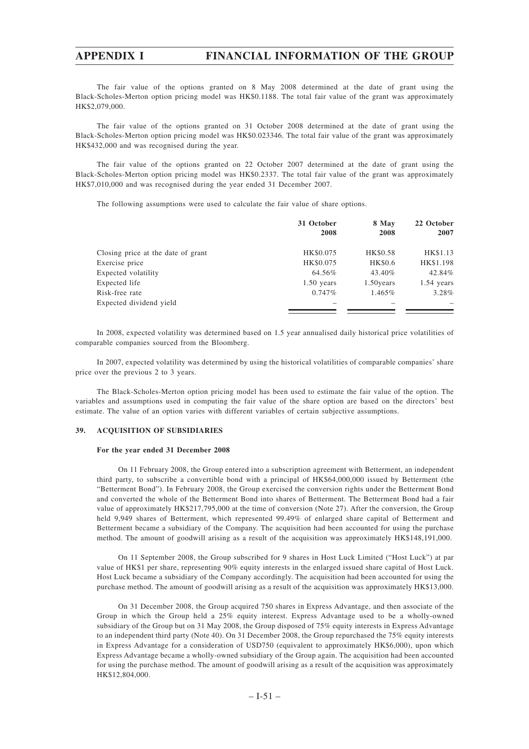The fair value of the options granted on 8 May 2008 determined at the date of grant using the Black-Scholes-Merton option pricing model was HK\$0.1188. The total fair value of the grant was approximately HK\$2,079,000.

The fair value of the options granted on 31 October 2008 determined at the date of grant using the Black-Scholes-Merton option pricing model was HK\$0.023346. The total fair value of the grant was approximately HK\$432,000 and was recognised during the year.

The fair value of the options granted on 22 October 2007 determined at the date of grant using the Black-Scholes-Merton option pricing model was HK\$0.2337. The total fair value of the grant was approximately HK\$7,010,000 and was recognised during the year ended 31 December 2007.

The following assumptions were used to calculate the fair value of share options.

|                                    | 31 October<br>2008 | 8 May<br>2008 | 22 October<br>2007 |
|------------------------------------|--------------------|---------------|--------------------|
| Closing price at the date of grant | HK\$0.075          | HK\$0.58      | HK\$1.13           |
| Exercise price                     | HK\$0.075          | HK\$0.6       | HK\$1.198          |
| Expected volatility                | 64.56%             | 43.40%        | 42.84%             |
| Expected life                      | $1.50$ years       | 1.50 years    | $1.54$ years       |
| Risk-free rate                     | 0.747%             | 1.465%        | $3.28\%$           |
| Expected dividend yield            |                    |               |                    |

In 2008, expected volatility was determined based on 1.5 year annualised daily historical price volatilities of comparable companies sourced from the Bloomberg.

In 2007, expected volatility was determined by using the historical volatilities of comparable companies' share price over the previous 2 to 3 years.

The Black-Scholes-Merton option pricing model has been used to estimate the fair value of the option. The variables and assumptions used in computing the fair value of the share option are based on the directors' best estimate. The value of an option varies with different variables of certain subjective assumptions.

#### **39. ACQUISITION OF SUBSIDIARIES**

#### **For the year ended 31 December 2008**

On 11 February 2008, the Group entered into a subscription agreement with Betterment, an independent third party, to subscribe a convertible bond with a principal of HK\$64,000,000 issued by Betterment (the "Betterment Bond"). In February 2008, the Group exercised the conversion rights under the Betterment Bond and converted the whole of the Betterment Bond into shares of Betterment. The Betterment Bond had a fair value of approximately HK\$217,795,000 at the time of conversion (Note 27). After the conversion, the Group held 9,949 shares of Betterment, which represented 99.49% of enlarged share capital of Betterment and Betterment became a subsidiary of the Company. The acquisition had been accounted for using the purchase method. The amount of goodwill arising as a result of the acquisition was approximately HK\$148,191,000.

On 11 September 2008, the Group subscribed for 9 shares in Host Luck Limited ("Host Luck") at par value of HK\$1 per share, representing 90% equity interests in the enlarged issued share capital of Host Luck. Host Luck became a subsidiary of the Company accordingly. The acquisition had been accounted for using the purchase method. The amount of goodwill arising as a result of the acquisition was approximately HK\$13,000.

On 31 December 2008, the Group acquired 750 shares in Express Advantage, and then associate of the Group in which the Group held a 25% equity interest. Express Advantage used to be a wholly-owned subsidiary of the Group but on 31 May 2008, the Group disposed of 75% equity interests in Express Advantage to an independent third party (Note 40). On 31 December 2008, the Group repurchased the 75% equity interests in Express Advantage for a consideration of USD750 (equivalent to approximately HK\$6,000), upon which Express Advantage became a wholly-owned subsidiary of the Group again. The acquisition had been accounted for using the purchase method. The amount of goodwill arising as a result of the acquisition was approximately HK\$12,804,000.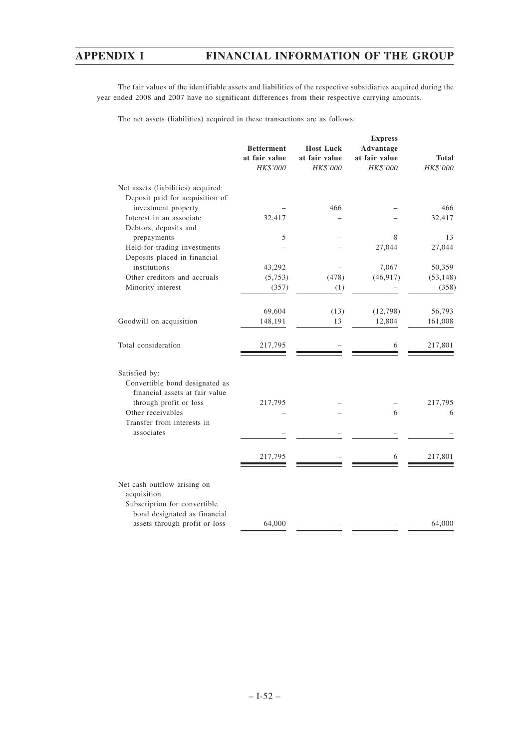The fair values of the identifiable assets and liabilities of the respective subsidiaries acquired during the year ended 2008 and 2007 have no significant differences from their respective carrying amounts.

The net assets (liabilities) acquired in these transactions are as follows:

|                                                        | <b>Betterment</b><br>at fair value<br>HK\$'000 | <b>Host Luck</b><br>at fair value<br>HK\$'000 | <b>Express</b><br><b>Advantage</b><br>at fair value<br>HK\$'000 | <b>Total</b><br>HK\$'000 |
|--------------------------------------------------------|------------------------------------------------|-----------------------------------------------|-----------------------------------------------------------------|--------------------------|
| Net assets (liabilities) acquired:                     |                                                |                                               |                                                                 |                          |
| Deposit paid for acquisition of<br>investment property |                                                | 466                                           |                                                                 | 466                      |
| Interest in an associate                               | 32,417                                         |                                               |                                                                 | 32,417                   |
| Debtors, deposits and                                  |                                                |                                               |                                                                 |                          |
| prepayments                                            | 5                                              |                                               | 8                                                               | 13                       |
| Held-for-trading investments                           |                                                |                                               | 27,044                                                          | 27,044                   |
| Deposits placed in financial                           |                                                |                                               |                                                                 |                          |
| institutions                                           | 43,292                                         |                                               | 7,067                                                           | 50,359                   |
| Other creditors and accruals                           | (5,753)                                        | (478)                                         | (46, 917)                                                       | (53, 148)                |
| Minority interest                                      | (357)                                          | (1)                                           |                                                                 | (358)                    |
|                                                        | 69,604                                         | (13)                                          | (12,798)                                                        | 56,793                   |
| Goodwill on acquisition                                | 148,191                                        | 13                                            | 12,804                                                          | 161,008                  |
| Total consideration                                    | 217,795                                        |                                               | 6                                                               | 217,801                  |
| Satisfied by:                                          |                                                |                                               |                                                                 |                          |
| Convertible bond designated as                         |                                                |                                               |                                                                 |                          |
| financial assets at fair value                         |                                                |                                               |                                                                 |                          |
| through profit or loss                                 | 217,795                                        |                                               |                                                                 | 217,795                  |
| Other receivables                                      |                                                |                                               | 6                                                               | 6                        |
| Transfer from interests in                             |                                                |                                               |                                                                 |                          |
| associates                                             |                                                |                                               |                                                                 |                          |
|                                                        | 217,795                                        |                                               | 6                                                               | 217,801                  |
| Net cash outflow arising on                            |                                                |                                               |                                                                 |                          |
| acquisition<br>Subscription for convertible            |                                                |                                               |                                                                 |                          |
| bond designated as financial                           |                                                |                                               |                                                                 |                          |
| assets through profit or loss                          | 64,000                                         |                                               |                                                                 | 64,000                   |
|                                                        |                                                |                                               |                                                                 |                          |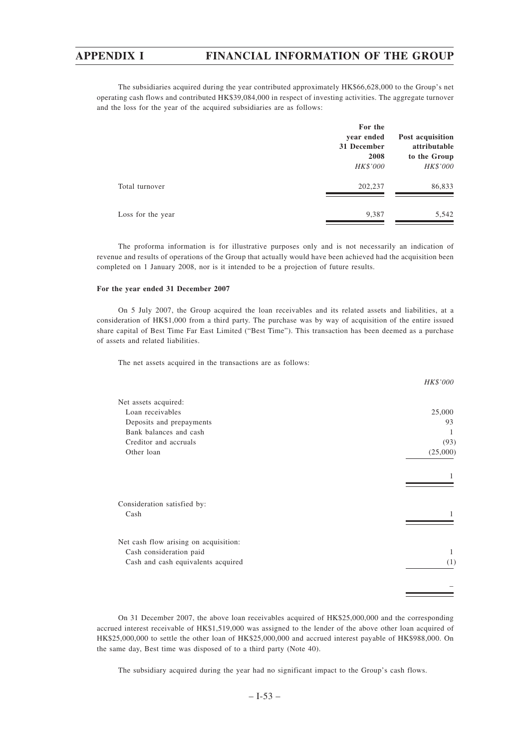The subsidiaries acquired during the year contributed approximately HK\$66,628,000 to the Group's net operating cash flows and contributed HK\$39,084,000 in respect of investing activities. The aggregate turnover and the loss for the year of the acquired subsidiaries are as follows:

|                   | For the<br>year ended<br>31 December<br>2008<br><b>HK\$'000</b> | Post acquisition<br>attributable<br>to the Group<br>HK\$'000 |
|-------------------|-----------------------------------------------------------------|--------------------------------------------------------------|
| Total turnover    | 202,237                                                         | 86,833                                                       |
| Loss for the year | 9,387                                                           | 5,542                                                        |

The proforma information is for illustrative purposes only and is not necessarily an indication of revenue and results of operations of the Group that actually would have been achieved had the acquisition been completed on 1 January 2008, nor is it intended to be a projection of future results.

#### **For the year ended 31 December 2007**

On 5 July 2007, the Group acquired the loan receivables and its related assets and liabilities, at a consideration of HK\$1,000 from a third party. The purchase was by way of acquisition of the entire issued share capital of Best Time Far East Limited ("Best Time"). This transaction has been deemed as a purchase of assets and related liabilities.

The net assets acquired in the transactions are as follows:

|                                       | HK\$'000 |
|---------------------------------------|----------|
| Net assets acquired:                  |          |
| Loan receivables                      | 25,000   |
| Deposits and prepayments              | 93       |
| Bank balances and cash                | 1        |
| Creditor and accruals                 | (93)     |
| Other loan                            | (25,000) |
|                                       |          |
|                                       |          |
| Consideration satisfied by:           |          |
| Cash                                  |          |
|                                       |          |
| Net cash flow arising on acquisition: |          |
| Cash consideration paid               | 1        |
| Cash and cash equivalents acquired    | (1)      |
|                                       |          |
|                                       |          |

On 31 December 2007, the above loan receivables acquired of HK\$25,000,000 and the corresponding accrued interest receivable of HK\$1,519,000 was assigned to the lender of the above other loan acquired of HK\$25,000,000 to settle the other loan of HK\$25,000,000 and accrued interest payable of HK\$988,000. On the same day, Best time was disposed of to a third party (Note 40).

The subsidiary acquired during the year had no significant impact to the Group's cash flows.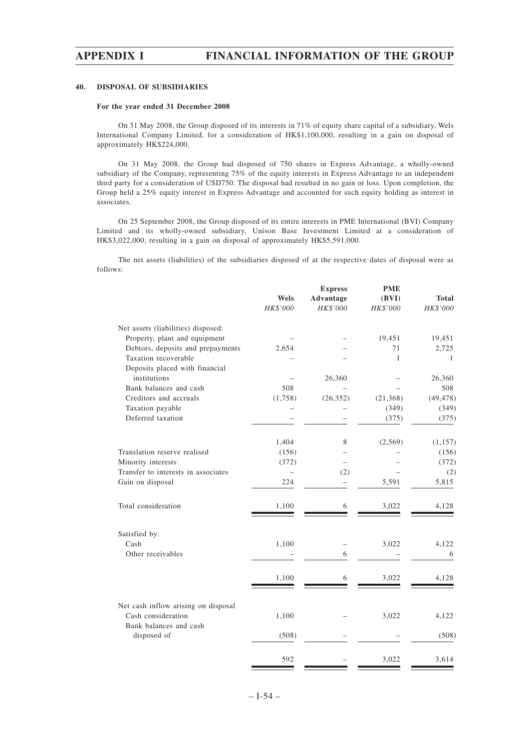#### **40. DISPOSAL OF SUBSIDIARIES**

#### **For the year ended 31 December 2008**

On 31 May 2008, the Group disposed of its interests in 71% of equity share capital of a subsidiary, Wels International Company Limited, for a consideration of HK\$1,100,000, resulting in a gain on disposal of approximately HK\$224,000.

On 31 May 2008, the Group had disposed of 750 shares in Express Advantage, a wholly-owned subsidiary of the Company, representing 75% of the equity interests in Express Advantage to an independent third party for a consideration of USD750. The disposal had resulted in no gain or loss. Upon completion, the Group held a 25% equity interest in Express Advantage and accounted for such equity holding as interest in associates.

On 25 September 2008, the Group disposed of its entire interests in PME International (BVI) Company Limited and its wholly-owned subsidiary, Unison Base Investment Limited at a consideration of HK\$3,022,000, resulting in a gain on disposal of approximately HK\$5,591,000.

The net assets (liabilities) of the subsidiaries disposed of at the respective dates of disposal were as follows:

**PME**

|                                                                                     |          | <b>Express</b> | <b>PME</b>   |              |
|-------------------------------------------------------------------------------------|----------|----------------|--------------|--------------|
|                                                                                     | Wels     | Advantage      | (BVI)        | <b>Total</b> |
|                                                                                     | HK\$'000 | HK\$'000       | HK\$'000     | HK\$'000     |
| Net assets (liabilities) disposed:                                                  |          |                |              |              |
| Property, plant and equipment                                                       |          |                | 19,451       | 19,451       |
| Debtors, deposits and prepayments                                                   | 2,654    |                | 71           | 2,725        |
| Taxation recoverable                                                                |          |                | $\mathbf{1}$ | 1            |
| Deposits placed with financial                                                      |          |                |              |              |
| institutions                                                                        |          | 26,360         |              | 26,360       |
| Bank balances and cash                                                              | 508      |                |              | 508          |
| Creditors and accruals                                                              | (1,758)  | (26, 352)      | (21, 368)    | (49, 478)    |
| Taxation payable                                                                    |          |                | (349)        | (349)        |
| Deferred taxation                                                                   |          |                | (375)        | (375)        |
|                                                                                     | 1,404    | 8              | (2,569)      | (1,157)      |
| Translation reserve realised                                                        | (156)    |                |              | (156)        |
| Minority interests                                                                  | (372)    |                |              | (372)        |
| Transfer to interests in associates                                                 |          | (2)            |              | (2)          |
| Gain on disposal                                                                    | 224      | -              | 5,591        | 5,815        |
| Total consideration                                                                 | 1,100    | 6              | 3,022        | 4,128        |
| Satisfied by:                                                                       |          |                |              |              |
| Cash                                                                                | 1,100    |                | 3,022        | 4,122        |
| Other receivables                                                                   |          | 6              |              | 6            |
|                                                                                     | 1,100    | 6              | 3,022        | 4,128        |
|                                                                                     |          |                |              |              |
| Net cash inflow arising on disposal<br>Cash consideration<br>Bank balances and cash | 1,100    |                | 3,022        | 4,122        |
| disposed of                                                                         | (508)    |                |              | (508)        |
|                                                                                     | 592      |                | 3,022        | 3,614        |
|                                                                                     |          |                |              |              |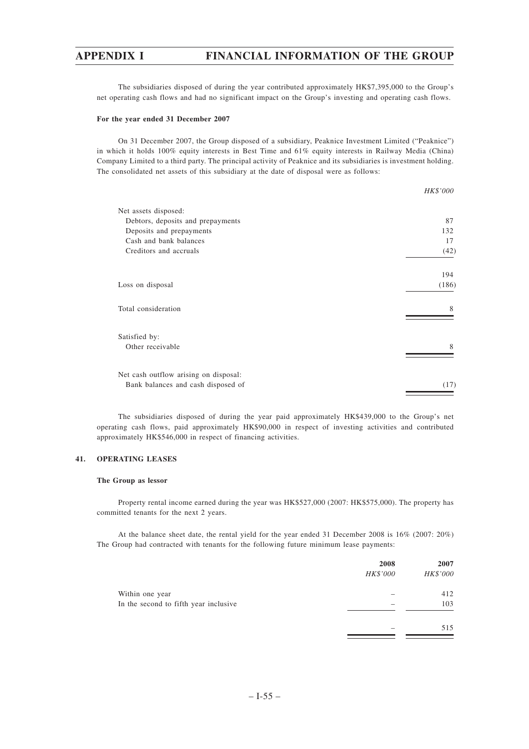The subsidiaries disposed of during the year contributed approximately HK\$7,395,000 to the Group's net operating cash flows and had no significant impact on the Group's investing and operating cash flows.

#### **For the year ended 31 December 2007**

On 31 December 2007, the Group disposed of a subsidiary, Peaknice Investment Limited ("Peaknice") in which it holds 100% equity interests in Best Time and 61% equity interests in Railway Media (China) Company Limited to a third party. The principal activity of Peaknice and its subsidiaries is investment holding. The consolidated net assets of this subsidiary at the date of disposal were as follows:

|                                       | HK\$'000 |
|---------------------------------------|----------|
| Net assets disposed:                  |          |
| Debtors, deposits and prepayments     | 87       |
| Deposits and prepayments              | 132      |
| Cash and bank balances                | 17       |
| Creditors and accruals                | (42)     |
|                                       | 194      |
| Loss on disposal                      | (186)    |
| Total consideration                   | 8        |
| Satisfied by:                         |          |
| Other receivable                      | 8        |
| Net cash outflow arising on disposal: |          |
| Bank balances and cash disposed of    | (17)     |

The subsidiaries disposed of during the year paid approximately HK\$439,000 to the Group's net operating cash flows, paid approximately HK\$90,000 in respect of investing activities and contributed approximately HK\$546,000 in respect of financing activities.

#### **41. OPERATING LEASES**

#### **The Group as lessor**

Property rental income earned during the year was HK\$527,000 (2007: HK\$575,000). The property has committed tenants for the next 2 years.

At the balance sheet date, the rental yield for the year ended 31 December 2008 is 16% (2007: 20%) The Group had contracted with tenants for the following future minimum lease payments:

|                                       | 2008     | 2007     |
|---------------------------------------|----------|----------|
|                                       | HK\$'000 | HK\$'000 |
| Within one year                       |          | 412      |
| In the second to fifth year inclusive |          | 103      |
|                                       |          | 515      |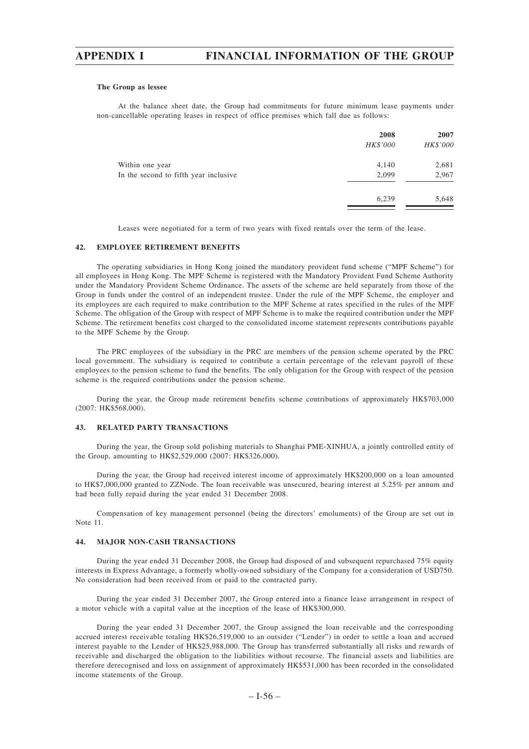#### **The Group as lessee**

At the balance sheet date, the Group had commitments for future minimum lease payments under non-cancellable operating leases in respect of office premises which fall due as follows:

|                                       | 2008<br>HK\$'000 | 2007<br>HK\$'000 |
|---------------------------------------|------------------|------------------|
| Within one year                       | 4,140            | 2,681            |
| In the second to fifth year inclusive | 2,099            | 2,967            |
|                                       | 6,239            | 5,648            |

Leases were negotiated for a term of two years with fixed rentals over the term of the lease.

#### **42. EMPLOYEE RETIREMENT BENEFITS**

The operating subsidiaries in Hong Kong joined the mandatory provident fund scheme ("MPF Scheme") for all employees in Hong Kong. The MPF Scheme is registered with the Mandatory Provident Fund Scheme Authority under the Mandatory Provident Scheme Ordinance. The assets of the scheme are held separately from those of the Group in funds under the control of an independent trustee. Under the rule of the MPF Scheme, the employer and its employees are each required to make contribution to the MPF Scheme at rates specified in the rules of the MPF Scheme. The obligation of the Group with respect of MPF Scheme is to make the required contribution under the MPF Scheme. The retirement benefits cost charged to the consolidated income statement represents contributions payable to the MPF Scheme by the Group.

The PRC employees of the subsidiary in the PRC are members of the pension scheme operated by the PRC local government. The subsidiary is required to contribute a certain percentage of the relevant payroll of these employees to the pension scheme to fund the benefits. The only obligation for the Group with respect of the pension scheme is the required contributions under the pension scheme.

During the year, the Group made retirement benefits scheme contributions of approximately HK\$703,000 (2007: HK\$568,000).

#### **43. RELATED PARTY TRANSACTIONS**

During the year, the Group sold polishing materials to Shanghai PME-XINHUA, a jointly controlled entity of the Group, amounting to HK\$2,529,000 (2007: HK\$326,000).

During the year, the Group had received interest income of approximately HK\$200,000 on a loan amounted to HK\$7,000,000 granted to ZZNode. The loan receivable was unsecured, bearing interest at 5.25% per annum and had been fully repaid during the year ended 31 December 2008.

Compensation of key management personnel (being the directors' emoluments) of the Group are set out in Note 11.

#### **44. MAJOR NON-CASH TRANSACTIONS**

During the year ended 31 December 2008, the Group had disposed of and subsequent repurchased 75% equity interests in Express Advantage, a formerly wholly-owned subsidiary of the Company for a consideration of USD750. No consideration had been received from or paid to the contracted party.

During the year ended 31 December 2007, the Group entered into a finance lease arrangement in respect of a motor vehicle with a capital value at the inception of the lease of HK\$300,000.

During the year ended 31 December 2007, the Group assigned the loan receivable and the corresponding accrued interest receivable totaling HK\$26,519,000 to an outsider ("Lender") in order to settle a loan and accrued interest payable to the Lender of HK\$25,988,000. The Group has transferred substantially all risks and rewards of receivable and discharged the obligation to the liabilities without recourse. The financial assets and liabilities are therefore derecognised and loss on assignment of approximately HK\$531,000 has been recorded in the consolidated income statements of the Group.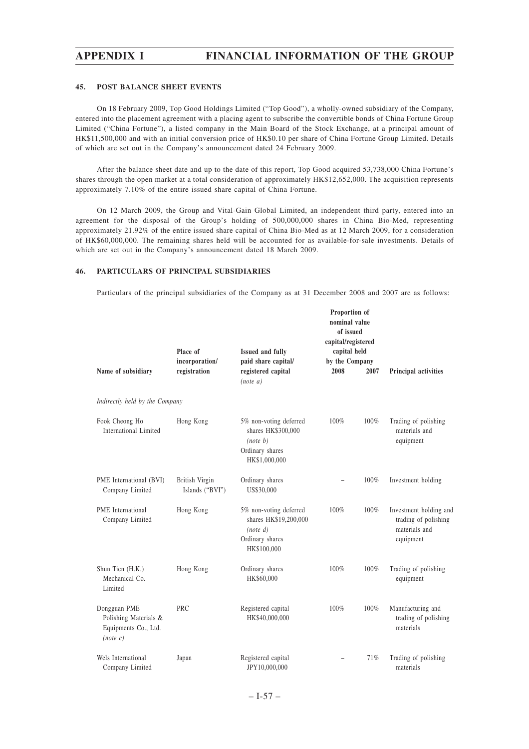#### **45. POST BALANCE SHEET EVENTS**

On 18 February 2009, Top Good Holdings Limited ("Top Good"), a wholly-owned subsidiary of the Company, entered into the placement agreement with a placing agent to subscribe the convertible bonds of China Fortune Group Limited ("China Fortune"), a listed company in the Main Board of the Stock Exchange, at a principal amount of HK\$11,500,000 and with an initial conversion price of HK\$0.10 per share of China Fortune Group Limited. Details of which are set out in the Company's announcement dated 24 February 2009.

After the balance sheet date and up to the date of this report, Top Good acquired 53,738,000 China Fortune's shares through the open market at a total consideration of approximately HK\$12,652,000. The acquisition represents approximately 7.10% of the entire issued share capital of China Fortune.

On 12 March 2009, the Group and Vital-Gain Global Limited, an independent third party, entered into an agreement for the disposal of the Group's holding of 500,000,000 shares in China Bio-Med, representing approximately 21.92% of the entire issued share capital of China Bio-Med as at 12 March 2009, for a consideration of HK\$60,000,000. The remaining shares held will be accounted for as available-for-sale investments. Details of which are set out in the Company's announcement dated 18 March 2009.

#### **46. PARTICULARS OF PRINCIPAL SUBSIDIARIES**

Particulars of the principal subsidiaries of the Company as at 31 December 2008 and 2007 are as follows:

| Name of subsidiary                                                        | Place of<br>incorporation/<br>registration | <b>Issued and fully</b><br>paid share capital/<br>registered capital                          | Proportion of<br>nominal value<br>of issued<br>capital/registered<br>capital held<br>by the Company<br>2008 | 2007 | Principal activities                                                         |
|---------------------------------------------------------------------------|--------------------------------------------|-----------------------------------------------------------------------------------------------|-------------------------------------------------------------------------------------------------------------|------|------------------------------------------------------------------------------|
|                                                                           |                                            | (note a)                                                                                      |                                                                                                             |      |                                                                              |
| Indirectly held by the Company                                            |                                            |                                                                                               |                                                                                                             |      |                                                                              |
| Fook Cheong Ho<br>International Limited                                   | Hong Kong                                  | 5% non-voting deferred<br>shares HK\$300,000<br>(note b)<br>Ordinary shares<br>HK\$1,000,000  | 100%                                                                                                        | 100% | Trading of polishing<br>materials and<br>equipment                           |
| PME International (BVI)<br>Company Limited                                | British Virgin<br>Islands ("BVI")          | Ordinary shares<br>US\$30,000                                                                 |                                                                                                             | 100% | Investment holding                                                           |
| <b>PME</b> International<br>Company Limited                               | Hong Kong                                  | 5% non-voting deferred<br>shares HK\$19,200,000<br>(note d)<br>Ordinary shares<br>HK\$100,000 | 100%                                                                                                        | 100% | Investment holding and<br>trading of polishing<br>materials and<br>equipment |
| Shun Tien (H.K.)<br>Mechanical Co.<br>Limited                             | Hong Kong                                  | Ordinary shares<br>HK\$60,000                                                                 | 100%                                                                                                        | 100% | Trading of polishing<br>equipment                                            |
| Dongguan PME<br>Polishing Materials &<br>Equipments Co., Ltd.<br>(note c) | <b>PRC</b>                                 | Registered capital<br>HK\$40,000,000                                                          | 100%                                                                                                        | 100% | Manufacturing and<br>trading of polishing<br>materials                       |
| Wels International<br>Company Limited                                     | Japan                                      | Registered capital<br>JPY10,000,000                                                           |                                                                                                             | 71%  | Trading of polishing<br>materials                                            |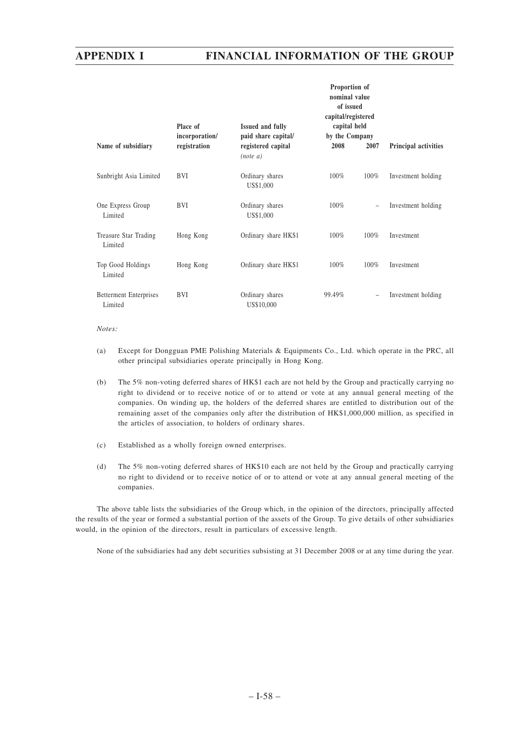|                                          | Place of<br>incorporation/ | <b>Issued and fully</b><br>paid share capital/ | Proportion of<br>nominal value<br>of issued<br>capital/registered<br>capital held<br>by the Company |      |                      |  |
|------------------------------------------|----------------------------|------------------------------------------------|-----------------------------------------------------------------------------------------------------|------|----------------------|--|
| Name of subsidiary                       | registration               | registered capital<br>$(note\ a)$              | 2008                                                                                                | 2007 | Principal activities |  |
| Sunbright Asia Limited                   | <b>BVI</b>                 | Ordinary shares<br>US\$1,000                   | 100%                                                                                                | 100% | Investment holding   |  |
| One Express Group<br>Limited             | BVI                        | Ordinary shares<br>US\$1,000                   | 100%                                                                                                |      | Investment holding   |  |
| Treasure Star Trading<br>Limited         | Hong Kong                  | Ordinary share HK\$1                           | 100%                                                                                                | 100% | Investment           |  |
| Top Good Holdings<br>Limited             | Hong Kong                  | Ordinary share HK\$1                           | 100%                                                                                                | 100% | Investment           |  |
| <b>Betterment Enterprises</b><br>Limited | <b>BVI</b>                 | Ordinary shares<br>US\$10,000                  | 99.49%                                                                                              | -    | Investment holding   |  |

#### *Notes:*

- (a) Except for Dongguan PME Polishing Materials & Equipments Co., Ltd. which operate in the PRC, all other principal subsidiaries operate principally in Hong Kong.
- (b) The 5% non-voting deferred shares of HK\$1 each are not held by the Group and practically carrying no right to dividend or to receive notice of or to attend or vote at any annual general meeting of the companies. On winding up, the holders of the deferred shares are entitled to distribution out of the remaining asset of the companies only after the distribution of HK\$1,000,000 million, as specified in the articles of association, to holders of ordinary shares.
- (c) Established as a wholly foreign owned enterprises.
- (d) The 5% non-voting deferred shares of HK\$10 each are not held by the Group and practically carrying no right to dividend or to receive notice of or to attend or vote at any annual general meeting of the companies.

The above table lists the subsidiaries of the Group which, in the opinion of the directors, principally affected the results of the year or formed a substantial portion of the assets of the Group. To give details of other subsidiaries would, in the opinion of the directors, result in particulars of excessive length.

None of the subsidiaries had any debt securities subsisting at 31 December 2008 or at any time during the year.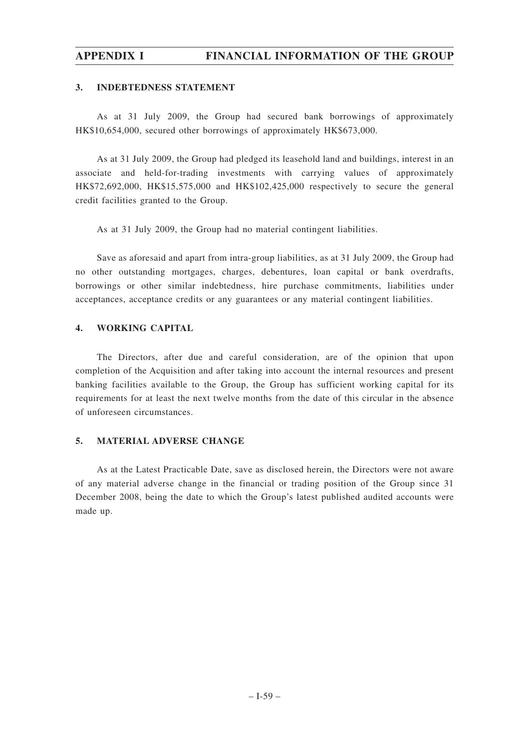### **3. INDEBTEDNESS STATEMENT**

As at 31 July 2009, the Group had secured bank borrowings of approximately HK\$10,654,000, secured other borrowings of approximately HK\$673,000.

As at 31 July 2009, the Group had pledged its leasehold land and buildings, interest in an associate and held-for-trading investments with carrying values of approximately HK\$72,692,000, HK\$15,575,000 and HK\$102,425,000 respectively to secure the general credit facilities granted to the Group.

As at 31 July 2009, the Group had no material contingent liabilities.

Save as aforesaid and apart from intra-group liabilities, as at 31 July 2009, the Group had no other outstanding mortgages, charges, debentures, loan capital or bank overdrafts, borrowings or other similar indebtedness, hire purchase commitments, liabilities under acceptances, acceptance credits or any guarantees or any material contingent liabilities.

### **4. WORKING CAPITAL**

The Directors, after due and careful consideration, are of the opinion that upon completion of the Acquisition and after taking into account the internal resources and present banking facilities available to the Group, the Group has sufficient working capital for its requirements for at least the next twelve months from the date of this circular in the absence of unforeseen circumstances.

### **5. MATERIAL ADVERSE CHANGE**

As at the Latest Practicable Date, save as disclosed herein, the Directors were not aware of any material adverse change in the financial or trading position of the Group since 31 December 2008, being the date to which the Group's latest published audited accounts were made up.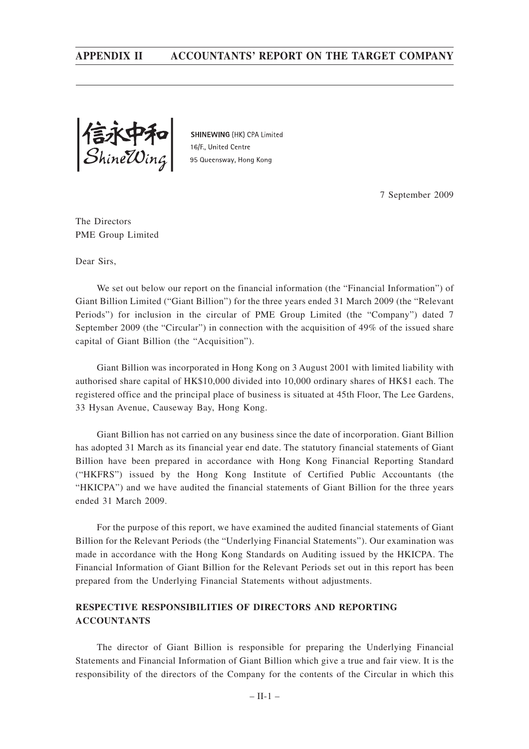信永甲和<br>ShineWing

SHINEWING (HK) CPA Limited 16/F., United Centre 95 Queensway, Hong Kong

7 September 2009

The Directors PME Group Limited

Dear Sirs,

We set out below our report on the financial information (the "Financial Information") of Giant Billion Limited ("Giant Billion") for the three years ended 31 March 2009 (the "Relevant Periods") for inclusion in the circular of PME Group Limited (the "Company") dated 7 September 2009 (the "Circular") in connection with the acquisition of 49% of the issued share capital of Giant Billion (the "Acquisition").

Giant Billion was incorporated in Hong Kong on 3 August 2001 with limited liability with authorised share capital of HK\$10,000 divided into 10,000 ordinary shares of HK\$1 each. The registered office and the principal place of business is situated at 45th Floor, The Lee Gardens, 33 Hysan Avenue, Causeway Bay, Hong Kong.

Giant Billion has not carried on any business since the date of incorporation. Giant Billion has adopted 31 March as its financial year end date. The statutory financial statements of Giant Billion have been prepared in accordance with Hong Kong Financial Reporting Standard ("HKFRS") issued by the Hong Kong Institute of Certified Public Accountants (the "HKICPA") and we have audited the financial statements of Giant Billion for the three years ended 31 March 2009.

For the purpose of this report, we have examined the audited financial statements of Giant Billion for the Relevant Periods (the "Underlying Financial Statements"). Our examination was made in accordance with the Hong Kong Standards on Auditing issued by the HKICPA. The Financial Information of Giant Billion for the Relevant Periods set out in this report has been prepared from the Underlying Financial Statements without adjustments.

### **RESPECTIVE RESPONSIBILITIES OF DIRECTORS AND REPORTING ACCOUNTANTS**

The director of Giant Billion is responsible for preparing the Underlying Financial Statements and Financial Information of Giant Billion which give a true and fair view. It is the responsibility of the directors of the Company for the contents of the Circular in which this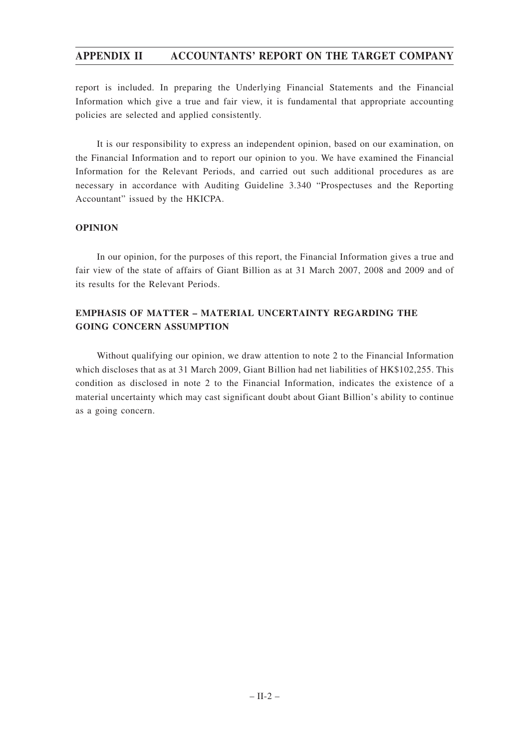report is included. In preparing the Underlying Financial Statements and the Financial Information which give a true and fair view, it is fundamental that appropriate accounting policies are selected and applied consistently.

It is our responsibility to express an independent opinion, based on our examination, on the Financial Information and to report our opinion to you. We have examined the Financial Information for the Relevant Periods, and carried out such additional procedures as are necessary in accordance with Auditing Guideline 3.340 "Prospectuses and the Reporting Accountant" issued by the HKICPA.

### **OPINION**

In our opinion, for the purposes of this report, the Financial Information gives a true and fair view of the state of affairs of Giant Billion as at 31 March 2007, 2008 and 2009 and of its results for the Relevant Periods.

## **EMPHASIS OF MATTER – MATERIAL UNCERTAINTY REGARDING THE GOING CONCERN ASSUMPTION**

Without qualifying our opinion, we draw attention to note 2 to the Financial Information which discloses that as at 31 March 2009, Giant Billion had net liabilities of HK\$102,255. This condition as disclosed in note 2 to the Financial Information, indicates the existence of a material uncertainty which may cast significant doubt about Giant Billion's ability to continue as a going concern.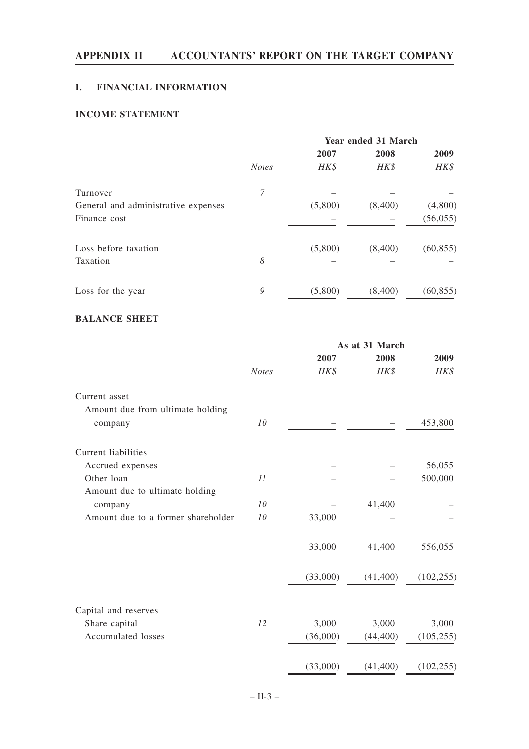## **I. FINANCIAL INFORMATION**

## **INCOME STATEMENT**

|              | <b>Year ended 31 March</b> |         |           |  |
|--------------|----------------------------|---------|-----------|--|
|              | 2007                       | 2008    | 2009      |  |
| <b>Notes</b> | HK\$                       | HK\$    | HK\$      |  |
| 7            |                            |         |           |  |
|              | (5,800)                    | (8,400) | (4,800)   |  |
|              |                            |         | (56, 055) |  |
|              | (5,800)                    | (8,400) | (60, 855) |  |
| 8            |                            |         |           |  |
| 9            | (5,800)                    | (8,400) | (60, 855) |  |
|              |                            |         |           |  |

## **BALANCE SHEET**

|                                    |              | As at 31 March |           |            |  |
|------------------------------------|--------------|----------------|-----------|------------|--|
|                                    |              | 2007           | 2008      | 2009       |  |
|                                    | <b>Notes</b> | HK\$           | HK\$      | HK\$       |  |
| Current asset                      |              |                |           |            |  |
| Amount due from ultimate holding   |              |                |           |            |  |
| company                            | 10           |                |           | 453,800    |  |
| Current liabilities                |              |                |           |            |  |
| Accrued expenses                   |              |                |           | 56,055     |  |
| Other loan                         | 11           |                |           | 500,000    |  |
| Amount due to ultimate holding     |              |                |           |            |  |
| company                            | 10           |                | 41,400    |            |  |
| Amount due to a former shareholder | 10           | 33,000         |           |            |  |
|                                    |              | 33,000         | 41,400    | 556,055    |  |
|                                    |              | (33,000)       | (41, 400) | (102, 255) |  |
|                                    |              |                |           |            |  |
| Capital and reserves               |              |                |           |            |  |
| Share capital                      | 12           | 3,000          | 3,000     | 3,000      |  |
| Accumulated losses                 |              | (36,000)       | (44, 400) | (105, 255) |  |
|                                    |              | (33,000)       | (41, 400) | (102, 255) |  |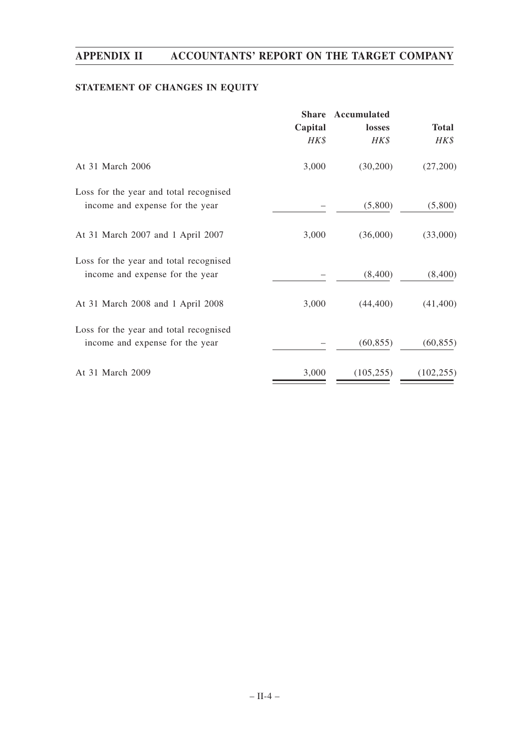## **STATEMENT OF CHANGES IN EQUITY**

|                                                                           | <b>Share</b> | Accumulated |              |
|---------------------------------------------------------------------------|--------------|-------------|--------------|
|                                                                           | Capital      | losses      | <b>Total</b> |
|                                                                           | HK\$         | HK\$        | HK\$         |
| At 31 March 2006                                                          | 3,000        | (30,200)    | (27,200)     |
| Loss for the year and total recognised<br>income and expense for the year |              | (5,800)     | (5,800)      |
| At 31 March 2007 and 1 April 2007                                         | 3,000        | (36,000)    | (33,000)     |
| Loss for the year and total recognised<br>income and expense for the year |              | (8,400)     | (8,400)      |
| At 31 March 2008 and 1 April 2008                                         | 3,000        | (44, 400)   | (41, 400)    |
| Loss for the year and total recognised<br>income and expense for the year |              | (60, 855)   | (60, 855)    |
| At 31 March 2009                                                          | 3,000        | (105, 255)  | (102, 255)   |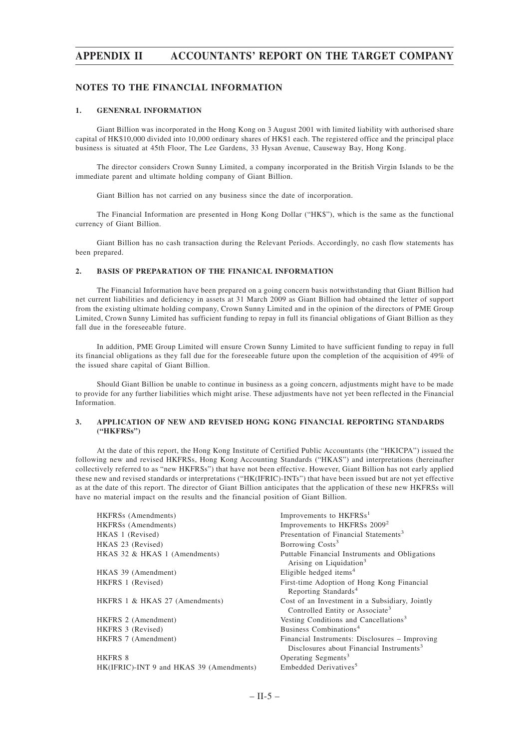#### **NOTES TO THE FINANCIAL INFORMATION**

#### **1. GENENRAL INFORMATION**

Giant Billion was incorporated in the Hong Kong on 3 August 2001 with limited liability with authorised share capital of HK\$10,000 divided into 10,000 ordinary shares of HK\$1 each. The registered office and the principal place business is situated at 45th Floor, The Lee Gardens, 33 Hysan Avenue, Causeway Bay, Hong Kong.

The director considers Crown Sunny Limited, a company incorporated in the British Virgin Islands to be the immediate parent and ultimate holding company of Giant Billion.

Giant Billion has not carried on any business since the date of incorporation.

The Financial Information are presented in Hong Kong Dollar ("HK\$"), which is the same as the functional currency of Giant Billion.

Giant Billion has no cash transaction during the Relevant Periods. Accordingly, no cash flow statements has been prepared.

#### **2. BASIS OF PREPARATION OF THE FINANICAL INFORMATION**

The Financial Information have been prepared on a going concern basis notwithstanding that Giant Billion had net current liabilities and deficiency in assets at 31 March 2009 as Giant Billion had obtained the letter of support from the existing ultimate holding company, Crown Sunny Limited and in the opinion of the directors of PME Group Limited, Crown Sunny Limited has sufficient funding to repay in full its financial obligations of Giant Billion as they fall due in the foreseeable future.

In addition, PME Group Limited will ensure Crown Sunny Limited to have sufficient funding to repay in full its financial obligations as they fall due for the foreseeable future upon the completion of the acquisition of 49% of the issued share capital of Giant Billion.

Should Giant Billion be unable to continue in business as a going concern, adjustments might have to be made to provide for any further liabilities which might arise. These adjustments have not yet been reflected in the Financial Information.

#### **3. APPLICATION OF NEW AND REVISED HONG KONG FINANCIAL REPORTING STANDARDS ("HKFRSs")**

At the date of this report, the Hong Kong Institute of Certified Public Accountants (the "HKICPA") issued the following new and revised HKFRSs, Hong Kong Accounting Standards ("HKAS") and interpretations (hereinafter collectively referred to as "new HKFRSs") that have not been effective. However, Giant Billion has not early applied these new and revised standards or interpretations ("HK(IFRIC)-INTs") that have been issued but are not yet effective as at the date of this report. The director of Giant Billion anticipates that the application of these new HKFRSs will have no material impact on the results and the financial position of Giant Billion.

| HKFRSs (Amendments)                      | Improvements to HKFRSs <sup>1</sup>                                                                    |
|------------------------------------------|--------------------------------------------------------------------------------------------------------|
| HKFRSs (Amendments)                      | Improvements to HKFRSs 2009 <sup>2</sup>                                                               |
| HKAS 1 (Revised)                         | Presentation of Financial Statements <sup>3</sup>                                                      |
| HKAS 23 (Revised)                        | Borrowing Costs <sup>3</sup>                                                                           |
| HKAS 32 & HKAS 1 (Amendments)            | Puttable Financial Instruments and Obligations<br>Arising on Liquidation <sup>3</sup>                  |
| HKAS 39 (Amendment)                      | Eligible hedged items <sup>4</sup>                                                                     |
| HKFRS 1 (Revised)                        | First-time Adoption of Hong Kong Financial<br>Reporting Standards <sup>4</sup>                         |
| HKFRS 1 & HKAS 27 (Amendments)           | Cost of an Investment in a Subsidiary, Jointly<br>Controlled Entity or Associate <sup>3</sup>          |
| HKFRS 2 (Amendment)                      | Vesting Conditions and Cancellations <sup>3</sup>                                                      |
| HKFRS 3 (Revised)                        | Business Combinations <sup>4</sup>                                                                     |
| HKFRS 7 (Amendment)                      | Financial Instruments: Disclosures – Improving<br>Disclosures about Financial Instruments <sup>3</sup> |
| HKFRS 8                                  | Operating Segments <sup>3</sup>                                                                        |
| HK(IFRIC)-INT 9 and HKAS 39 (Amendments) | Embedded Derivatives <sup>5</sup>                                                                      |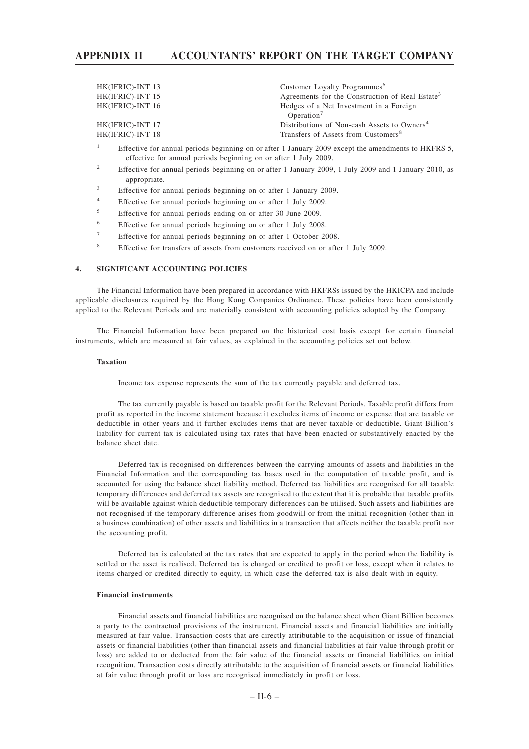| HK(IFRIC)-INT 13 | Customer Loyalty Programmes <sup>6</sup>                          |
|------------------|-------------------------------------------------------------------|
| HK(IFRIC)-INT 15 | Agreements for the Construction of Real Estate <sup>3</sup>       |
| HK(IFRIC)-INT 16 | Hedges of a Net Investment in a Foreign<br>Operation <sup>7</sup> |
| HK(IFRIC)-INT 17 | Distributions of Non-cash Assets to Owners <sup>4</sup>           |
| HK(IFRIC)-INT 18 | Transfers of Assets from Customers <sup>8</sup>                   |
|                  |                                                                   |

- <sup>1</sup> Effective for annual periods beginning on or after 1 January 2009 except the amendments to HKFRS 5, effective for annual periods beginning on or after 1 July 2009.
- <sup>2</sup> Effective for annual periods beginning on or after 1 January 2009, 1 July 2009 and 1 January 2010, as appropriate.
- <sup>3</sup> Effective for annual periods beginning on or after 1 January 2009.
- <sup>4</sup> Effective for annual periods beginning on or after 1 July 2009.
- <sup>5</sup> Effective for annual periods ending on or after 30 June 2009.
- <sup>6</sup> Effective for annual periods beginning on or after 1 July 2008.
- <sup>7</sup> Effective for annual periods beginning on or after 1 October 2008.
- <sup>8</sup> Effective for transfers of assets from customers received on or after 1 July 2009.

#### **4. SIGNIFICANT ACCOUNTING POLICIES**

The Financial Information have been prepared in accordance with HKFRSs issued by the HKICPA and include applicable disclosures required by the Hong Kong Companies Ordinance. These policies have been consistently applied to the Relevant Periods and are materially consistent with accounting policies adopted by the Company.

The Financial Information have been prepared on the historical cost basis except for certain financial instruments, which are measured at fair values, as explained in the accounting policies set out below.

#### **Taxation**

Income tax expense represents the sum of the tax currently payable and deferred tax.

The tax currently payable is based on taxable profit for the Relevant Periods. Taxable profit differs from profit as reported in the income statement because it excludes items of income or expense that are taxable or deductible in other years and it further excludes items that are never taxable or deductible. Giant Billion's liability for current tax is calculated using tax rates that have been enacted or substantively enacted by the balance sheet date.

Deferred tax is recognised on differences between the carrying amounts of assets and liabilities in the Financial Information and the corresponding tax bases used in the computation of taxable profit, and is accounted for using the balance sheet liability method. Deferred tax liabilities are recognised for all taxable temporary differences and deferred tax assets are recognised to the extent that it is probable that taxable profits will be available against which deductible temporary differences can be utilised. Such assets and liabilities are not recognised if the temporary difference arises from goodwill or from the initial recognition (other than in a business combination) of other assets and liabilities in a transaction that affects neither the taxable profit nor the accounting profit.

Deferred tax is calculated at the tax rates that are expected to apply in the period when the liability is settled or the asset is realised. Deferred tax is charged or credited to profit or loss, except when it relates to items charged or credited directly to equity, in which case the deferred tax is also dealt with in equity.

#### **Financial instruments**

Financial assets and financial liabilities are recognised on the balance sheet when Giant Billion becomes a party to the contractual provisions of the instrument. Financial assets and financial liabilities are initially measured at fair value. Transaction costs that are directly attributable to the acquisition or issue of financial assets or financial liabilities (other than financial assets and financial liabilities at fair value through profit or loss) are added to or deducted from the fair value of the financial assets or financial liabilities on initial recognition. Transaction costs directly attributable to the acquisition of financial assets or financial liabilities at fair value through profit or loss are recognised immediately in profit or loss.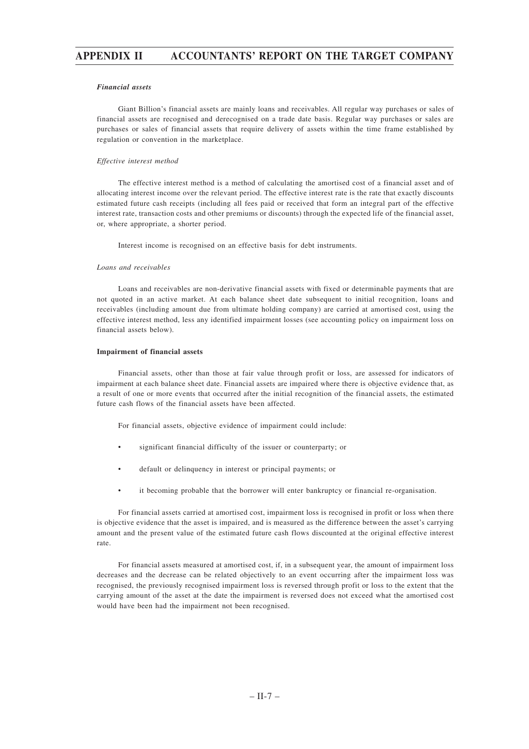#### *Financial assets*

Giant Billion's financial assets are mainly loans and receivables. All regular way purchases or sales of financial assets are recognised and derecognised on a trade date basis. Regular way purchases or sales are purchases or sales of financial assets that require delivery of assets within the time frame established by regulation or convention in the marketplace.

#### *Effective interest method*

The effective interest method is a method of calculating the amortised cost of a financial asset and of allocating interest income over the relevant period. The effective interest rate is the rate that exactly discounts estimated future cash receipts (including all fees paid or received that form an integral part of the effective interest rate, transaction costs and other premiums or discounts) through the expected life of the financial asset, or, where appropriate, a shorter period.

Interest income is recognised on an effective basis for debt instruments.

#### *Loans and receivables*

Loans and receivables are non-derivative financial assets with fixed or determinable payments that are not quoted in an active market. At each balance sheet date subsequent to initial recognition, loans and receivables (including amount due from ultimate holding company) are carried at amortised cost, using the effective interest method, less any identified impairment losses (see accounting policy on impairment loss on financial assets below).

#### **Impairment of financial assets**

Financial assets, other than those at fair value through profit or loss, are assessed for indicators of impairment at each balance sheet date. Financial assets are impaired where there is objective evidence that, as a result of one or more events that occurred after the initial recognition of the financial assets, the estimated future cash flows of the financial assets have been affected.

For financial assets, objective evidence of impairment could include:

- significant financial difficulty of the issuer or counterparty; or
- default or delinquency in interest or principal payments; or
- it becoming probable that the borrower will enter bankruptcy or financial re-organisation.

For financial assets carried at amortised cost, impairment loss is recognised in profit or loss when there is objective evidence that the asset is impaired, and is measured as the difference between the asset's carrying amount and the present value of the estimated future cash flows discounted at the original effective interest rate.

For financial assets measured at amortised cost, if, in a subsequent year, the amount of impairment loss decreases and the decrease can be related objectively to an event occurring after the impairment loss was recognised, the previously recognised impairment loss is reversed through profit or loss to the extent that the carrying amount of the asset at the date the impairment is reversed does not exceed what the amortised cost would have been had the impairment not been recognised.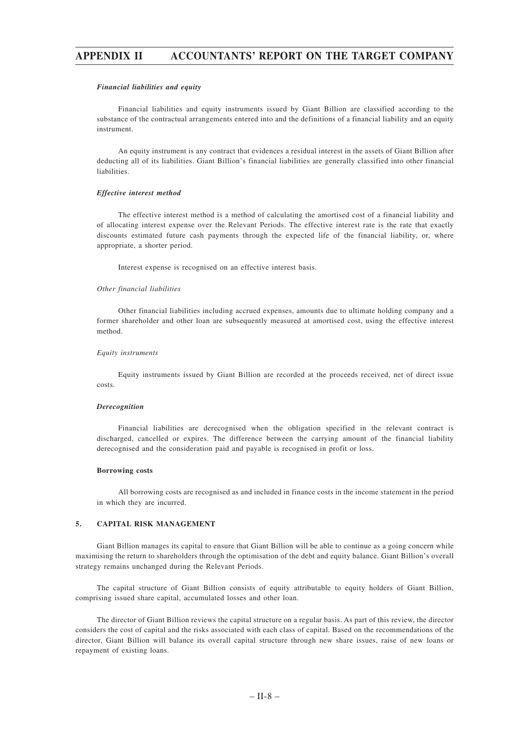#### *Financial liabilities and equity*

Financial liabilities and equity instruments issued by Giant Billion are classified according to the substance of the contractual arrangements entered into and the definitions of a financial liability and an equity instrument.

An equity instrument is any contract that evidences a residual interest in the assets of Giant Billion after deducting all of its liabilities. Giant Billion's financial liabilities are generally classified into other financial liabilities.

#### *Effective interest method*

The effective interest method is a method of calculating the amortised cost of a financial liability and of allocating interest expense over the Relevant Periods. The effective interest rate is the rate that exactly discounts estimated future cash payments through the expected life of the financial liability, or, where appropriate, a shorter period.

Interest expense is recognised on an effective interest basis.

#### *Other financial liabilities*

Other financial liabilities including accrued expenses, amounts due to ultimate holding company and a former shareholder and other loan are subsequently measured at amortised cost, using the effective interest method.

#### *Equity instruments*

Equity instruments issued by Giant Billion are recorded at the proceeds received, net of direct issue costs.

#### *Derecognition*

Financial liabilities are derecognised when the obligation specified in the relevant contract is discharged, cancelled or expires. The difference between the carrying amount of the financial liability derecognised and the consideration paid and payable is recognised in profit or loss.

#### **Borrowing costs**

All borrowing costs are recognised as and included in finance costs in the income statement in the period in which they are incurred.

#### **5. CAPITAL RISK MANAGEMENT**

Giant Billion manages its capital to ensure that Giant Billion will be able to continue as a going concern while maximising the return to shareholders through the optimisation of the debt and equity balance. Giant Billion's overall strategy remains unchanged during the Relevant Periods.

The capital structure of Giant Billion consists of equity attributable to equity holders of Giant Billion, comprising issued share capital, accumulated losses and other loan.

The director of Giant Billion reviews the capital structure on a regular basis. As part of this review, the director considers the cost of capital and the risks associated with each class of capital. Based on the recommendations of the director, Giant Billion will balance its overall capital structure through new share issues, raise of new loans or repayment of existing loans.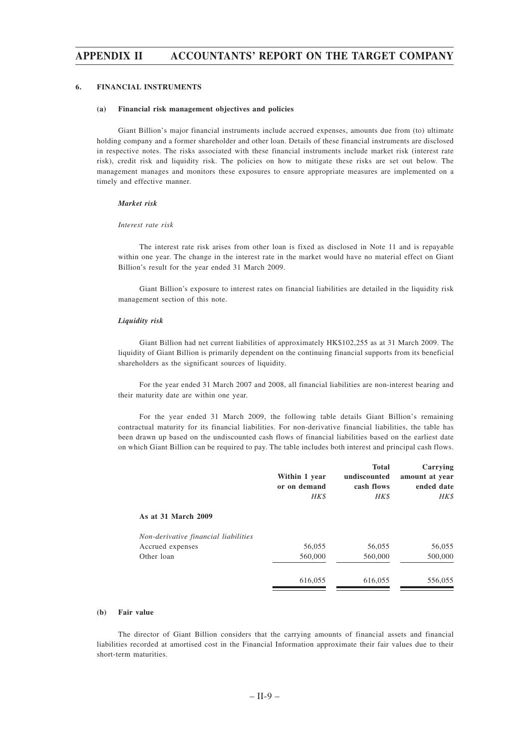#### **6. FINANCIAL INSTRUMENTS**

#### **(a) Financial risk management objectives and policies**

Giant Billion's major financial instruments include accrued expenses, amounts due from (to) ultimate holding company and a former shareholder and other loan. Details of these financial instruments are disclosed in respective notes. The risks associated with these financial instruments include market risk (interest rate risk), credit risk and liquidity risk. The policies on how to mitigate these risks are set out below. The management manages and monitors these exposures to ensure appropriate measures are implemented on a timely and effective manner.

#### *Market risk*

#### *Interest rate risk*

The interest rate risk arises from other loan is fixed as disclosed in Note 11 and is repayable within one year. The change in the interest rate in the market would have no material effect on Giant Billion's result for the year ended 31 March 2009.

Giant Billion's exposure to interest rates on financial liabilities are detailed in the liquidity risk management section of this note.

#### *Liquidity risk*

Giant Billion had net current liabilities of approximately HK\$102,255 as at 31 March 2009. The liquidity of Giant Billion is primarily dependent on the continuing financial supports from its beneficial shareholders as the significant sources of liquidity.

For the year ended 31 March 2007 and 2008, all financial liabilities are non-interest bearing and their maturity date are within one year.

For the year ended 31 March 2009, the following table details Giant Billion's remaining contractual maturity for its financial liabilities. For non-derivative financial liabilities, the table has been drawn up based on the undiscounted cash flows of financial liabilities based on the earliest date on which Giant Billion can be required to pay. The table includes both interest and principal cash flows.

|                                      | Within 1 year<br>or on demand<br>HK\$ | <b>Total</b><br>undiscounted<br>cash flows<br>HK\$ | Carrying<br>amount at year<br>ended date<br>HK\$ |
|--------------------------------------|---------------------------------------|----------------------------------------------------|--------------------------------------------------|
| As at 31 March 2009                  |                                       |                                                    |                                                  |
| Non-derivative financial liabilities |                                       |                                                    |                                                  |
| Accrued expenses                     | 56,055                                | 56,055                                             | 56,055                                           |
| Other loan                           | 560,000                               | 560,000                                            | 500,000                                          |
|                                      | 616,055                               | 616,055                                            | 556,055                                          |

#### **(b) Fair value**

The director of Giant Billion considers that the carrying amounts of financial assets and financial liabilities recorded at amortised cost in the Financial Information approximate their fair values due to their short-term maturities.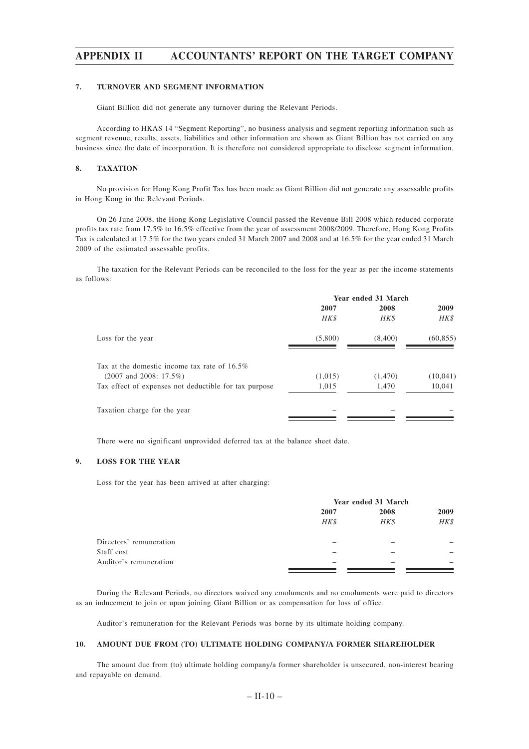#### **7. TURNOVER AND SEGMENT INFORMATION**

Giant Billion did not generate any turnover during the Relevant Periods.

According to HKAS 14 "Segment Reporting", no business analysis and segment reporting information such as segment revenue, results, assets, liabilities and other information are shown as Giant Billion has not carried on any business since the date of incorporation. It is therefore not considered appropriate to disclose segment information.

#### **8. TAXATION**

No provision for Hong Kong Profit Tax has been made as Giant Billion did not generate any assessable profits in Hong Kong in the Relevant Periods.

On 26 June 2008, the Hong Kong Legislative Council passed the Revenue Bill 2008 which reduced corporate profits tax rate from 17.5% to 16.5% effective from the year of assessment 2008/2009. Therefore, Hong Kong Profits Tax is calculated at 17.5% for the two years ended 31 March 2007 and 2008 and at 16.5% for the year ended 31 March 2009 of the estimated assessable profits.

The taxation for the Relevant Periods can be reconciled to the loss for the year as per the income statements as follows:

|                                                       | Year ended 31 March |          |           |
|-------------------------------------------------------|---------------------|----------|-----------|
|                                                       | 2007                | 2008     | 2009      |
|                                                       | HK\$                | HK\$     | HK\$      |
| Loss for the year                                     | (5,800)             | (8,400)  | (60, 855) |
| Tax at the domestic income tax rate of $16.5\%$       |                     |          |           |
| $(2007$ and $2008: 17.5\%)$                           | (1,015)             | (1, 470) | (10,041)  |
| Tax effect of expenses not deductible for tax purpose | 1,015               | 1,470    | 10,041    |
| Taxation charge for the year                          |                     |          |           |

There were no significant unprovided deferred tax at the balance sheet date.

#### **9. LOSS FOR THE YEAR**

Loss for the year has been arrived at after charging:

|                         |              | Year ended 31 March |      |  |  |  |  |      |
|-------------------------|--------------|---------------------|------|--|--|--|--|------|
|                         | 2008<br>2007 |                     |      |  |  |  |  | 2009 |
|                         | HK\$         | HK\$                | HK\$ |  |  |  |  |      |
| Directors' remuneration |              |                     |      |  |  |  |  |      |
| Staff cost              |              |                     |      |  |  |  |  |      |
| Auditor's remuneration  |              |                     |      |  |  |  |  |      |
|                         |              |                     |      |  |  |  |  |      |

During the Relevant Periods, no directors waived any emoluments and no emoluments were paid to directors as an inducement to join or upon joining Giant Billion or as compensation for loss of office.

Auditor's remuneration for the Relevant Periods was borne by its ultimate holding company.

#### **10. AMOUNT DUE FROM (TO) ULTIMATE HOLDING COMPANY/A FORMER SHAREHOLDER**

The amount due from (to) ultimate holding company/a former shareholder is unsecured, non-interest bearing and repayable on demand.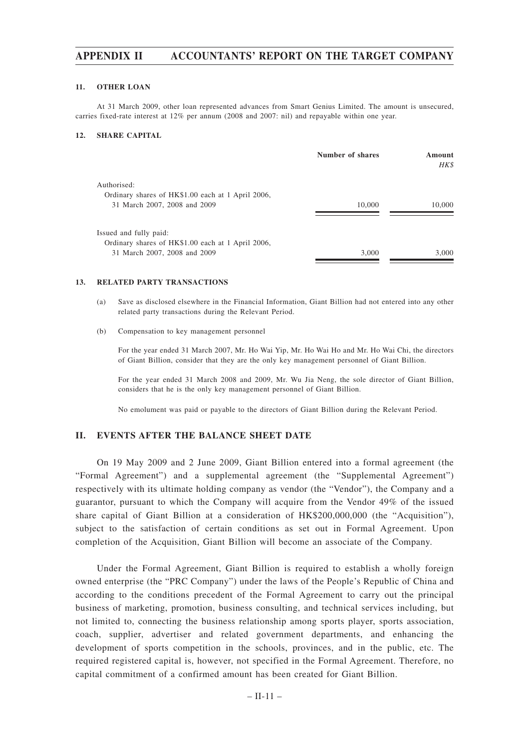#### **11. OTHER LOAN**

At 31 March 2009, other loan represented advances from Smart Genius Limited. The amount is unsecured, carries fixed-rate interest at 12% per annum (2008 and 2007: nil) and repayable within one year.

#### **12. SHARE CAPITAL**

|                                                   | Number of shares | Amount<br>HK\$ |
|---------------------------------------------------|------------------|----------------|
| Authorised:                                       |                  |                |
| Ordinary shares of HK\$1.00 each at 1 April 2006, |                  |                |
| 31 March 2007, 2008 and 2009                      | 10,000           | 10,000         |
| Issued and fully paid:                            |                  |                |
| Ordinary shares of HK\$1.00 each at 1 April 2006, |                  |                |
| 31 March 2007, 2008 and 2009                      | 3,000            | 3,000          |

#### **13. RELATED PARTY TRANSACTIONS**

- (a) Save as disclosed elsewhere in the Financial Information, Giant Billion had not entered into any other related party transactions during the Relevant Period.
- (b) Compensation to key management personnel

For the year ended 31 March 2007, Mr. Ho Wai Yip, Mr. Ho Wai Ho and Mr. Ho Wai Chi, the directors of Giant Billion, consider that they are the only key management personnel of Giant Billion.

For the year ended 31 March 2008 and 2009, Mr. Wu Jia Neng, the sole director of Giant Billion, considers that he is the only key management personnel of Giant Billion.

No emolument was paid or payable to the directors of Giant Billion during the Relevant Period.

### **II. EVENTS AFTER THE BALANCE SHEET DATE**

On 19 May 2009 and 2 June 2009, Giant Billion entered into a formal agreement (the "Formal Agreement") and a supplemental agreement (the "Supplemental Agreement") respectively with its ultimate holding company as vendor (the "Vendor"), the Company and a guarantor, pursuant to which the Company will acquire from the Vendor 49% of the issued share capital of Giant Billion at a consideration of HK\$200,000,000 (the "Acquisition"), subject to the satisfaction of certain conditions as set out in Formal Agreement. Upon completion of the Acquisition, Giant Billion will become an associate of the Company.

Under the Formal Agreement, Giant Billion is required to establish a wholly foreign owned enterprise (the "PRC Company") under the laws of the People's Republic of China and according to the conditions precedent of the Formal Agreement to carry out the principal business of marketing, promotion, business consulting, and technical services including, but not limited to, connecting the business relationship among sports player, sports association, coach, supplier, advertiser and related government departments, and enhancing the development of sports competition in the schools, provinces, and in the public, etc. The required registered capital is, however, not specified in the Formal Agreement. Therefore, no capital commitment of a confirmed amount has been created for Giant Billion.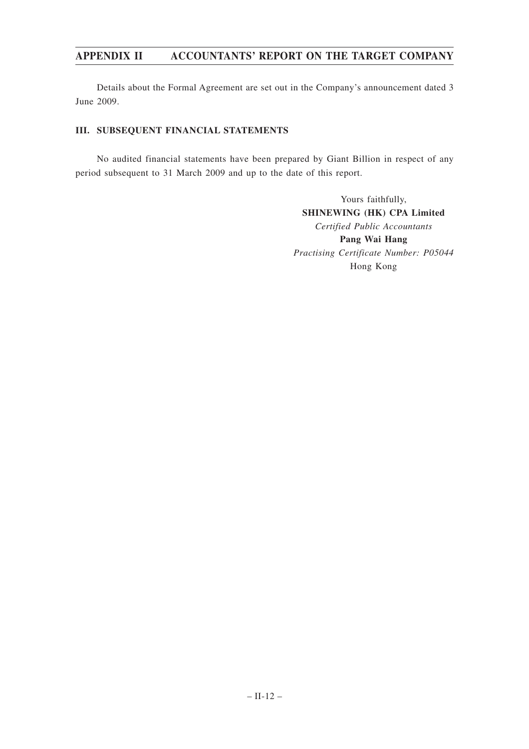Details about the Formal Agreement are set out in the Company's announcement dated 3 June 2009.

### **III. SUBSEQUENT FINANCIAL STATEMENTS**

No audited financial statements have been prepared by Giant Billion in respect of any period subsequent to 31 March 2009 and up to the date of this report.

> Yours faithfully, **SHINEWING (HK) CPA Limited** *Certified Public Accountants* **Pang Wai Hang** *Practising Certificate Number: P05044* Hong Kong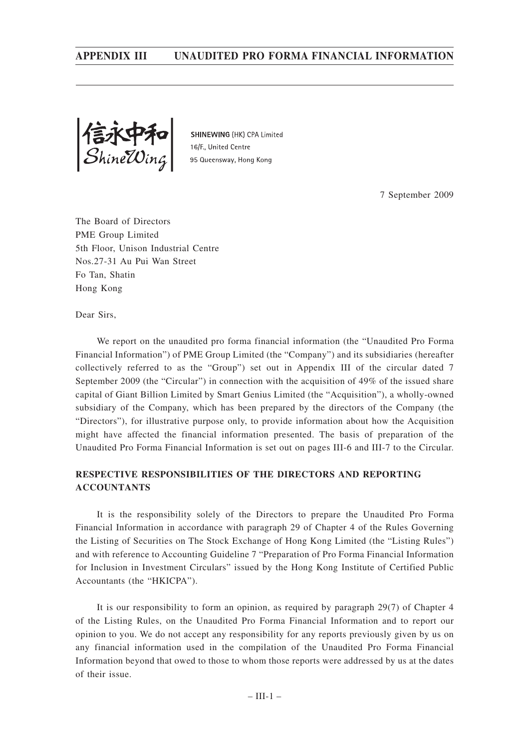信水甲和<br>ShineWing

SHINEWING (HK) CPA Limited 16/F. United Centre 95 Queensway, Hong Kong

7 September 2009

The Board of Directors PME Group Limited 5th Floor, Unison Industrial Centre Nos.27-31 Au Pui Wan Street Fo Tan, Shatin Hong Kong

Dear Sirs,

We report on the unaudited pro forma financial information (the "Unaudited Pro Forma Financial Information") of PME Group Limited (the "Company") and its subsidiaries (hereafter collectively referred to as the "Group") set out in Appendix III of the circular dated 7 September 2009 (the "Circular") in connection with the acquisition of 49% of the issued share capital of Giant Billion Limited by Smart Genius Limited (the "Acquisition"), a wholly-owned subsidiary of the Company, which has been prepared by the directors of the Company (the "Directors"), for illustrative purpose only, to provide information about how the Acquisition might have affected the financial information presented. The basis of preparation of the Unaudited Pro Forma Financial Information is set out on pages III-6 and III-7 to the Circular.

### **RESPECTIVE RESPONSIBILITIES OF THE DIRECTORS AND REPORTING ACCOUNTANTS**

It is the responsibility solely of the Directors to prepare the Unaudited Pro Forma Financial Information in accordance with paragraph 29 of Chapter 4 of the Rules Governing the Listing of Securities on The Stock Exchange of Hong Kong Limited (the "Listing Rules") and with reference to Accounting Guideline 7 "Preparation of Pro Forma Financial Information for Inclusion in Investment Circulars" issued by the Hong Kong Institute of Certified Public Accountants (the "HKICPA").

It is our responsibility to form an opinion, as required by paragraph 29(7) of Chapter 4 of the Listing Rules, on the Unaudited Pro Forma Financial Information and to report our opinion to you. We do not accept any responsibility for any reports previously given by us on any financial information used in the compilation of the Unaudited Pro Forma Financial Information beyond that owed to those to whom those reports were addressed by us at the dates of their issue.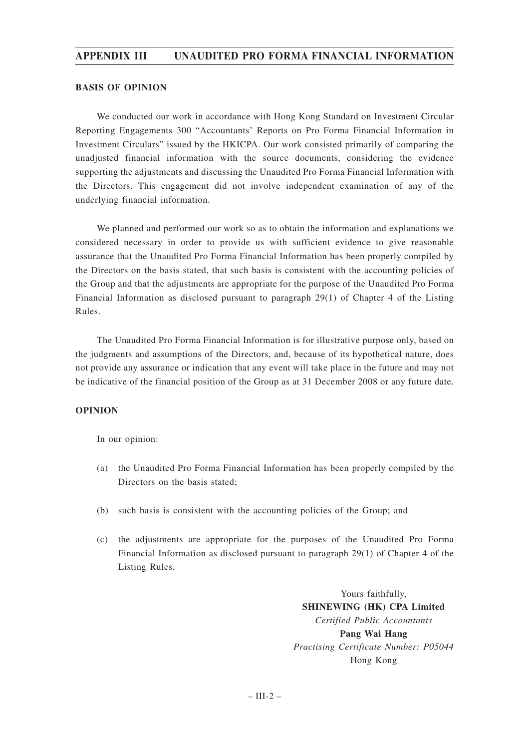### **BASIS OF OPINION**

We conducted our work in accordance with Hong Kong Standard on Investment Circular Reporting Engagements 300 "Accountants' Reports on Pro Forma Financial Information in Investment Circulars" issued by the HKICPA. Our work consisted primarily of comparing the unadjusted financial information with the source documents, considering the evidence supporting the adjustments and discussing the Unaudited Pro Forma Financial Information with the Directors. This engagement did not involve independent examination of any of the underlying financial information.

We planned and performed our work so as to obtain the information and explanations we considered necessary in order to provide us with sufficient evidence to give reasonable assurance that the Unaudited Pro Forma Financial Information has been properly compiled by the Directors on the basis stated, that such basis is consistent with the accounting policies of the Group and that the adjustments are appropriate for the purpose of the Unaudited Pro Forma Financial Information as disclosed pursuant to paragraph 29(1) of Chapter 4 of the Listing Rules.

The Unaudited Pro Forma Financial Information is for illustrative purpose only, based on the judgments and assumptions of the Directors, and, because of its hypothetical nature, does not provide any assurance or indication that any event will take place in the future and may not be indicative of the financial position of the Group as at 31 December 2008 or any future date.

### **OPINION**

In our opinion:

- (a) the Unaudited Pro Forma Financial Information has been properly compiled by the Directors on the basis stated;
- (b) such basis is consistent with the accounting policies of the Group; and
- (c) the adjustments are appropriate for the purposes of the Unaudited Pro Forma Financial Information as disclosed pursuant to paragraph 29(1) of Chapter 4 of the Listing Rules.

Yours faithfully, **SHINEWING (HK) CPA Limited** *Certified Public Accountants* **Pang Wai Hang** *Practising Certificate Number: P05044* Hong Kong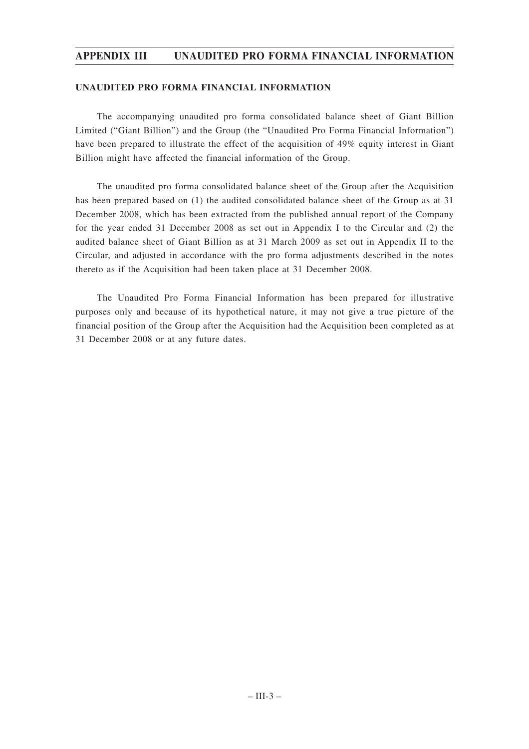### **UNAUDITED PRO FORMA FINANCIAL INFORMATION**

The accompanying unaudited pro forma consolidated balance sheet of Giant Billion Limited ("Giant Billion") and the Group (the "Unaudited Pro Forma Financial Information") have been prepared to illustrate the effect of the acquisition of 49% equity interest in Giant Billion might have affected the financial information of the Group.

The unaudited pro forma consolidated balance sheet of the Group after the Acquisition has been prepared based on (1) the audited consolidated balance sheet of the Group as at 31 December 2008, which has been extracted from the published annual report of the Company for the year ended 31 December 2008 as set out in Appendix I to the Circular and (2) the audited balance sheet of Giant Billion as at 31 March 2009 as set out in Appendix II to the Circular, and adjusted in accordance with the pro forma adjustments described in the notes thereto as if the Acquisition had been taken place at 31 December 2008.

The Unaudited Pro Forma Financial Information has been prepared for illustrative purposes only and because of its hypothetical nature, it may not give a true picture of the financial position of the Group after the Acquisition had the Acquisition been completed as at 31 December 2008 or at any future dates.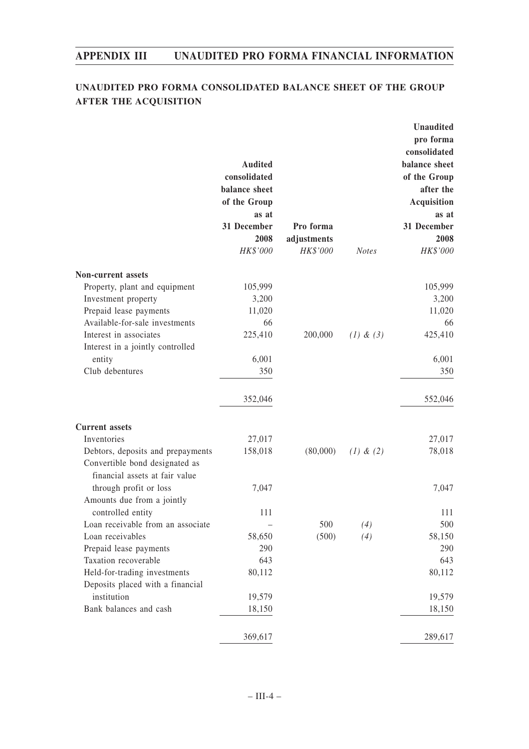## **UNAUDITED PRO FORMA CONSOLIDATED BALANCE SHEET OF THE GROUP AFTER THE ACQUISITION**

|                                   | <b>Audited</b><br>consolidated<br>balance sheet<br>of the Group<br>as at<br>31 December<br>2008<br>HK\$'000 | Pro forma<br>adjustments<br>HK\$'000 | <b>Notes</b>  | <b>Unaudited</b><br>pro forma<br>consolidated<br>balance sheet<br>of the Group<br>after the<br><b>Acquisition</b><br>as at<br>31 December<br>2008<br>HK\$'000 |
|-----------------------------------|-------------------------------------------------------------------------------------------------------------|--------------------------------------|---------------|---------------------------------------------------------------------------------------------------------------------------------------------------------------|
| <b>Non-current assets</b>         |                                                                                                             |                                      |               |                                                                                                                                                               |
| Property, plant and equipment     | 105,999                                                                                                     |                                      |               | 105,999                                                                                                                                                       |
| Investment property               | 3,200                                                                                                       |                                      |               | 3,200                                                                                                                                                         |
| Prepaid lease payments            | 11,020                                                                                                      |                                      |               | 11,020                                                                                                                                                        |
| Available-for-sale investments    | 66                                                                                                          |                                      |               | 66                                                                                                                                                            |
| Interest in associates            | 225,410                                                                                                     | 200,000                              | $(1)$ & $(3)$ | 425,410                                                                                                                                                       |
| Interest in a jointly controlled  |                                                                                                             |                                      |               |                                                                                                                                                               |
| entity                            | 6,001                                                                                                       |                                      |               | 6,001                                                                                                                                                         |
| Club debentures                   | 350                                                                                                         |                                      |               | 350                                                                                                                                                           |
|                                   | 352,046                                                                                                     |                                      |               | 552,046                                                                                                                                                       |
| <b>Current assets</b>             |                                                                                                             |                                      |               |                                                                                                                                                               |
| Inventories                       | 27,017                                                                                                      |                                      |               | 27,017                                                                                                                                                        |
| Debtors, deposits and prepayments | 158,018                                                                                                     | (80,000)                             | $(1)$ & $(2)$ | 78,018                                                                                                                                                        |
| Convertible bond designated as    |                                                                                                             |                                      |               |                                                                                                                                                               |
| financial assets at fair value    |                                                                                                             |                                      |               |                                                                                                                                                               |
| through profit or loss            | 7,047                                                                                                       |                                      |               | 7,047                                                                                                                                                         |
| Amounts due from a jointly        |                                                                                                             |                                      |               |                                                                                                                                                               |
| controlled entity                 | 111                                                                                                         |                                      |               | 111                                                                                                                                                           |
| Loan receivable from an associate |                                                                                                             | 500                                  | (4)           | 500                                                                                                                                                           |
| Loan receivables                  | 58,650                                                                                                      | (500)                                | (4)           | 58,150                                                                                                                                                        |
| Prepaid lease payments            | 290                                                                                                         |                                      |               | 290                                                                                                                                                           |
| Taxation recoverable              | 643                                                                                                         |                                      |               | 643                                                                                                                                                           |
| Held-for-trading investments      | 80,112                                                                                                      |                                      |               | 80,112                                                                                                                                                        |
| Deposits placed with a financial  |                                                                                                             |                                      |               |                                                                                                                                                               |
| institution                       | 19,579                                                                                                      |                                      |               | 19,579                                                                                                                                                        |
| Bank balances and cash            | 18,150                                                                                                      |                                      |               | 18,150                                                                                                                                                        |
|                                   | 369,617                                                                                                     |                                      |               | 289,617                                                                                                                                                       |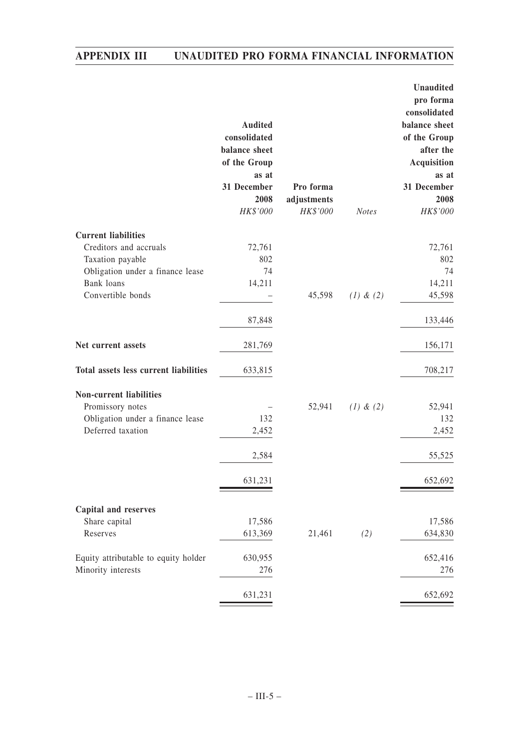|                                                                                                             | <b>Audited</b><br>consolidated<br>balance sheet<br>of the Group<br>as at<br>31 December<br>2008<br>HK\$'000 | Pro forma<br>adjustments<br>HK\$'000 | <b>Notes</b>  | Unaudited<br>pro forma<br>consolidated<br>balance sheet<br>of the Group<br>after the<br>Acquisition<br>as at<br>31 December<br>2008<br>HK\$'000 |
|-------------------------------------------------------------------------------------------------------------|-------------------------------------------------------------------------------------------------------------|--------------------------------------|---------------|-------------------------------------------------------------------------------------------------------------------------------------------------|
| <b>Current liabilities</b>                                                                                  |                                                                                                             |                                      |               |                                                                                                                                                 |
| Creditors and accruals<br>Taxation payable<br>Obligation under a finance lease<br>Bank loans                | 72,761<br>802<br>74<br>14,211                                                                               |                                      |               | 72,761<br>802<br>74<br>14,211                                                                                                                   |
| Convertible bonds                                                                                           |                                                                                                             | 45,598                               | $(1)$ & $(2)$ | 45,598                                                                                                                                          |
|                                                                                                             | 87,848                                                                                                      |                                      |               | 133,446                                                                                                                                         |
| Net current assets                                                                                          | 281,769                                                                                                     |                                      |               | 156,171                                                                                                                                         |
| Total assets less current liabilities                                                                       | 633,815                                                                                                     |                                      |               | 708,217                                                                                                                                         |
| <b>Non-current liabilities</b><br>Promissory notes<br>Obligation under a finance lease<br>Deferred taxation | 132<br>2,452                                                                                                | 52,941                               | $(1)$ & $(2)$ | 52,941<br>132<br>2,452                                                                                                                          |
|                                                                                                             | 2,584                                                                                                       |                                      |               | 55,525                                                                                                                                          |
|                                                                                                             | 631,231                                                                                                     |                                      |               | 652,692                                                                                                                                         |
| <b>Capital and reserves</b>                                                                                 |                                                                                                             |                                      |               |                                                                                                                                                 |
| Share capital<br>Reserves                                                                                   | 17,586<br>613,369                                                                                           | 21,461                               | (2)           | 17,586<br>634,830                                                                                                                               |
| Equity attributable to equity holder<br>Minority interests                                                  | 630,955<br>276                                                                                              |                                      |               | 652,416<br>276                                                                                                                                  |
|                                                                                                             | 631,231                                                                                                     |                                      |               | 652,692                                                                                                                                         |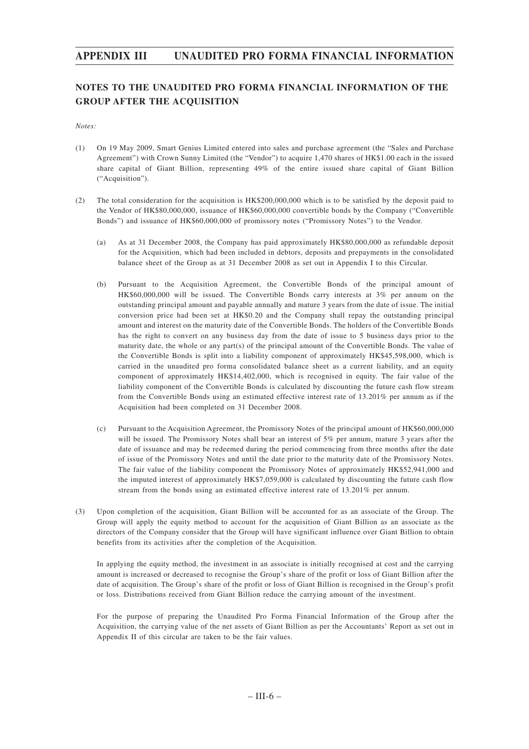## **NOTES TO THE UNAUDITED PRO FORMA FINANCIAL INFORMATION OF THE GROUP AFTER THE ACQUISITION**

*Notes:*

- (1) On 19 May 2009, Smart Genius Limited entered into sales and purchase agreement (the "Sales and Purchase Agreement") with Crown Sunny Limited (the "Vendor") to acquire 1,470 shares of HK\$1.00 each in the issued share capital of Giant Billion, representing 49% of the entire issued share capital of Giant Billion ("Acquisition").
- (2) The total consideration for the acquisition is HK\$200,000,000 which is to be satisfied by the deposit paid to the Vendor of HK\$80,000,000, issuance of HK\$60,000,000 convertible bonds by the Company ("Convertible Bonds") and issuance of HK\$60,000,000 of promissory notes ("Promissory Notes") to the Vendor.
	- (a) As at 31 December 2008, the Company has paid approximately HK\$80,000,000 as refundable deposit for the Acquisition, which had been included in debtors, deposits and prepayments in the consolidated balance sheet of the Group as at 31 December 2008 as set out in Appendix I to this Circular.
	- (b) Pursuant to the Acquisition Agreement, the Convertible Bonds of the principal amount of HK\$60,000,000 will be issued. The Convertible Bonds carry interests at 3% per annum on the outstanding principal amount and payable annually and mature 3 years from the date of issue. The initial conversion price had been set at HK\$0.20 and the Company shall repay the outstanding principal amount and interest on the maturity date of the Convertible Bonds. The holders of the Convertible Bonds has the right to convert on any business day from the date of issue to 5 business days prior to the maturity date, the whole or any part(s) of the principal amount of the Convertible Bonds. The value of the Convertible Bonds is split into a liability component of approximately HK\$45,598,000, which is carried in the unaudited pro forma consolidated balance sheet as a current liability, and an equity component of approximately HK\$14,402,000, which is recognised in equity. The fair value of the liability component of the Convertible Bonds is calculated by discounting the future cash flow stream from the Convertible Bonds using an estimated effective interest rate of 13.201% per annum as if the Acquisition had been completed on 31 December 2008.
	- (c) Pursuant to the Acquisition Agreement, the Promissory Notes of the principal amount of HK\$60,000,000 will be issued. The Promissory Notes shall bear an interest of 5% per annum, mature 3 years after the date of issuance and may be redeemed during the period commencing from three months after the date of issue of the Promissory Notes and until the date prior to the maturity date of the Promissory Notes. The fair value of the liability component the Promissory Notes of approximately HK\$52,941,000 and the imputed interest of approximately HK\$7,059,000 is calculated by discounting the future cash flow stream from the bonds using an estimated effective interest rate of 13.201% per annum.
- (3) Upon completion of the acquisition, Giant Billion will be accounted for as an associate of the Group. The Group will apply the equity method to account for the acquisition of Giant Billion as an associate as the directors of the Company consider that the Group will have significant influence over Giant Billion to obtain benefits from its activities after the completion of the Acquisition.

In applying the equity method, the investment in an associate is initially recognised at cost and the carrying amount is increased or decreased to recognise the Group's share of the profit or loss of Giant Billion after the date of acquisition. The Group's share of the profit or loss of Giant Billion is recognised in the Group's profit or loss. Distributions received from Giant Billion reduce the carrying amount of the investment.

For the purpose of preparing the Unaudited Pro Forma Financial Information of the Group after the Acquisition, the carrying value of the net assets of Giant Billion as per the Accountants' Report as set out in Appendix II of this circular are taken to be the fair values.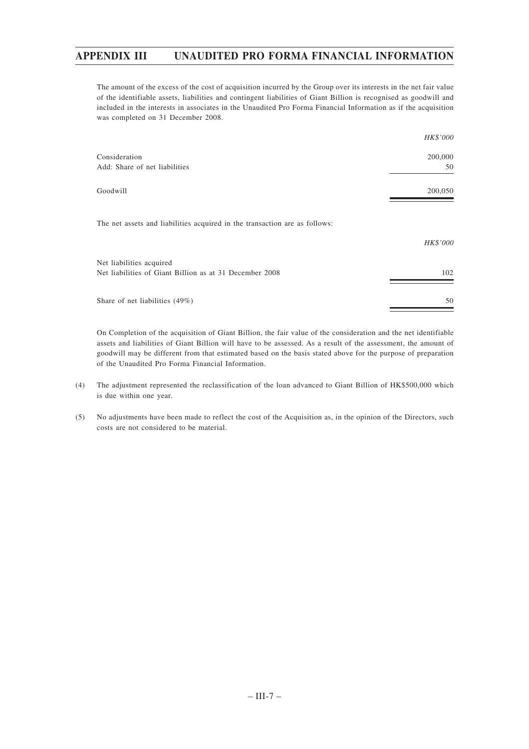The amount of the excess of the cost of acquisition incurred by the Group over its interests in the net fair value of the identifiable assets, liabilities and contingent liabilities of Giant Billion is recognised as goodwill and included in the interests in associates in the Unaudited Pro Forma Financial Information as if the acquisition was completed on 31 December 2008.

|                                                                                     | HK\$'000      |
|-------------------------------------------------------------------------------------|---------------|
| Consideration<br>Add: Share of net liabilities                                      | 200,000<br>50 |
| Goodwill                                                                            | 200,050       |
| The net assets and liabilities acquired in the transaction are as follows:          |               |
|                                                                                     | HK\$'000      |
| Net liabilities acquired<br>Net liabilities of Giant Billion as at 31 December 2008 | 102           |
| Share of net liabilities (49%)                                                      | 50            |

On Completion of the acquisition of Giant Billion, the fair value of the consideration and the net identifiable assets and liabilities of Giant Billion will have to be assessed. As a result of the assessment, the amount of goodwill may be different from that estimated based on the basis stated above for the purpose of preparation of the Unaudited Pro Forma Financial Information.

- (4) The adjustment represented the reclassification of the loan advanced to Giant Billion of HK\$500,000 which is due within one year.
- (5) No adjustments have been made to reflect the cost of the Acquisition as, in the opinion of the Directors, such costs are not considered to be material.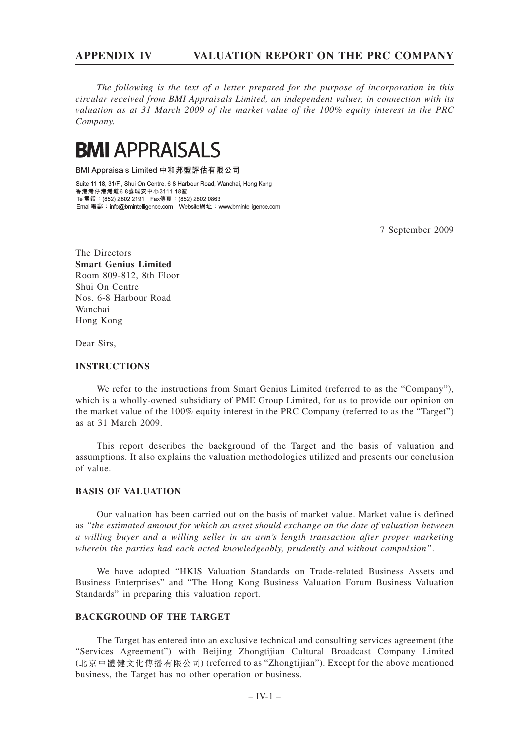*The following is the text of a letter prepared for the purpose of incorporation in this circular received from BMI Appraisals Limited, an independent valuer, in connection with its valuation as at 31 March 2009 of the market value of the 100% equity interest in the PRC Company.*

# **BMI APPRAISALS**

BMI Appraisals Limited 中和邦盟評估有限公司

Suite 11-18, 31/F., Shui On Centre, 6-8 Harbour Road, Wanchai, Hong Kong 香港灣仔港灣道6-8號瑞安中心3111-18室 Tel電話: (852) 2802 2191 Fax傳真: (852) 2802 0863 

7 September 2009

The Directors **Smart Genius Limited** Room 809-812, 8th Floor Shui On Centre Nos. 6-8 Harbour Road Wanchai Hong Kong

Dear Sirs,

### **INSTRUCTIONS**

We refer to the instructions from Smart Genius Limited (referred to as the "Company"), which is a wholly-owned subsidiary of PME Group Limited, for us to provide our opinion on the market value of the 100% equity interest in the PRC Company (referred to as the "Target") as at 31 March 2009.

This report describes the background of the Target and the basis of valuation and assumptions. It also explains the valuation methodologies utilized and presents our conclusion of value.

### **BASIS OF VALUATION**

Our valuation has been carried out on the basis of market value. Market value is defined as *"the estimated amount for which an asset should exchange on the date of valuation between a willing buyer and a willing seller in an arm's length transaction after proper marketing wherein the parties had each acted knowledgeably, prudently and without compulsion"*.

We have adopted "HKIS Valuation Standards on Trade-related Business Assets and Business Enterprises" and "The Hong Kong Business Valuation Forum Business Valuation Standards" in preparing this valuation report.

### **BACKGROUND OF THE TARGET**

The Target has entered into an exclusive technical and consulting services agreement (the "Services Agreement") with Beijing Zhongtijian Cultural Broadcast Company Limited (北京中體健文化傳播有限公司) (referred to as "Zhongtijian"). Except for the above mentioned business, the Target has no other operation or business.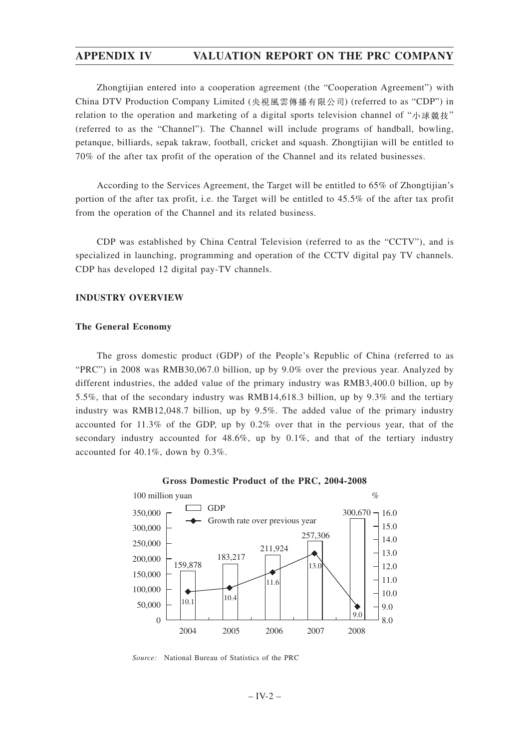Zhongtijian entered into a cooperation agreement (the "Cooperation Agreement") with China DTV Production Company Limited (央視風雲傳播有限公司) (referred to as "CDP") in relation to the operation and marketing of a digital sports television channel of " $\wedge$ "  $\mathbb{R}$ "  $\mathbb{R}$ " (referred to as the "Channel"). The Channel will include programs of handball, bowling, petanque, billiards, sepak takraw, football, cricket and squash. Zhongtijian will be entitled to 70% of the after tax profit of the operation of the Channel and its related businesses.

According to the Services Agreement, the Target will be entitled to 65% of Zhongtijian's portion of the after tax profit, i.e. the Target will be entitled to 45.5% of the after tax profit from the operation of the Channel and its related business.

CDP was established by China Central Television (referred to as the "CCTV"), and is specialized in launching, programming and operation of the CCTV digital pay TV channels. CDP has developed 12 digital pay-TV channels.

### **INDUSTRY OVERVIEW**

### **The General Economy**

The gross domestic product (GDP) of the People's Republic of China (referred to as "PRC") in 2008 was RMB30,067.0 billion, up by 9.0% over the previous year. Analyzed by different industries, the added value of the primary industry was RMB3,400.0 billion, up by 5.5%, that of the secondary industry was RMB14,618.3 billion, up by 9.3% and the tertiary industry was RMB12,048.7 billion, up by 9.5%. The added value of the primary industry accounted for 11.3% of the GDP, up by 0.2% over that in the pervious year, that of the secondary industry accounted for  $48.6\%$ , up by  $0.1\%$ , and that of the tertiary industry accounted for 40.1%, down by 0.3%.





*Source:* National Bureau of Statistics of the PRC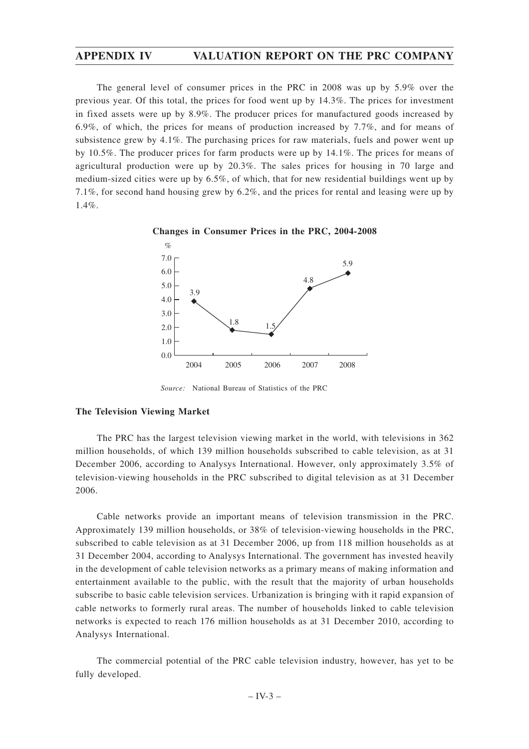The general level of consumer prices in the PRC in 2008 was up by 5.9% over the previous year. Of this total, the prices for food went up by 14.3%. The prices for investment in fixed assets were up by 8.9%. The producer prices for manufactured goods increased by 6.9%, of which, the prices for means of production increased by 7.7%, and for means of subsistence grew by 4.1%. The purchasing prices for raw materials, fuels and power went up by 10.5%. The producer prices for farm products were up by 14.1%. The prices for means of agricultural production were up by 20.3%. The sales prices for housing in 70 large and medium-sized cities were up by 6.5%, of which, that for new residential buildings went up by 7.1%, for second hand housing grew by 6.2%, and the prices for rental and leasing were up by 1.4%.





*Source:* National Bureau of Statistics of the PRC

#### **The Television Viewing Market**

The PRC has the largest television viewing market in the world, with televisions in 362 million households, of which 139 million households subscribed to cable television, as at 31 December 2006, according to Analysys International. However, only approximately 3.5% of television-viewing households in the PRC subscribed to digital television as at 31 December 2006.

Cable networks provide an important means of television transmission in the PRC. Approximately 139 million households, or 38% of television-viewing households in the PRC, subscribed to cable television as at 31 December 2006, up from 118 million households as at 31 December 2004, according to Analysys International. The government has invested heavily in the development of cable television networks as a primary means of making information and entertainment available to the public, with the result that the majority of urban households subscribe to basic cable television services. Urbanization is bringing with it rapid expansion of cable networks to formerly rural areas. The number of households linked to cable television networks is expected to reach 176 million households as at 31 December 2010, according to Analysys International.

The commercial potential of the PRC cable television industry, however, has yet to be fully developed.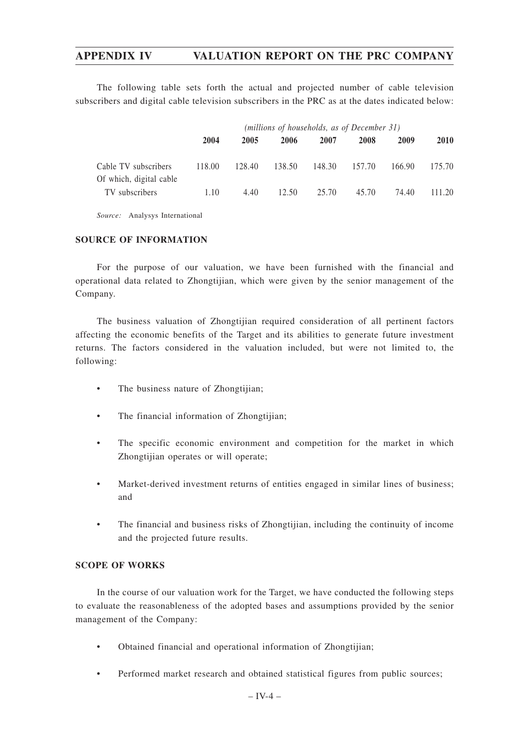The following table sets forth the actual and projected number of cable television subscribers and digital cable television subscribers in the PRC as at the dates indicated below:

|                                                 | (millions of households, as of December 31) |        |        |        |        |        |             |
|-------------------------------------------------|---------------------------------------------|--------|--------|--------|--------|--------|-------------|
|                                                 | 2004                                        | 2005   | 2006   | 2007   | 2008   | 2009   | <b>2010</b> |
| Cable TV subscribers<br>Of which, digital cable | 118.00                                      | 128.40 | 138.50 | 148.30 | 157.70 | 166.90 | 175.70      |
| TV subscribers                                  | 1.10                                        | 4.40   | 12.50  | 25.70  | 45.70  | 74.40  | 111.20      |

*Source:* Analysys International

### **SOURCE OF INFORMATION**

For the purpose of our valuation, we have been furnished with the financial and operational data related to Zhongtijian, which were given by the senior management of the Company.

The business valuation of Zhongtijian required consideration of all pertinent factors affecting the economic benefits of the Target and its abilities to generate future investment returns. The factors considered in the valuation included, but were not limited to, the following:

- The business nature of Zhongtijian;
- The financial information of Zhongtijian;
- The specific economic environment and competition for the market in which Zhongtijian operates or will operate;
- Market-derived investment returns of entities engaged in similar lines of business; and
- The financial and business risks of Zhongtijian, including the continuity of income and the projected future results.

### **SCOPE OF WORKS**

In the course of our valuation work for the Target, we have conducted the following steps to evaluate the reasonableness of the adopted bases and assumptions provided by the senior management of the Company:

- Obtained financial and operational information of Zhongtijian;
- Performed market research and obtained statistical figures from public sources;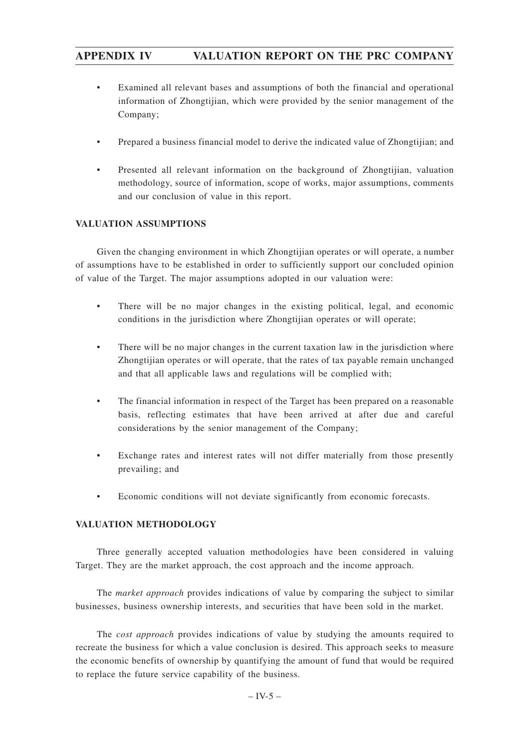- Examined all relevant bases and assumptions of both the financial and operational information of Zhongtijian, which were provided by the senior management of the Company;
- Prepared a business financial model to derive the indicated value of Zhongtijian; and
- Presented all relevant information on the background of Zhongtijian, valuation methodology, source of information, scope of works, major assumptions, comments and our conclusion of value in this report.

### **VALUATION ASSUMPTIONS**

Given the changing environment in which Zhongtijian operates or will operate, a number of assumptions have to be established in order to sufficiently support our concluded opinion of value of the Target. The major assumptions adopted in our valuation were:

- There will be no major changes in the existing political, legal, and economic conditions in the jurisdiction where Zhongtijian operates or will operate;
- There will be no major changes in the current taxation law in the jurisdiction where Zhongtijian operates or will operate, that the rates of tax payable remain unchanged and that all applicable laws and regulations will be complied with;
- The financial information in respect of the Target has been prepared on a reasonable basis, reflecting estimates that have been arrived at after due and careful considerations by the senior management of the Company;
- Exchange rates and interest rates will not differ materially from those presently prevailing; and
- Economic conditions will not deviate significantly from economic forecasts.

### **VALUATION METHODOLOGY**

Three generally accepted valuation methodologies have been considered in valuing Target. They are the market approach, the cost approach and the income approach.

The *market approach* provides indications of value by comparing the subject to similar businesses, business ownership interests, and securities that have been sold in the market.

The *cost approach* provides indications of value by studying the amounts required to recreate the business for which a value conclusion is desired. This approach seeks to measure the economic benefits of ownership by quantifying the amount of fund that would be required to replace the future service capability of the business.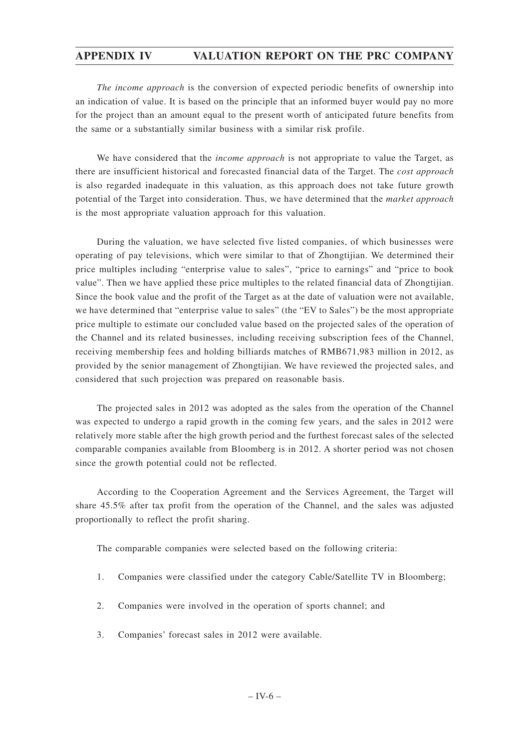*The income approach* is the conversion of expected periodic benefits of ownership into an indication of value. It is based on the principle that an informed buyer would pay no more for the project than an amount equal to the present worth of anticipated future benefits from the same or a substantially similar business with a similar risk profile.

We have considered that the *income approach* is not appropriate to value the Target, as there are insufficient historical and forecasted financial data of the Target. The *cost approach* is also regarded inadequate in this valuation, as this approach does not take future growth potential of the Target into consideration. Thus, we have determined that the *market approach* is the most appropriate valuation approach for this valuation.

During the valuation, we have selected five listed companies, of which businesses were operating of pay televisions, which were similar to that of Zhongtijian. We determined their price multiples including "enterprise value to sales", "price to earnings" and "price to book value". Then we have applied these price multiples to the related financial data of Zhongtijian. Since the book value and the profit of the Target as at the date of valuation were not available, we have determined that "enterprise value to sales" (the "EV to Sales") be the most appropriate price multiple to estimate our concluded value based on the projected sales of the operation of the Channel and its related businesses, including receiving subscription fees of the Channel, receiving membership fees and holding billiards matches of RMB671,983 million in 2012, as provided by the senior management of Zhongtijian. We have reviewed the projected sales, and considered that such projection was prepared on reasonable basis.

The projected sales in 2012 was adopted as the sales from the operation of the Channel was expected to undergo a rapid growth in the coming few years, and the sales in 2012 were relatively more stable after the high growth period and the furthest forecast sales of the selected comparable companies available from Bloomberg is in 2012. A shorter period was not chosen since the growth potential could not be reflected.

According to the Cooperation Agreement and the Services Agreement, the Target will share 45.5% after tax profit from the operation of the Channel, and the sales was adjusted proportionally to reflect the profit sharing.

The comparable companies were selected based on the following criteria:

- 1. Companies were classified under the category Cable/Satellite TV in Bloomberg;
- 2. Companies were involved in the operation of sports channel; and
- 3. Companies' forecast sales in 2012 were available.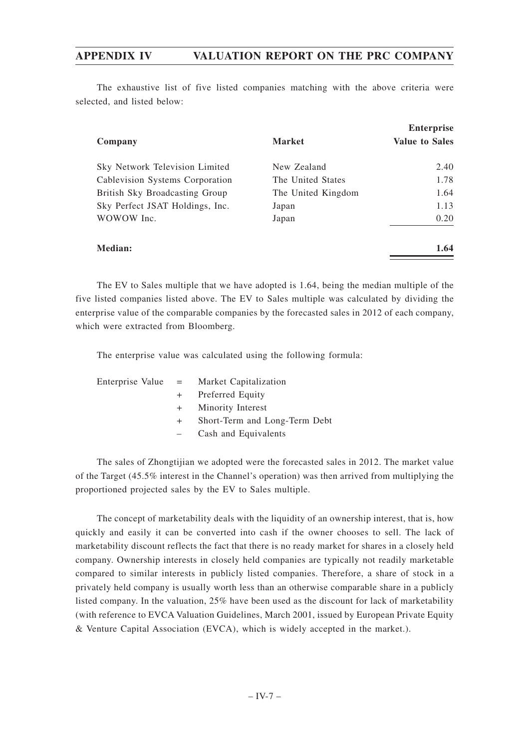The exhaustive list of five listed companies matching with the above criteria were selected, and listed below:

| Company                         | <b>Market</b>      | <b>Enterprise</b><br><b>Value to Sales</b> |
|---------------------------------|--------------------|--------------------------------------------|
|                                 | New Zealand        | 2.40                                       |
| Sky Network Television Limited  |                    |                                            |
| Cablevision Systems Corporation | The United States  | 1.78                                       |
| British Sky Broadcasting Group  | The United Kingdom | 1.64                                       |
| Sky Perfect JSAT Holdings, Inc. | Japan              | 1.13                                       |
| WOWOW Inc.                      | Japan              | 0.20                                       |
| Median:                         |                    | 1.64                                       |

The EV to Sales multiple that we have adopted is 1.64, being the median multiple of the five listed companies listed above. The EV to Sales multiple was calculated by dividing the enterprise value of the comparable companies by the forecasted sales in 2012 of each company, which were extracted from Bloomberg.

The enterprise value was calculated using the following formula:

| Enterprise Value $=$ Market Capitalization |
|--------------------------------------------|
| + Preferred Equity                         |
| + Minority Interest                        |
| + Short-Term and Long-Term Debt            |
| Cash and Equivalents                       |
| $\frac{1}{2}$ and $\frac{1}{2}$            |

The sales of Zhongtijian we adopted were the forecasted sales in 2012. The market value of the Target (45.5% interest in the Channel's operation) was then arrived from multiplying the proportioned projected sales by the EV to Sales multiple.

The concept of marketability deals with the liquidity of an ownership interest, that is, how quickly and easily it can be converted into cash if the owner chooses to sell. The lack of marketability discount reflects the fact that there is no ready market for shares in a closely held company. Ownership interests in closely held companies are typically not readily marketable compared to similar interests in publicly listed companies. Therefore, a share of stock in a privately held company is usually worth less than an otherwise comparable share in a publicly listed company. In the valuation, 25% have been used as the discount for lack of marketability (with reference to EVCA Valuation Guidelines, March 2001, issued by European Private Equity & Venture Capital Association (EVCA), which is widely accepted in the market.).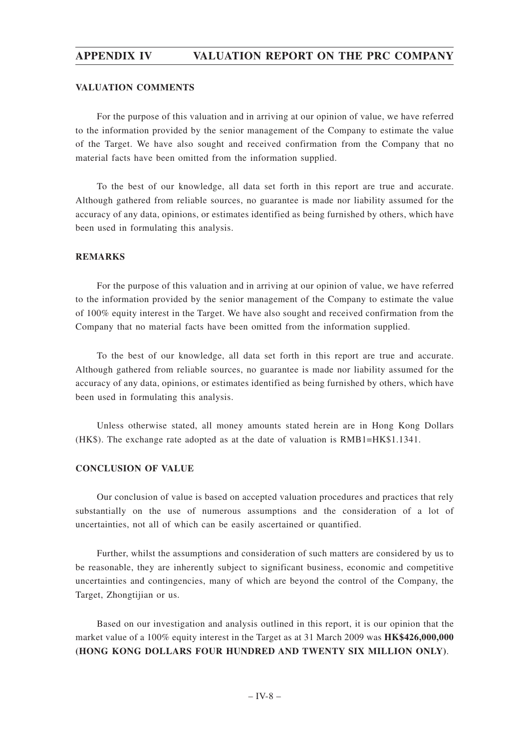### **VALUATION COMMENTS**

For the purpose of this valuation and in arriving at our opinion of value, we have referred to the information provided by the senior management of the Company to estimate the value of the Target. We have also sought and received confirmation from the Company that no material facts have been omitted from the information supplied.

To the best of our knowledge, all data set forth in this report are true and accurate. Although gathered from reliable sources, no guarantee is made nor liability assumed for the accuracy of any data, opinions, or estimates identified as being furnished by others, which have been used in formulating this analysis.

### **REMARKS**

For the purpose of this valuation and in arriving at our opinion of value, we have referred to the information provided by the senior management of the Company to estimate the value of 100% equity interest in the Target. We have also sought and received confirmation from the Company that no material facts have been omitted from the information supplied.

To the best of our knowledge, all data set forth in this report are true and accurate. Although gathered from reliable sources, no guarantee is made nor liability assumed for the accuracy of any data, opinions, or estimates identified as being furnished by others, which have been used in formulating this analysis.

Unless otherwise stated, all money amounts stated herein are in Hong Kong Dollars (HK\$). The exchange rate adopted as at the date of valuation is RMB1=HK\$1.1341.

### **CONCLUSION OF VALUE**

Our conclusion of value is based on accepted valuation procedures and practices that rely substantially on the use of numerous assumptions and the consideration of a lot of uncertainties, not all of which can be easily ascertained or quantified.

Further, whilst the assumptions and consideration of such matters are considered by us to be reasonable, they are inherently subject to significant business, economic and competitive uncertainties and contingencies, many of which are beyond the control of the Company, the Target, Zhongtijian or us.

Based on our investigation and analysis outlined in this report, it is our opinion that the market value of a 100% equity interest in the Target as at 31 March 2009 was **HK\$426,000,000 (HONG KONG DOLLARS FOUR HUNDRED AND TWENTY SIX MILLION ONLY)**.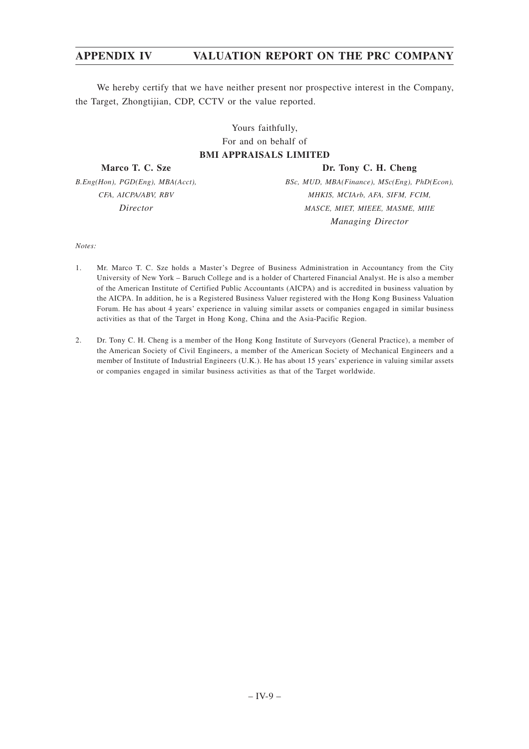# **APPENDIX IV VALUATION REPORT ON THE PRC COMPANY**

We hereby certify that we have neither present nor prospective interest in the Company, the Target, Zhongtijian, CDP, CCTV or the value reported.

> Yours faithfully, For and on behalf of **BMI APPRAISALS LIMITED**

**Marco T. C. Sze**

**Dr. Tony C. H. Cheng**

*B.Eng(Hon), PGD(Eng), MBA(Acct), CFA, AICPA/ABV, RBV Director*

*BSc, MUD, MBA(Finance), MSc(Eng), PhD(Econ), MHKIS, MCIArb, AFA, SIFM, FCIM, MASCE, MIET, MIEEE, MASME, MIIE Managing Director*

*Notes:*

- 1. Mr. Marco T. C. Sze holds a Master's Degree of Business Administration in Accountancy from the City University of New York – Baruch College and is a holder of Chartered Financial Analyst. He is also a member of the American Institute of Certified Public Accountants (AICPA) and is accredited in business valuation by the AICPA. In addition, he is a Registered Business Valuer registered with the Hong Kong Business Valuation Forum. He has about 4 years' experience in valuing similar assets or companies engaged in similar business activities as that of the Target in Hong Kong, China and the Asia-Pacific Region.
- 2. Dr. Tony C. H. Cheng is a member of the Hong Kong Institute of Surveyors (General Practice), a member of the American Society of Civil Engineers, a member of the American Society of Mechanical Engineers and a member of Institute of Industrial Engineers (U.K.). He has about 15 years' experience in valuing similar assets or companies engaged in similar business activities as that of the Target worldwide.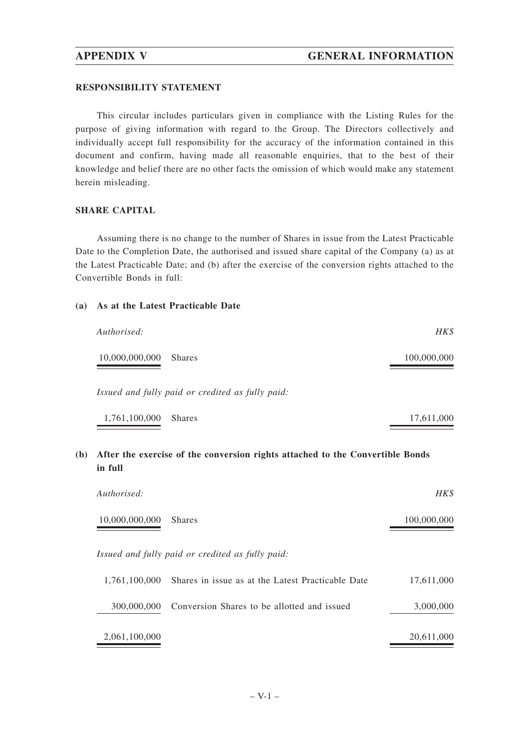### **RESPONSIBILITY STATEMENT**

This circular includes particulars given in compliance with the Listing Rules for the purpose of giving information with regard to the Group. The Directors collectively and individually accept full responsibility for the accuracy of the information contained in this document and confirm, having made all reasonable enquiries, that to the best of their knowledge and belief there are no other facts the omission of which would make any statement herein misleading.

### **SHARE CAPITAL**

Assuming there is no change to the number of Shares in issue from the Latest Practicable Date to the Completion Date, the authorised and issued share capital of the Company (a) as at the Latest Practicable Date; and (b) after the exercise of the conversion rights attached to the Convertible Bonds in full:

### **(a) As at the Latest Practicable Date**

| Authorised:                                      | HK\$        |
|--------------------------------------------------|-------------|
| 10,000,000,000<br><b>Shares</b>                  | 100,000,000 |
| Issued and fully paid or credited as fully paid: |             |
| 1,761,100,000<br><b>Shares</b>                   | 17,611,000  |

# **(b) After the exercise of the conversion rights attached to the Convertible Bonds in full**

| Authorised:    |                                                   | HK\$        |
|----------------|---------------------------------------------------|-------------|
| 10,000,000,000 | <b>Shares</b>                                     | 100,000,000 |
|                | Issued and fully paid or credited as fully paid:  |             |
| 1.761.100.000  | Shares in issue as at the Latest Practicable Date | 17,611,000  |
| 300,000,000    | Conversion Shares to be allotted and issued       | 3,000,000   |
| 2,061,100,000  |                                                   | 20,611,000  |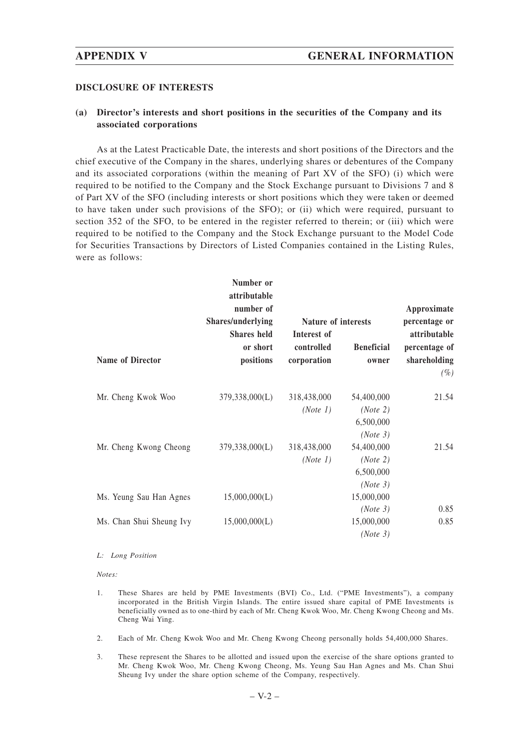### **DISCLOSURE OF INTERESTS**

## **(a) Director's interests and short positions in the securities of the Company and its associated corporations**

As at the Latest Practicable Date, the interests and short positions of the Directors and the chief executive of the Company in the shares, underlying shares or debentures of the Company and its associated corporations (within the meaning of Part XV of the SFO) (i) which were required to be notified to the Company and the Stock Exchange pursuant to Divisions 7 and 8 of Part XV of the SFO (including interests or short positions which they were taken or deemed to have taken under such provisions of the SFO); or (ii) which were required, pursuant to section 352 of the SFO, to be entered in the register referred to therein; or (iii) which were required to be notified to the Company and the Stock Exchange pursuant to the Model Code for Securities Transactions by Directors of Listed Companies contained in the Listing Rules, were as follows:

|                          | Number or<br>attributable<br>number of                           |                           |                                                 | Approximate<br>percentage or                            |
|--------------------------|------------------------------------------------------------------|---------------------------|-------------------------------------------------|---------------------------------------------------------|
|                          | Shares/underlying<br><b>Shares</b> held<br>or short<br>positions | Interest of               | Nature of interests                             |                                                         |
| <b>Name of Director</b>  |                                                                  | controlled<br>corporation | <b>Beneficial</b><br>owner                      | attributable<br>percentage of<br>shareholding<br>$(\%)$ |
| Mr. Cheng Kwok Woo       | 379,338,000(L)                                                   | 318,438,000<br>(Note 1)   | 54,400,000<br>(Note 2)<br>6,500,000<br>(Note 3) | 21.54                                                   |
| Mr. Cheng Kwong Cheong   | 379,338,000(L)                                                   | 318,438,000<br>(Note 1)   | 54,400,000<br>(Note 2)<br>6,500,000<br>(Note 3) | 21.54                                                   |
| Ms. Yeung Sau Han Agnes  | 15,000,000(L)                                                    |                           | 15,000,000                                      |                                                         |
| Ms. Chan Shui Sheung Ivy | 15,000,000(L)                                                    |                           | (Note 3)<br>15,000,000<br>(Note 3)              | 0.85<br>0.85                                            |

### *L: Long Position*

*Notes:*

- 1. These Shares are held by PME Investments (BVI) Co., Ltd. ("PME Investments"), a company incorporated in the British Virgin Islands. The entire issued share capital of PME Investments is beneficially owned as to one-third by each of Mr. Cheng Kwok Woo, Mr. Cheng Kwong Cheong and Ms. Cheng Wai Ying.
- 2. Each of Mr. Cheng Kwok Woo and Mr. Cheng Kwong Cheong personally holds 54,400,000 Shares.
- 3. These represent the Shares to be allotted and issued upon the exercise of the share options granted to Mr. Cheng Kwok Woo, Mr. Cheng Kwong Cheong, Ms. Yeung Sau Han Agnes and Ms. Chan Shui Sheung Ivy under the share option scheme of the Company, respectively.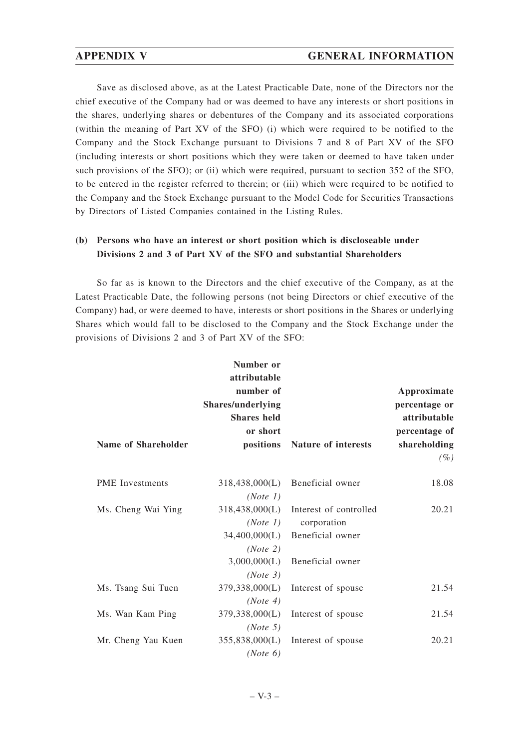# **APPENDIX V GENERAL INFORMATION**

Save as disclosed above, as at the Latest Practicable Date, none of the Directors nor the chief executive of the Company had or was deemed to have any interests or short positions in the shares, underlying shares or debentures of the Company and its associated corporations (within the meaning of Part XV of the SFO) (i) which were required to be notified to the Company and the Stock Exchange pursuant to Divisions 7 and 8 of Part XV of the SFO (including interests or short positions which they were taken or deemed to have taken under such provisions of the SFO); or (ii) which were required, pursuant to section 352 of the SFO, to be entered in the register referred to therein; or (iii) which were required to be notified to the Company and the Stock Exchange pursuant to the Model Code for Securities Transactions by Directors of Listed Companies contained in the Listing Rules.

# **(b) Persons who have an interest or short position which is discloseable under Divisions 2 and 3 of Part XV of the SFO and substantial Shareholders**

So far as is known to the Directors and the chief executive of the Company, as at the Latest Practicable Date, the following persons (not being Directors or chief executive of the Company) had, or were deemed to have, interests or short positions in the Shares or underlying Shares which would fall to be disclosed to the Company and the Stock Exchange under the provisions of Divisions 2 and 3 of Part XV of the SFO:

|                        | Number or<br>attributable<br>number of<br><b>Shares/underlying</b><br><b>Shares</b> held |                                       | Approximate<br>percentage or<br>attributable |
|------------------------|------------------------------------------------------------------------------------------|---------------------------------------|----------------------------------------------|
|                        | or short                                                                                 |                                       | percentage of                                |
| Name of Shareholder    | positions                                                                                | Nature of interests                   | shareholding                                 |
|                        |                                                                                          |                                       | $(\%)$                                       |
| <b>PME</b> Investments | 318,438,000(L)                                                                           | Beneficial owner                      | 18.08                                        |
|                        | (Note 1)                                                                                 |                                       |                                              |
| Ms. Cheng Wai Ying     |                                                                                          | 318,438,000(L) Interest of controlled | 20.21                                        |
|                        | (Note 1)                                                                                 | corporation                           |                                              |
|                        |                                                                                          | 34,400,000(L) Beneficial owner        |                                              |
|                        | (Note 2)                                                                                 |                                       |                                              |
|                        |                                                                                          | 3,000,000(L) Beneficial owner         |                                              |
|                        | (Note 3)                                                                                 |                                       |                                              |
| Ms. Tsang Sui Tuen     | 379,338,000(L)                                                                           | Interest of spouse                    | 21.54                                        |
|                        | (Note 4)                                                                                 |                                       |                                              |
| Ms. Wan Kam Ping       |                                                                                          | 379,338,000(L) Interest of spouse     | 21.54                                        |
|                        | (Note 5)                                                                                 |                                       |                                              |
| Mr. Cheng Yau Kuen     | 355,838,000(L)                                                                           | Interest of spouse                    | 20.21                                        |
|                        | (Note 6)                                                                                 |                                       |                                              |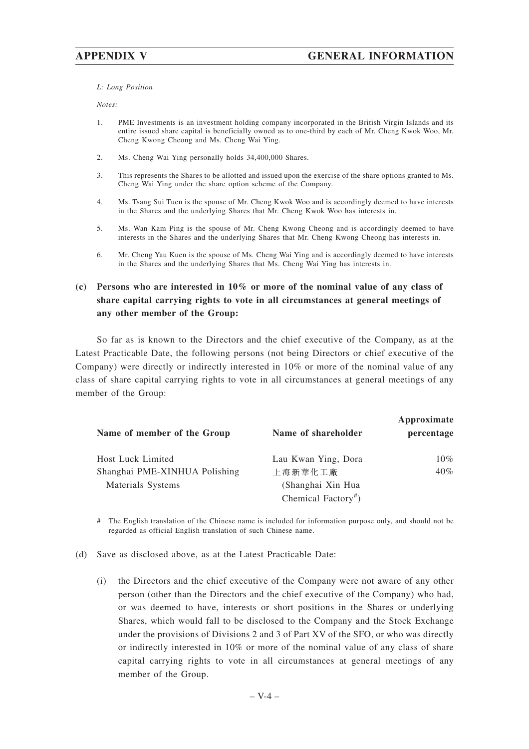*L: Long Position*

*Notes:*

- 1. PME Investments is an investment holding company incorporated in the British Virgin Islands and its entire issued share capital is beneficially owned as to one-third by each of Mr. Cheng Kwok Woo, Mr. Cheng Kwong Cheong and Ms. Cheng Wai Ying.
- 2. Ms. Cheng Wai Ying personally holds 34,400,000 Shares.
- 3. This represents the Shares to be allotted and issued upon the exercise of the share options granted to Ms. Cheng Wai Ying under the share option scheme of the Company.
- 4. Ms. Tsang Sui Tuen is the spouse of Mr. Cheng Kwok Woo and is accordingly deemed to have interests in the Shares and the underlying Shares that Mr. Cheng Kwok Woo has interests in.
- 5. Ms. Wan Kam Ping is the spouse of Mr. Cheng Kwong Cheong and is accordingly deemed to have interests in the Shares and the underlying Shares that Mr. Cheng Kwong Cheong has interests in.
- 6. Mr. Cheng Yau Kuen is the spouse of Ms. Cheng Wai Ying and is accordingly deemed to have interests in the Shares and the underlying Shares that Ms. Cheng Wai Ying has interests in.

# **(c) Persons who are interested in 10% or more of the nominal value of any class of share capital carrying rights to vote in all circumstances at general meetings of any other member of the Group:**

So far as is known to the Directors and the chief executive of the Company, as at the Latest Practicable Date, the following persons (not being Directors or chief executive of the Company) were directly or indirectly interested in 10% or more of the nominal value of any class of share capital carrying rights to vote in all circumstances at general meetings of any member of the Group:

| Name of member of the Group   | Name of shareholder             | Approximate<br>percentage |
|-------------------------------|---------------------------------|---------------------------|
| <b>Host Luck Limited</b>      | Lau Kwan Ying, Dora             | $10\%$                    |
| Shanghai PME-XINHUA Polishing | 上海新華化工廠                         | $40\%$                    |
| Materials Systems             | (Shanghai Xin Hua               |                           |
|                               | Chemical Factory <sup>#</sup> ) |                           |

# The English translation of the Chinese name is included for information purpose only, and should not be regarded as official English translation of such Chinese name.

- (d) Save as disclosed above, as at the Latest Practicable Date:
	- (i) the Directors and the chief executive of the Company were not aware of any other person (other than the Directors and the chief executive of the Company) who had, or was deemed to have, interests or short positions in the Shares or underlying Shares, which would fall to be disclosed to the Company and the Stock Exchange under the provisions of Divisions 2 and 3 of Part XV of the SFO, or who was directly or indirectly interested in 10% or more of the nominal value of any class of share capital carrying rights to vote in all circumstances at general meetings of any member of the Group.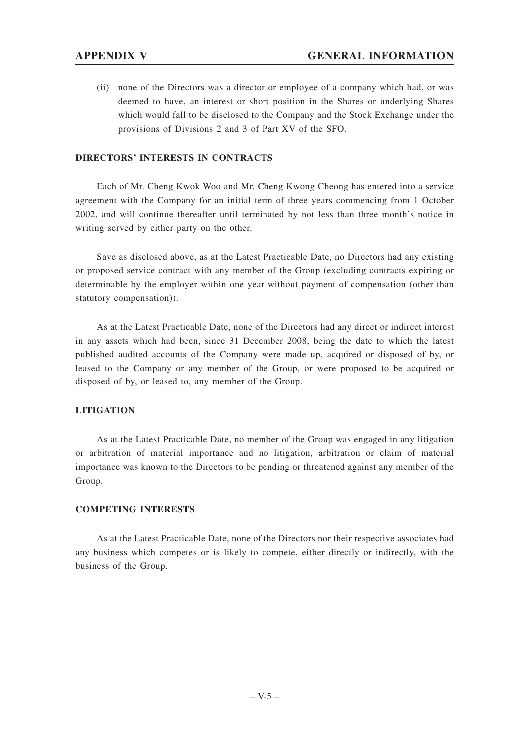(ii) none of the Directors was a director or employee of a company which had, or was deemed to have, an interest or short position in the Shares or underlying Shares which would fall to be disclosed to the Company and the Stock Exchange under the provisions of Divisions 2 and 3 of Part XV of the SFO.

## **DIRECTORS' INTERESTS IN CONTRACTS**

Each of Mr. Cheng Kwok Woo and Mr. Cheng Kwong Cheong has entered into a service agreement with the Company for an initial term of three years commencing from 1 October 2002, and will continue thereafter until terminated by not less than three month's notice in writing served by either party on the other.

Save as disclosed above, as at the Latest Practicable Date, no Directors had any existing or proposed service contract with any member of the Group (excluding contracts expiring or determinable by the employer within one year without payment of compensation (other than statutory compensation)).

As at the Latest Practicable Date, none of the Directors had any direct or indirect interest in any assets which had been, since 31 December 2008, being the date to which the latest published audited accounts of the Company were made up, acquired or disposed of by, or leased to the Company or any member of the Group, or were proposed to be acquired or disposed of by, or leased to, any member of the Group.

### **LITIGATION**

As at the Latest Practicable Date, no member of the Group was engaged in any litigation or arbitration of material importance and no litigation, arbitration or claim of material importance was known to the Directors to be pending or threatened against any member of the Group.

# **COMPETING INTERESTS**

As at the Latest Practicable Date, none of the Directors nor their respective associates had any business which competes or is likely to compete, either directly or indirectly, with the business of the Group.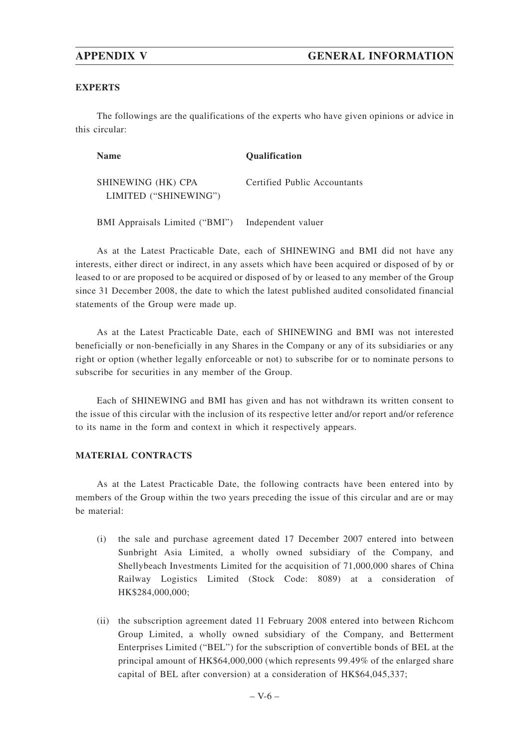### **EXPERTS**

The followings are the qualifications of the experts who have given opinions or advice in this circular:

| <b>Name</b>                                 | <b>Oualification</b>         |
|---------------------------------------------|------------------------------|
| SHINEWING (HK) CPA<br>LIMITED ("SHINEWING") | Certified Public Accountants |

BMI Appraisals Limited ("BMI") Independent valuer

As at the Latest Practicable Date, each of SHINEWING and BMI did not have any interests, either direct or indirect, in any assets which have been acquired or disposed of by or leased to or are proposed to be acquired or disposed of by or leased to any member of the Group since 31 December 2008, the date to which the latest published audited consolidated financial statements of the Group were made up.

As at the Latest Practicable Date, each of SHINEWING and BMI was not interested beneficially or non-beneficially in any Shares in the Company or any of its subsidiaries or any right or option (whether legally enforceable or not) to subscribe for or to nominate persons to subscribe for securities in any member of the Group.

Each of SHINEWING and BMI has given and has not withdrawn its written consent to the issue of this circular with the inclusion of its respective letter and/or report and/or reference to its name in the form and context in which it respectively appears.

### **MATERIAL CONTRACTS**

As at the Latest Practicable Date, the following contracts have been entered into by members of the Group within the two years preceding the issue of this circular and are or may be material:

- (i) the sale and purchase agreement dated 17 December 2007 entered into between Sunbright Asia Limited, a wholly owned subsidiary of the Company, and Shellybeach Investments Limited for the acquisition of 71,000,000 shares of China Railway Logistics Limited (Stock Code: 8089) at a consideration of HK\$284,000,000;
- (ii) the subscription agreement dated 11 February 2008 entered into between Richcom Group Limited, a wholly owned subsidiary of the Company, and Betterment Enterprises Limited ("BEL") for the subscription of convertible bonds of BEL at the principal amount of HK\$64,000,000 (which represents 99.49% of the enlarged share capital of BEL after conversion) at a consideration of HK\$64,045,337;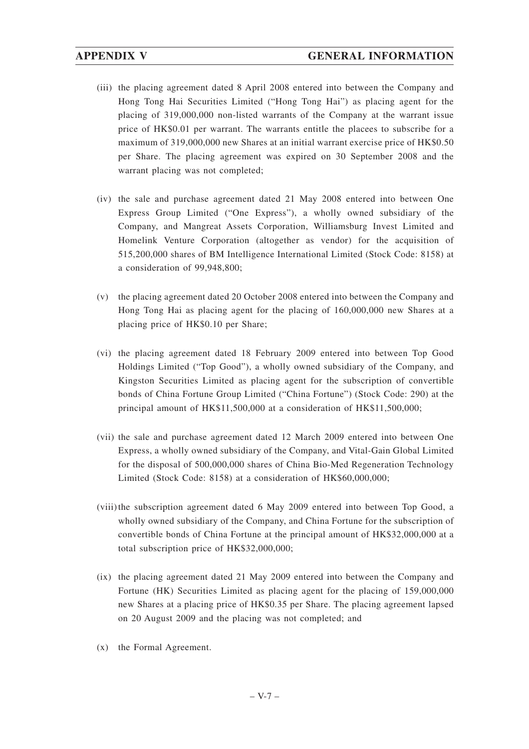- (iii) the placing agreement dated 8 April 2008 entered into between the Company and Hong Tong Hai Securities Limited ("Hong Tong Hai") as placing agent for the placing of 319,000,000 non-listed warrants of the Company at the warrant issue price of HK\$0.01 per warrant. The warrants entitle the placees to subscribe for a maximum of 319,000,000 new Shares at an initial warrant exercise price of HK\$0.50 per Share. The placing agreement was expired on 30 September 2008 and the warrant placing was not completed;
- (iv) the sale and purchase agreement dated 21 May 2008 entered into between One Express Group Limited ("One Express"), a wholly owned subsidiary of the Company, and Mangreat Assets Corporation, Williamsburg Invest Limited and Homelink Venture Corporation (altogether as vendor) for the acquisition of 515,200,000 shares of BM Intelligence International Limited (Stock Code: 8158) at a consideration of 99,948,800;
- (v) the placing agreement dated 20 October 2008 entered into between the Company and Hong Tong Hai as placing agent for the placing of 160,000,000 new Shares at a placing price of HK\$0.10 per Share;
- (vi) the placing agreement dated 18 February 2009 entered into between Top Good Holdings Limited ("Top Good"), a wholly owned subsidiary of the Company, and Kingston Securities Limited as placing agent for the subscription of convertible bonds of China Fortune Group Limited ("China Fortune") (Stock Code: 290) at the principal amount of HK\$11,500,000 at a consideration of HK\$11,500,000;
- (vii) the sale and purchase agreement dated 12 March 2009 entered into between One Express, a wholly owned subsidiary of the Company, and Vital-Gain Global Limited for the disposal of 500,000,000 shares of China Bio-Med Regeneration Technology Limited (Stock Code: 8158) at a consideration of HK\$60,000,000;
- (viii) the subscription agreement dated 6 May 2009 entered into between Top Good, a wholly owned subsidiary of the Company, and China Fortune for the subscription of convertible bonds of China Fortune at the principal amount of HK\$32,000,000 at a total subscription price of HK\$32,000,000;
- (ix) the placing agreement dated 21 May 2009 entered into between the Company and Fortune (HK) Securities Limited as placing agent for the placing of 159,000,000 new Shares at a placing price of HK\$0.35 per Share. The placing agreement lapsed on 20 August 2009 and the placing was not completed; and
- (x) the Formal Agreement.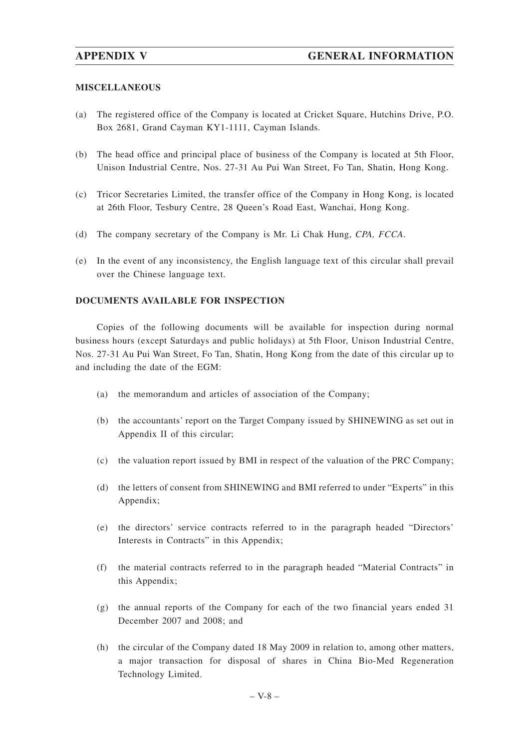## **MISCELLANEOUS**

- (a) The registered office of the Company is located at Cricket Square, Hutchins Drive, P.O. Box 2681, Grand Cayman KY1-1111, Cayman Islands.
- (b) The head office and principal place of business of the Company is located at 5th Floor, Unison Industrial Centre, Nos. 27-31 Au Pui Wan Street, Fo Tan, Shatin, Hong Kong.
- (c) Tricor Secretaries Limited, the transfer office of the Company in Hong Kong, is located at 26th Floor, Tesbury Centre, 28 Queen's Road East, Wanchai, Hong Kong.
- (d) The company secretary of the Company is Mr. Li Chak Hung, *CPA, FCCA*.
- (e) In the event of any inconsistency, the English language text of this circular shall prevail over the Chinese language text.

### **DOCUMENTS AVAILABLE FOR INSPECTION**

Copies of the following documents will be available for inspection during normal business hours (except Saturdays and public holidays) at 5th Floor, Unison Industrial Centre, Nos. 27-31 Au Pui Wan Street, Fo Tan, Shatin, Hong Kong from the date of this circular up to and including the date of the EGM:

- (a) the memorandum and articles of association of the Company;
- (b) the accountants' report on the Target Company issued by SHINEWING as set out in Appendix II of this circular;
- (c) the valuation report issued by BMI in respect of the valuation of the PRC Company;
- (d) the letters of consent from SHINEWING and BMI referred to under "Experts" in this Appendix;
- (e) the directors' service contracts referred to in the paragraph headed "Directors' Interests in Contracts" in this Appendix;
- (f) the material contracts referred to in the paragraph headed "Material Contracts" in this Appendix;
- (g) the annual reports of the Company for each of the two financial years ended 31 December 2007 and 2008; and
- (h) the circular of the Company dated 18 May 2009 in relation to, among other matters, a major transaction for disposal of shares in China Bio-Med Regeneration Technology Limited.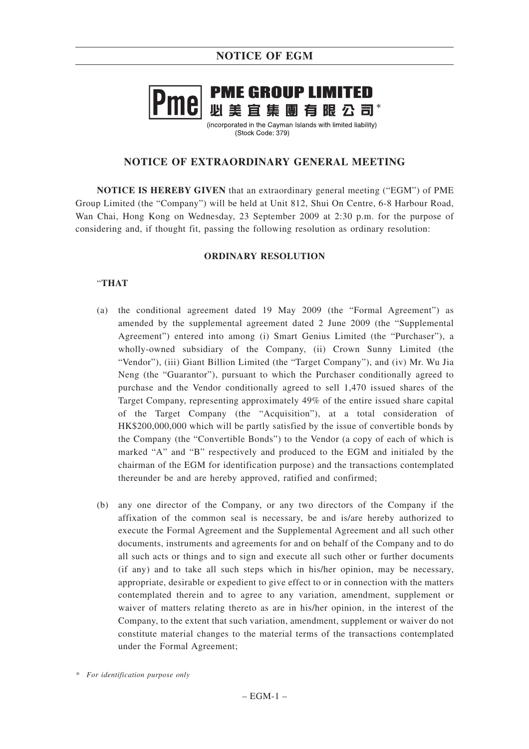

(incorporated in the Cavman Islands with limited liability) (Stock Code: 379)

# **NOTICE OF EXTRAORDINARY GENERAL MEETING**

**NOTICE IS HEREBY GIVEN** that an extraordinary general meeting ("EGM") of PME Group Limited (the "Company") will be held at Unit 812, Shui On Centre, 6-8 Harbour Road, Wan Chai, Hong Kong on Wednesday, 23 September 2009 at 2:30 p.m. for the purpose of considering and, if thought fit, passing the following resolution as ordinary resolution:

# **ORDINARY RESOLUTION**

## "**THAT**

- (a) the conditional agreement dated 19 May 2009 (the "Formal Agreement") as amended by the supplemental agreement dated 2 June 2009 (the "Supplemental Agreement") entered into among (i) Smart Genius Limited (the "Purchaser"), a wholly-owned subsidiary of the Company, (ii) Crown Sunny Limited (the "Vendor"), (iii) Giant Billion Limited (the "Target Company"), and (iv) Mr. Wu Jia Neng (the "Guarantor"), pursuant to which the Purchaser conditionally agreed to purchase and the Vendor conditionally agreed to sell 1,470 issued shares of the Target Company, representing approximately 49% of the entire issued share capital of the Target Company (the "Acquisition"), at a total consideration of HK\$200,000,000 which will be partly satisfied by the issue of convertible bonds by the Company (the "Convertible Bonds") to the Vendor (a copy of each of which is marked "A" and "B" respectively and produced to the EGM and initialed by the chairman of the EGM for identification purpose) and the transactions contemplated thereunder be and are hereby approved, ratified and confirmed;
- (b) any one director of the Company, or any two directors of the Company if the affixation of the common seal is necessary, be and is/are hereby authorized to execute the Formal Agreement and the Supplemental Agreement and all such other documents, instruments and agreements for and on behalf of the Company and to do all such acts or things and to sign and execute all such other or further documents (if any) and to take all such steps which in his/her opinion, may be necessary, appropriate, desirable or expedient to give effect to or in connection with the matters contemplated therein and to agree to any variation, amendment, supplement or waiver of matters relating thereto as are in his/her opinion, in the interest of the Company, to the extent that such variation, amendment, supplement or waiver do not constitute material changes to the material terms of the transactions contemplated under the Formal Agreement;

*<sup>\*</sup> For identification purpose only*